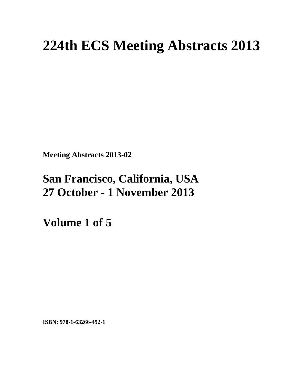# **224th ECS Meeting Abstracts 2013**

**Meeting Abstracts 2013-02** 

# **San Francisco, California, USA 27 October - 1 November 2013**

**Volume 1 of 5** 

**ISBN: 978-1-63266-492-1**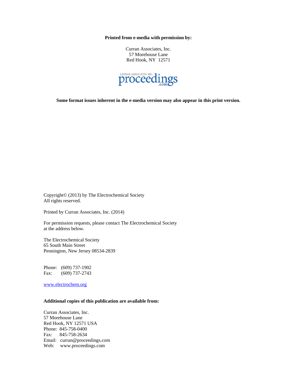**Printed from e-media with permission by:** 

Curran Associates, Inc. 57 Morehouse Lane Red Hook, NY 12571



**Some format issues inherent in the e-media version may also appear in this print version.** 

Copyright© (2013) by The Electrochemical Society All rights reserved.

Printed by Curran Associates, Inc. (2014)

For permission requests, please contact The Electrochemical Society at the address below.

The Electrochemical Society 65 South Main Street Pennington, New Jersey 08534-2839

Phone: (609) 737-1902 Fax: (609) 737-2743

www.electrochem.org

#### **Additional copies of this publication are available from:**

Curran Associates, Inc. 57 Morehouse Lane Red Hook, NY 12571 USA Phone: 845-758-0400 Fax: 845-758-2634 Email: curran@proceedings.com Web: www.proceedings.com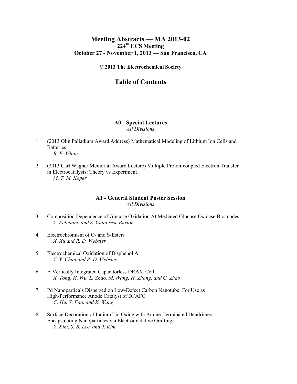### **Meeting Abstracts — MA 2013-02 224th ECS Meeting October 27 - November 1, 2013 — San Francisco, CA**

**© 2013 The Electrochemical Society** 

# **Table of Contents**

## **A0 - Special Lectures**

#### *All Divisions*

- 1 (2013 Olin Palladium Award Address) Mathematical Modeling of Lithium Ion Cells and **Batteries**  *R. E. White*
- 2 (2013 Carl Wagner Memorial Award Lecture) Multiple Proton-coupled Electron Transfer in Electrocatalysis: Theory vs Experiment  *M. T. M. Koper*

#### **A1 - General Student Poster Session**

*All Divisions* 

- 3 Composition Dependence of Glucose Oxidation At Mediated Glucose Oxidase Bioanodes  *Y. Feliciano and S. Calabrese Barton*
- 4 Electrochromism of O- and S-Esters  *X. Xu and R. D. Webster*
- 5 Electrochemical Oxidation of Bisphenol A  *Y. Y. Chan and R. D. Webster*
- 6 A Vertically Integrated Capacitorless DRAM Cell  *X. Tong, H. Wu, L. Zhao, M. Wang, H. Zhong, and C. Zhao*
- 7 Pd Nanoparticals Dispersed on Low-Defect Carbon Nanotube: For Use as High-Performance Anode Catalyst of DFAFC  *C. Hu, Y. Fan, and X. Wang*
- 8 Surface Decoration of Indium Tin Oxide with Amine-Terminated Dendrimers Encapsulating Nanoparticles via Electrooxidative Grafting  *Y. Kim, S. B. Lee, and J. Kim*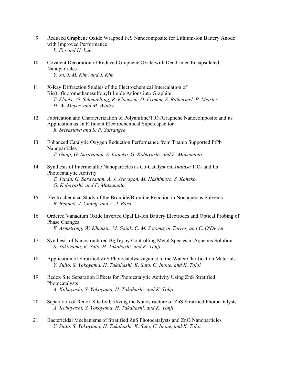- 9 Reduced Graphene Oxide Wrapped FeS Nanocomposite for Lithium-Ion Battery Anode with Improved Performance  *L. Fei and H. Luo*
- 10 Covalent Decoration of Reduced Graphene Oxide with Dendrimer-Encapsulated Nanoparticles  *Y. Ju, J. M. Kim, and J. Kim*
- 11 X-Ray Diffraction Studies of the Electrochemical Intercalation of Bis(trifluoromethanesulfonyl) Imide Anions into Graphite  *T. Placke, G. Schmuelling, R. Kloepsch, O. Fromm, S. Rothermel, P. Meister, H. W. Meyer, and M. Winter*
- 12 Fabrication and Characterization of Polyaniline/TiO<sub>2</sub>/Graphene Nanocomposite and its Application as an Efficient Electrochemical Supercapacitor  *R. Srivastava and S. P. Satsangee*
- 13 Enhanced Catalytic Oxygen Reduction Performance from Titania Supported PtPb Nanoparticles  *T. Gunji, G. Saravanan, S. Kaneko, G. Kobayashi, and F. Matsumoto*
- 14 Synthesis of Intermetallic Nanoparticles as Co-Catalyst on *Anatase* TiO<sub>2</sub> and Its Photocatalytic Activity  *T. Tsuda, G. Saravanan, A. J. Jeevagan, M. Hashimoto, S. Kaneko, G. Kobayashi, and F. Matsumoto*
- 15 Electrochemical Study of the Bromide/Bromine Reaction in Nonaqueous Solvents  *B. Bennett, J. Chang, and A. J. Bard*
- 16 Ordered Vanadium Oxide Inverted Opal Li-Ion Battery Electrodes and Optical Probing of Phase Changes  *E. Armstrong, W. Khunsin, M. Osiak, C. M. Sotomayor Torres, and C. O'Dwyer*
- 17 Synthesis of Nanostructured  $Bi<sub>2</sub>Te<sub>3</sub>$  by Controlling Metal Species in Aqueous Solution  *S. Yokoyama, K. Sato, H. Takahashi, and K. Tohji*
- 18 Application of Stratified ZnS Photocatalysts against to the Water Clarification Materials  *Y. Suito, S. Yokoyama, H. Takahashi, K. Suto, C. Inoue, and K. Tohji*
- 19 Redox Site Separation Effects for Photocatalytic Activity Using ZnS Stratified Photocatalysts  *A. Kobayashi, S. Yokoyama, H. Takahashi, and K. Tohji*
- 20 Separation of Redox Site by Utilizing the Nanostructure of ZnS Stratified Photocatalysts  *A. Kobayashi, S. Yokoyama, H. Takahashi, and K. Tohji*
- 21 Bactericidal Mechanisms of Stratified ZnS Photocatalysts and ZnO Nanoparticles  *Y. Suito, S. Yokoyama, H. Takahashi, K. Suto, C. Inoue, and K. Tohji*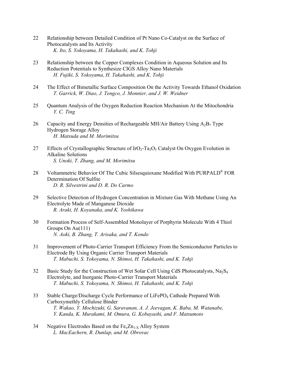- 22 Relationship between Detailed Condition of Pt Nano Co-Catalyst on the Surface of Photocatalysts and Its Activity  *K. Ito, S. Yokoyama, H. Takahashi, and K. Tohji*
- 23 Relationship between the Copper Complexes Condition in Aqueous Solution and Its Reduction Potentials to Synthesize CIGS Alloy Nano Materials  *H. Fujiki, S. Yokoyama, H. Takahashi, and K. Tohji*
- 24 The Effect of Bimetallic Surface Composition On the Activity Towards Ethanol Oxidation  *T. Garrick, W. Diao, J. Tengco, J. Monnier, and J. W. Weidner*
- 25 Quantum Analysis of the Oxygen Reduction Reaction Mechanism At the Mitochondria  *Y. C. Ting*
- 26 Capacity and Energy Densities of Rechargeable MH/Air Battery Using  $A_2B_7$  Type Hydrogen Storage Alloy  *H. Matsuda and M. Morimitsu*
- 27 Effects of Crystallographic Structure of  $IrO<sub>2</sub>-Ta<sub>2</sub>O<sub>5</sub>$  Catalyst On Oxygen Evolution in Alkaline Solutions  *S. Unoki, T. Zhang, and M. Morimitsu*
- 28 Voltammetric Behavior Of The Cubic Silsesquioxane Modified With PURPALD® FOR Determination Of Sulfite  *D. R. Silvestrini and D. R. Do Carmo*
- 29 Selective Detection of Hydrogen Concentration in Mixture Gas With Methane Using An Electrolyte Made of Manganese Dioxide  *R. Araki, H. Koyanaka, and K. Yoshikawa*
- 30 Formation Process of Self-Assembled Monolayer of Porphyrin Molecule With 4 Thiol Groups On Au(111)  *N. Aoki, B. Zhang, T. Arisaka, and T. Kondo*
- 31 Improvement of Photo-Carrier Transport Efficiency From the Semiconductor Particles to Electrode By Using Organic Carrier Transport Materials  *T. Mabuchi, S. Yokoyama, N. Shimoi, H. Takahashi, and K. Tohji*
- 32 Basic Study for the Construction of Wet Solar Cell Using CdS Photocatalysts,  $Na<sub>2</sub>S<sub>4</sub>$  Electrolyte, and Inorganic Photo-Carrier Transport Materials  *T. Mabuchi, S. Yokoyama, N. Shimoi, H. Takahashi, and K. Tohji*
- 33 Stable Charge/Discharge Cycle Performance of LiFePO<sub>4</sub> Cathode Prepared With Carboxymethly Cellulose Binder  *T. Wakao, Y. Mochizuki, G. Saravanan, A. J. Jeevagan, K. Baba, M. Watanabe, Y. Kanda, K. Murakami, M. Omura, G. Kobayashi, and F. Matsumoto*
- 34 Negative Electrodes Based on the  $Fe_{x}Zn_{1-X}$  Alloy System  *L. MacEachern, R. Dunlap, and M. Obrovac*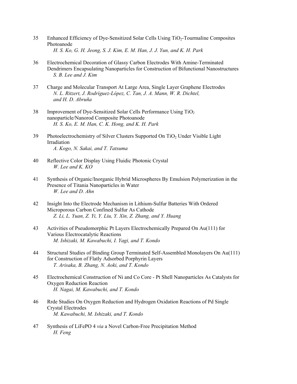- 35 Enhanced Efficiency of Dye-Sensitized Solar Cells Using TiO2-Tourmaline Composites Photoanode  *H. S. Ko, G. H. Jeong, S. J. Kim, E. M. Han, J. J. Yun, and K. H. Park*
- 36 Electrochemical Decoration of Glassy Carbon Electrodes With Amine-Terminated Dendrimers Encapsulating Nanoparticles for Construction of Bifunctional Nanostructures  *S. B. Lee and J. Kim*
- 37 Charge and Molecular Transport At Large Area, Single Layer Graphene Electrodes  *N. L. Ritzert, J. Rodríguez-López, C. Tan, J. A. Mann, W. R. Dichtel, and H. D. Abruña*
- 38 Improvement of Dye-Sensitized Solar Cells Performance Using TiO2 nanoparticle/Nanorod Composite Photoanode  *H. S. Ko, E. M. Han, C. K. Hong, and K. H. Park*
- 39 Photoelectrochemistry of Silver Clusters Supported On TiO<sub>2</sub> Under Visible Light Irradiation  *A. Kogo, N. Sakai, and T. Tatsuma*
- 40 Reflective Color Display Using Fluidic Photonic Crystal  *W. Lee and K. KO*
- 41 Synthesis of Organic/Inorganic Hybrid Microspheres By Emulsion Polymerization in the Presence of Titania Nanoparticles in Water  *W. Lee and D. Ahn*
- 42 Insight Into the Electrode Mechanism in Lithium-Sulfur Batteries With Ordered Microporous Carbon Confined Sulfur As Cathode  *Z. Li, L. Yuan, Z. Yi, Y. Liu, Y. Xin, Z. Zhang, and Y. Huang*
- 43 Activities of Pseudomorphic Pt Layers Electrochemically Prepared On Au(111) for Various Electrocatalytic Reactions  *M. Ishizaki, M. Kawabuchi, I. Yagi, and T. Kondo*
- 44 Structural Studies of Binding Group Terminated Self-Assembled Monolayers On Au(111) for Construction of Flatly Adsorbed Porphyrin Layers  *T. Arisaka, B. Zhang, N. Aoki, and T. Kondo*
- 45 Electrochemical Construction of Ni and Co Core Pt Shell Nanoparticles As Catalysts for Oxygen Reduction Reaction  *H. Nagai, M. Kawabuchi, and T. Kondo*
- 46 Rrde Studies On Oxygen Reduction and Hydrogen Oxidation Reactions of Pd Single Crystal Electrodes  *M. Kawabuchi, M. Ishizaki, and T. Kondo*
- 47 Synthesis of LiFePO 4 *via* a Novel Carbon-Free Precipitation Method  *H. Feng*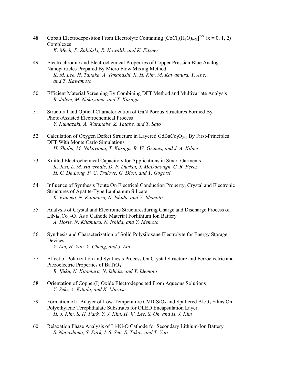- 48 Cobalt Electrodeposition From Electrolyte Containing  $[CoCl_x(H_2O)_{6-x}]^{2-x}$  (x = 0, 1, 2) Complexes  *K. Mech, P. Żabiński, R. Kowalik, and K. Fitzner* 
	- 49 Electrochromic and Electrochemical Properties of Copper Prussian Blue Analog Nanoparticles Prepared By Micro Flow Mixing Method  *K. M. Lee, H. Tanaka, A. Takahashi, K. H. Kim, M. Kawamura, Y. Abe, and T. Kawamoto*
	- 50 Efficient Material Screening By Combining DFT Method and Multivariate Analysis  *R. Jalem, M. Nakayama, and T. Kasuga*
	- 51 Structural and Optical Characterization of GaN Porous Structures Formed By Photo-Assisted Electrochemical Process  *Y. Kumazaki, A. Watanabe, Z. Yatabe, and T. Sato*
	- 52 Calculation of Oxygen Defect Structure in Layered  $GdBaCo<sub>2</sub>O<sub>5+\delta</sub>$  By First-Principles DFT With Monte Carlo Simulations  *H. Shiiba, M. Nakayama, T. Kasuga, R. W. Grimes, and J. A. Kilner*
	- 53 Knitted Electrochemical Capacitors for Applications in Smart Garments  *K. Jost, L. M. Haverhals, D. P. Durkin, J. McDonough, C. R. Perez, H. C. De Long, P. C. Trulove, G. Dion, and Y. Gogotsi*
	- 54 Influence of Synthesis Route On Electrical Conduction Property, Crystal and Electronic Structures of Apatite-Type Lanthanum Silicate  *K. Kaneko, N. Kitamura, N. Ishida, and Y. Idemoto*
	- 55 Analysis of Crystal and Electronic Structuresduring Charge and Discharge Process of  $LiNi<sub>0.8</sub>Co<sub>0.2</sub>O<sub>2</sub> As a Cathode Material Forlithium Ion Battery$  *A. Horie, N. Kitamura, N. Ishida, and Y. Idemoto*
	- 56 Synthesis and Characterization of Solid Polysiloxane Electrolyte for Energy Storage Devices  *Y. Lin, H. Yao, Y. Cheng, and J. Liu*
	- 57 Effect of Polarization and Synthesis Process On Crystal Structure and Ferroelectric and Piezoelectric Properties of BaTiO<sub>3</sub>  *R. Ifuku, N. Kitamura, N. Ishida, and Y. Idemoto*
	- 58 Orientation of Copper(I) Oxide Electrodeposited From Aqueous Solutions  *Y. Seki, A. Kitada, and K. Murase*
	- 59 Formation of a Bilayer of Low-Temperature CVD-SiO<sub>2</sub> and Sputtered  $A_1O_3$  Films On Polyethylene Terephthalate Substrates for OLED Encapsulation Layer  *H. J. Kim, S. H. Park, Y. J. Kim, H. W. Lee, S. Oh, and H. J. Kim*
	- 60 Relaxation Phase Analysis of Li-Ni-O Cathode for Secondary Lithium-Ion Battery  *S. Nagashima, S. Park, I. S. Seo, S. Takai, and T. Yao*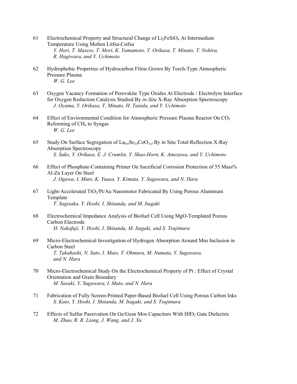- 61 Electrochemical Property and Structural Change of  $Li<sub>2</sub>FeSiO<sub>4</sub>$  At Intermediate Temperature Using Molten Litfsa-Cstfsa  *Y. Hori, T. Masese, T. Mori, K. Yamamoto, Y. Orikasa, T. Minato, T. Nohira, R. Hagiwara, and Y. Uchimoto*
- 62 Hydrophobic Properties of Hydrocarbon Films Grown By Torch-Type Atmospheric Pressure Plasma  *W. G. Lee*
- 63 Oxygen Vacancy Formation of Perovskite Type Oxides At Electrode / Electrolyte Interface for Oxygen Reduction Catalysis Studied By *in-Situ* X-Ray Absorption Spectroscopy  *J. Oyama, Y. Orikasa, T. Minato, H. Tanida, and Y. Uchimoto*
- 64 Effect of Environmental Condition for Atmospheric Pressure Plasma Reactor On CO2 Reforming of CH4 to Syngas  *W. G. Lee*
- 65 Study On Surface Segregation of La0.6Sr0.4CoO3-*d* By in Situ Total-Reflection X-Ray Absorption Spectroscopy  *S. Sako, Y. Orikasa, E. J. Crumlin, Y. Shao-Horn, K. Amezawa, and Y. Uchimoto*
- 66 Effect of Phosphate-Containing Primer On Sacrificial Corrosion Protection of 55 Mass% Al-Zn Layer On Steel  *J. Ogawa, I. Muto, K. Yuasa, Y. Kimata, Y. Sugawara, and N. Hara*
- 67 Light-Accelerated  $TiO<sub>2</sub>/Pt/Au$  Nanomotor Fabricated By Using Porous Aluminum Template  *T. Sagisaka, Y. Hoshi, I. Shitanda, and M. Itagaki*
- 68 Electrochemical Impedance Analysis of Biofuel Cell Using MgO-Templated Porous Carbon Electrode  *H. Nakafuji, Y. Hoshi, I. Shitanda, M. Itagaki, and S. Tsujimura*
- 69 Micro-Electrochemical Investigation of Hydrogen Absorption Around Mns Inclusion in Carbon Steel  *T. Takahashi, N. Sato, I. Muto, T. Ohmura, M. Numata, Y. Sugawara, and N. Hara*
- 70 Micro-Electrochemical Study On the Electrochemical Property of Pt : Effect of Crystal Orientation and Grain Boundary  *M. Sasaki, Y. Sugawara, I. Muto, and N. Hara*
- 71 Fabrication of Fully Screen-Printed Paper-Based Biofuel Cell Using Porous Carbon Inks  *S. Kato, Y. Hoshi, I. Shitanda, M. Itagaki, and S. Tsujimura*
- 72 Effects of Sulfur Passivation On Ge/Gesn Mos Capacitors With HfO2 Gate Dielectric  *M. Zhao, R. R. Liang, J. Wang, and J. Xu*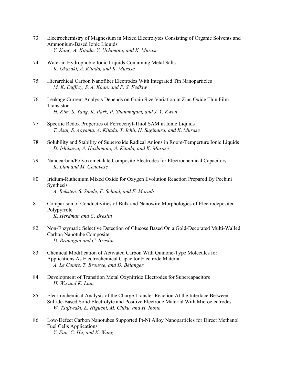- 73 Electrochemistry of Magnesium in Mixed Electrolytes Consisting of Organic Solvents and Ammonium-Based Ionic Liquids  *Y. Kang, A. Kitada, Y. Uchimoto, and K. Murase*
- 74 Water in Hydrophobic Ionic Liquids Containing Metal Salts  *K. Okazaki, A. Kitada, and K. Murase*
- 75 Hierarchical Carbon Nanofiber Electrodes With Integrated Tin Nanoparticles  *M. K. Dufficy, S. A. Khan, and P. S. Fedkiw*
- 76 Leakage Current Analysis Depends on Grain Size Variation in Zinc Oxide Thin Film Transistor  *H. Kim, S. Yang, K. Park, P. Shanmugam, and J. Y. Kwon*
- 77 Specific Redox Properties of Ferrocenyl-Thiol SAM in Ionic Liquids  *T. Asai, S. Aoyama, A. Kitada, T. Ichii, H. Sugimura, and K. Murase*
- 78 Solubility and Stability of Superoxide Radical Anions in Room-Temperture Ionic Liquids  *D. Ishikawa, A. Hashimoto, A. Kitada, and K. Murase*
- 79 Nanocarbon/Polyoxometalate Composite Electrodes for Electrochemical Capacitors  *K. Lian and M. Genovese*
- 80 Iridium-Ruthenium Mixed Oxide for Oxygen Evolution Reaction Prepared By Pechini Synthesis  *A. Reksten, S. Sunde, F. Seland, and F. Moradi*
- 81 Comparison of Conductivities of Bulk and Nanowire Morphologies of Electrodeposited Polypyrrole  *K. Herdman and C. Breslin*
- 82 Non-Enzymatic Selective Detection of Glucose Based On a Gold-Decorated Multi-Walled Carbon Nanotube Composite  *D. Branagan and C. Breslin*
- 83 Chemical Modification of Activated Carbon With Quinone-Type Molecules for Applications As Electrochemical Capacitor Electrode Material  *A. Le Comte, T. Brousse, and D. Bélanger*
- 84 Development of Transition Metal Oxynitride Electrodes for Supercapacitors  *H. Wu and K. Lian*
- 85 Elecrtrochemical Analysis of the Charge Transfer Reaction At the Interface Between Sulfide-Based Solid Electrolyte and Positive Electrode Material With Microelectrodes  *W. Tsujiwaki, E. Higuchi, M. Chiku, and H. Inoue*
- 86 Low-Defect Carbon Nanotubes Supported Pt-Ni Alloy Nanoparticles for Direct Methanol Fuel Cells Applications  *Y. Fan, C. Hu, and X. Wang*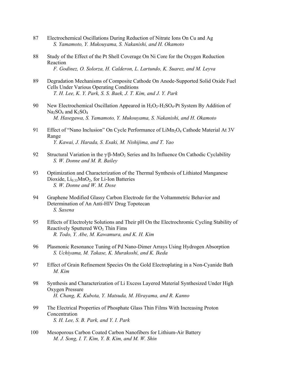- 87 Electrochemical Oscillations During Reduction of Nitrate Ions On Cu and Ag  *S. Yamamoto, Y. Mukouyama, S. Nakanishi, and H. Okamoto*
- 88 Study of the Effect of the Pt Shell Coverage On Ni Core for the Oxygen Reduction Reaction  *F. Godinez, O. Solorza, H. Calderon, L. Lartundo, K. Suarez, and M. Leyva*
- 89 Degradation Mechanisms of Composite Cathode On Anode-Supported Solid Oxide Fuel Cells Under Various Operating Conditions  *T. H. Lee, K. Y. Park, S. S. Baek, J. T. Kim, and J. Y. Park*
- 90 New Electrochemical Oscillation Appeared in  $H_2O_2-H_2SO_4$ -Pt System By Addition of  $Na<sub>2</sub>SO<sub>4</sub>$  and  $K<sub>2</sub>SO<sub>4</sub>$  *M. Hasegawa, S. Yamamoto, Y. Mukouyama, S. Nakanishi, and H. Okamoto*
- 91 Effect of "Nano Inclusion" On Cycle Performance of  $Lim_2O_4$  Cathode Material At 3V Range  *Y. Kawai, J. Harada, S. Esaki, M. Nishijima, and T. Yao*
- 92 Structural Variation in the  $\gamma/\beta$ -MnO<sub>2</sub> Series and Its Influence On Cathodic Cyclability  *S. W. Donne and M. R. Bailey*
- 93 Optimization and Characterization of the Thermal Synthesis of Lithiated Manganese Dioxide,  $Li<sub>0.33</sub>MnO<sub>2</sub>$ , for Li-Ion Batteries  *S. W. Donne and W. M. Dose*
- 94 Graphene Modified Glassy Carbon Electrode for the Voltammetric Behavior and Determination of An Anti-HIV Drug Topotecan  *S. Saxena*
- 95 Effects of Electrolyte Solutions and Their pH On the Electrochromic Cycling Stability of Reactively Sputtered  $WO<sub>3</sub>$  Thin Fims  *R. Todo, Y. Abe, M. Kawamura, and K. H. Kim*
- 96 Plasmonic Resonance Tuning of Pd Nano-Dimer Arrays Using Hydrogen Absorption  *S. Uchiyama, M. Takase, K. Murakoshi, and K. Ikeda*
- 97 Effect of Grain Refinement Species On the Gold Electroplating in a Non-Cyanide Bath  *M. Kim*
- 98 Synthesis and Characterization of Li Excess Layered Material Synthesized Under High Oxygen Pressure  *H. Chang, K. Kubota, Y. Matsuda, M. Hirayama, and R. Kanno*
- 99 The Electrical Properties of Phosphate Glass Thin Films With Increasing Proton Concentration  *S. H. Lee, S. B. Park, and Y. I. Park*
- 100 Mesoporous Carbon Coated Carbon Nanofibers for Lithium-Air Battery  *M. J. Song, I. T. Kim, Y. B. Kim, and M. W. Shin*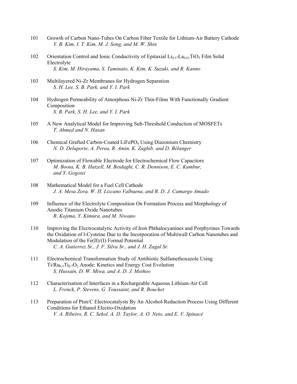- 101 Growth of Carbon Nano-Tubes On Carbon Fiber Textile for Lithium-Air Battery Cathode  *Y. B. Kim, I. T. Kim, M. J. Song, and M. W. Shin*
- 102 Orientation Control and Ionic Conductivity of Epitaxial  $Li_{0.17}La_{0.61}TiO_3$  Film Solid Electrolyte  *S. Kim, M. Hirayama, S. Taminato, K. Kim, K. Suzuki, and R. Kanno*
- 103 Multilayered Ni-Zr Membranes for Hydrogen Separation  *S. H. Lee, S. B. Park, and Y. I. Park*
- 104 Hydrogen Permeability of Amorphous Ni-Zr Thin-Films With Functionally Gradient Composition  *S. B. Park, S. H. Lee, and Y. I. Park*
- 105 A New Analytical Model for Improving Sub-Threshold Conduction of MOSFETs  *T. Ahmed and N. Hasan*
- 106 Chemical Grafted Carbon-Coated LiFePO<sub>4</sub> Using Diazonium Chemistry  *N. D. Delaporte, A. Perea, R. Amin, K. Zaghib, and D. Bélanger*
- 107 Optimization of Flowable Electrode for Electrochemical Flow Capacitors  *M. Boota, K. B. Hatzell, M. Beidaghi, C. R. Dennison, E. C. Kumbur, and Y. Gogotsi*
- 108 Mathematical Model for a Fuel Cell Cathode  *J. A. Mesa Zora, W. H. Lizcano Valbuena, and R. D. J. Camargo Amado*
- 109 Influence of the Electrolyte Composition On Formation Process and Morphology of Anodic Titanium Oxide Nanotubes  *R. Kojima, Y. Kimura, and M. Niwano*
- 110 Improving the Electrocatalytic Activity of Iron Phthalocyanines and Porphyrines Towards the Oxidation of l-Cysteine Due to the Incorporation of Multiwall Carbon Nanotubes and Modulation of the Fe(II)/(I) Formal Potential  *C. A. Gutierrez Sr., J. F. Silva Sr., and J. H. Zagal Sr.*
- 111 Electrochemical Transformation Study of Antibiotic Sulfamethoxazole Using  $Ti/Ru_{0.3}Ti_{0.7}O_2$  Anode: Kinetics and Energy Cost Evolution  *S. Hussain, D. W. Miwa, and A. D. J. Motheo*
- 112 Characterisation of Interfaces in a Rechargeable Aqueous Lithium-Air Cell  *L. Frenck, P. Stevens, G. Toussaint, and R. Bouchet*
- 113 Preparation of Ptsn/C Electrocatalysts By An Alcohol-Reduction Process Using Different Conditions for Ethanol Electro-Oxidation  *V. A. Ribeiro, R. C. Sekol, A. D. Taylor, A. O. Neto, and E. V. Spinacé*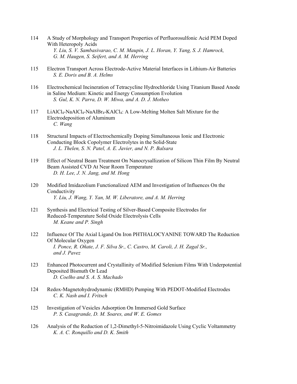- 114 A Study of Morphology and Transport Properties of Perfluorosulfonic Acid PEM Doped With Heteropoly Acids  *Y. Liu, S. V. Sambasivarao, C. M. Maupin, J. L. Horan, Y. Yang, S. J. Hamrock, G. M. Haugen, S. Seifert, and A. M. Herring*
- 115 Electron Transport Across Electrode-Active Material Interfaces in Lithium-Air Batteries  *S. E. Doris and B. A. Helms*
- 116 Electrochemical Incineration of Tetracycline Hydrochloride Using Titanium Based Anode in Saline Medium: Kinetic and Energy Consumption Evolution  *S. Gul, K. N. Parra, D. W. Miwa, and A. D. J. Motheo*
- 117 LiAlCl<sub>4</sub>-NaAlCl<sub>4</sub>-NaAlBr<sub>4</sub>-KAlCl<sub>4</sub>: A Low-Melting Molten Salt Mixture for the Electrodeposition of Aluminum  *C. Wang*
- 118 Structural Impacts of Electrochemically Doping Simultaneous Ionic and Electronic Conducting Block Copolymer Electrolytes in the Solid-State  *J. L. Thelen, S. N. Patel, A. E. Javier, and N. P. Balsara*
- 119 Effect of Neutral Beam Treatment On Nanocrysallization of Silicon Thin Film By Neutral Beam Assisted CVD At Near Room Temperature  *D. H. Lee, J. N. Jang, and M. Hong*
- 120 Modified Imidazolium Functionalized AEM and Investigation of Influences On the Conductivity  *Y. Liu, J. Wang, Y. Yan, M. W. Liberatore, and A. M. Herring*
- 121 Synthesis and Electrical Testing of Silver-Based Composite Electrodes for Reduced-Temperature Solid Oxide Electrolysis Cells  *M. Keane and P. Singh*
- 122 Influence Of The Axial Ligand On Iron PHTHALOCYANINE TOWARD The Reduction Of Molecular Oxygen  *I. Ponce, R. Oñate, J. F. Silva Sr., C. Castro, M. Caroli, J. H. Zagal Sr., and J. Pavez*
- 123 Enhanced Photocurrent and Crystallinity of Modified Selenium Films With Underpotential Deposited Bismuth Or Lead  *D. Coelho and S. A. S. Machado*
- 124 Redox-Magnetohydrodynamic (RMHD) Pumping With PEDOT-Modified Electrodes  *C. K. Nash and I. Fritsch*
- 125 Investigation of Vesicles Adsorption On Immersed Gold Surface  *P. S. Casagrande, D. M. Soares, and W. E. Gomes*
- 126 Analysis of the Reduction of 1,2-Dimethyl-5-Nitroimidazole Using Cyclic Voltammetry  *K. A. C. Ronquillo and D. K. Smith*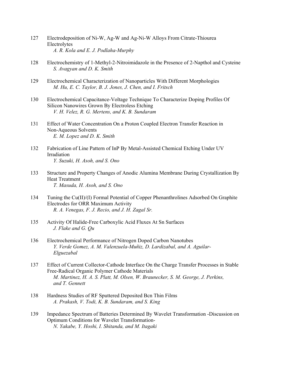- 127 Electrodeposition of Ni-W, Ag-W and Ag-Ni-W Alloys From Citrate-Thiourea Electrolytes  *A. R. Kola and E. J. Podlaha-Murphy*
- 128 Electrochemistry of 1-Methyl-2-Nitroimidazole in the Presence of 2-Napthol and Cysteine  *S. Avagyan and D. K. Smith*
- 129 Electrochemical Characterization of Nanoparticles With Different Morphologies  *M. Hu, E. C. Taylor, B. J. Jones, J. Chen, and I. Fritsch*
- 130 Electrochemical Capacitance-Voltage Technique To Characterize Doping Profiles Of Silicon Nanowires Grown By Electroless Etching  *V. H. Velez, R. G. Mertens, and K. B. Sundaram*
- 131 Effect of Water Concentration On a Proton Coupled Electron Transfer Reaction in Non-Aqueous Solvents  *E. M. Lopez and D. K. Smith*
- 132 Fabrication of Line Pattern of InP By Metal-Assisted Chemical Etching Under UV Irradiation  *Y. Suzuki, H. Asoh, and S. Ono*
- 133 Structure and Property Changes of Anodic Alumina Membrane During Crystallization By Heat Treatment  *T. Masuda, H. Asoh, and S. Ono*
- 134 Tuning the Cu(II)/(I) Formal Potential of Copper Phenanthrolines Adsorbed On Graphite Electrodes for ORR Maximum Activity  *R. A. Venegas, F. J. Recio, and J. H. Zagal Sr.*
- 135 Activity Of Halide-Free Carboxylic Acid Fluxes At Sn Surfaces  *J. Flake and G. Qu*
- 136 Electrochemical Performance of Nitrogen Doped Carbon Nanotubes  *Y. Verde Gomez, A. M. Valenzuela-Muñiz, D. Lardizabal, and A. Aguilar- Elguezabal*
- 137 Effect of Current Collector-Cathode Interface On the Charge Transfer Processes in Stable Free-Radical Organic Polymer Cathode Materials  *M. Martinez, H. A. S. Platt, M. Olsen, W. Braunecker, S. M. George, J. Perkins, and T. Gennett*
- 138 Hardness Studies of RF Sputtered Deposited Bcn Thin Films  *A. Prakash, V. Todi, K. B. Sundaram, and S. King*
- 139 Impedance Spectrum of Batteries Determined By Wavelet Transformation -Discussion on Optimum Conditions for Wavelet Transformation-  *N. Yakabe, Y. Hoshi, I. Shitanda, and M. Itagaki*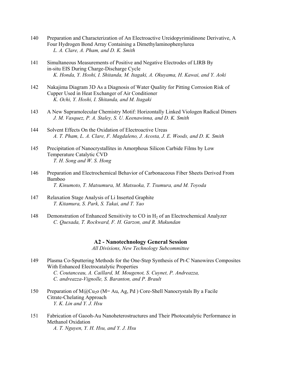- 140 Preparation and Characterization of An Electroactive Ureidopyrimidinone Derivative, A Four Hydrogen Bond Array Containing a Dimethylaminophenylurea  *L. A. Clare, A. Pham, and D. K. Smith*
- 141 Simultaneous Measurements of Positive and Negative Electrodes of LIRB By in-situ EIS During Charge-Discharge Cycle  *K. Honda, Y. Hoshi, I. Shitanda, M. Itagaki, A. Okuyama, H. Kawai, and Y. Aoki*
- 142 Nakajima Diagram 3D As a Diagnosis of Water Quality for Pitting Corrosion Risk of Cupper Used in Heat Exchanger of Air Conditioner  *K. Ochi, Y. Hoshi, I. Shitanda, and M. Itagaki*
- 143 A New Supramolecular Chemistry Motif: Horizontally Linked Viologen Radical Dimers  *J. M. Vasquez, P. A. Staley, S. U. Keenawinna, and D. K. Smith*
- 144 Solvent Effects On the Oxidation of Electroactive Ureas  *A. T. Pham, L. A. Clare, F. Magdaleno, J. Acosta, J. E. Woods, and D. K. Smith*
- 145 Precipitation of Nanocrystallites in Amorphous Silicon Carbide Films by Low Temperature Catalytic CVD  *T. H. Song and W. S. Hong*
- 146 Preparation and Electrochemical Behavior of Carbonaceous Fiber Sheets Derived From Bamboo  *T. Kinumoto, T. Matsumura, M. Matsuoka, T. Tsumura, and M. Toyoda*
- 147 Relaxation Stage Analysis of Li Inserted Graphite  *T. Kitamura, S. Park, S. Takai, and T. Yao*
- 148 Demonstration of Enhanced Sensitivity to CO in H<sub>2</sub> of an Electrochemical Analyzer  *C. Quesada, T. Rockward, F. H. Garzon, and R. Mukundan*

#### **A2 - Nanotechnology General Session**

*All Divisions, New Technology Subcommittee* 

- 149 Plasma Co-Sputtering Methods for the One-Step Synthesis of Pt-C Nanowires Composites With Enhanced Electrocatalytic Properties  *C. Coutanceau, A. Caillard, M. Mougenot, S. Cuynet, P. Andreazza, C. andreazza-Vignolle, S. Baranton, and P. Brault*
- 150 Preparation of  $M\omega$ Cu<sub>2</sub>o (M= Au, Ag, Pd ) Core-Shell Nanocrystals By a Facile Citrate-Chelating Approach  *Y. K. Lin and Y. J. Hsu*
- 151 Fabrication of Gaooh-Au Nanoheterostructures and Their Photocatalytic Performance in Methanol Oxidation  *A. T. Nguyen, Y. H. Hsu, and Y. J. Hsu*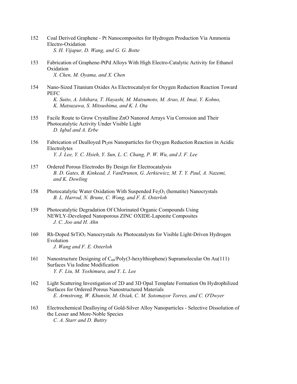- 152 Coal Derived Graphene Pt Nanocomposites for Hydrogen Production Via Ammonia Electro-Oxidation  *S. H. Vijapur, D. Wang, and G. G. Botte*
- 153 Fabrication of Graphene-PtPd Alloys With High Electro-Catalytic Activity for Ethanol Oxidation  *X. Chen, M. Oyama, and X. Chen*
- 154 Nano-Sized Titanium Oxides As Electrocatalyst for Oxygen Reduction Reaction Toward **PEFC**  *K. Suito, A. Ishihara, T. Hayashi, M. Matsumoto, M. Arao, H. Imai, Y. Kohno, K. Matsuzawa, S. Mitsushima, and K. I. Ota*
- 155 Facile Route to Grow Crystalline ZnO Nanorod Arrays Via Corrosion and Their Photocatalytic Activity Under Visible Light  *D. Iqbal and A. Erbe*
- 156 Fabrication of Dealloyed Pt<sub>2</sub>os Nanoparticles for Oxygen Reduction Reaction in Acidic Electrolytes  *Y. J. Lee, Y. C. Hsieh, Y. Sun, L. C. Chang, P. W. Wu, and J. F. Lee*
- 157 Ordered Porous Electrodes By Design for Electrocatalysis  *B. D. Gates, B. Kinkead, J. VanDrunen, G. Jerkiewicz, M. T. Y. Paul, A. Nazemi, and K. Dowling*
- 158 Photocatalytic Water Oxidation With Suspended  $Fe<sub>2</sub>O<sub>3</sub>$  (hematite) Nanocrystals  *B. L. Harrod, N. Brune, C. Wong, and F. E. Osterloh*
- 159 Photocatalytic Degradation Of Chlorinated Organic Compounds Using NEWLY-Developed Nanoporous ZINC OXIDE-Laponite Composites  *J. C. Joo and H. Ahn*
- 160 Rh-Doped SrTiO<sub>3</sub> Nanocrystals As Photocatalysts for Visible Light-Driven Hydrogen Evolution  *J. Wang and F. E. Osterloh*
- 161 Nanostructure Designing of C60/Poly(3-hexylthiophene) Supramolecular On Au(111) Surfaces Via Iodine Modification  *Y. F. Liu, M. Yoshimura, and Y. L. Lee*
- 162 Light Scattering Investigation of 2D and 3D Opal Template Formation On Hydrophilized Surfaces for Ordered Porous Nanostructured Materials  *E. Armstrong, W. Khunsin, M. Osiak, C. M. Sotomayor Torres, and C. O'Dwyer*
- 163 Electrochemical Dealloying of Gold-Silver Alloy Nanoparticles Selective Dissolution of the Lesser and More-Noble Species  *C. A. Starr and D. Buttry*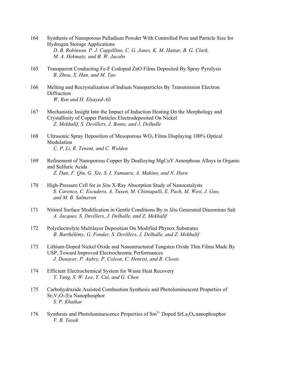- 164 Synthesis of Nanoporous Palladium Powder With Controlled Pore and Particle Size for Hydrogen Storage Applications  *D. B. Robinson, P. J. Cappillino, C. G. Jones, K. M. Hattar, B. G. Clark, M. A. Hekmaty, and B. W. Jacobs*
- 165 Transparent Conducting Fe-F Codoped ZnO Films Deposited By Spray Pyrolysis  *B. Zhou, X. Han, and M. Tao*
- 166 Melting and Recrystalization of Indium Nanoparticles By Transmission Electron **Diffraction**  *W. Ren and H. Elsayed-Ali*
- 167 Mechanistic Insight Into the Impact of Induction Heating On the Morphology and Crystallinity of Copper Particles Electrodeposited On Nickel  *Z. Mekhalif, S. Devillers, J. Bonte, and J. Delhalle*
- 168 Ultrasonic Spray Deposition of Mesoporous  $WO_3$  Films Displaying 100% Optical Modulation  *C. P. Li, R. Tenent, and C. Wolden*
- 169 Refinement of Nanoporous Copper By Dealloying MgCuY Amorphous Alloys in Organic and Sulfuric Acids  *Z. Dan, F. Qin, G. Xie, S. I. Yamaura, A. Makino, and N. Hara*
- 170 High-Pressure Cell for *in Situ* X-Ray Absorption Study of Nanocatalysts  *S. Carenco, C. Escudero, A. Tuxen, M. Chintapalli, E. Pach, M. West, J. Guo, and M. B. Salmeron*
- 171 Nitinol Surface Modification in Gentle Conditions By *in Situ* Generated Diazonium Salt  *A. Jacques, S. Devillers, J. Delhalle, and Z. Mekhalif*
- 172 Polyelectrolyte Multilayer Deposition On Modified Phynox Substrates  *B. Barthélémy, G. Fonder, S. Devillers, J. Delhalle, and Z. Mekhalif*
- 173 Lithium-Doped Nickel Oxide and Nanostructured Tungsten Oxide Thin Films Made By USP, Toward Improved Electrochromic Performances  *J. Denayer, P. Aubry, P. Colson, C. Henrist, and R. Cloots*
- 174 Efficient Electrochemical System for Waste Heat Recovery  *Y. Yang, S. W. Lee, Y. Cui, and G. Chen*
- 175 Carbohydrazide Assisted Combustion Synthesis and Photoluminescent Properties of Sr2V2O7:Eu Nanophosphor  *S. P. Khatkar*
- 176 Synthesis and Photoluminescence Properties of  $Sm<sup>3+</sup>$  Doped SrLa<sub>2</sub>O<sub>4</sub> nanophosphor  *V. B. Taxak*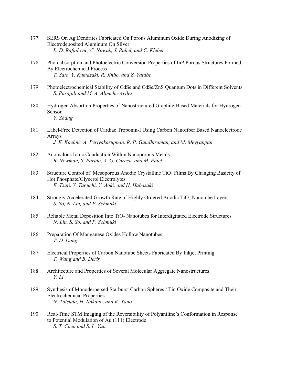- 177 SERS On Ag Dendrites Fabricated On Porous Aluminum Oxide During Anodizing of Electrodeposited Aluminum On Silver  *L. D. Rafailovic, C. Nowak, J. Rahel, and C. Kleber*
- 178 Photoabsorption and Photoelectric Conversion Properties of InP Porous Structures Formed By Electrochemical Process  *T. Sato, Y. Kumazaki, R. Jinbo, and Z. Yatabe*
- 179 Photoelectrochemical Stability of CdSe and CdSe/ZnS Quantum Dots in Different Solvents  *S. Parajuli and M. A. Alpuche-Aviles*
- 180 Hydrogen Absortion Properties of Nanostructured Graphite-Based Materials for Hydrogen Sensor  *Y. Zhang*
- 181 Label-Free Detection of Cardiac Troponin-I Using Carbon Nanofiber Based Nanoelectrode Arrays  *J. E. Koehne, A. Periyakaruppan, R. P. Gandhiraman, and M. Meyyappan*
- 182 Anomalous Ionic Conduction Within Nanoporous Metals  *R. Newman, S. Parida, A. G. Carcea, and M. Patel*
- 183 Structure Control of Mesoporous Anodic Crystalline TiO<sub>2</sub> Films By Changing Basicity of Hot Phosphate/Glycerol Electrolytes  *E. Tsuji, Y. Taguchi, Y. Aoki, and H. Habazaki*
- 184 Strongly Accelerated Growth Rate of Highly Ordered Anodic TiO<sub>2</sub> Nanotube Layers  *S. So, N. Liu, and P. Schmuki*
- 185 Reliable Metal Deposition Into TiO<sub>2</sub> Nanotubes for Interdigitated Electrode Structures  *N. Liu, S. So, and P. Schmuki*
- 186 Preparation Of Manganese Oxides Hollow Nanotubes  *T. D. Dang*
- 187 Electrical Properties of Carbon Nanotube Sheets Fabricated By Inkjet Printing  *T. Wang and B. Derby*
- 188 Architecture and Properties of Several Molecular Aggregate Nanostructures  *Y. Li*
- 189 Synthesis of Monoderpersed Starburst Carbon Spheres / Tin Oxide Composite and Their Electrochemical Properties  *N. Tatsuda, H. Nakano, and K. Yano*
- 190 Real-Time STM Imaging of the Reversibility of Polyaniline's Conformation in Response to Potential Modulation of Au (111) Electrode  *S. T. Chen and S. L. Yau*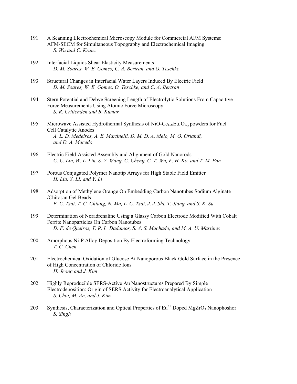- 191 A Scanning Electrochemical Microscopy Module for Commercial AFM Systems: AFM-SECM for Simultaneous Topography and Electrochemical Imaging  *S. Wu and C. Kranz*
- 192 Interfacial Liquids Shear Elasticity Measurements  *D. M. Soares, W. E. Gomes, C. A. Bertran, and O. Teschke*
- 193 Structural Changes in Interfacial Water Layers Induced By Electric Field  *D. M. Soares, W. E. Gomes, O. Teschke, and C. A. Bertran*
- 194 Stern Potential and Debye Screening Length of Electrolytic Solutions From Capacitive Force Measurements Using Atomic Force Microscopy  *S. R. Crittenden and B. Kumar*
- 195 Microwave Assisted Hydrothermal Synthesis of NiO-Ce<sub>1-X</sub>Eu<sub>x</sub>O<sub>2-y</sub> powders for Fuel Cell Catalytic Anodes  *A. L. D. Medeiros, A. E. Martinelli, D. M. D. A. Melo, M. O. Orlandi, and D. A. Macedo*
- 196 Electric Field-Assisted Assembly and Alignment of Gold Nanorods  *C. C. Lin, W. L. Lin, S. Y. Wang, C. Cheng, C. T. Wu, F. H. Ko, and T. M. Pan*
- 197 Porous Conjugated Polymer Nanotip Arrays for High Stable Field Emitter  *H. Liu, Y. LI, and Y. Li*
- 198 Adsorption of Methylene Orange On Embedding Carbon Nanotubes Sodium Alginate /Chitosan Gel Beads  *F. C. Tsai, T. C. Chiang, N. Ma, L. C. Tsai, J. J. Shi, T. Jiang, and S. K. Su*
- 199 Determination of Noradrenaline Using a Glassy Carbon Electrode Modified With Cobalt Ferrite Nanoparticles On Carbon Nanotubes  *D. F. de Queiroz, T. R. L. Dadamos, S. A. S. Machado, and M. A. U. Martines*
- 200 Amorphous Ni-P Alloy Deposition By Electroforming Technology  *T. C. Chen*
- 201 Electrochemical Oxidation of Glucose At Nanoporous Black Gold Surface in the Presence of High Concentration of Chloride Ions  *H. Jeong and J. Kim*
- 202 Highly Reproducible SERS-Active Au Nanostructures Prepared By Simple Electrodeposition: Origin of SERS Activity for Electroanalytical Application  *S. Choi, M. An, and J. Kim*
- 203 Synthesis, Characterization and Optical Properties of  $Eu<sup>3+</sup>$  Doped MgZrO<sub>3</sub> Nanophoshor  *S. Singh*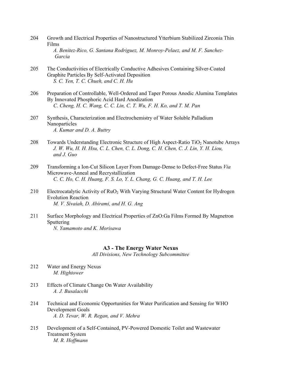- 204 Growth and Electrical Properties of Nanostructured Ytterbium Stabilized Zirconia Thin Films  *A. Benitez-Rico, G. Santana Rodriguez, M. Monroy-Pelaez, and M. F. Sanchez- Garcia*
- 205 The Conductivities of Electrically Conductive Adhesives Containing Silver-Coated Graphite Particles By Self-Activated Deposition  *S. C. Yen, T. C. Chueh, and C. H. Hu*
- 206 Preparation of Controllable, Well-Ordered and Taper Porous Anodic Alumina Templates By Innovated Phosphoric Acid Hard Anodization  *C. Cheng, H. C. Wang, C. C. Lin, C. T. Wu, F. H. Ko, and T. M. Pan*
- 207 Synthesis, Characterization and Electrochemistry of Water Soluble Palladium Nanoparticles  *A. Kumar and D. A. Buttry*
- 208 Towards Understanding Electronic Structure of High Aspect-Ratio TiO<sub>2</sub> Nanotube Arrays  *J. W. Wu, H. H. Hsu, C. L. Chen, C. L. Dong, C. H. Chen, C. J. Lin, Y. H. Liou, and J. Guo*
- 209 Transforming a Ion-Cut Silicon Layer From Damage-Dense to Defect-Free Status *Via* Microwave-Anneal and Recrystallization  *C. C. Ho, C. H. Huang, F. S. Lo, Y. L. Chang, G. C. Huang, and T. H. Lee*
- 210 Electrocatalytic Activity of RuO<sub>2</sub> With Varying Structural Water Content for Hydrogen Evolution Reaction  *M. V. Sivaiah, D. Abirami, and H. G. Ang*
- 211 Surface Morphology and Electrical Properties of ZnO:Ga Films Formed By Magnetron Sputtering  *N. Yamamoto and K. Morisawa*

#### **A3 - The Energy Water Nexus**

*All Divisions, New Technology Subcommittee* 

- 212 Water and Energy Nexus  *M. Hightower*
- 213 Effects of Climate Change On Water Availability  *A. J. Busalacchi*
- 214 Technical and Economic Opportunities for Water Purification and Sensing for WHO Development Goals  *A. D. Tevar, W. R. Regan, and V. Mehra*
- 215 Development of a Self-Contained, PV-Powered Domestic Toilet and Wastewater Treatment System  *M. R. Hoffmann*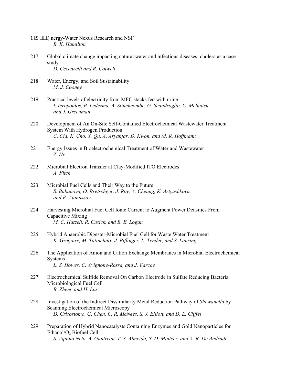- P IC """"Gnergy-Water Nexus Research and NSF  *B. K. Hamilton*
- 217 Global climate change impacting natural water and infectious diseases: cholera as a case study  *D. Ceccarelli and R. Colwell*
- 218 Water, Energy, and Soil Sustainability  *M. J. Cooney*
- 219 Practical levels of electricity from MFC stacks fed with urine  *I. Ieropoulos, P. Ledezma, A. Stinchcombe, G. Scandroglio, C. Melhuish, and J. Greenman*
- 220 Development of An On-Site Self-Contained Electrochemical Wastewater Treatment System With Hydrogen Production  *C. Cid, K. Cho, Y. Qu, A. Aryanfar, D. Kwon, and M. R. Hoffmann*
- 221 Energy Issues in Bioelectrochemical Treatment of Water and Wastewater  *Z. He*
- 222 Microbial Electron Transfer at Clay-Modified ITO Electrodes  *A. Fitch*
- 223 Microbial Fuel Cells and Their Way to the Future  *S. Babanova, O. Bretschger, J. Roy, A. Cheung, K. Artyushkova, and P. Atanassov*
- 224 Harvesting Microbial Fuel Cell Ionic Current to Augment Power Densities From Capacitive Mixing  *M. C. Hatzell, R. Cusick, and B. E. Logan*
- 225 Hybrid Anaerobic Digester-Microbial Fuel Cell for Waste Water Treatment  *K. Gregoire, M. Tatinclaux, J. Biffinger, L. Tender, and S. Lansing*
- 226 The Application of Anion and Cation Exchange Membranes in Microbial Electrochemical Systems  *L. S. Howes, C. Avignone-Rossa, and J. Varcoe*
- 227 Electrochemical Sulfide Removal On Carbon Electrode in Sulfate Reducing Bacteria Microbiological Fuel Cell  *B. Zheng and H. Liu*
- 228 Investigation of the Indirect Dissimilarity Metal Reduction Pathway of *Shewanella* by Scanning Electrochemical Microscopy  *D. Crisostomo, G. Chen, C. R. McNees, S. J. Elliott, and D. E. Cliffel*
- 229 Preparation of Hybrid Nanocatalysts Containing Enzymes and Gold Nanoparticles for Ethanol/O<sub>2</sub> Biofuel Cell  *S. Aquino Neto, A. Gautreau, T. S. Almeida, S. D. Minteer, and A. R. De Andrade*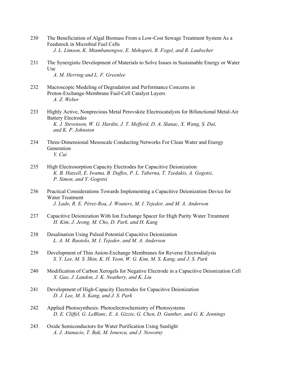- 230 The Beneficiation of Algal Biomass From a Low-Cost Sewage Treatment System As a Feedstock in Microbial Fuel Cells  *J. L. Limson, K. Mtambanengwe, E. Mshoperi, R. Fogel, and R. Laubscher*
- 231 The Synergistic Development of Materials to Solve Issues in Sustainable Energy or Water Use  *A. M. Herring and L. F. Greenlee*
- 232 Macroscopic Modeling of Degradation and Performance Concerns in Proton-Exchange-Membrane Fuel-Cell Catalyst Layers  *A. Z. Weber*
- 233 Highly Active, Nonprecious Metal Perovskite Electrocatalysts for Bifunctional Metal-Air Battery Electrodes  *K. J. Stevenson, W. G. Hardin, J. T. Mefford, D. A. Slanac, X. Wang, S. Dai, and K. P. Johnston*
- 234 Three-Dimensional Mesoscale Conducting Networks For Clean Water and Energy Generation  *Y. Cui*
- 235 High Electrosorption Capacity Electrodes for Capacitive Deionization  *K. B. Hatzell, E. Iwama, B. Daffos, P. L. Taberna, T. Tzedakis, A. Gogotsi, P. Simon, and Y. Gogotsi*
- 236 Practical Considerations Towards Implementing a Capacitive Deionization Device for Water Treatment  *J. Lado, R. E. Pérez-Roa, J. Wouters, M. I. Tejedor, and M. A. Anderson*
- 237 Capacitive Deionization With Ion Exchange Spacer for High Purity Water Treatment  *H. Kim, J. Jeong, M. Cho, D. Park, and H. Kang*
- 238 Desalination Using Pulsed Potential Capacitive Deionization  *L. A. M. Ruotolo, M. I. Tejedor, and M. A. Anderson*
- 239 Development of Thin Anion-Exchange Membranes for Reverse Electrodialysis  *S. Y. Lee, M. S. Shin, K. H. Yeon, W. G. Kim, M. S. Kang, and J. S. Park*
- 240 Modification of Carbon Xerogels for Negative Electrode in a Capacitive Deionization Cell  *X. Gao, J. Landon, J. K. Neathery, and K. Liu*
- 241 Development of High-Capacity Electrodes for Capacitive Deionization  *D. J. Lee, M. S. Kang, and J. S. Park*
- 242 Applied Photosynthesis: Photoelectrochemistry of Photosystems  *D. E. Cliffel, G. LeBlanc, E. A. Gizzie, G. Chen, D. Gunther, and G. K. Jennings*
- 243 Oxide Semiconductors for Water Purification Using Sunlight  *A. J. Atanacio, T. Bak, M. Ionescu, and J. Nowotny*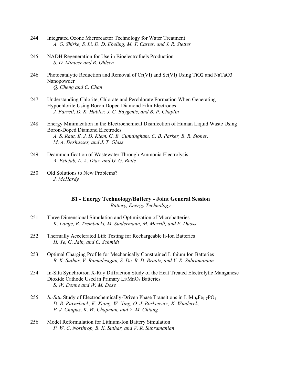- 244 Integrated Ozone Microreactor Technology for Water Treatment  *A. G. Shirke, S. Li, D. D. Ebeling, M. T. Carter, and J. R. Stetter*
- 245 NADH Regeneration for Use in Bioelectrofuels Production  *S. D. Minteer and B. Ohlsen*
- 246 Photocatalytic Reduction and Removal of Cr(VI) and Se(VI) Using TiO2 and NaTaO3 Nanopowder  *Q. Cheng and C. Chan*
- 247 Understanding Chlorite, Chlorate and Perchlorate Formation When Generating Hypochlorite Using Boron Doped Diamond Film Electrodes  *J. Farrell, D. K. Hubler, J. C. Baygents, and B. P. Chaplin*
- 248 Energy Minimization in the Electrochemical Disinfection of Human Liquid Waste Using Boron-Doped Diamond Electrodes  *A. S. Raut, E. J. D. Klem, G. B. Cunningham, C. B. Parker, B. R. Stoner, M. A. Deshusses, and J. T. Glass*
- 249 Deammonification of Wastewater Through Ammonia Electrolysis  *A. Estejab, L. A. Diaz, and G. G. Botte*
- 250 Old Solutions to New Problems?  *J. McHardy*

**B1 - Energy Technology/Battery - Joint General Session**  *Battery, Energy Technology* 

- 251 Three Dimensional Simulation and Optimization of Microbatteries  *K. Lange, B. Trembacki, M. Stadermann, M. Merrill, and E. Duoss*
- 252 Thermally Accelerated Life Testing for Rechargeable li-Ion Batteries  *H. Ye, G. Jain, and C. Schmidt*
- 253 Optimal Charging Profile for Mechanically Constrained Lithium Ion Batteries  *B. K. Suthar, V. Ramadesigan, S. De, R. D. Braatz, and V. R. Subramanian*
- 254 In-Situ Synchrotron X-Ray Diffraction Study of the Heat Treated Electrolytic Manganese Dioxide Cathode Used in Primary Li/MnO<sub>2</sub> Batteries  *S. W. Donne and W. M. Dose*
- 255 *In-Situ* Study of Electrochemically-Driven Phase Transitions in LiMn<sub>*yFe<sub>1</sub></sub>yPO<sub>4</sub>*</sub>  *D. B. Ravnsbaek, K. Xiang, W. Xing, O. J. Borkiewicz, K. Wiaderek, P. J. Chupas, K. W. Chapman, and Y. M. Chiang*
- 256 Model Reformulation for Lithium-Ion Battery Simulation  *P. W. C. Northrop, B. K. Suthar, and V. R. Subramanian*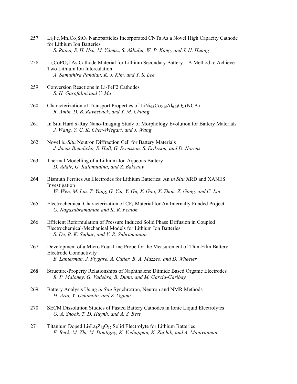- $257$  Li<sub>2</sub>Fe<sub>x</sub>Mn<sub>y</sub>Co<sub>z</sub>SiO<sub>4</sub> Nanoparticles Incorporated CNTs As a Novel High Capacity Cathode for Lithium Ion Batteries  *S. Raina, S. H. Hsu, M. Yilmaz, S. Akbulut, W. P. Kang, and J. H. Huang*
- $258$  Li<sub>2</sub>CoPO<sub>4</sub>f As Cathode Material for Lithium Secondary Battery A Method to Achieve Two Lithium Ion Intercalation  *A. Samuthira Pandian, K. J. Kim, and Y. S. Lee*
- 259 Conversion Reactions in Li-FeF2 Cathodes  *S. H. Garofalini and Y. Ma*
- 260 Characterization of Transport Properties of  $LiNi<sub>0.8</sub>Co<sub>0.15</sub>Al<sub>0.05</sub>O<sub>2</sub> (NCA)$  *R. Amin, D. B. Ravnsbaek, and Y. M. Chiang*
- 261 In Situ Hard x-Ray Nano-Imaging Study of Morphology Evolution for Battery Materials  *J. Wang, Y. C. K. Chen-Wiegart, and J. Wang*
- 262 Novel *in-Situ* Neutron Diffraction Cell for Battery Materials  *J. Jacas Biendicho, S. Hull, G. Svensson, S. Eriksson, and D. Noreus*
- 263 Thermal Modelling of a Lithium-Ion Aqueous Battery  *D. Adair, G. Kalimuldina, and Z. Bakenov*
- 264 Bismuth Ferrites As Electrodes for Lithium Batteries: An *in Situ* XRD and XANES Investigation  *W. Wen, M. Liu, T. Yang, G. Yin, Y. Gu, X. Gao, X. Zhou, Z. Gong, and C. Lin*
- 265 Electrochemical Characterization of  $CF_x$  Material for An Internally Funded Project  *G. Nagasubramanian and K. R. Fenton*
- 266 Efficient Reformulation of Pressure Induced Solid Phase Diffusion in Coupled Electrochemical-Mechanical Models for Lithium Ion Batteries  *S. De, B. K. Suthar, and V. R. Subramanian*
- 267 Development of a Micro Four-Line Probe for the Measurement of Thin-Film Battery Electrode Conductivity  *B. Lanterman, J. Flygare, A. Cutler, B. A. Mazzeo, and D. Wheeler*
- 268 Structure-Property Relationships of Naphthalene Diimide Based Organic Electrodes  *R. P. Maloney, G. Vadehra, B. Dunn, and M. García-Garibay*
- 269 Battery Analysis Using *in Situ* Synchrotron, Neutron and NMR Methods  *H. Arai, Y. Uchimoto, and Z. Ogumi*
- 270 SECM Dissolution Studies of Pasted Battery Cathodes in Ionic Liquid Electrolytes  *G. A. Snook, T. D. Huynh, and A. S. Best*
- 271 Titanium Doped Li<sub>7</sub>La<sub>3</sub>Zr<sub>2</sub>O<sub>12</sub> Solid Electrolyte for Lithium Batteries  *F. Beck, M. Zhi, M. Dontigny, K. Vediappan, K. Zaghib, and A. Manivannan*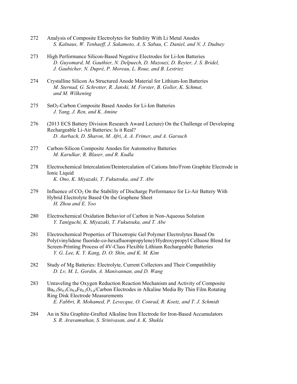- 272 Analysis of Composite Electrolytes for Stability With Li Metal Anodes  *S. Kalnaus, W. Tenhaeff, J. Sakamoto, A. S. Sabau, C. Daniel, and N. J. Dudney*
- 273 High Performance Silicon-Based Negative Electrodes for Li-Ion Batteries  *D. Guyomard, M. Gauthier, N. Delpuech, D. Mazouzi, D. Reyter, J. S. Bridel, J. Gaubicher, N. Dupré, P. Moreau, L. Roue, and B. Lestriez*
- 274 Crystalline Silicon As Structured Anode Material for Lithium-Ion Batteries  *M. Sternad, G. Schrotter, R. Janski, M. Forster, B. Goller, K. Schmut, and M. Wilkening*
- 275 SnO<sub>2</sub>-Carbon Composite Based Anodes for Li-Ion Batteries  *J. Yang, J. Ren, and K. Amine*
- 276 (2013 ECS Battery Division Research Award Lecture) On the Challenge of Developing Rechargeable Li-Air Batteries: Is it Real?  *D. Aurbach, D. Sharon, M. Afri, A. A. Frimer, and A. Garsuch*
- 277 Carbon-Silicon Composite Anodes for Automotive Batteries  *M. Karulkar, R. Blaser, and R. Kudla*
- 278 Electrochemical Intercalation/Deintercalation of Cations Into/From Graphite Electrode in Ionic Liquid  *K. Ono, K. Miyazaki, T. Fukutsuka, and T. Abe*
- 279 Influence of  $CO<sub>2</sub>$  On the Stability of Discharge Performance for Li-Air Battery With Hybrid Electrolyte Based On the Graphene Sheet  *H. Zhou and E. Yoo*
- 280 Electrochemical Oxidation Behavior of Carbon in Non-Aqueous Solution  *Y. Taniguchi, K. Miyazaki, T. Fukutsuka, and T. Abe*
- 281 Electrochemical Properties of Thixotropic Gel Polymer Electrolytes Based On Poly(vinylidene fluoride-co-hexafluoropropylene)/Hydroxypropyl Celluose Blend for Screen-Printing Process of 4V-Class Flexible Lithium Rechargeable Batteries  *Y. G. Lee, K. Y. Kang, D. O. Shin, and K. M. Kim*
- 282 Study of Mg Batteries: Electrolyte, Current Collectors and Their Compatibility  *D. Lv, M. L. Gordin, A. Manivannan, and D. Wang*
- 283 Unraveling the Oxygen Reduction Reaction Mechanism and Activity of Composite  $Ba<sub>0.5</sub>Sr<sub>0.5</sub>Co<sub>0.8</sub>Fe<sub>0.2</sub>O<sub>3-d</sub>/Carbon Electrodes in Alkaline Media By Thin Film Rotating$  Ring Disk Electrode Measurements  *E. Fabbri, R. Mohamed, P. Levecque, O. Conrad, R. Koetz, and T. J. Schmidt*
- 284 An in Situ Graphite-Grafted Alkaline Iron Electrode for Iron-Based Accumulators  *S. R. Aravamuthan, S. Srinivasan, and A. K. Shukla*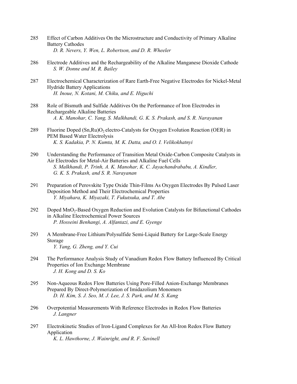- 285 Effect of Carbon Additives On the Microstructure and Conductivity of Primary Alkaline Battery Cathodes  *D. R. Nevers, Y. Wen, L. Robertson, and D. R. Wheeler*
- 286 Electrode Additives and the Rechargeability of the Alkaline Manganese Dioxide Cathode  *S. W. Donne and M. R. Bailey*
- 287 Electrochemical Characterization of Rare Earth-Free Negative Electrodes for Nickel-Metal Hydride Battery Applications  *H. Inoue, N. Kotani, M. Chiku, and E. Higuchi*
- 288 Role of Bismuth and Sulfide Additives On the Performance of Iron Electrodes in Rechargeable Alkaline Batteries  *A. K. Manohar, C. Yang, S. Malkhandi, G. K. S. Prakash, and S. R. Narayanan*
- 289 Fluorine Doped  $(Sn,Ru)O<sub>2</sub>$  electro-Catalysts for Oxygen Evolution Reaction (OER) in PEM Based Water Electrolysis  *K. S. Kadakia, P. N. Kumta, M. K. Datta, and O. I. Velikokhatnyi*
- 290 Understanding the Performance of Transition Metal Oxide-Carbon Composite Catalysts in Air Electrodes for Metal-Air Batteries and Alkaline Fuel Cells  *S. Malkhandi, P. Trinh, A. K. Manohar, K. C. Jayachandrababu, A. Kindler, G. K. S. Prakash, and S. R. Narayanan*
- 291 Preparation of Perovskite Type Oxide Thin-Films As Oxygen Electrodes By Pulsed Laser Deposition Method and Their Electrochemical Properties  *Y. Miyahara, K. Miyazaki, T. Fukutsuka, and T. Abe*
- 292 Doped MnO<sub>2</sub>-Based Oxygen Reduction and Evolution Catalysts for Bifunctional Cathodes in Alkaline Electrochemical Power Sources  *P. Hosseini Benhangi, A. Alfantazi, and E. Gyenge*
- 293 A Membrane-Free Lithium/Polysulfide Semi-Liquid Battery for Large-Scale Energy Storage  *Y. Yang, G. Zheng, and Y. Cui*
- 294 The Performance Analysis Study of Vanadium Redox Flow Battery Influenced By Critical Properties of Ion Exchange Membrane  *J. H. Kong and D. S. Ko*
- 295 Non-Aqueous Redox Flow Batteries Using Pore-Filled Anion-Exchange Membranes Prepared By Direct-Polymerization of Imidazolium Monomers  *D. H. Kim, S. J. Seo, M. J. Lee, J. S. Park, and M. S. Kang*
- 296 Overpotential Measurements With Reference Electrodes in Redox Flow Batteries  *J. Langner*
- 297 Electrokinetic Studies of Iron-Ligand Complexes for An All-Iron Redox Flow Battery Application  *K. L. Hawthorne, J. Wainright, and R. F. Savinell*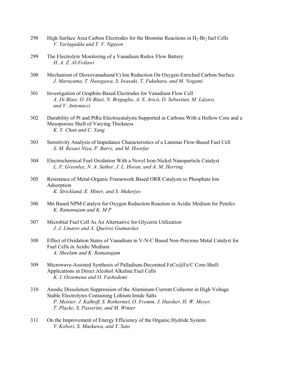- 298 High Surface Area Carbon Electrodes for the Bromine Reactions in  $H_2$ -Br<sub>2</sub> fuel Cells  *V. Yarlagadda and T. V. Nguyen*
- 299 The Electrolyte Monitoring of a Vanadium Redox Flow Battery  *H. A. Z. Al-Fetlawi*
- 300 Mechanism of Dioxovanadium(V) Ion Reduction On Oxygen-Enriched Carbon Surface  *J. Maruyama, T. Hasegawa, S. Iwasaki, T. Fukuhara, and M. Nogami*
- 301 Investigation of Graphite-Based Electrodes for Vanadium Flow Cell  *A. Di Blasi, O. Di Blasi, N. Briguglio, A. S. Aricò, D. Sebastian, M. Lázaro, and V. Antonucci*
- 302 Durability of Pt and PtRu Electrocatalysts Supported in Carbons With a Hollow Core and a Mesoporous Shell of Varying Thickness  *K. Y. Chan and C. Yang*
- 303 Sensitivity Analysis of Impedance Characteristics of a Laminar Flow-Based Fuel Cell  *S. M. Rezaei Niya, P. Barry, and M. Hoorfar*
- 304 Electrochemical Fuel Oxidation With a Novel Iron-Nickel Nanoparticle Catalyst  *L. F. Greenlee, N. A. Sather, J. L. Horan, and A. M. Herring*
- 305 Resistance of Metal-Organic Framework Based ORR Catalysts to Phosphate Ion **Adsorption**  *K. Strickland, E. Miner, and S. Mukerjee*
- 306 Mn Based NPM Catalyst for Oxygen Reduction Reaction in Acidic Medium for Pemfcs  *K. Ramanujam and K. M P*
- 307 Microbial Fuel Cell As An Alternative for Glycerin Utilization  *J. J. Linares and A. Queiroz Guimarães*
- 308 Effect of Oxidation States of Vanadium in V-N-C Based Non-Precious Metal Catalyst for Fuel Cells in Acidic Medium  *A. Sheelam and K. Ramanujam*
- 309 Microwave-Assisted Synthesis of Palladium-Decorated FeCo@Fe/C Core-Shell: Applications in Direct Alcohol Alkaline Fuel Cells  *K. I. Ozoemena and O. Fashedemi*
- 310 Anodic Dissolution Suppression of the Aluminum Current Collector in High Voltage Stable Electrolytes Containing Lithium Imide Salts  *P. Meister, J. Kalhoff, S. Rothermel, O. Fromm, J. Huesker, H. W. Meyer, T. Placke, S. Passerini, and M. Winter*
- 311 On the Improvement of Energy Efficiency of the Organic Hydride System  *Y. Kobori, S. Maekawa, and Y. Sato*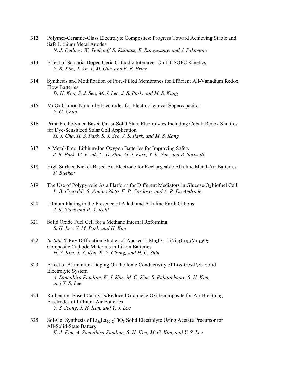- 312 Polymer-Ceramic-Glass Electrolyte Composites: Progress Toward Achieving Stable and Safe Lithium Metal Anodes  *N. J. Dudney, W. Tenhaeff, S. Kalnaus, E. Rangasamy, and J. Sakamoto*
- 313 Effect of Samaria-Doped Ceria Cathodic Interlayer On LT-SOFC Kinetics  *Y. B. Kim, J. An, T. M. Gür, and F. B. Prinz*
- 314 Synthesis and Modification of Pore-Filled Membranes for Efficient All-Vanadium Redox Flow Batteries  *D. H. Kim, S. J. Seo, M. J. Lee, J. S. Park, and M. S. Kang*
- 315 MnO2-Carbon Nanotube Electrodes for Electrochemical Supercapacitor  *Y. G. Chun*
- 316 Printable Polymer-Based Quasi-Solid State Electrolytes Including Cobalt Redox Shuttles for Dye-Sensitized Solar Cell Application  *H. J. Cha, H. S. Park, S. J. Seo, J. S. Park, and M. S. Kang*
- 317 A Metal-Free, Lithium-Ion Oxygen Batteries for Improving Safety  *J. B. Park, W. Kwak, C. D. Shin, G. J. Park, Y. K. Sun, and B. Scrosati*
- 318 High Surface Nickel-Based Air Electrode for Rechargeable Alkaline Metal-Air Batteries  *F. Bueker*
- 319 The Use of Polypyrrole As a Platform for Different Mediators in Glucose/O<sub>2</sub> biofuel Cell  *L. B. Crepaldi, S. Aquino Neto, F. P. Cardoso, and A. R. De Andrade*
- 320 Lithium Plating in the Presence of Alkali and Alkaline Earth Cations  *J. K. Stark and P. A. Kohl*
- 321 Solid Oxide Fuel Cell for a Methane Internal Reforming  *S. H. Lee, Y. M. Park, and H. Kim*
- 322 *In-Situ X-Ray Diffraction Studies of Abused LiMn<sub>2</sub>O<sub>4</sub>–LiNi<sub>1/3</sub>Co<sub>1/3</sub>Mn<sub>1/3</sub>O<sub>2</sub>*  Composite Cathode Materials in Li-Ion Batteries  *H. S. Kim, J. Y. Kim, K. Y. Chung, and H. C. Shin*
- 323 Effect of Aluminium Doping On the Ionic Conductivity of  $Li<sub>2</sub>s-Ges-P<sub>2</sub>S<sub>5</sub>$  Solid Electrolyte System  *A. Samuthira Pandian, K. J. Kim, M. C. Kim, S. Palanichamy, S. H. Kim, and Y. S. Lee*
- 324 Ruthenium Based Catalysts/Reduced Graphene Oxidecomposite for Air Breathing Electrodes of Lithium-Air Batteries  *Y. S. Jeong, J. H. Kim, and Y. J. Lee*
- 325 Sol-Gel Synthesis of  $Li_{3x}La_{2/3-x}TiO_3$  Solid Electrolyte Using Acetate Precursor for All-Solid-State Battery  *K. J. Kim, A. Samuthira Pandian, S. H. Kim, M. C. Kim, and Y. S. Lee*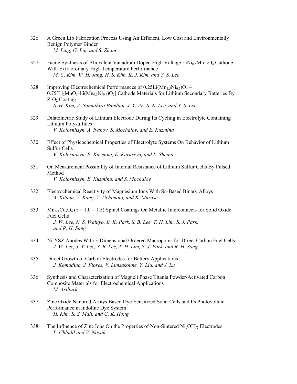- 326 A Green Lib Fabrication Process Using An Efficient, Low Cost and Environmentally Benign Polymer Binder  *M. Ling, G. Liu, and S. Zhang*
- 327 Facile Synthesis of Aliovalent Vanadium Doped High Voltage LiNi<sub>0.5</sub>Mn<sub>1.5</sub>O<sub>4</sub> Cathode With Extraordinary High Temperature Performance  *M. C. Kim, W. H. Jang, H. S. Kim, K. J. Kim, and Y. S. Lee*
- 328 Improving Electrochemical Performances of  $0.25Li(Mn<sub>1.5</sub>Ni<sub>0.5</sub>)O<sub>4</sub>$  $0.75$ [Li<sub>2</sub>MnO<sub>3</sub>-Li(Mn<sub>0.5</sub>Ni<sub>0.5</sub>)O<sub>2</sub>] Cathode Materials for Lithium Secondary Batteries By  $ZrO<sub>2</sub>$  Coating  *S. H. Kim, A. Samuthira Pandian, J. Y. An, S. N. Lee, and Y. S. Lee*
- 329 Dilatometric Study of Lithium Electrode During Its Cycling in Electrolyte Containing Lithium Polysulfides  *V. Kolosnitsyn, A. Ivanov, S. Mochalov, and E. Kuzmina*
- 330 Effect of Physicochemical Properties of Electrolyte Systems On Behavior of Lithium Sulfur Cells  *V. Kolosnitsyn, E. Kuzmina, E. Karaseva, and L. Sheina*
- 331 On Measurement Possibility of Internal Resistance of Lithium Sulfur Cells By Pulsed Method  *V. Kolosnitsyn, E. Kuzmina, and S. Mochalov*
- 332 Electrochemical Reactivity of Magnesium Ions With Sn-Based Binary Alloys  *A. Kitada, Y. Kang, Y. Uchimoto, and K. Murase*
- $333$  Mn<sub>3-*X*</sub>Cu<sub>x</sub>O<sub>4</sub> ( $x = 1.0 1.5$ ) Spinel Coatings On Metallic Interconnects for Solid Oxide Fuel Cells  *J. W. Lee, N. S. Waluyo, B. K. Park, S. B. Lee, T. H. Lim, S. J. Park, and R. H. Song*
- 334 Ni-YSZ Anodes With 3-Dimensional Ordered Macropores for Direct Carbon Fuel Cells  *J. W. Lee, J. Y. Lee, S. B. Lee, T. H. Lim, S. J. Park, and R. H. Song*
- 335 Direct Growth of Carbon Electrodes for Battery Applications  *J. Komadina, J. Flores, V. Limsakoune, Y. Liu, and J. Lu*
- 336 Synthesis and Characterization of Magneli Phase Titania Powder/Activated Carbon Composite Materials for Electrochemical Applications  *M. Asilturk*
- 337 Zinc Oxide Nanorod Arrays Based Dye-Sensitized Solar Cells and Its Photovoltaic Performance in Indoline Dye System  *H. Kim, S. S. Mali, and C. K. Hong*
- 338 The Influence of Zinc Ions On the Properties of Non-Sintered Ni(OH)<sub>2</sub> Electrodes  *L. Chladil and V. Novak*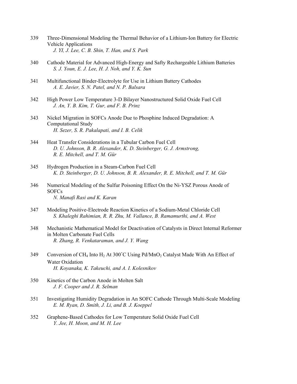- 339 Three-Dimensional Modeling the Thermal Behavior of a Lithium-Ion Battery for Electric Vehicle Applications  *J. YI, J. Lee, C. B. Shin, T. Han, and S. Park*
- 340 Cathode Material for Advanced High-Energy and Safty Rechargeable Lithium Batteries  *S. J. Youn, E. J. Lee, H. J. Noh, and Y. K. Sun*
- 341 Multifunctional Binder-Electrolyte for Use in Lithium Battery Cathodes  *A. E. Javier, S. N. Patel, and N. P. Balsara*
- 342 High Power Low Temperature 3-D Bilayer Nanostructured Solid Oxide Fuel Cell  *J. An, Y. B. Kim, T. Gur, and F. B. Prinz*
- 343 Nickel Migration in SOFCs Anode Due to Phosphine Induced Degradation: A Computational Study  *H. Sezer, S. R. Pakalapati, and I. B. Celik*
- 344 Heat Transfer Considerations in a Tubular Carbon Fuel Cell  *D. U. Johnson, B. R. Alexander, K. D. Steinberger, G. J. Armstrong, R. E. Mitchell, and T. M. Gür*
- 345 Hydrogen Production in a Steam-Carbon Fuel Cell  *K. D. Steinberger, D. U. Johnson, B. R. Alexander, R. E. Mitchell, and T. M. Gür*
- 346 Numerical Modeling of the Sulfur Poisoning Effect On the Ni-YSZ Porous Anode of SOFCs  *N. Manafi Rasi and K. Karan*
- 347 Modeling Positive-Electrode Reaction Kinetics of a Sodium-Metal Chloride Cell  *S. Khaleghi Rahimian, R. R. Zhu, M. Vallance, B. Ramamurthi, and A. West*
- 348 Mechanistic Mathematical Model for Deactivation of Catalysts in Direct Internal Reformer in Molten Carbonate Fuel Cells  *R. Zhang, R. Venkataraman, and J. Y. Wang*
- 349 Conversion of CH<sub>4</sub> Into H<sub>2</sub> At 300°C Using Pd/MnO<sub>2</sub> Catalyst Made With An Effect of Water Oxidation  *H. Koyanaka, K. Takeuchi, and A. I. Kolesnikov*
- 350 Kinetics of the Carbon Anode in Molten Salt  *J. F. Cooper and J. R. Selman*
- 351 Investigating Humidity Degradation in An SOFC Cathode Through Multi-Scale Modeling  *E. M. Ryan, D. Smith, J. Li, and B. J. Koeppel*
- 352 Graphene-Based Cathodes for Low Temperature Solid Oxide Fuel Cell  *Y. Jee, H. Moon, and M. H. Lee*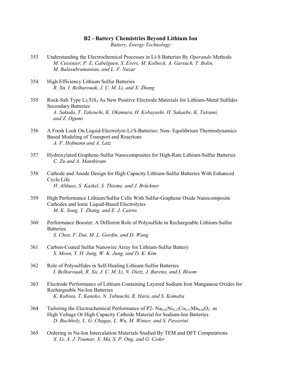#### **B2 - Battery Chemistries Beyond Lithium Ion**

*Battery, Energy Technology* 

- 353 Understanding the Electrochemical Processes in Li-S Batteries By *Operando* Methods  *M. Cuisinier, P. E. Cabelguen, S. Evers, M. Kolbeck, A. Garsuch, T. Bolin, M. Balasubramanian, and L. F. Nazar*
- 354 High Efficiency Lithium Sulfur Batteries  *R. Xu, I. Belharouak, J. C. M. Li, and X. Zhang*
- $355$  Rock-Salt Type  $Li<sub>2</sub>TiS<sub>3</sub>$  As New Positive Electrode Materials for Lithium-Metal Sulfides Secondary Batteries  *A. Sakuda, T. Takeuchi, K. Okamura, H. Kobayashi, H. Sakaebe, K. Tatsumi, and Z. Ogumi*
- 356 A Fresh Look On Liquid-Electrolyte-Li/S-Batteries: Non- Equilibrium Thermodynamics Based Modeling of Transport and Reactions  *A. F. Hofmann and A. Latz*
- 357 Hydroxylated Graphene-Sulfur Nanocomposites for High-Rate Lithium-Sulfur Batteries  *C. Zu and A. Manthiram*
- 358 Cathode and Anode Design for High Capacity Lithium-Sulfur Batteries With Enhanced Cycle Life  *H. Althues, S. Kaskel, S. Thieme, and J. Brückner*
- 359 High Performance Lithium/Sulfur Cells With Sulfur-Graphene Oxide Nanocomposite Cathodes and Ionic Liquid-Based Electrolytes  *M. K. Song, Y. Zhang, and E. J. Cairns*
- 360 Performance Booster: A Different Role of Polysulfide in Rechargeable Lithium-Sulfur **Batteries**  *S. Chen, F. Dai, M. L. Gordin, and D. Wang*
- 361 Carbon-Coated Sulfur Nanowire Array for Lithium-Sulfur Battery  *S. Moon, Y. H. Jung, W. K. Jung, and D. K. Kim*
- 362 Role of Polysulfides in Self-Healing Lithium-Sulfur Batteries  *I. Belharouak, R. Xu, J. C. M. Li, N. Dietz, J. Bareno, and I. Bloom*
- 363 Electrode Performance of Lithium Containing Layered Sodium Iron Manganese Oxides for Rechargeable Na-Ion Batteries  *K. Kubota, T. Kaneko, N. Yabuuchi, R. Hara, and S. Komaba*
- 364 Tailoring the Electrochemical Performance of P2-  $\text{Na}_{0.45}\text{Ni}_{0.22}\text{Co}_{0.11}\text{Mn}_{0.66}\text{O}_2$  as High Voltage Or High Capacity Cathode Material for Sodium-Ion Batteries  *D. Buchholz, L. G. Chagas, L. Wu, M. Winter, and S. Passerini*
- 365 Ordering in Na-Ion Intercalation Materials Studied By TEM and DFT Computations  *X. Li, A. J. Toumar, X. Ma, S. P. Ong, and G. Ceder*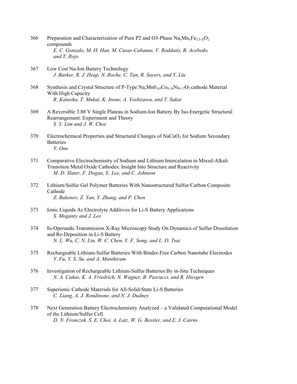- 366 Preparation and Characterization of Pure P2 and O3-Phase  $\text{Na}_x\text{Mn}_x\text{Fe}_{2/3-x}\text{O}_2$  compounds  *E. C. Gonzalo, M. H. Han, M. Casas-Cabanas, V. Roddatis, B. Acebedo, and T. Rojo*
- 367 Low Cost Na-Ion Battery Technology  *J. Barker, R. J. Heap, N. Roche, C. Tan, R. Sayers, and Y. Liu*
- 368 Synthesis and Crystal Structure of P-Type Na*x*Mn0.65Co0.18Ni0.17O2 cathode Material With High Capacity  *R. Kataoka, T. Mukai, K. Inoue, A. Yoshizawa, and T. Sakai*
- 369 A Reversible 3.88 V Single Plateau in Sodium-Ion Battery By Iso-Energetic Structural Rearrangement: Experiment and Theory  *S. Y. Lim and J. W. Choi*
- $370$  Electrochemical Properties and Structural Changes of NaCuO<sub>2</sub> for Sodium Secondary **Batteries**  *Y. Ono*
- 371 Comparative Electrochemistry of Sodium and Lithium Intercalation in Mixed-Alkali Transition Metal Oxide Cathodes: Insight Into Structure and Reactivity  *M. D. Slater, F. Dogan, E. Lee, and C. Johnson*
- 372 Lithium/Sulfur Gel Polymer Batteries With Nanostructured Sulfur/Carbon Composite Cathode  *Z. Bakenov, Z. Yan, Y. Zhang, and P. Chen*
- 373 Ionic Liquids As Electrolyte Additives for Li-S Battery Applications  *S. Moganty and J. Lee*
- 374 In-Operando Transmission X-Ray Microscopy Study On Dynamics of Sulfur Dissolution and Re-Deposition in Li-S Battery  *N. L. Wu, C. N. Lin, W. C. Chen, Y. F. Song, and L. D. Tsai*
- 375 Rechargeable Lithium-Sulfur Batteries With Binder-Free Carbon Nanotube Electrodes  *Y. Fu, Y. S. Su, and A. Manthiram*
- 376 Investigation of Rechargeable Lithium-Sulfur Batteries By in-Situ Techniques  *N. A. Cañas, K. A. Friedrich, N. Wagner, B. Pascucci, and R. Hiesgen*
- 377 Superionic Cathode Materials for All-Solid-State Li-S Batteries  *C. Liang, A. J. Rondinone, and N. J. Dudney*
- 378 Next Generation Battery Electrochemistry Analyzed a Validated Computational Model of the Lithium/Sulfur Cell  *D. N. Fronczek, S. E. Choi, A. Latz, W. G. Bessler, and E. J. Cairns*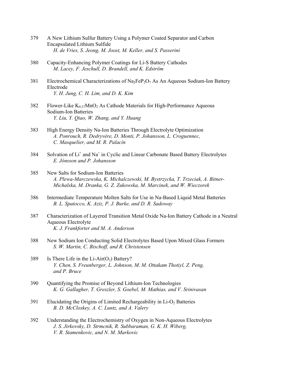- 379 A New Lithium Sulfur Battery Using a Polymer Coated Separator and Carbon Encapsulated Lithium Sulfide  *H. de Vries, S. Jeong, M. Joost, M. Keller, and S. Passerini*
- 380 Capacity-Enhancing Polymer Coatings for Li-S Battery Cathodes  *M. Lacey, F. Jeschull, D. Brandell, and K. Edström*
- 381 Electrochemical Characterizations of  $Na<sub>2</sub>Fe<sub>2</sub>O<sub>7</sub>$  As An Aqueous Sodium-Ion Battery Electrode  *Y. H. Jung, C. H. Lim, and D. K. Kim*
- 382 Flower-Like  $K_{0.27}MnO<sub>2</sub>$  As Cathode Materials for High-Performance Aqueous Sodium-Ion Batteries  *Y. Liu, Y. Qiao, W. Zhang, and Y. Huang*
- 383 High Energy Density Na-Ion Batteries Through Electrolyte Optimization  *A. Ponrouch, R. Dedryvère, D. Monti, P. Johansson, L. Croguennec, C. Masquelier, and M. R. Palacín*
- 384 Solvation of Li<sup>+</sup> and Na<sup>+</sup> in Cyclic and Linear Carbonate Based Battery Electrolytes  *E. Jónsson and P. Johansson*
- 385 New Salts for Sodium-Ion Batteries  *A. Plewa-Marczewska, K. Michalczewski, M. Bystrzycka, T. Trzeciak, A. Bitner- Michalska, M. Dranka, G. Z. Zukowska, M. Marcinek, and W. Wieczorek*
- 386 Intermediate Temperature Molten Salts for Use in Na-Based Liquid Metal Batteries  *B. L. Spatocco, K. Aziz, P. J. Burke, and D. R. Sadoway*
- 387 Characterization of Layered Transition Metal Oxide Na-Ion Battery Cathode in a Neutral Aqueous Electrolyte  *K. J. Frankforter and M. A. Anderson*
- 388 New Sodium Ion Conducting Solid Electrolytes Based Upon Mixed Glass Formers  *S. W. Martin, C. Bischoff, and R. Christensen*
- 389 Is There Life in the Li-Air $(O_2)$  Battery?  *Y. Chen, S. Freunberger, L. Johnson, M. M. Ottakam Thotiyl, Z. Peng, and P. Bruce*
- 390 Quantifying the Promise of Beyond Lithium-Ion Technologies  *K. G. Gallagher, T. Greszler, S. Goebel, M. Mathias, and V. Srinivasan*
- $391$  Elucidating the Origins of Limited Rechargeability in Li-O<sub>2</sub> Batteries  *B. D. McCloskey, A. C. Luntz, and A. Valery*
- 392 Understanding the Electrochemistry of Oxygen in Non-Aqueous Electrolytes  *J. S. Jirkovsky, D. Strmcnik, R. Subbaraman, G. K. H. Wiberg, V. R. Stamenkovic, and N. M. Markovic*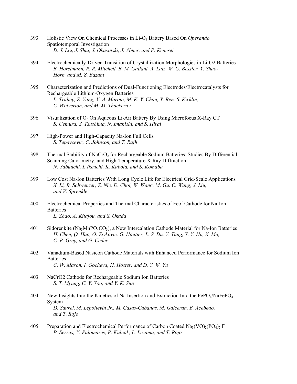- 393 Holistic View On Chemical Processes in Li-O2 Battery Based On *Operando* Spatiotemporal Investigation  *D. J. Liu, J. Shui, J. Okasinski, J. Almer, and P. Kenesei*
- 394 Electrochemically-Driven Transition of Crystallization Morphologies in Li-O2 Batteries  *B. Horstmann, R. R. Mitchell, B. M. Gallant, A. Latz, W. G. Bessler, Y. Shao- Horn, and M. Z. Bazant*
- 395 Characterization and Predictions of Dual-Functioning Electrodes/Electrocatalysts for Rechargeable Lithium-Oxygen Batteries  *L. Trahey, Z. Yang, V. A. Maroni, M. K. Y. Chan, Y. Ren, S. Kirklin, C. Wolverton, and M. M. Thackeray*
- 396 Visualization of  $O_2$  On Aqueous Li-Air Battery By Using Microfocus X-Ray CT  *S. Uemura, S. Tsushima, N. Imanishi, and S. Hirai*
- 397 High-Power and High-Capacity Na-Ion Full Cells  *S. Tepavcevic, C. Johnson, and T. Rajh*
- 398 Thermal Stability of NaCrO<sub>2</sub> for Rechargeable Sodium Batteries: Studies By Differential Scanning Calorimetry, and High-Temperature X-Ray Diffraction  *N. Yabuuchi, I. Ikeuchi, K. Kubota, and S. Komaba*
- 399 Low Cost Na-Ion Batteries With Long Cycle Life for Electrical Grid-Scale Applications  *X. Li, B. Schwenzer, Z. Nie, D. Choi, W. Wang, M. Gu, C. Wang, J. Liu, and V. Sprenkle*
- 400 Electrochemical Properties and Thermal Characteristics of Feof Cathode for Na-Ion **B**atteries  *L. Zhao, A. Kitajou, and S. Okada*
- 401 Sidorenkite (Na<sub>3</sub>MnPO<sub>4</sub>CO<sub>3</sub>), a New Intercalation Cathode Material for Na-Ion Batteries  *H. Chen, Q. Hao, O. Zivkovic, G. Hautier, L. S. Du, Y. Tang, Y. Y. Hu, X. Ma, C. P. Grey, and G. Ceder*
- 402 Vanadium-Based Nasicon Cathode Materials with Enhanced Performance for Sodium Ion **Batteries**  *C. W. Mason, I. Gocheva, H. Hoster, and D. Y. W. Yu*
- 403 NaCrO2 Cathode for Rechargeable Sodium Ion Batteries  *S. T. Myung, C. Y. Yoo, and Y. K. Sun*
- 404 New Insights Into the Kinetics of Na Insertion and Extraction Into the FePO<sub>4</sub>/NaFePO<sub>4</sub> System  *D. Saurel, M. Lepoitevin Jr., M. Casas-Cabanas, M. Galceran, B. Acebedo, and T. Rojo*
- 405 Preparation and Electrochemical Performance of Carbon Coated Na<sub>3</sub>(VO)<sub>2</sub>(PO<sub>4</sub>)<sub>2</sub> F  *P. Serras, V. Palomares, P. Kubiak, L. Lezama, and T. Rojo*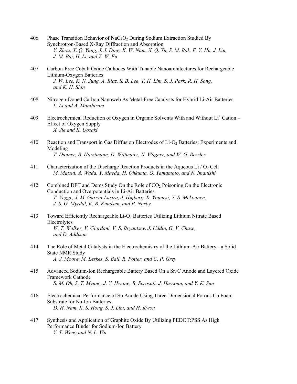- 406 Phase Transition Behavior of NaCrO<sub>2</sub> During Sodium Extraction Studied By Synchrotron-Based X-Ray Diffraction and Absorption  *Y. Zhou, X. Q. Yang, J. J. Ding, K. W. Nam, X. Q. Yu, S. M. Bak, E. Y. Hu, J. Liu, J. M. Bai, H. Li, and Z. W. Fu*
- 407 Carbon-Free Cobalt Oxide Cathodes With Tunable Nanoarchitectures for Rechargeable Lithium-Oxygen Batteries  *J. W. Lee, K. N. Jung, A. Riaz, S. B. Lee, T. H. Lim, S. J. Park, R. H. Song, and K. H. Shin*
- 408 Nitrogen-Doped Carbon Nanoweb As Metal-Free Catalysts for Hybrid Li-Air Batteries  *L. Li and A. Manthiram*
- 409 Electrochemical Reduction of Oxygen in Organic Solvents With and Without Li<sup>+</sup> Cation Effect of Oxygen Supply  *X. Jie and K. Uosaki*
- 410 Reaction and Transport in Gas Diffusion Electrodes of Li-O2 Batteries: Experiments and Modeling  *T. Danner, B. Horstmann, D. Wittmaier, N. Wagner, and W. G. Bessler*
- 411 Characterization of the Discharge Reaction Products in the Aqueous Li  $\overline{O_2}$  Cell  *M. Matsui, A. Wada, Y. Maeda, H. Ohkuma, O. Yamamoto, and N. Imanishi*
- 412 Combined DFT and Dems Study On the Role of CO<sub>2</sub> Poisoning On the Electronic Conduction and Overpotentials in Li-Air Batteries  *T. Vegge, J. M. Garcia-Lastra, J. Højberg, R. Younesi, Y. S. Mekonnen, J. S. G. Myrdal, K. B. Knudsen, and P. Norby*
- 413 Toward Efficiently Rechargeable Li-O2 Batteries Utilizing Lithium Nitrate Based Electrolytes  *W. T. Walker, V. Giordani, V. S. Bryantsev, J. Uddin, G. V. Chase, and D. Addison*
- 414 The Role of Metal Catalysts in the Electrochemistry of the Lithium-Air Battery a Solid State NMR Study  *A. J. Moore, M. Leskes, S. Ball, R. Potter, and C. P. Grey*
- 415 Advanced Sodium-Ion Rechargeable Battery Based On a Sn/C Anode and Layered Oxide Framework Cathode  *S. M. Oh, S. T. Myung, J. Y. Hwang, B. Scrosati, J. Hassoun, and Y. K. Sun*
- 416 Electrochemical Performance of Sb Anode Using Three-Dimensional Porous Cu Foam Substrate for Na-Ion Batteries  *D. H. Nam, K. S. Hong, S. J. Lim, and H. Kwon*
- 417 Synthesis and Application of Graphite Oxide By Utilizing PEDOT:PSS As High Performance Binder for Sodium-Ion Battery  *Y. T. Weng and N. L. Wu*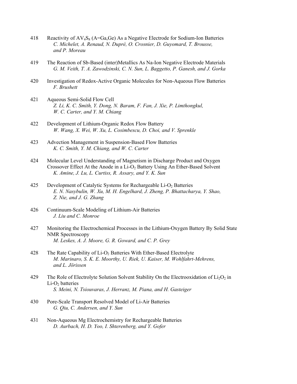- 418 Reactivity of  $AV_4S_8$  (A=Ga,Ge) As a Negative Electrode for Sodium-Ion Batteries  *C. Michelet, A. Renaud, N. Dupré, O. Crosnier, D. Guyomard, T. Brousse, and P. Moreau*
- 419 The Reaction of Sb-Based (inter)Metallics As Na-Ion Negative Electrode Materials  *G. M. Veith, T. A. Zawodzinski, C. N. Sun, L. Baggetto, P. Ganesh, and J. Gorka*
- 420 Investigation of Redox-Active Organic Molecules for Non-Aqueous Flow Batteries  *F. Brushett*
- 421 Aqueous Semi-Solid Flow Cell  *Z. Li, K. C. Smith, Y. Dong, N. Baram, F. Fan, J. Xie, P. Limthongkul, W. C. Carter, and Y. M. Chiang*
- 422 Development of Lithium-Organic Redox Flow Battery  *W. Wang, X. Wei, W. Xu, L. Cosimbescu, D. Choi, and V. Sprenkle*
- 423 Advection Management in Suspension-Based Flow Batteries  *K. C. Smith, Y. M. Chiang, and W. C. Carter*
- 424 Molecular Level Understanding of Magnetism in Discharge Product and Oxygen Crossover Effect At the Anode in a Li-O2 Battery Using An Ether-Based Solvent  *K. Amine, J. Lu, L. Curtiss, R. Assary, and Y. K. Sun*
- 425 Development of Catalytic Systems for Rechargeable Li-O<sub>2</sub> Batteries  *E. N. Nasybulin, W. Xu, M. H. Engelhard, J. Zheng, P. Bhattacharya, Y. Shao, Z. Nie, and J. G. Zhang*
- 426 Continuum-Scale Modeling of Lithium-Air Batteries  *J. Liu and C. Monroe*
- 427 Monitoring the Electrochemical Processes in the Lithium-Oxygen Battery By Solid State NMR Spectroscopy  *M. Leskes, A. J. Moore, G. R. Goward, and C. P. Grey*
- 428 The Rate Capability of Li-O<sub>2</sub> Batteries With Ether-Based Electrolyte  *M. Marinaro, S. K. E. Moorthy, U. Riek, U. Kaiser, M. Wohlfahrt-Mehrens, and L. Jörissen*
- 429 The Role of Electrolyte Solution Solvent Stability On the Electrooxidation of  $Li_2O_2$  in  $Li-O<sub>2</sub>$  batteries  *S. Meini, N. Tsiouvaras, J. Herranz, M. Piana, and H. Gasteiger*
- 430 Pore-Scale Transport Resolved Model of Li-Air Batteries  *G. Qiu, C. Andersen, and Y. Sun*
- 431 Non-Aqueous Mg Electrochemistry for Rechargeable Batteries  *D. Aurbach, H. D. Yoo, I. Shterenberg, and Y. Gofer*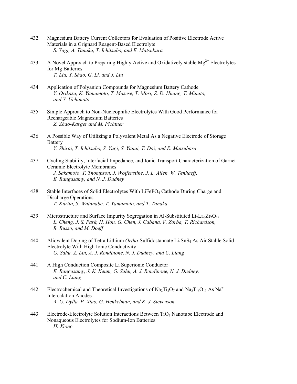- 432 Magnesium Battery Current Collectors for Evaluation of Positive Electrode Active Materials in a Grignard Reagent-Based Electrolyte  *S. Yagi, A. Tanaka, T. Ichitsubo, and E. Matsubara*
- 433 A Novel Approach to Preparing Highly Active and Oxidatively stable  $Mg^{2+}$  Electrolytes for Mg Batteries  *T. Liu, Y. Shao, G. Li, and J. Liu*
- 434 Application of Polyanion Compounds for Magnesium Battery Cathode  *Y. Orikasa, K. Yamamoto, T. Masese, T. Mori, Z. D. Huang, T. Minato, and Y. Uchimoto*
- 435 Simple Approach to Non-Nucleophilic Electrolytes With Good Performance for Rechargeable Magnesium Batteries  *Z. Zhao-Karger and M. Fichtner*
- 436 A Possible Way of Utilizing a Polyvalent Metal As a Negative Electrode of Storage Battery  *Y. Shirai, T. Ichitsubo, S. Yagi, S. Yanai, T. Doi, and E. Matsubara*
- 437 Cycling Stability, Interfacial Impedance, and Ionic Transport Characterization of Garnet Ceramic Electrolyte Membranes  *J. Sakamoto, T. Thompson, J. Wolfenstine, J. L. Allen, W. Tenhaeff, E. Rangasamy, and N. J. Dudney*
- 438 Stable Interfaces of Solid Electrolytes With LiFePO4 Cathode During Charge and Discharge Operations  *T. Kurita, S. Watanabe, T. Yamamoto, and T. Tanaka*
- 439 Microstructure and Surface Impurity Segregation in Al-Substituted  $Li<sub>7</sub>La<sub>3</sub>Zr<sub>2</sub>O<sub>12</sub>$  *L. Cheng, J. S. Park, H. Hou, G. Chen, J. Cabana, V. Zorba, T. Richardson, R. Russo, and M. Doeff*
- 440 Aliovalent Doping of Tetra Lithium *Ortho*-Sulfidostannate Li4SnS4 As Air Stable Solid Electrolyte With High Ionic Conductivity  *G. Sahu, Z. Lin, A. J. Rondinone, N. J. Dudney, and C. Liang*
- 441 A High Conduction Composite Li Superionic Conductor  *E. Rangasamy, J. K. Keum, G. Sahu, A. J. Rondinone, N. J. Dudney, and C. Liang*
- 442 Electrochemical and Theoretical Investigations of Na<sub>2</sub>Ti<sub>3</sub>O<sub>7</sub> and Na<sub>2</sub>Ti<sub>6</sub>O<sub>13</sub> As Na<sup>+</sup> Intercalation Anodes  *A. G. Dylla, P. Xiao, G. Henkelman, and K. J. Stevenson*
- 443 Electrode-Electrolyte Solution Interactions Between TiO2 Nanotube Electrode and Nonaqueous Electrolytes for Sodium-Ion Batteries  *H. Xiong*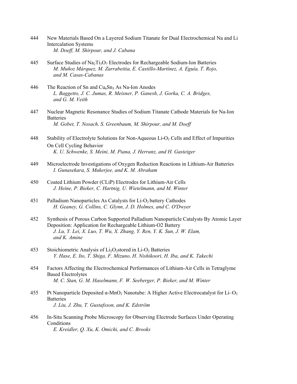- 444 New Materials Based On a Layered Sodium Titanate for Dual Electrochemical Na and Li Intercalation Systems  *M. Doeff, M. Shirpour, and J. Cabana*
- 445 Surface Studies of Na<sub>2</sub>T<sub>i3</sub>O<sub>7</sub> Electrodes for Rechargeable Sodium-Ion Batteries  *M. Muñoz Márquez, M. Zarrabeitia, E. Castillo-Martínez, A. Eguía, T. Rojo, and M. Casas-Cabanas*
- 446 The Reaction of Sn and  $Cu<sub>6</sub>Sn<sub>5</sub> As Na-Ion Anodes$  *L. Baggetto, J. C. Jumas, R. Meisner, P. Ganesh, J. Gorka, C. A. Bridges, and G. M. Veith*
- 447 Nuclear Magnetic Resonance Studies of Sodium Titanate Cathode Materials for Na-Ion **Batteries**  *M. Gobet, T. Nosach, S. Greenbaum, M. Shirpour, and M. Doeff*
- 448 Stability of Electrolyte Solutions for Non-Aqueous Li-O<sub>2</sub> Cells and Effect of Impurities On Cell Cycling Behavior  *K. U. Schwenke, S. Meini, M. Piana, J. Herranz, and H. Gasteiger*
- 449 Microelectrode Investigations of Oxygen Reduction Reactions in Lithium-Air Batteries  *I. Gunasekara, S. Mukerjee, and K. M. Abraham*
- 450 Coated Lithium Powder (CLiP) Electrodes for Lithium-Air Cells  *J. Heine, P. Bieker, C. Hartnig, U. Wietelmann, and M. Winter*
- 451 Palladium Nanoparticles As Catalysts for  $Li-O<sub>2</sub>$  battery Cathodes  *H. Geaney, G. Collins, C. Glynn, J. D. Holmes, and C. O'Dwyer*
- 452 Synthesis of Porous Carbon Supported Palladium Nanoparticle Catalysts By Atomic Layer Deposition: Application for Rechargeable Lithium-O2 Battery  *J. Lu, Y. Lei, X. Luo, T. Wu, X. Zhang, Y. Ren, Y. K. Sun, J. W. Elam, and K. Amine*
- 453 Stoichiometric Analysis of  $Li<sub>2</sub>O<sub>2</sub>$ stored in Li-O<sub>2</sub> Batteries  *Y. Hase, E. Ito, T. Shiga, F. Mizuno, H. Nishikoori, H. Iba, and K. Takechi*
- 454 Factors Affecting the Electrochemical Performances of Lithium-Air Cells in Tetraglyme Based Electrolytes  *M. C. Stan, G. M. Haselmann, F. W. Seeberger, P. Bieker, and M. Winter*
- 455 Pt Nanoparticle Deposited  $\alpha$ -MnO<sub>2</sub> Nanotube: A Higher Active Electrocatalyst for Li–O<sub>2</sub> **Batteries**  *J. Liu, J. Zhu, T. Gustafsson, and K. Edström*
- 456 In-Situ Scanning Probe Microscopy for Observing Electrode Surfaces Under Operating **Conditions**  *E. Kreidler, Q. Xu, K. Omichi, and C. Brooks*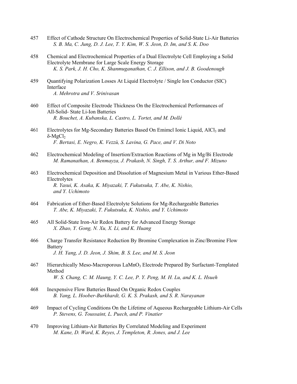- 457 Effect of Cathode Structure On Electrochemical Properties of Solid-State Li-Air Batteries  *S. B. Ma, C. Jung, D. J. Lee, T. Y. Kim, W. S. Jeon, D. Im, and S. K. Doo*
- 458 Chemical and Electrochemical Properties of a Dual Electrolyte Cell Employing a Solid Electrolyte Membrane for Large Scale Energy Storage  *K. S. Park, J. H. Cho, K. Shanmuganathan, C. J. Ellison, and J. B. Goodenough*
- 459 Quantifying Polarization Losses At Liquid Electrolyte / Single Ion Conductor (SIC) Interface  *A. Mehrotra and V. Srinivasan*
- 460 Effect of Composite Electrode Thickness On the Electrochemical Performances of All-Solid- State Li-Ion Batteries  *R. Bouchet, A. Kubanska, L. Castro, L. Tortet, and M. Dollé*
- 461 Electrolytes for Mg-Secondary Batteries Based On Emimcl Ionic Liquid, AlCl3 and δ-MgCl2  *F. Bertasi, E. Negro, K. Vezzù, S. Lavina, G. Pace, and V. Di Noto*
- 462 Electrochemical Modeling of Insertion/Extraction Reactions of Mg in Mg/Bi Electrode  *M. Ramanathan, A. Benmayza, J. Prakash, N. Singh, T. S. Arthur, and F. Mizuno*
- 463 Electrochemical Deposition and Dissolution of Magnesium Metal in Various Ether-Based Electrolytes  *R. Yasui, K. Asaka, K. Miyazaki, T. Fukutsuka, T. Abe, K. Nishio, and Y. Uchimoto*
- 464 Fabrication of Ether-Based Electrolyte Solutions for Mg-Rechargeable Batteries  *T. Abe, K. Miyazaki, T. Fukutsuka, K. Nishio, and Y. Uchimoto*
- 465 All Solid-State Iron-Air Redox Battery for Advanced Energy Storage  *X. Zhao, Y. Gong, N. Xu, X. Li, and K. Huang*
- 466 Charge Transfer Resistance Reduction By Bromine Complexation in Zinc/Bromine Flow Battery  *J. H. Yang, J. D. Jeon, J. Shim, B. S. Lee, and M. S. Jeon*
- 467 Hierarchically Meso-Macroporous LaMnO<sub>3</sub> Electrode Prepared By Surfactant-Templated Method  *W. S. Chang, C. M. Haung, Y. C. Lee, P. Y. Peng, M. H. Lu, and K. L. Hsueh*
- 468 Inexpensive Flow Batteries Based On Organic Redox Couples  *B. Yang, L. Hoober-Burkhardt, G. K. S. Prakash, and S. R. Narayanan*
- 469 Impact of Cycling Conditions On the Lifetime of Aqueous Rechargeable Lithium-Air Cells  *P. Stevens, G. Toussaint, L. Puech, and P. Vinatier*
- 470 Improving Lithium-Air Batteries By Correlated Modeling and Experiment  *M. Kane, D. Ward, K. Reyes, J. Templeton, R. Jones, and J. Lee*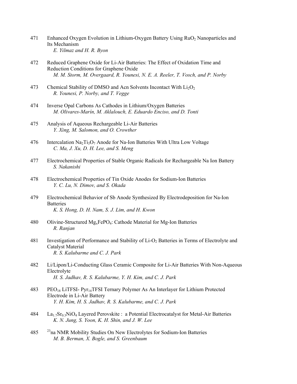- 471 Enhanced Oxygen Evolution in Lithium-Oxygen Battery Using RuO2 Nanoparticles and Its Mechanism  *E. Yilmaz and H. R. Byon*
- 472 Reduced Graphene Oxide for Li-Air Batteries: The Effect of Oxidation Time and Reduction Conditions for Graphene Oxide  *M. M. Storm, M. Overgaard, R. Younesi, N. E. A. Reeler, T. Vosch, and P. Norby*
- 473 Chemical Stability of DMSO and Acn Solvents Incontact With  $Li<sub>2</sub>O<sub>2</sub>$  *R. Younesi, P. Norby, and T. Vegge*
- 474 Inverse Opal Carbons As Cathodes in Lithium/Oxygen Batteries  *M. Olivares-Marín, M. Aklalouch, E. Eduardo Enciso, and D. Tonti*
- 475 Analysis of Aqueous Rechargeable Li-Air Batteries  *Y. Xing, M. Salomon, and O. Crowther*
- 476 Intercalation Na<sub>2</sub>Ti<sub>3</sub>O<sub>7</sub> Anode for Na-Ion Batteries With Ultra Low Voltage  *C. Ma, J. Xu, D. H. Lee, and S. Meng*
- 477 Electrochemical Properties of Stable Organic Radicals for Rechargeable Na Ion Battery  *S. Nakanishi*
- 478 Electrochemical Properties of Tin Oxide Anodes for Sodium-Ion Batteries  *Y. C. Lu, N. Dimov, and S. Okada*
- 479 Electrochemical Behavior of Sb Anode Synthesized By Electrodeposition for Na-Ion **Batteries**  *K. S. Hong, D. H. Nam, S. J. Lim, and H. Kwon*
- 480 Olivine-Structured  $Mg_xFePO_4$ : Cathode Material for Mg-Ion Batteries  *R. Ranjan*
- 481 Investigation of Performance and Stability of Li-O<sub>2</sub> Batteries in Terms of Electrolyte and Catalyst Material  *R. S. Kalubarme and C. J. Park*
- 482 Li/Lipon/Li-Conducting Glass Ceramic Composite for Li-Air Batteries With Non-Aqueous Electrolyte  *H. S. Jadhav, R. S. Kalubarme, Y. H. Kim, and C. J. Park*
- 483 PEO18 LiTFSI- Pyr14TFSI Ternary Polymer As An Interlayer for Lithium Protected Electrode in Li-Air Battery  *Y. H. Kim, H. S. Jadhav, R. S. Kalubarme, and C. J. Park*
- 484 La<sub>1.7</sub>Sr<sub>0.3</sub>NiO<sub>4</sub> Layered Perovskite : a Potential Electrocatalyst for Metal-Air Batteries  *K. N. Jung, S. Yoon, K. H. Shin, and J. W. Lee*
- $485$  <sup>23</sup>na NMR Mobility Studies On New Electrolytes for Sodium-Ion Batteries  *M. B. Berman, X. Bogle, and S. Greenbaum*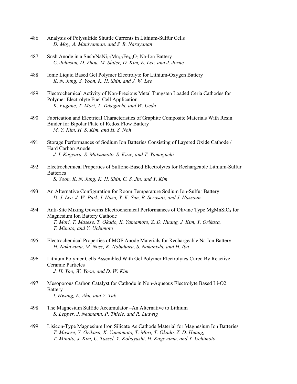- 486 Analysis of Polysulfide Shuttle Currents in Lithium-Sulfur Cells  *D. Moy, A. Manivannan, and S. R. Narayanan*
- 487 Snsb Anode in a Snsb/NaNi<sub>1/3</sub>Mn<sub>1/3</sub>Fe<sub>1/3</sub>O<sub>2</sub> Na-Ion Battery  *C. Johnson, D. Zhou, M. Slater, D. Kim, E. Lee, and J. Jorne*
- 488 Ionic Liquid Based Gel Polymer Electrolyte for Lithium-Oxygen Battery  *K. N. Jung, S. Yoon, K. H. Shin, and J. W. Lee*
- 489 Electrochemical Activity of Non-Precious Metal Tungsten Loaded Ceria Cathodes for Polymer Electrolyte Fuel Cell Application  *K. Fugane, T. Mori, T. Takeguchi, and W. Ueda*
- 490 Fabrication and Electrical Characteristics of Graphite Composite Materials With Resin Binder for Bipolar Plate of Redox Flow Battery  *M. Y. Kim, H. S. Kim, and H. S. Noh*
- 491 Storage Performances of Sodium Ion Batteries Consisting of Layered Oxide Cathode / Hard Carbon Anode  *J. I. Kageura, S. Matsumoto, S. Kuze, and T. Yamaguchi*
- 492 Electrochemical Properties of Sulfone-Based Electrolytes for Rechargeable Lithium-Sulfur **Batteries**  *S. Yoon, K. N. Jung, K. H. Shin, C. S. Jin, and Y. Kim*
- 493 An Alternative Configuration for Room Temperature Sodium Ion-Sulfur Battery  *D. J. Lee, J. W. Park, I. Hasa, Y. K. Sun, B. Scrosati, and J. Hassoun*
- 494 Anti-Site Mixing Governs Electrochemical Performances of Olivine Type MgMnSiO<sub>4</sub> for Magnesium Ion Battery Cathode  *T. Mori, T. Masese, T. Okado, K. Yamamoto, Z. D. Huang, J. Kim, Y. Orikasa, T. Minato, and Y. Uchimoto*
- 495 Electrochemical Properties of MOF Anode Materials for Rechargeable Na Ion Battery  *H. Nakayama, M. Nose, K. Nobuhara, S. Nakanishi, and H. Iba*
- 496 Lithium Polymer Cells Assembled With Gel Polymer Electrolytes Cured By Reactive Ceramic Particles  *J. H. Yoo, W. Yoon, and D. W. Kim*
- 497 Mesoporous Carbon Catalyst for Cathode in Non-Aqueous Electrolyte Based Li-O2 **Battery**  *I. Hwang, E. Ahn, and Y. Tak*
- 498 The Magnesium Sulfide Accumulator –An Alternative to Lithium  *S. Lepper, J. Neumann, P. Thiele, and R. Ludwig*
- 499 Lisicon-Type Magnesium Iron Silicate As Cathode Material for Magnesium Ion Batteries  *T. Masese, Y. Orikasa, K. Yamamoto, T. Mori, T. Okado, Z. D. Huang, T. Minato, J. Kim, C. Tassel, Y. Kobayashi, H. Kageyama, and Y. Uchimoto*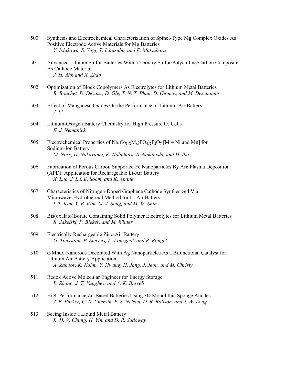- 500 Synthesis and Electrochemical Characterization of Spinel-Type Mg Complex Oxides As Positive Electrode Active Materials for Mg Batteries  *Y. Ichikawa, S. Yagi, T. Ichitsubo, and E. Matsubara*
- 501 Advanced Lithium Sulfur Batteries With a Ternary Sulfur/Polyaniline/Carbon Composite As Cathode Material  *J. H. Ahn and X. Zhao*
- 502 Optimization of Block Copolymers As Electrolytes for Lithium Metal Batteries  *R. Bouchet, D. Devaux, D. Gle, T. N. T. Phan, D. Gigmes, and M. Deschamps*
- 503 Effect of Manganese Oxides On the Performance of Lithium-Air Battery  *J. Li*
- 504 Lithium-Oxygen Battery Chemistry for High Pressure  $O<sub>2</sub>$  Cells  *E. J. Nemanick*
- 505 Electrochemical Properties of Na<sub>4</sub>Co<sub>3-X</sub>M<sub>x</sub>(PO<sub>4</sub>)<sub>2</sub>P<sub>2</sub>O<sub>7</sub> [M = Ni and Mn] for Sodium-Ion Battery  *M. Nose, H. Nakayama, K. Nobuhara, S. Nakanishi, and H. Iba*
- 506 Fabrication of Porous Carbon Supported Fe Nanoparticles By Arc Plasma Deposition (APD): Application for Rechargeable Li-Air Battery  *X. Luo, J. Lu, E. Sohm, and K. Amine*
- 507 Characteristics of Nitrogen-Doped Graphene Cathode Synthesized Via Microwave-Hydrothermal Method for Li-Air Battery  *I. T. Kim, Y. B. Kim, M. J. Song, and M. W. Shin*
- 508 Bis(oxalato)Borate Containing Solid Polymer Electrolytes for Lithium Metal Batteries  *R. Jakelski, P. Bieker, and M. Winter*
- 509 Electrically Rechargeable Zinc-Air Battery  *G. Toussaint, P. Stevens, F. Fourgeot, and R. Rouget*
- 510 α-MnO2 Nanorods Decorated With Ag Nanoparticles As a Bifunctional Catalyst for Lithium Air Battery Application  *A. Zahoor, K. Nahm, Y. Hwang, H. Jang, J. Jeon, and M. Christy*
- 511 Redox Active Molecular Engineer for Energy Storage  *L. Zhang, J. T. Vaughey, and A. K. Burrell*
- 512 High Performance Zn-Based Batteries Using 3D Monolithic Sponge Anodes  *J. F. Parker, C. N. Chervin, E. S. Nelson, D. R. Rolison, and J. W. Long*
- 513 Seeing Inside a Liquid Metal Battery  *B. H. V. Chung, H. Yin, and D. R. Sadoway*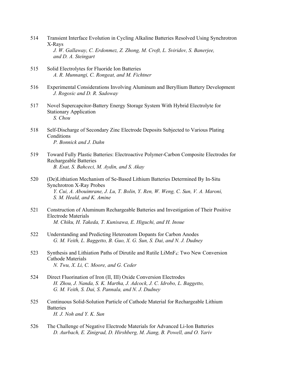- 514 Transient Interface Evolution in Cycling Alkaline Batteries Resolved Using Synchrotron X-Rays  *J. W. Gallaway, C. Erdonmez, Z. Zhong, M. Croft, L. Sviridov, S. Banerjee, and D. A. Steingart*
- 515 Solid Electrolytes for Fluoride Ion Batteries  *A. R. Munnangi, C. Rongeat, and M. Fichtner*
- 516 Experimental Considerations Involving Aluminum and Beryllium Battery Development  *J. Rogosic and D. R. Sadoway*
- 517 Novel Supercapcitor-Battery Energy Storage System With Hybrid Electrolyte for Stationary Application  *S. Chou*
- 518 Self-Discharge of Secondary Zinc Electrode Deposits Subjected to Various Plating **Conditions**  *P. Bonnick and J. Dahn*
- 519 Toward Fully Plastic Batteries: Electroactive Polymer-Carbon Composite Electrodes for Rechargeable Batteries  *B. Esat, S. Bahceci, M. Aydin, and S. Akay*
- 520 (De)Lithiation Mechanism of Se-Based Lithium Batteries Determined By In-Situ Synchrotron X-Ray Probes  *Y. Cui, A. Abouimrane, J. Lu, T. Bolin, Y. Ren, W. Weng, C. Sun, V. A. Maroni, S. M. Heald, and K. Amine*
- 521 Construction of Aluminum Rechargeable Batteries and Investigation of Their Positive Electrode Materials  *M. Chiku, H. Takeda, T. Kunisawa, E. Higuchi, and H. Inoue*
- 522 Understanding and Predicting Heteroatom Dopants for Carbon Anodes  *G. M. Veith, L. Baggetto, B. Guo, X. G. Sun, S. Dai, and N. J. Dudney*
- 523 Synthesis and Lithiation Paths of Dirutile and Rutile LiMnF<sub>4</sub>: Two New Conversion Cathode Materials  *N. Twu, X. Li, C. Moore, and G. Ceder*
- 524 Direct Fluorination of Iron (II, III) Oxide Conversion Electrodes  *H. Zhou, J. Nanda, S. K. Martha, J. Adcock, J. C. Idrobo, L. Baggetto, G. M. Veith, S. Dai, S. Pannala, and N. J. Dudney*
- 525 Continuous Solid-Solution Particle of Cathode Material for Rechargeable Lithium **Batteries**  *H. J. Noh and Y. K. Sun*
- 526 The Challenge of Negative Electrode Materials for Advanced Li-Ion Batteries  *D. Aurbach, E. Zinigrad, D. Hirshberg, M. Jiang, B. Powell, and O. Yariv*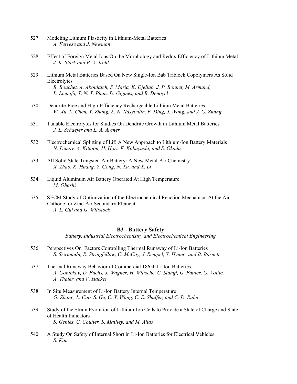- 527 Modeling Lithium Plasticity in Lithium-Metal Batteries  *A. Ferrese and J. Newman*
- 528 Effect of Foreign Metal Ions On the Morphology and Redox Efficiency of Lithium Metal  *J. K. Stark and P. A. Kohl*
- 529 Lithium Metal Batteries Based On New Single-Ion Bab Triblock Copolymers As Solid Electrolytes  *R. Bouchet, A. Aboulaich, S. Maria, K. Djellab, J. P. Bonnet, M. Armand, L. Lienafa, T. N. T. Phan, D. Gigmes, and R. Denoyel*
- 530 Dendrite-Free and High-Efficiency Rechargeable Lithium Metal Batteries  *W. Xu, X. Chen, Y. Zhang, E. N. Nasybulin, F. Ding, J. Wang, and J. G. Zhang*
- 531 Tunable Electrolytes for Studies On Dendrite Growth in Lithium Metal Batteries  *J. L. Schaefer and L. A. Archer*
- 532 Electrochemical Splitting of Lif: A New Approach to Lithium-Ion Battery Materials  *N. Dimov, A. Kitajou, H. Hori, E. Kobayashi, and S. Okada*
- 533 All Solid State Tungsten-Air Battery: A New Metal-Air Chemistry  *X. Zhao, K. Huang, Y. Gong, N. Xu, and X. Li*
- 534 Liquid Aluminum Air Battery Operated At High Temperature  *M. Ohashi*
- 535 SECM Study of Optimization of the Electrochemical Reaction Mechanism At the Air Cathode for Zinc-Air Secondary Element  *A. L. Gui and G. Wittstock*

# **B3 - Battery Safety**

*Battery, Industrial Electrochemistry and Electrochemical Engineering* 

- 536 Perspectives On Factors Controlling Thermal Runaway of Li-Ion Batteries  *S. Sriramulu, R. Stringfellow, C. McCoy, J. Rempel, Y. Hyung, and B. Barnett*
- 537 Thermal Runaway Behavior of Commercial 18650 Li-Ion Batteries  *A. Golubkov, D. Fuchs, J. Wagner, H. Wiltsche, C. Stangl, G. Fauler, G. Voitic, A. Thaler, and V. Hacker*
- 538 In Situ Measurement of Li-Ion Battery Internal Temperature  *G. Zhang, L. Cao, S. Ge, C. Y. Wang, C. E. Shaffer, and C. D. Rahn*
- 539 Study of the Strain Evolution of Lithium-Ion Cells to Provide a State of Charge and State of Health Indicators  *S. Geniès, C. Coutier, S. Mailley, and M. Alias*
- 540 A Study On Safety of Internal Short in Li-Ion Batteries for Electrical Vehicles  *S. Kim*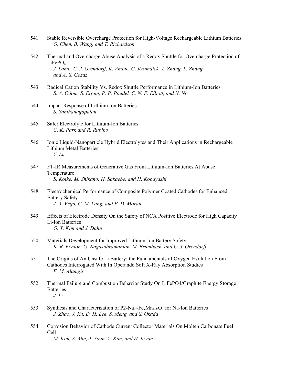- 541 Stable Reversible Overcharge Protection for High-Voltage Rechargeable Lithium Batteries  *G. Chen, B. Wang, and T. Richardson*
- 542 Thermal and Overcharge Abuse Analysis of a Redox Shuttle for Overcharge Protection of  $LiFePO<sub>4</sub>$  *J. Lamb, C. J. Orendorff, K. Amine, G. Krumdick, Z. Zhang, L. Zhang, and A. S. Gozdz*
- 543 Radical Cation Stability Vs. Redox Shuttle Performance in Lithium-Ion Batteries  *S. A. Odom, S. Ergun, P. P. Poudel, C. N. F. Elliott, and N. Ng*
- 544 Impact Response of Lithium Ion Batteries  *S. Santhanagopalan*
- 545 Safer Electrolyte for Lithium-Ion Batteries  *C. K. Park and R. Rubino*
- 546 Ionic Liquid-Nanoparticle Hybrid Electrolytes and Their Applications in Rechargeable Lithium Metal Batteries  *Y. Lu*
- 547 FT-IR Measurements of Generative Gas From Lithium-Ion Batteries At Abuse Temperature  *S. Koike, M. Shikano, H. Sakaebe, and H. Kobayashi*
- 548 Electrochemical Performance of Composite Polymer Coated Cathodes for Enhanced Battery Safety  *J. A. Vega, C. M. Lang, and P. D. Moran*
- 549 Effects of Electrode Density On the Safety of NCA Positive Electrode for High Capacity Li-Ion Batteries  *G. Y. Kim and J. Dahn*
- 550 Materials Development for Improved Lithium-Ion Battery Safety  *K. R. Fenton, G. Nagasubramanian, M. Brumbach, and C. J. Orendorff*
- 551 The Origins of An Unsafe Li Battery: the Fundamentals of Oxygen Evolution From Cathodes Interrogated With In Operando Soft X-Ray Absorption Studies  *F. M. Alamgir*
- 552 Thermal Failure and Combustion Behavior Study On LiFePO4/Graphite Energy Storage **Batteries**  *J. Li*
- 553 Synthesis and Characterization of P2-Na<sub>2/3</sub>Fe<sub>x</sub>Mn<sub>1-X</sub>O<sub>2</sub> for Na-Ion Batteries  *J. Zhao, J. Xu, D. H. Lee, S. Meng, and S. Okada*
- 554 Corrosion Behavior of Cathode Current Collector Materials On Molten Carbonate Fuel Cell  *M. Kim, S. Ahn, J. Youn, Y. Kim, and H. Kwon*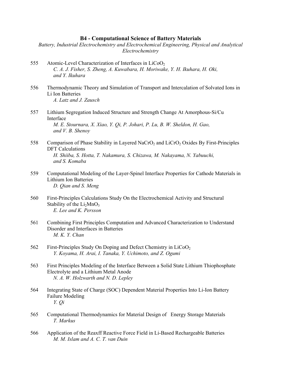## **B4 - Computational Science of Battery Materials**

*Battery, Industrial Electrochemistry and Electrochemical Engineering, Physical and Analytical Electrochemistry* 

- 555 Atomic-Level Characterization of Interfaces in  $LiCoO<sub>2</sub>$  *C. A. J. Fisher, S. Zheng, A. Kuwabara, H. Moriwake, Y. H. Ikuhara, H. Oki, and Y. Ikuhara*
- 556 Thermodynamic Theory and Simulation of Transport and Intercalation of Solvated Ions in Li Ion Batteries  *A. Latz and J. Zausch*
- 557 Lithium Segregation Induced Structure and Strength Change At Amorphous-Si/Cu Interface  *M. E. Stournara, X. Xiao, Y. Qi, P. Johari, P. Lu, B. W. Sheldon, H. Gao, and V. B. Shenoy*
- 558 Comparison of Phase Stability in Layered NaCrO<sub>2</sub> and LiCrO<sub>2</sub> Oxides By First-Principles DFT Calculations  *H. Shiiba, S. Hotta, T. Nakamura, S. Chizawa, M. Nakayama, N. Yabuuchi, and S. Komaba*
- 559 Computational Modeling of the Layer-Spinel Interface Properties for Cathode Materials in Lithium Ion Batteries  *D. Qian and S. Meng*
- 560 First-Principles Calculations Study On the Electrochemical Activity and Structural Stability of the  $Li<sub>2</sub>MnO<sub>3</sub>$  *E. Lee and K. Persson*
- 561 Combining First Principles Computation and Advanced Characterization to Understand Disorder and Interfaces in Batteries  *M. K. Y. Chan*
- 562 First-Principles Study On Doping and Defect Chemistry in  $LiCoO<sub>2</sub>$  *Y. Koyama, H. Arai, I. Tanaka, Y. Uchimoto, and Z. Ogumi*
- 563 First Principles Modeling of the Interface Between a Solid State Lithium Thiophosphate Electrolyte and a Lithium Metal Anode  *N. A. W. Holzwarth and N. D. Lepley*
- 564 Integrating State of Charge (SOC) Dependent Material Properties Into Li-Ion Battery Failure Modeling  *Y. Qi*
- 565 Computational Thermodynamics for Material Design of Energy Storage Materials  *T. Markus*
- 566 Application of the Reaxff Reactive Force Field in Li-Based Rechargeable Batteries  *M. M. Islam and A. C. T. van Duin*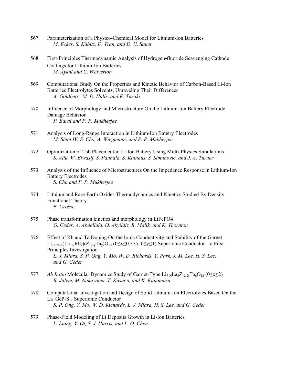- 567 Parameterization of a Physico-Chemical Model for Lithium-Ion Batteries  *M. Ecker, S. Käbitz, D. Tran, and D. U. Sauer*
- 568 First-Principles Thermodynamic Analysis of Hydrogen-fluoride Scavenging Cathode Coatings for Lithium-Ion Batteries  *M. Aykol and C. Wolverton*
- 569 Computational Study On the Properties and Kinetic Behavior of Carbon-Based Li-Ion Batteries Electrolytes Solvents, Unraveling Their Differences  *A. Goldberg, M. D. Halls, and K. Tasaki*
- 570 Influence of Morphology and Microstructure On the Lithium-Ion Battery Electrode Damage Behavior  *P. Barai and P. P. Mukherjee*
- 571 Analysis of Long-Range Interaction in Lithium-Ion Battery Electrodes  *M. Stein IV, S. Cho, A. Wiegmann, and P. P. Mukherjee*
- 572 Optimization of Tab Placement in Li-Ion Battery Using Multi-Physics Simulations  *S. Allu, W. Elwasif, S. Pannala, S. Kalnaus, S. Simunovic, and J. A. Turner*
- 573 Analysis of the Influence of Microstructures On the Impedance Response in Lithium-Ion Battery Electrodes  *S. Cho and P. P. Mukherjee*
- 574 Lithium and Rare-Earth Oxides Thermodynamics and Kinetics Studied By Density Functional Theory  *F. Grosse*
- 575 Phase transformation kinetics and morphology in LiFePO4  *G. Ceder, A. Abdellahi, O. Akyildiz, R. Malik, and K. Thornton*
- 576 Effect of Rb and Ta Doping On the Ionic Conductivity and Stability of the Garnet Li<sub>7+2x-Y</sub>(La<sub>3-x</sub>Rb<sub>x</sub>)(Zr<sub>2-y</sub>Ta<sub>y</sub>)O<sub>12</sub> (0≤x≤0.375, 0≤y≤1) Superionic Conductor – a First Principles Investigation  *L. J. Miara, S. P. Ong, Y. Mo, W. D. Richards, Y. Park, J. M. Lee, H. S. Lee, and G. Ceder*
- 577 *Ab Initio* Molecular Dynamics Study of Garnet-Type  $Li_{7-x}La_3Zr_{2-x}Ta_xO_{12}$  ( $0 \le x \le 2$ )  *R. Jalem, M. Nakayama, T. Kasuga, and K. Kanamura*
- 578 Computational Investigation and Design of Solid Lithium-Ion Electrolytes Based On the  $Li_{10}GeP_2S_{12}$  Superionic Conductor  *S. P. Ong, Y. Mo, W. D. Richards, L. J. Miara, H. S. Lee, and G. Ceder*
- 579 Phase-Field Modeling of Li Deposits Growth in Li-Ion Batteries  *L. Liang, Y. Qi, S. J. Harris, and L. Q. Chen*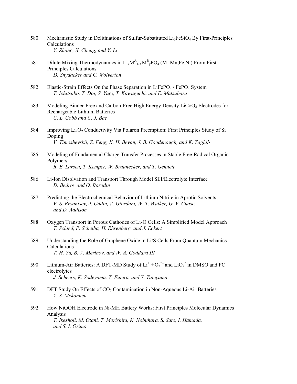- 580 Mechanistic Study in Delithiations of Sulfur-Substituted  $Li<sub>2</sub>FeSiO<sub>4</sub>$  By First-Principles Calculations  *Y. Zhang, X. Cheng, and Y. Li*
- 581 Dilute Mixing Thermodynamics in  $Li_xM_{1.}^A M_{y}^B PO_4$  (M=Mn, Fe, Ni) From First Principles Calculations  *D. Snydacker and C. Wolverton*
- 582 Elastic-Strain Effects On the Phase Separation in LiFePO<sub>4</sub> / FePO<sub>4</sub> System  *T. Ichitsubo, T. Doi, S. Yagi, T. Kawaguchi, and E. Matsubara*
- 583 Modeling Binder-Free and Carbon-Free High Energy Density LiCoO<sub>2</sub> Electrodes for Rechargeable Lithium Batteries  *C. L. Cobb and C. J. Bae*
- 584 Improving  $Li<sub>2</sub>O<sub>2</sub>$  Conductivity Via Polaron Preemption: First Principles Study of Si Doping  *V. Timoshevskii, Z. Feng, K. H. Bevan, J. B. Goodenough, and K. Zaghib*
- 585 Modeling of Fundamental Charge Transfer Processes in Stable Free-Radical Organic Polymers  *R. E. Larsen, T. Kemper, W. Braunecker, and T. Gennett*
- 586 Li-Ion Disolvation and Transport Through Model SEI/Electrolyte Interface  *D. Bedrov and O. Borodin*
- 587 Predicting the Electrochemical Behavior of Lithium Nitrite in Aprotic Solvents  *V. S. Bryantsev, J. Uddin, V. Giordani, W. T. Walker, G. V. Chase, and D. Addison*
- 588 Oxygen Transport in Porous Cathodes of Li-O Cells: A Simplified Model Approach  *T. Schied, F. Scheiba, H. Ehrenberg, and J. Eckert*
- 589 Understanding the Role of Graphene Oxide in Li/S Cells From Quantum Mechanics Calculations  *T. H. Yu, B. V. Merinov, and W. A. Goddard III*
- 590 Lithium-Air Batteries: A DFT-MD Study of  $Li^+ + O_2^*$  and  $LiO_2^*$  in DMSO and PC electrolytes  *J. Scheers, K. Sodeyama, Z. Futera, and Y. Tateyama*
- 591 DFT Study On Effects of  $CO<sub>2</sub>$  Contamination in Non-Aqueous Li-Air Batteries  *Y. S. Mekonnen*
- 592 How NiOOH Electrode in Ni-MH Battery Works: First Principles Molecular Dynamics Analysis  *T. Ikeshoji, M. Otani, T. Morishita, K. Nobuhara, S. Sato, I. Hamada, and S. I. Orimo*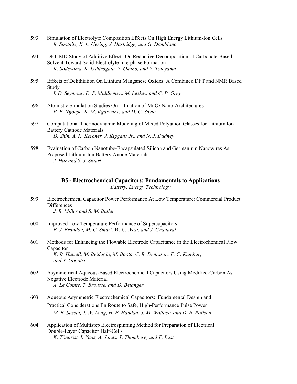- 593 Simulation of Electrolyte Composition Effects On High Energy Lithium-Ion Cells  *R. Spotnitz, K. L. Gering, S. Hartridge, and G. Damblanc*
- 594 DFT-MD Study of Additive Effects On Reductive Decomposition of Carbonate-Based Solvent Toward Solid Electrolyte Interphase Formation  *K. Sodeyama, K. Ushirogata, Y. Okuno, and Y. Tateyama*
- 595 Effects of Delithiation On Lithium Manganese Oxides: A Combined DFT and NMR Based Study  *I. D. Seymour, D. S. Middlemiss, M. Leskes, and C. P. Grey*
- 596 Atomistic Simulation Studies On Lithiation of MnO<sub>2</sub> Nano-Architectures  *P. E. Ngoepe, K. M. Kgatwane, and D. C. Sayle*
- 597 Computational Thermodynamic Modeling of Mixed Polyanion Glasses for Lithium Ion Battery Cathode Materials  *D. Shin, A. K. Kercher, J. Kiggans Jr., and N. J. Dudney*
- 598 Evaluation of Carbon Nanotube-Encapsulated Silicon and Germanium Nanowires As Proposed Lithium-Ion Battery Anode Materials  *J. Hur and S. J. Stuart*

**B5 - Electrochemical Capacitors: Fundamentals to Applications**  *Battery, Energy Technology* 

- 599 Electrochemical Capacitor Power Performance At Low Temperature: Commercial Product **Differences**  *J. R. Miller and S. M. Butler*
- 600 Improved Low Temperature Performance of Supercapacitors  *E. J. Brandon, M. C. Smart, W. C. West, and J. Gnanaraj*
- 601 Methods for Enhancing the Flowable Electrode Capacitance in the Electrochemical Flow Capacitor  *K. B. Hatzell, M. Beidaghi, M. Boota, C. R. Dennison, E. C. Kumbur, and Y. Gogotsi*
- 602 Asymmetrical Aqueous-Based Electrochemical Capacitors Using Modified-Carbon As Negative Electrode Material  *A. Le Comte, T. Brousse, and D. Bélanger*
- 603 Aqueous Asymmetric Electrochemical Capacitors: Fundamental Design and Practical Considerations En Route to Safe, High-Performance Pulse Power  *M. B. Sassin, J. W. Long, H. F. Haddad, J. M. Wallace, and D. R. Rolison*
- 604 Application of Multistep Electrospinning Method for Preparation of Electrical Double-Layer Capacitor Half-Cells  *K. Tõnurist, I. Vaas, A. Jänes, T. Thomberg, and E. Lust*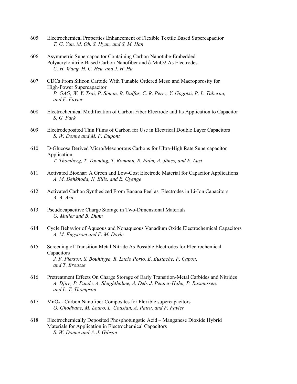- 605 Electrochemical Properties Enhancement of Flexible Textile Based Supercapacitor  *T. G. Yun, M. Oh, S. Hyun, and S. M. Han*
- 606 Asymmetric Supercapacitor Containing Carbon Nanotube-Embedded Polyacrylonitrile-Based Carbon Nanofiber and δ-MnO2 As Electrodes  *C. H. Wang, H. C. Hsu, and J. H. Hu*
- 607 CDCs From Silicon Carbide With Tunable Ordered Meso and Macroporosity for High-Power Supercapacitor  *P. GAO, W. Y. Tsai, P. Simon, B. Daffos, C. R. Perez, Y. Gogotsi, P. L. Taberna, and F. Favier*
- 608 Electrochemical Modification of Carbon Fiber Electrode and Its Application to Capacitor  *S. G. Park*
- 609 Electrodeposited Thin Films of Carbon for Use in Electrical Double Layer Capacitors  *S. W. Donne and M. F. Dupont*
- 610 D-Glucose Derived Micro/Mesoporous Carbons for Ultra-High Rate Supercapacitor Application  *T. Thomberg, T. Tooming, T. Romann, R. Palm, A. Jänes, and E. Lust*
- 611 Activated Biochar: A Green and Low-Cost Electrode Material for Capacitor Applications  *A. M. Dehkhoda, N. Ellis, and E. Gyenge*
- 612 Activated Carbon Synthesized From Banana Peel as Electrodes in Li-Ion Capacitors  *A. A. Arie*
- 613 Pseudocapacitive Charge Storage in Two-Dimensional Materials  *G. Muller and B. Dunn*
- 614 Cycle Behavior of Aqueous and Nonaqueous Vanadium Oxide Electrochemical Capacitors  *A. M. Engstrom and F. M. Doyle*
- 615 Screening of Transition Metal Nitride As Possible Electrodes for Electrochemical Capacitors  *J. F. Pierson, S. Bouhtiyya, R. Lucio Porto, E. Eustache, F. Capon, and T. Brousse*
- 616 Pretreatment Effects On Charge Storage of Early Transition-Metal Carbides and Nitrides  *A. Djire, P. Pande, A. Sleightholme, A. Deb, J. Penner-Hahn, P. Rasmussen, and L. T. Thompson*
- $617$  MnO<sub>2</sub> Carbon Nanofiber Composites for Flexible supercapacitors  *O. Ghodbane, M. Louro, L. Coustan, A. Patru, and F. Favier*
- 618 Electrochemically Deposited Phosphotungstic Acid Manganese Dioxide Hybrid Materials for Application in Electrochemical Capacitors  *S. W. Donne and A. J. Gibson*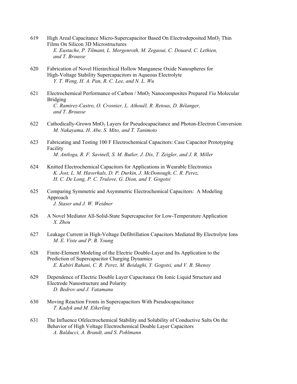- 619 High Areal Capacitance Micro-Supercapacitor Based On Electrodeposited  $MnO<sub>2</sub>$  Thin Films On Silicon 3D Microstructures  *E. Eustache, P. Tilmant, L. Morgenroth, M. Zegaoui, C. Douard, C. Lethien, and T. Brousse*
- 620 Fabrication of Novel Hierarchical Hollow Manganese Oxide Nanospheres for High-Voltage Stability Supercapacitors in Aqueous Electrolyte  *Y. T. Weng, H. A. Pan, R. C. Lee, and N. L. Wu*
- 621 Electrochemical Performance of Carbon / MnO2 Nanocomposites Prepared *Via* Molecular Bridging  *C. Ramirez-Castro, O. Crosnier, L. Athouël, R. Retoux, D. Bélanger, and T. Brousse*
- 622 Cathodically-Grown MnO2 Layers for Pseudocapacitance and Photon-Electron Conversion  *M. Nakayama, H. Abe, S. Mito, and T. Tanimoto*
- 623 Fabricating and Testing 100 F Electrochemical Capacitors: Case Capacitor Prototyping Facility  *M. Antloga, R. F. Savinell, S. M. Butler, J. Dix, T. Zeigler, and J. R. Miller*
- 624 Knitted Electrochemical Capacitors for Applications in Wearable Electronics  *K. Jost, L. M. Haverhals, D. P. Durkin, J. McDonough, C. R. Perez, H. C. De Long, P. C. Trulove, G. Dion, and Y. Gogotsi*
- 625 Comparing Symmetric and Asymmetric Electrochemical Capacitors: A Modeling Approach  *J. Staser and J. W. Weidner*
- 626 A Novel Mediator All-Solid-State Supercapacitor for Low-Temperature Application  *X. Zhou*
- 627 Leakage Current in High-Voltage Defibrillation Capacitors Mediated By Electrolyte Ions  *M. E. Viste and P. B. Young*
- 628 Finite-Element Modeling of the Electric Double-Layer and Its Application to the Prediction of Supercapacitor Charging Dynamics  *E. Kabiri Rahani, C. R. Perez, M. Beidaghi, Y. Gogotsi, and V. B. Shenoy*
- 629 Dependence of Electric Double Layer Capacitance On Ionic Liquid Structure and Electrode Nanostructure and Polarity  *D. Bedrov and J. Vatamanu*
- 630 Moving Reaction Fronts in Supercapacitors With Pseudocapacitance  *T. Kadyk and M. Eikerling*
- 631 The Influence Ofelectrochemical Stability and Solubility of Conductive Salts On the Behavior of High Voltage Electrochemical Double Layer Capacitors  *A. Balducci, A. Brandt, and S. Pohlmann*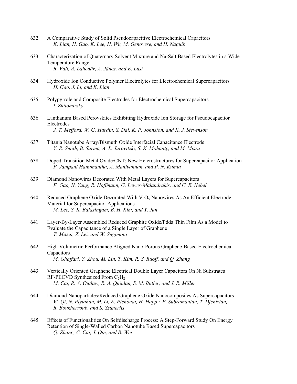- 632 A Comparative Study of Solid Pseudocapacitive Electrochemical Capacitors  *K. Lian, H. Gao, K. Lee, H. Wu, M. Genovese, and H. Naguib*
- 633 Characterization of Quaternary Solvent Mixture and Na-Salt Based Electrolytes in a Wide Temperature Range  *R. Väli, A. Laheäär, A. Jänes, and E. Lust*
- 634 Hydroxide Ion Conductive Polymer Electrolytes for Electrochemical Supercapacitors  *H. Gao, J. Li, and K. Lian*
- 635 Polypyrrole and Composite Electrodes for Electrochemical Supercapacitors  *I. Zhitomirsky*
- 636 Lanthanum Based Perovskites Exhibiting Hydroxide Ion Storage for Pseudocapacitor Electrodes  *J. T. Mefford, W. G. Hardin, S. Dai, K. P. Johnston, and K. J. Stevenson*
- 637 Titania Nanotube Array/Bismuth Oxide Interfacial Capacitance Electrode  *Y. R. Smith, B. Sarma, A. L. Jurovitzki, S. K. Mohanty, and M. Misra*
- 638 Doped Transition Metal Oxide/CNT: New Heterostructures for Supercapacitor Application  *P. Jampani Hanumantha, A. Manivannan, and P. N. Kumta*
- 639 Diamond Nanowires Decorated With Metal Layers for Supercapacitors  *F. Gao, N. Yang, R. Hoffmann, G. Lewes-Malandrakis, and C. E. Nebel*
- 640 Reduced Graphene Oxide Decorated With  $V_2O_5$  Nanowires As An Efficient Electrode Material for Supercapacitor Applications  *M. Lee, S. K. Balasingam, B. H. Kim, and Y. Jun*
- 641 Layer-By-Layer Assembled Reduced Graphite Oxide/Pdda Thin Film As a Model to Evaluate the Capacitance of a Single Layer of Graphene  *T. Mitsui, Z. Lei, and W. Sugimoto*
- 642 High Volumetric Performance Aligned Nano-Porous Graphene-Based Electrochemical Capacitors  *M. Ghaffari, Y. Zhou, M. Lin, T. Kim, R. S. Ruoff, and Q. Zhang*
- 643 Vertically Oriented Graphene Electrical Double Layer Capacitors On Ni Substrates RF-PECVD Synthesized From  $C_2H_2$  *M. Cai, R. A. Outlaw, R. A. Quinlan, S. M. Butler, and J. R. Miller*
- 644 Diamond Nanoparticles/Reduced Graphene Oxide Nanocomposites As Supercapacitors  *W. Qi, N. Plylahan, M. Li, E. Pichonat, H. Happy, P. Subramanian, T. Djenizian, R. Boukherroub, and S. Szunerits*
- 645 Effects of Functionalities On Selfdischarge Process: A Step-Forward Study On Energy Retention of Single-Walled Carbon Nanotube Based Supercapacitors  *Q. Zhang, C. Cai, J. Qin, and B. Wei*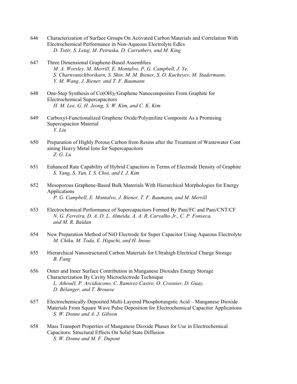- 646 Characterization of Surface Groups On Activated Carbon Materials and Correlation With Electrochemical Performance in Non-Aqueous Electrolyte Edlcs  *D. Totir, S. Letaj, M. Petruska, D. Carruthers, and M. King*
- 647 Three Dimensional Graphene-Based Assemblies  *M. A. Worsley, M. Merrill, E. Montalvo, P. G. Campbell, J. Ye, S. Charnvanichborikarn, S. Shin, M. M. Biener, S. O. Kucheyev, M. Stadermann, Y. M. Wang, J. Biener, and T. F. Baumann*
- 648 One-Step Synthesis of  $Co(OH)_2/G$ raphene Nanocomposites From Graphite for Electrochemical Supercapacitors  *H. M. Lee, G. H. Jeong, S. W. Kim, and C. K. Kim*
- 649 Carboxyl-Functionalized Graphene Oxide/Polyaniline Composite As a Promising Supercapacitor Material  *Y. Liu*
- 650 Preparation of Highly Porous Carbon from Resins after the Treatment of Wastewater Cont aining Heavy Metal Ions for Supercapacitors  *Z. G. Lu*
- 651 Enhanced Rate Capability of Hybrid Capacitors in Terms of Electrode Density of Graphite  *S. Yang, S. Yun, I. S. Choi, and I. J. Kim*
- 652 Mesoporous Graphene-Based Bulk Materials With Hierarchical Morphologies for Energy Applications  *P. G. Campbell, E. Montalvo, J. Biener, T. F. Baumann, and M. Merrill*
- 653 Electrochemical Performance of Supercapacitors Formed By Pani/FC and Pani/CNT/CF  *N. G. Ferreira, D. A. D. L. Almeida, A. A. R. Carvalho Jr., C. P. Fonseca, and M. R. Baldan*
- 654 New Preparation Method of NiO Electrode for Super Capacitor Using Aqueous Electrolyte  *M. Chiku, M. Toda, E. Higuchi, and H. Inoue*
- 655 Hierarchical Nanostructured Carbon Materials for Ultrahigh Electrical Charge Storage  *B. Fang*
- 656 Outer and Inner Surface Contribution in Manganese Dioxides Energy Storage Characterization By Cavity Microelectrode Technique  *L. Athouël, P. Arcidiacono, C. Ramirez-Castro, O. Crosnier, D. Guay, D. Bélanger, and T. Brousse*
- 657 Electrochemically Deposited Multi-Layered Phosphotungstic Acid Manganese Dioxide Materials From Square Wave Pulse Deposition for Electrochemical Capacitor Applications  *S. W. Donne and A. J. Gibson*
- 658 Mass Transport Properties of Manganese Dioxide Phases for Use in Electrochemical Capacitors: Structural Effects On Solid State Diffusion  *S. W. Donne and M. F. Dupont*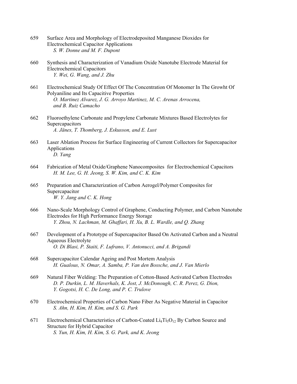- 659 Surface Area and Morphology of Electrodeposited Manganese Dioxides for Electrochemical Capacitor Applications  *S. W. Donne and M. F. Dupont*
- 660 Synthesis and Characterization of Vanadium Oxide Nanotube Electrode Material for Electrochemical Capacitors  *Y. Wei, G. Wang, and J. Zhu*
- 661 Electrochemical Study Of Effect Of The Concentration Of Monomer In The Growht Of Polyaniline and Its Capacitive Properties  *O. Martinez Alvarez, J. G. Arroyo Martinez, M. C. Arenas Arrocena, and B. Ruiz Camacho*
- 662 Fluoroethylene Carbonate and Propylene Carbonate Mixtures Based Electrolytes for **Supercapacitors**  *A. Jänes, T. Thomberg, J. Eskusson, and E. Lust*
- 663 Laser Ablation Process for Surface Engineering of Current Collectors for Supercapacitor Applications  *D. Yang*
- 664 Fabrication of Metal Oxide/Graphene Nanocomposites for Electrochemical Capacitors  *H. M. Lee, G. H. Jeong, S. W. Kim, and C. K. Kim*
- 665 Preparation and Characterization of Carbon Aerogel/Polymer Composites for Supercapacitor  *W. Y. Jang and C. K. Hong*
- 666 Nano-Scale Morphology Control of Graphene, Conducting Polymer, and Carbon Nanotube Electrodes for High Performance Energy Storage  *Y. Zhou, N. Lachman, M. Ghaffari, H. Xu, B. L. Wardle, and Q. Zhang*
- 667 Development of a Prototype of Supercapacitor Based On Activated Carbon and a Neutral Aqueous Electrolyte  *O. Di Blasi, P. Staiti, F. Lufrano, V. Antonucci, and A. Brigandi*
- 668 Supercapacitor Calendar Ageing and Post Mortem Analysis  *H. Gualous, N. Omar, A. Samba, P. Van den Bossche, and J. Van Mierlo*
- 669 Natural Fiber Welding: The Preparation of Cotton-Based Activated Carbon Electrodes  *D. P. Durkin, L. M. Haverhals, K. Jost, J. McDonough, C. R. Perez, G. Dion, Y. Gogotsi, H. C. De Long, and P. C. Trulove*
- 670 Electrochemical Properties of Carbon Nano Fiber As Negative Material in Capacitor  *S. Ahn, H. Kim, H. Kim, and S. G. Park*
- 671 Electrochemical Characteristics of Carbon-Coated  $Li<sub>4</sub>Ti<sub>5</sub>O<sub>12</sub>$  By Carbon Source and Structure for Hybrid Capacitor  *S. Yun, H. Kim, H. Kim, S. G. Park, and K. Jeong*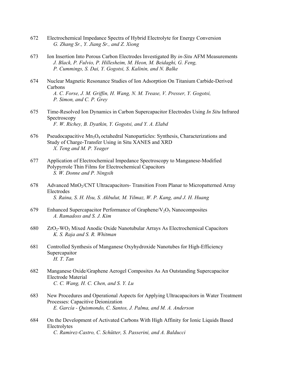- 672 Electrochemical Impedance Spectra of Hybrid Electrolyte for Energy Conversion  *G. Zhang Sr., Y. Jiang Sr., and Z. Xiong*
- 673 Ion Insertion Into Porous Carbon Electrodes Investigated By *in-Situ* AFM Measurements  *J. Black, P. Fulvio, P. Hillesheim, M. Heon, M. Beidaghi, G. Feng, P. Cummings, S. Dai, Y. Gogotsi, S. Kalinin, and N. Balke*
- 674 Nuclear Magnetic Resonance Studies of Ion Adsorption On Titanium Carbide-Derived Carbons  *A. C. Forse, J. M. Griffin, H. Wang, N. M. Trease, V. Presser, Y. Gogotsi, P. Simon, and C. P. Grey*
- 675 Time-Resolved Ion Dynamics in Carbon Supercapacitor Electrodes Using *In Situ* Infrared Spectroscopy  *F. W. Richey, B. Dyatkin, Y. Gogotsi, and Y. A. Elabd*
- 676 Pseudocapacitive  $Mn_3O_4$  octahedral Nanoparticles: Synthesis, Characterizations and Study of Charge-Transfer Using in Situ XANES and XRD  *X. Teng and M. P. Yeager*
- 677 Application of Electrochemical Impedance Spectroscopy to Manganese-Modified Polypyrrole Thin Films for Electrochemical Capacitors  *S. W. Donne and P. Ningsih*
- 678 Advanced MnO<sub>2</sub>/CNT Ultracapacitors- Transition From Planar to Micropatterned Array Electrodes  *S. Raina, S. H. Hsu, S. Akbulut, M. Yilmaz, W. P. Kang, and J. H. Huang*
- 679 Enhanced Supercapacitor Performance of Graphene/ $V_2O_5$  Nanocomposites  *A. Ramadoss and S. J. Kim*
- 680 ZrO2-WO3 Mixed Anodic Oxide Nanotubular Arrays As Electrochemical Capacitors  *K. S. Raja and S. R. Whitman*
- 681 Controlled Synthesis of Manganese Oxyhydroxide Nanotubes for High-Efficiency Supercapaitor  *H. T. Tan*
- 682 Manganese Oxide/Graphene Aerogel Composites As An Outstanding Supercapacitor Electrode Material  *C. C. Wang, H. C. Chen, and S. Y. Lu*
- 683 New Procedures and Operational Aspects for Applying Ultracapacitors in Water Treatment Processes: Capacitive Deionization  *E. García - Quismondo, C. Santos, J. Palma, and M. A. Anderson*
- 684 On the Development of Activated Carbons With High Affinity for Ionic Liquids Based Electrolytes  *C. Ramirez-Castro, C. Schütter, S. Passerini, and A. Balducci*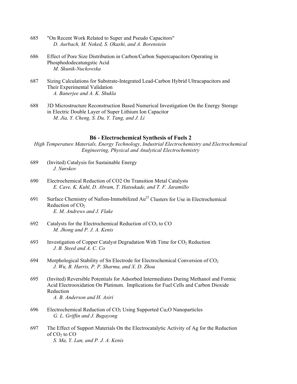- 685 "On Recent Work Related to Super and Pseudo Capacitors"  *D. Aurbach, M. Noked, S. Okashi, and A. Borenstein*
- 686 Effect of Pore Size Distribution in Carbon/Carbon Supercapacitors Operating in Phosphododecatungstic Acid  *M. Skunik-Nuckowska*
- 687 Sizing Calculations for Substrate-Integrated Lead-Carbon Hybrid Ultracapacitors and Their Experimental Validation  *A. Banerjee and A. K. Shukla*
- 688 3D Microstructure Reconstruction Based Numerical Investigation On the Energy Storage in Electric Double Layer of Super Lithium Ion Capacitor  *M. Jia, Y. Cheng, S. Du, Y. Tang, and J. Li*

## **B6 - Electrochemical Synthesis of Fuels 2**

*High Temperature Materials, Energy Technology, Industrial Electrochemistry and Electrochemical Engineering, Physical and Analytical Electrochemistry* 

- 689 (Invited) Catalysis for Sustainable Energy  *J. Nørskov*
- 690 Electrochemical Reduction of CO2 On Transition Metal Catalysts  *E. Cave, K. Kuhl, D. Abram, T. Hatsukade, and T. F. Jaramillo*
- 691 Surface Chemistry of Nafion-Immobilized Au25 Clusters for Use in Electrochemical Reduction of  $CO<sub>2</sub>$  *E. M. Andrews and J. Flake*
- 692 Catalysts for the Electrochemical Reduction of  $CO<sub>2</sub>$  to  $CO$  *M. Jhong and P. J. A. Kenis*
- 693 Investigation of Copper Catalyst Degradation With Time for  $CO<sub>2</sub>$  Reduction  *J. B. Steed and A. C. Co*
- 694 Morphological Stability of Sn Electrode for Electrochemical Conversion of  $CO<sub>2</sub>$  *J. Wu, B. Harris, P. P. Sharma, and X. D. Zhou*
- 695 (Invited) Reversible Potentials for Adsorbed Intermediates During Methanol and Formic Acid Electrooxidation On Platinum. Implications for Fuel Cells and Carbon Dioxide Reduction  *A. B. Anderson and H. Asiri*
- 696 Electrochemical Reduction of  $CO<sub>2</sub>$  Using Supported Cu<sub>2</sub>O Nanoparticles  *G. L. Griffin and J. Bugayong*
- 697 The Effect of Support Materials On the Electrocatalytic Activity of Ag for the Reduction of  $CO<sub>2</sub>$  to  $CO<sub>2</sub>$  *S. Ma, Y. Lan, and P. J. A. Kenis*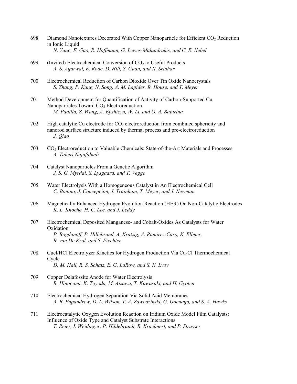- 698 Diamond Nanotextures Decorated With Copper Nanoparticle for Efficient CO<sub>2</sub> Reduction in Ionic Liquid  *N. Yang, F. Gao, R. Hoffmann, G. Lewes-Malandrakis, and C. E. Nebel*
- 699 (Invited) Electrochemical Conversion of  $CO<sub>2</sub>$  to Useful Products  *A. S. Agarwal, E. Rode, D. Hill, S. Guan, and N. Sridhar*
- 700 Electrochemical Reduction of Carbon Dioxide Over Tin Oxide Nanocrystals  *S. Zhang, P. Kang, N. Song, A. M. Lapides, R. House, and T. Meyer*
- 701 Method Development for Quantification of Activity of Carbon-Supported Cu Nanoparticles Toward CO<sub>2</sub> Electroreduction  *M. Padilla, Z. Wang, A. Epshteyn, W. Li, and O. A. Baturina*
- 702 High catalytic Cu electrode for  $CO<sub>2</sub>$  electroreduction from combined sphericity and nanorod surface structure induced by thermal process and pre-electroreduction  *J. Qiao*
- 703 CO2 Electroreduction to Valuable Chemicals: State-of-the-Art Materials and Processes  *A. Taheri Najafabadi*
- 704 Catalyst Nanoparticles From a Genetic Algorithm  *J. S. G. Myrdal, S. Lysgaard, and T. Vegge*
- 705 Water Electrolysis With a Homogeneous Catalyst in An Electrochemical Cell  *C. Bonino, J. Concepcion, J. Trainham, T. Meyer, and J. Newman*
- 706 Magnetically Enhanced Hydrogen Evolution Reaction (HER) On Non-Catalytic Electrodes  *K. L. Knoche, H. C. Lee, and J. Leddy*
- 707 Electrochemical Deposited Manganese- and Cobalt-Oxides As Catalysts for Water Oxidation  *P. Bogdanoff, P. Hillebrand, A. Kratzig, A. Ramirez-Caro, K. Ellmer, R. van De Krol, and S. Fiechter*
- 708 Cucl/HCl Electrolyzer Kinetics for Hydrogen Production Via Cu-Cl Thermochemical Cycle  *D. M. Hall, R. S. Schatz, E. G. LaRow, and S. N. Lvov*
- 709 Copper Delafossite Anode for Water Electrolysis  *R. Hinogami, K. Toyoda, M. Aizawa, T. Kawasaki, and H. Gyoten*
- 710 Electrochemical Hydrogen Separation Via Solid Acid Membranes  *A. B. Papandrew, D. L. Wilson, T. A. Zawodzinski, G. Goenaga, and S. A. Hawks*
- 711 Electrocatalytic Oxygen Evolution Reaction on Iridium Oxide Model Film Catalysts: Influence of Oxide Type and Catalyst Substrate Interactions  *T. Reier, I. Weidinger, P. Hildebrandt, R. Kraehnert, and P. Strasser*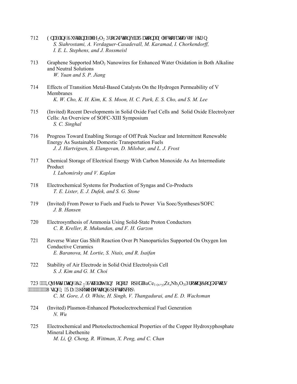- 712 Gpcdnkpi "Uwuxckpcdng" $H_2O_2$  Rtqf wevkqp"xkc"Tcvkqpcn'Gngevtqecvcn{w'F guki p  *S. Siahrostami, A. Verdaguer-Casadevall, M. Karamad, I. Chorkendorff, I. E. L. Stephens, and J. Rossmeisl*
- 713 Graphene Supported MnO2 Nanowires for Enhanced Water Oxidation in Both Alkaline and Neutral Solutions  *W. Yuan and S. P. Jiang*
- 714 Effects of Transition Metal-Based Catalysts On the Hydrogen Permeability of V Membranes  *K. W. Cho, K. H. Kim, K. S. Moon, H. C. Park, E. S. Cho, and S. M. Lee*
- 715 (Invited) Recent Developments in Solid Oxide Fuel Cells and Solid Oxide Electrolyzer Cells: An Overview of SOFC-XIII Symposium  *S. C. Singhal*
- 716 Progress Toward Enabling Storage of Off Peak Nuclear and Intermittent Renewable Energy As Sustainable Domestic Transportation Fuels  *J. J. Hartvigsen, S. Elangovan, D. Milobar, and L. J. Frost*
- 717 Chemical Storage of Electrical Energy With Carbon Monoxide As An Intermediate Product  *I. Lubomirsky and V. Kaplan*
- 718 Electrochemical Systems for Production of Syngas and Co-Products  *T. E. Lister, E. J. Dufek, and S. G. Stone*
- 719 (Invited) From Power to Fuels and Fuels to Power Via Soec/Syntheses/SOFC  *J. B. Hansen*
- 720 Electrosynthesis of Ammonia Using Solid-State Proton Conductors  *C. R. Kreller, R. Mukundan, and F. H. Garzon*
- 721 Reverse Water Gas Shift Reaction Over Pt Nanoparticles Supported On Oxygen Ion Conductive Ceramics  *E. Baranova, M. Lortie, S. Ntais, and R. Isaifan*
- 722 Stability of Air Electrode in Solid Oxid Electrolysis Cell  *S. J. Kim and G. M. Choi*
- 723 """Kpxguki ckpi "EQ<sub>4</sub>"Ucdkko{"kp'Fqpqt"Fqrgf 'BaCe<sub>1-(x+y)</sub>Zr<sub>x</sub>Nb<sub>y</sub>O<sub>3"</sub>Rtqvqp'Eqpf wexqtu """""""""""Wikpi 'Z/Tc{'Rj qvqgrgevtqp''Ur gevtqueqr {  *C. M. Gore, J. O. White, H. Singh, V. Thangadurai, and E. D. Wachsman*
- 724 (Invited) Plasmon-Enhanced Photoelectrochemical Fuel Generation  *N. Wu*
- 725 Electrochemical and Photoelectrochemical Properties of the Copper Hydroxyphosphate Mineral Libethenite  *M. Li, Q. Cheng, R. Wittman, X. Peng, and C. Chan*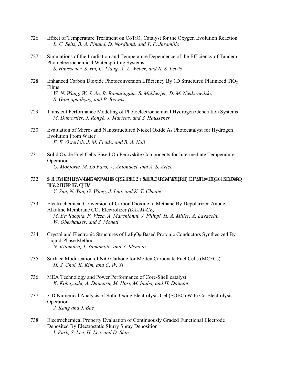- 726 Effect of Temperature Treatment on  $\text{CoTiO}_x$  Catalyst for the Oxygen Evolution Reaction  *L. C. Seitz, B. A. Pinaud, D. Nordlund, and T. F. Jaramillo*
- 727 Simulations of the Irradiation and Temperature Dependence of the Efficiency of Tandem Photoelectrochemical Watersplitting Systems  *S. Haussener, S. Hu, C. Xiang, A. Z. Weber, and N. S. Lewis*
- 728 Enhanced Carbon Dioxide Photoconversion Efficiency By 1D Structured Platinized TiO<sub>2</sub> Films  *W. N. Wang, W. J. An, B. Ramalingam, S. Mukherjee, D. M. Niedzwiedzki, S. Gangopadhyay, and P. Biswas*
- 729 Transient Performance Modeling of Photoelectrochemical Hydrogen Generation Systems  *M. Dumortier, J. Rongé, J. Martens, and S. Haussener*
- 730 Evaluation of Micro- and Nanostructured Nickel Oxide As Photocatalyst for Hydrogen Evolution From Water  *F. E. Osterloh, J. M. Fields, and B. A. Nail*
- 731 Solid Oxide Fuel Cells Based On Perovskite Components for Intermediate Temperature Operation  *G. Monforte, M. Lo Faro, V. Antonucci, and A. S. Aricò*
- 732 C'P qx griRgtqxurrkg"Uxt we wat g'C pqf g''qh'UOHE 'hat 'Rtqf we vkqp''qh'Grgevt kekyf ''cpf' 'Ugr ct c vkqp qh'EO'htqo 'U{ pi cu  *Y. Sun, N. Yan, G. Wang, J. Luo, and K. T. Chuang*
- 733 Electrochemical Conversion of Carbon Dioxide to Methane By Depolarized Anode Alkaline Membrane CO<sub>2</sub> Electrolizer (DAAM-CE)  *M. Bevilacqua, F. Vizza, A. Marchionni, J. Filippi, H. A. Miller, A. Lavacchi, W. Oberhauser, and S. Moneti*
- 734 Crystal and Electronic Structures of  $LaP_3O_9$ -Based Protonic Conductors Synthesized By Liquid-Phase Method  *N. Kitamura, J. Yamamoto, and Y. Idemoto*
- 735 Surface Modification of NiO Cathode for Molten Carbonate Fuel Cells (MCFCs)  *H. S. Choi, K. Kim, and C. W. Yi*
- 736 MEA Technology and Power Performance of Core-Shell catalyst  *K. Kobayashi, A. Daimaru, M. Hori, M. Inaba, and H. Daimon*
- 737 3-D Numerical Analysis of Solid Oxide Electrolysis Cell(SOEC) With Co-Electrolysis Operation  *J. Kang and J. Bae*
- 738 Electrochemical Property Evaluation of Continuously Graded Functional Electrode Deposited By Electrostatic Slurry Spray Deposition  *I. Park, S. Lee, H. Lee, and D. Shin*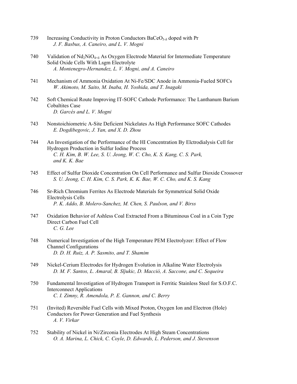- 739 Increasing Conductivity in Proton Conductors  $BaCeO<sub>3-δ</sub>$  doped with Pr  *J. F. Basbus, A. Caneiro, and L. V. Mogni*
- 740 Validation of  $Nd_2NiO_{4+\delta}$  As Oxygen Electrode Material for Intermediate Temperature Solid Oxide Cells With Lsgm Electrolyte  *A. Montenegro-Hernandez, L. V. Mogni, and A. Caneiro*
- 741 Mechanism of Ammonia Oxidation At Ni-Fe/SDC Anode in Ammonia-Fueled SOFCs  *W. Akimoto, M. Saito, M. Inaba, H. Yoshida, and T. Inagaki*
- 742 Soft Chemical Route Improving IT-SOFC Cathode Performance: The Lanthanum Barium Cobaltites Case  *D. Garcés and L. V. Mogni*
- 743 Nonstoichiometric A-Site Deficient Nickelates As High Performance SOFC Cathodes  *E. Dogdibegovic, J. Yan, and X. D. Zhou*
- 744 An Investigation of the Performance of the HI Concentration By Elctrodialysis Cell for Hydrogen Production in Sulfur Iodine Process  *C. H. Kim, B. W. Lee, S. U. Jeong, W. C. Cho, K. S. Kang, C. S. Park, and K. K. Bae*
- 745 Effect of Sulfur Dioxide Concentration On Cell Performance and Sulfur Dioxide Crossover  *S. U. Jeong, C. H. Kim, C. S. Park, K. K. Bae, W. C. Cho, and K. S. Kang*
- 746 Sr-Rich Chromium Ferrites As Electrode Materials for Symmetrical Solid Oxide Electrolysis Cells  *P. K. Addo, B. Molero-Sanchez, M. Chen, S. Paulson, and V. Birss*
- 747 Oxidation Behavior of Ashless Coal Extracted From a Bituminous Coal in a Coin Type Direct Carbon Fuel Cell  *C. G. Lee*
- 748 Numerical Investigation of the High Temperature PEM Electrolyzer: Effect of Flow Channel Configurations  *D. D. H. Ruiz, A. P. Sasmito, and T. Shamim*
- 749 Nickel-Cerium Electrodes for Hydrogen Evolution in Alkaline Water Electrolysis  *D. M. F. Santos, L. Amaral, B. Sljukic, D. Macciò, A. Saccone, and C. Sequeira*
- 750 Fundamental Investigation of Hydrogen Transport in Ferritic Stainless Steel for S.O.F.C. Interconnect Applications  *C. I. Zimny, R. Amendola, P. E. Gannon, and C. Berry*
- 751 (Invited) Reversible Fuel Cells with Mixed Proton, Oxygen Ion and Electron (Hole) Conductors for Power Generation and Fuel Synthesis  *A. V. Virkar*
- 752 Stability of Nickel in Ni/Zirconia Electrodes At High Steam Concentrations  *O. A. Marina, L. Chick, C. Coyle, D. Edwards, L. Pederson, and J. Stevenson*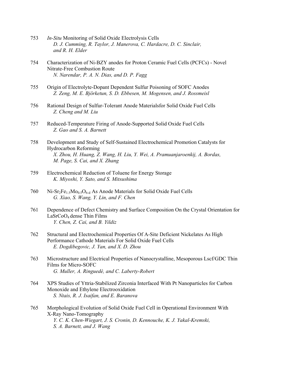- 753 *In-Situ* Monitoring of Solid Oxide Electrolysis Cells  *D. J. Cumming, R. Taylor, J. Manerova, C. Hardacre, D. C. Sinclair, and R. H. Elder*
- 754 Characterization of Ni-BZY anodes for Proton Ceramic Fuel Cells (PCFCs) Novel Nitrate-Free Combustion Route  *N. Narendar, P. A. N. Dias, and D. P. Fagg*
- 755 Origin of Electrolyte-Dopant Dependent Sulfur Poisoning of SOFC Anodes  *Z. Zeng, M. E. Björketun, S. D. Ebbesen, M. Mogensen, and J. Rossmeisl*
- 756 Rational Design of Sulfur-Tolerant Anode Materialsfor Solid Oxide Fuel Cells  *Z. Cheng and M. Liu*
- 757 Reduced-Temperature Firing of Anode-Supported Solid Oxide Fuel Cells  *Z. Gao and S. A. Barnett*
- 758 Development and Study of Self-Sustained Electrochemical Promotion Catalysts for Hydrocarbon Reforming  *X. Zhou, H. Huang, Z. Wang, H. Liu, Y. Wei, A. Pramuanjaroenkij, A. Bordas, M. Page, S. Cai, and X. Zhang*
- 759 Electrochemical Reduction of Toluene for Energy Storage  *K. Miyoshi, Y. Sato, and S. Mitsushima*
- 760 Ni-Sr<sub>2</sub>Fe<sub>1.5</sub>Mo<sub>0.5</sub>O<sub>6-d</sub> As Anode Materials for Solid Oxide Fuel Cells  *G. Xiao, S. Wang, Y. Lin, and F. Chen*
- 761 Dependence of Defect Chemistry and Surface Composition On the Crystal Orientation for LaSrCoO4 dense Thin Films  *Y. Chen, Z. Cai, and B. Yildiz*
- 762 Structural and Electrochemical Properties Of A-Site Deficient Nickelates As High Performance Cathode Materials For Solid Oxide Fuel Cells  *E. Dogdibegovic, J. Yan, and X. D. Zhou*
- 763 Microstructure and Electrical Properties of Nanocrystalline, Mesoporous Lscf/GDC Thin Films for Micro-SOFC  *G. Muller, A. Ringuedé, and C. Laberty-Robert*
- 764 XPS Studies of Yttria-Stabilized Zirconia Interfaced With Pt Nanoparticles for Carbon Monoxide and Ethylene Electrooxidation  *S. Ntais, R. J. Isaifan, and E. Baranova*
- 765 Morphological Evolution of Solid Oxide Fuel Cell in Operational Environment With X-Ray Nano-Tomography  *Y. C. K. Chen-Wiegart, J. S. Cronin, D. Kennouche, K. J. Yakal-Kremski, S. A. Barnett, and J. Wang*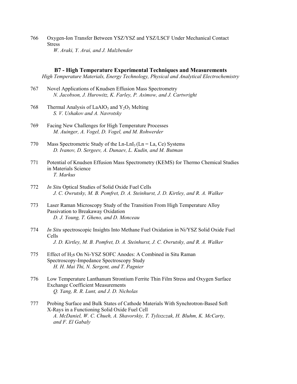766 Oxygen-Ion Transfer Between YSZ/YSZ and YSZ/LSCF Under Mechanical Contact **Stress**  *W. Araki, Y. Arai, and J. Malzbender* 

## **B7 - High Temperature Experimental Techniques and Measurements**

*High Temperature Materials, Energy Technology, Physical and Analytical Electrochemistry* 

- 767 Novel Applications of Knudsen Effusion Mass Spectrometry  *N. Jacobson, J. Hurowitz, K. Farley, P. Asimow, and J. Cartwright*
- 768 Thermal Analysis of LaAlO<sub>3</sub> and Y<sub>2</sub>O<sub>3</sub> Melting  *S. V. Ushakov and A. Navrotsky*
- 769 Facing New Challenges for High Temperature Processes  *M. Auinger, A. Vogel, D. Vogel, and M. Rohwerder*
- 770 Mass Spectrometric Study of the Ln-LnI<sub>3</sub> (Ln = La, Ce) Systems  *D. Ivanov, D. Sergeev, A. Dunaev, L. Kudin, and M. Butman*
- 771 Potential of Knudsen Effusion Mass Spectrometry (KEMS) for Thermo Chemical Studies in Materials Science  *T. Markus*
- 772 *In Situ* Optical Studies of Solid Oxide Fuel Cells  *J. C. Owrutsky, M. B. Pomfret, D. A. Steinhurst, J. D. Kirtley, and R. A. Walker*
- 773 Laser Raman Microscopy Study of the Transition From High Temperature Alloy Passivation to Breakaway Oxidation  *D. J. Young, T. Gheno, and D. Monceau*
- 774 *In Situ* spectroscopic Insights Into Methane Fuel Oxidation in Ni/YSZ Solid Oxide Fuel Cells  *J. D. Kirtley, M. B. Pomfret, D. A. Steinhurst, J. C. Owrutsky, and R. A. Walker*
- 775 Effect of H<sub>2</sub>s On Ni-YSZ SOFC Anodes: A Combined in Situ Raman Spectroscopy-Impedance Spectroscopy Study  *H. H. Mai Thi, N. Sergent, and T. Pagnier*
- 776 Low Temperature Lanthanum Strontium Ferrite Thin Film Stress and Oxygen Surface Exchange Coefficient Measurements  *Q. Yang, R. R. Lunt, and J. D. Nicholas*
- 777 Probing Surface and Bulk States of Cathode Materials With Synchrotron-Based Soft X-Rays in a Functioning Solid Oxide Fuel Cell  *A. McDaniel, W. C. Chueh, A. Shavorskiy, T. Tyliszczak, H. Bluhm, K. McCarty, and F. El Gabaly*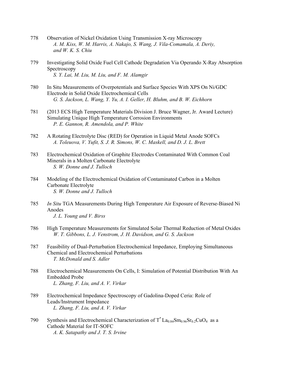- 778 Observation of Nickel Oxidation Using Transmission X-ray Microscopy  *A. M. Kiss, W. M. Harris, A. Nakajo, S. Wang, J. Vila-Comamala, A. Deriy, and W. K. S. Chiu*
- 779 Investigating Solid Oxide Fuel Cell Cathode Degradation Via Operando X-Ray Absorption Spectroscopy  *S. Y. Lai, M. Liu, M. Liu, and F. M. Alamgir*
- 780 In Situ Measurements of Overpotentials and Surface Species With XPS On Ni/GDC Electrode in Solid Oxide Electrochemical Cells  *G. S. Jackson, L. Wang, Y. Yu, A. I. Geller, H. Bluhm, and B. W. Eichhorn*
- 781 (2013 ECS High Temperature Materials Division J. Bruce Wagner, Jr. Award Lecture) Simulating Unique High Temperature Corrosion Environments  *P. E. Gannon, R. Amendola, and P. White*
- 782 A Rotating Electrolyte Disc (RED) for Operation in Liquid Metal Anode SOFCs  *A. Toleuova, V. Yufit, S. J. R. Simons, W. C. Maskell, and D. J. L. Brett*
- 783 Electrochemical Oxidation of Graphite Electrodes Contaminated With Common Coal Minerals in a Molten Carbonate Electrolyte  *S. W. Donne and J. Tulloch*
- 784 Modeling of the Electrochemical Oxidation of Contaminated Carbon in a Molten Carbonate Electrolyte  *S. W. Donne and J. Tulloch*
- 785 *In Situ* TGA Measurements During High Temperature Air Exposure of Reverse-Biased Ni Anodes  *J. L. Young and V. Birss*
- 786 High Temperature Measurements for Simulated Solar Thermal Reduction of Metal Oxides  *W. T. Gibbons, L. J. Venstrom, J. H. Davidson, and G. S. Jackson*
- 787 Feasibility of Dual-Perturbation Electrochemical Impedance, Employing Simultaneous Chemical and Electrochemical Perturbations  *T. McDonald and S. Adler*
- 788 Electrochemical Measurements On Cells, I: Simulation of Potential Distribution With An Embedded Probe  *L. Zhang, F. Liu, and A. V. Virkar*
- 789 Electrochemical Impedance Spectroscopy of Gadolina-Doped Ceria: Role of Leads/Instrument Impedance  *L. Zhang, F. Liu, and A. V. Virkar*
- 790 Synthesis and Electrochemical Characterization of  $T^*$  La<sub>0.84</sub>Sm<sub>0.96</sub>Sr<sub>0.2</sub>CuO<sub>4</sub> as a Cathode Material for IT-SOFC  *A. K. Satapathy and J. T. S. Irvine*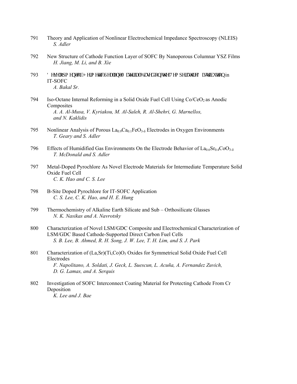- 791 Theory and Application of Nonlinear Electrochemical Impedance Spectroscopy (NLEIS)  *S. Adler*
- 792 New Structure of Cathode Function Layer of SOFC By Nanoporous Columnar YSZ Films  *H. Jiang, M. Li, and B. Xie*
- 793 F gxgm ro gpv'qh'J gto gyle 'Ugcncpy'O cygtleri'Dcugf ''qp''y g 'Vgo r gtcwtg 'F kuwtkhwkqp in IT-SOFC  *A. Bakal Sr.*
- 794 Iso-Octane Internal Reforming in a Solid Oxide Fuel Cell Using  $Co/CeO<sub>2</sub>$  as Anodic Composites  *A. A. Al-Musa, V. Kyriakou, M. Al-Saleh, R. Al-Shehri, G. Marnellos, and N. Kaklidis*
- 795 Nonlinear Analysis of Porous  $\text{La}_{0.9}\text{Ca}_{0.1}\text{FeO}_{3.6}$  Electrodes in Oxygen Environments  *T. Geary and S. Adler*
- 796 Effects of Humidified Gas Environments On the Electrode Behavior of  $La_0$ <sub>6</sub>Sr<sub>0</sub> $_4$ CoO<sub>3-δ</sub>  *T. McDonald and S. Adler*
- 797 Metal-Doped Pyrochlore As Novel Electrode Materials for Intermediate Temperature Solid Oxide Fuel Cell  *C. K. Hao and C. S. Lee*
- 798 B-Site Doped Pyrochlore for IT-SOFC Application  *C. S. Lee, C. K. Hao, and H. E. Hung*
- 799 Thermochemistry of Alkaline Earth Silicate and Sub Orthosilicate Glasses  *N. K. Nasikas and A. Navrotsky*
- 800 Characterization of Novel LSM/GDC Composite and Electrochemical Characterization of LSM/GDC Based Cathode-Supported Direct Carbon Fuel Cells  *S. B. Lee, B. Ahmed, R. H. Song, J. W. Lee, T. H. Lim, and S. J. Park*
- 801 Characterization of  $(La, Sr)(Ti, Co)O<sub>3</sub> Oxides$  for Symmetrical Solid Oxide Fuel Cell Electrodes  *F. Napolitano, A. Soldati, J. Geck, L. Suescun, L. Acuña, A. Fernandez Zuvich, D. G. Lamas, and A. Serquis*
- 802 Investigation of SOFC Interconnect Coating Material for Protecting Cathode From Cr Deposition  *K. Lee and J. Bae*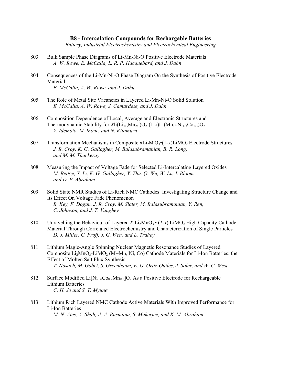### **B8 - Intercalation Compounds for Rechargable Batteries**

*Battery, Industrial Electrochemistry and Electrochemical Engineering* 

- 803 Bulk Sample Phase Diagrams of Li-Mn-Ni-O Positive Electrode Materials  *A. W. Rowe, E. McCalla, L. R. P. Hacquebard, and J. Dahn*
- 804 Consequences of the Li-Mn-Ni-O Phase Diagram On the Synthesis of Positive Electrode Material  *E. McCalla, A. W. Rowe, and J. Dahn*
- 805 The Role of Metal Site Vacancies in Layered Li-Mn-Ni-O Solid Solution  *E. McCalla, A. W. Rowe, J. Camardese, and J. Dahn*
- 806 Composition Dependence of Local, Average and Electronic Structures and Thermodynamic Stability for  $Xli(Li_{1/3}Mn_{2/3})O_2-(1-x)Li(Mn_{1/3}Ni_{1/3}Co_{1/3})O_2$  *Y. Idemoto, M. Inoue, and N. Kitamura*
- 807 Transformation Mechanisms in Composite  $xLi<sub>2</sub>M'O<sub>3</sub>(1-x)LiMO<sub>2</sub>$  Electrode Structures  *J. R. Croy, K. G. Gallagher, M. Balasubramanian, B. R. Long, and M. M. Thackeray*
- 808 Measuring the Impact of Voltage Fade for Selected Li-Intercalating Layered Oxides  *M. Bettge, Y. Li, K. G. Gallagher, Y. Zhu, Q. Wu, W. Lu, I. Bloom, and D. P. Abraham*
- 809 Solid State NMR Studies of Li-Rich NMC Cathodes: Investigating Structure Change and Its Effect On Voltage Fade Phenomenon  *B. Key, F. Dogan, J. R. Croy, M. Slater, M. Balasubramanian, Y. Ren, C. Johnson, and J. T. Vaughey*
- 810 Unravelling the Behaviour of Layered  $X_{12}MnO_3 \cdot (1-x)$  LiMO<sub>2</sub> High Capacity Cathode Material Through Correlated Electrochemistry and Characterization of Single Particles  *D. J. Miller, C. Proff, J. G. Wen, and L. Trahey*
- 811 Lithium Magic-Angle Spinning Nuclear Magnetic Resonance Studies of Layered Composite  $Li<sub>2</sub>MnO<sub>3</sub>$ -LiMO<sub>2</sub> (M=Mn, Ni, Co) Cathode Materials for Li-Ion Batteries: the Effect of Molten Salt Flux Synthesis  *T. Nosach, M. Gobet, S. Greenbaum, E. O. Ortiz-Quiles, J. Soler, and W. C. West*
- 812 Surface Modified  $Li[Ni_{0.6}Co_{0.2}Mn_{0.2}]O_2$  As a Positive Electrode for Rechargeable Lithium Batteries  *C. H. Jo and S. T. Myung*
- 813 Lithium Rich Layered NMC Cathode Active Materials With Improved Performance for Li-Ion Batteries  *M. N. Ates, A. Shah, A. A. Busnaina, S. Mukerjee, and K. M. Abraham*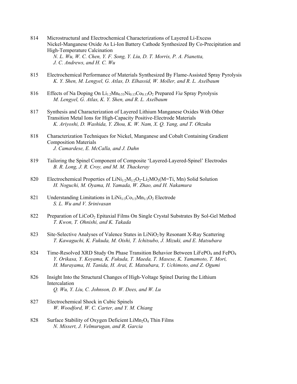- 814 Microstructural and Electrochemical Characterizations of Layered Li-Excess Nickel-Manganese Oxide As Li-Ion Battery Cathode Synthesized By Co-Precipitation and High-Temperature Calcination  *N. L. Wu, W. C. Chen, Y. F. Song, Y. Liu, D. T. Morris, P. A. Pianetta, J. C. Andrews, and H. C. Wu*
- 815 Electrochemical Performance of Materials Synthesized By Flame-Assisted Spray Pyrolysis  *K. Y. Shen, M. Lengyel, G. Atlas, D. Elhassid, W. Moller, and R. L. Axelbaum*
- 816 Effects of Na Doping On  $Li_{1,2}Mn_{0.53}Ni_{0.13}Co_{0.13}O_2$  Prepared *Via* Spray Pyrolysis  *M. Lengyel, G. Atlas, K. Y. Shen, and R. L. Axelbaum*
- 817 Synthesis and Characterization of Layered Lithium Manganese Oxides With Other Transition Metal Ions for High-Capacity Positive-Electrode Materials  *K. Ariyoshi, D. Washida, Y. Zhou, K. W. Nam, X. Q. Yang, and T. Ohzuku*
- 818 Characterization Techniques for Nickel, Manganese and Cobalt Containing Gradient Composition Materials  *J. Camardese, E. McCalla, and J. Dahn*
- 819 Tailoring the Spinel Component of Composite 'Layered-Layered-Spinel' Electrodes  *B. R. Long, J. R. Croy, and M. M. Thackeray*
- 820 Electrochemical Properties of  $LiNi<sub>1/2</sub>M<sub>1/2</sub>O<sub>2</sub>-Li<sub>2</sub>MO<sub>3</sub>(M=Ti, Mn)$  Solid Solution  *H. Noguchi, M. Oyama, H. Yamada, W. Zhao, and H. Nakamura*
- 821 Understanding Limitations in  $LiNi<sub>1/3</sub>Co<sub>1/3</sub>Mn<sub>1/3</sub>O<sub>2</sub> Electrode$  *S. L. Wu and V. Srinivasan*
- 822 Preparation of LiCoO<sub>2</sub> Epitaxial Films On Single Crystal Substrates By Sol-Gel Method  *T. Kwon, T. Ohnishi, and K. Takada*
- 823 Site-Selective Analyses of Valence States in LiNiO<sub>2</sub> by Resonant X-Ray Scattering  *T. Kawaguchi, K. Fukuda, M. Oishi, T. Ichitsubo, J. Mizuki, and E. Matsubara*
- 824 Time-Resolved XRD Study On Phase Transition Behavior Between LiFePO<sub>4</sub> and FePO<sub>4</sub>  *Y. Orikasa, Y. Koyama, K. Fukuda, T. Maeda, T. Masese, K. Yamamoto, T. Mori, H. Murayama, H. Tanida, H. Arai, E. Matsubara, Y. Uchimoto, and Z. Ogumi*
- 826 Insight Into the Structural Changes of High-Voltage Spinel During the Lithium Intercalation  *Q. Wu, Y. Liu, C. Johnson, D. W. Dees, and W. Lu*
- 827 Electrochemical Shock in Cubic Spinels  *W. Woodford, W. C. Carter, and Y. M. Chiang*
- 828 Surface Stability of Oxygen Deficient  $Lim<sub>2</sub>O<sub>4</sub>$  Thin Films  *N. Missert, J. Velmurugan, and R. Garcia*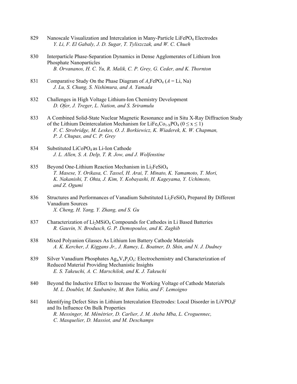- 829 Nanoscale Visualization and Intercalation in Many-Particle LiFePO<sub>4</sub> Electrodes  *Y. Li, F. El Gabaly, J. D. Sugar, T. Tyliszczak, and W. C. Chueh*
- 830 Interparticle Phase-Separation Dynamics in Dense Agglomerates of Lithium Iron Phosphate Nanoparticles  *B. Orvananos, H. C. Yu, R. Malik, C. P. Grey, G. Ceder, and K. Thornton*
- 831 Comparative Study On the Phase Diagram of  $A_x \text{FePO}_4$  ( $A = \text{Li}$ , Na)  *J. Lu, S. Chung, S. Nishimura, and A. Yamada*
- 832 Challenges in High Voltage Lithium-Ion Chemistry Development  *D. Ofer, J. Treger, L. Nation, and S. Sriramulu*
- 833 A Combined Solid-State Nuclear Magnetic Resonance and in Situ X-Ray Diffraction Study of the Lithium Deintercalation Mechanism for LiFe<sub>x</sub>Co<sub>1-X</sub>PO<sub>4</sub> ( $0 \le x \le 1$ )  *F. C. Strobridge, M. Leskes, O. J. Borkiewicz, K. Wiaderek, K. W. Chapman, P. J. Chupas, and C. P. Grey*
- 834 Substituted LiCoPO<sub>4</sub> as Li-Ion Cathode  *J. L. Allen, S. A. Delp, T. R. Jow, and J. Wolfenstine*
- 835 Beyond One-Lithium Reaction Mechanism in  $Li<sub>2</sub>FeSiO<sub>4</sub>$  *T. Masese, Y. Orikasa, C. Tassel, H. Arai, T. Minato, K. Yamamoto, T. Mori, K. Nakanishi, T. Ohta, J. Kim, Y. Kobayashi, H. Kageyama, Y. Uchimoto, and Z. Ogumi*
- 836 Structures and Performances of Vanadium Substituted Li<sub>2</sub>FeSiO<sub>4</sub> Prepared By Different Vanadium Sources  *X. Cheng, H. Yang, Y. Zhang, and S. Gu*
- 837 Characterization of Li<sub>2</sub>MSiO<sub>4</sub> Compounds for Cathodes in Li Based Batteries  *R. Gauvin, N. Brodusch, G. P. Demopoulos, and K. Zaghib*
- 838 Mixed Polyanion Glasses As Lithium Ion Battery Cathode Materials  *A. K. Kercher, J. Kiggans Jr., J. Ramey, L. Boatner, D. Shin, and N. J. Dudney*
- 839 Silver Vanadium Phosphates  $Ag_wV_xP_vO_z$ : Electrochemistry and Characterization of Reduced Material Providing Mechanistic Insights  *E. S. Takeuchi, A. C. Marschilok, and K. J. Takeuchi*
- 840 Beyond the Inductive Effect to Increase the Working Voltage of Cathode Materials  *M. L. Doublet, M. Saubanère, M. Ben Yahia, and F. Lemoigno*
- 841 Identifying Defect Sites in Lithium Intercalation Electrodes: Local Disorder in LiVPO<sub>4</sub>F and Its Influence On Bulk Properties  *R. Messinger, M. Ménétrier, D. Carlier, J. M. Ateba Mba, L. Croguennec, C. Masquelier, D. Massiot, and M. Deschamps*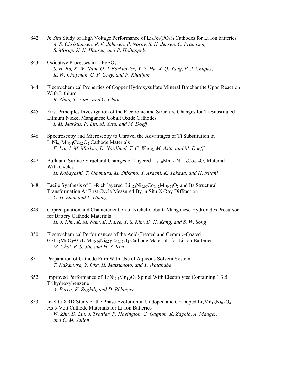- 842 *In Situ* Study of High Voltage Performance of Li<sub>3</sub>Fe<sub>2</sub>(PO<sub>4</sub>)<sub>3</sub> Cathodes for Li Ion batteries  *A. S. Christiansen, R. E. Johnsen, P. Norby, S. H. Jensen, C. Frandsen, S. Mørup, K. K. Hansen, and P. Holtappels*
- 843 Oxidative Processes in LiFeBO<sub>3</sub>  *S. H. Bo, K. W. Nam, O. J. Borkiewicz, Y. Y. Hu, X. Q. Yang, P. J. Chupas, K. W. Chapman, C. P. Grey, and P. Khalifah*
- 844 Electrochemical Properties of Copper Hydroxysulfate Mineral Brochantite Upon Reaction With Lithium  *R. Zhao, T. Yang, and C. Chan*
- 845 First Principles Investigation of the Electronic and Structure Changes for Ti-Substituted Lithium Nickel Manganese Cobalt Oxide Cathodes  *I. M. Markus, F. Lin, M. Asta, and M. Doeff*
- 846 Spectroscopy and Microscopy to Unravel the Advantages of Ti Substitution in  $LiNi<sub>0.4</sub>Mn<sub>0.4</sub>Co<sub>0.2</sub>O<sub>2</sub>$  Cathode Materials  *F. Lin, I. M. Markus, D. Nordlund, T. C. Weng, M. Asta, and M. Doeff*
- 847 Bulk and Surface Structural Changes of Layered  $Li_{1,20}Mn_{0.55}Ni_{0.16}Co_{0.09}O_{2}$  Material With Cycles  *H. Kobayashi, T. Okumura, M. Shikano, Y. Arachi, K. Takada, and H. Nitani*
- 848 Facile Synthesis of Li-Rich layered Li<sub>1.23</sub>Ni<sub>0.09</sub>Co<sub>0.12</sub>Mn<sub>0.56</sub>O<sub>2</sub> and Its Structural Transformation At First Cycle Measured By in Situ X-Ray Diffraction  *C. H. Shen and L. Huang*
- 849 Coprecipitation and Characterization of Nickel-Cobalt- Manganese Hydroxides Precursor for Battery Cathode Materials  *H. J. Kim, K. M. Nam, E. J. Lee, Y. S. Kim, D. H. Kang, and S. W. Song*
- 850 Electrochemical Performances of the Acid-Treated and Ceramic-Coated  $0.3Li_2MnO_3$ •0.7Li $Mn_0$ <sub>60</sub>Ni<sub>0.25</sub>Co<sub>0.15</sub>O<sub>2</sub> Cathode Materials for Li-Ion Batteries  *M. Choi, B. S. Jin, and H. S. Kim*
- 851 Preparation of Cathode Film With Use of Aqueous Solvent System  *T. Nakamura, Y. Oka, H. Matsumoto, and Y. Watanabe*
- 852 Improved Performance of  $LiNi<sub>0.5</sub>Mn<sub>1.5</sub>O<sub>4</sub>$  Spinel With Electrolytes Containing 1,3,5 Trihydroxybenzene  *A. Perea, K. Zaghib, and D. Bélanger*
- 853 In-Situ XRD Study of the Phase Evolution in Undoped and Cr-Doped  $Li_xMn_1\bar{5}Ni_0\bar{5}O_4$  As 5-Volt Cathode Materials for Li-Ion Batteries  *W. Zhu, D. Liu, J. Trottier, P. Hovington, C. Gagnon, K. Zaghib, A. Mauger, and C. M. Julien*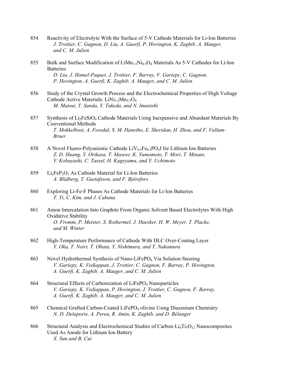- 854 Reactivity of Electrolyte With the Surface of 5-V Cathode Materials for Li-Ion Batteries  *J. Trottier, C. Gagnon, D. Liu, A. Guerfi, P. Hovington, K. Zaghib, A. Mauger, and C. M. Julien*
- 855 Bulk and Surface Modification of  $\text{Lim}_{1.5}\text{Ni}_{0.5}\text{O}_4$  Materials As 5-V Cathodes for Li-Ion **Batteries**  *D. Liu, J. Hamel-Paquet, J. Trottier, F. Barray, V. Gariepy, C. Gagnon, P. Hovington, A. Guerfi, K. Zaghib, A. Mauger, and C. M. Julien*
- 856 Study of the Crystal Growth Process and the Electrochemical Properties of High Voltage Cathode Active Materials:  $LiNi<sub>1/2</sub>Mn<sub>3/2</sub>O<sub>4</sub>$  *M. Matsui, T. Sanda, Y. Takeda, and N. Imanishi*
- 857 Synthesis of Li<sub>2</sub>FeSiO<sub>4</sub> Cathode Materials Using Inexpensive and Abundant Materials By Conventional Methods  *T. Mokkelbost, A. Fossdal, S. M. Hanetho, E. Sheridan, H. Zhou, and F. Vullum- Bruer*
- 858 A Novel Fluoro-Polyanionic Cathode  $\text{LiV}_{0.5}\text{Fe}_{0.5}\text{PO}_4$  f for Lithium Ion Batteries  *Z. D. Huang, Y. Orikasa, T. Masese, K. Yamamoto, T. Mori, T. Minato, Y. Kobayashi, C. Tassel, H. Kageyama, and Y. Uchimoto*
- 859 Li<sub>2</sub>FeP<sub>2</sub>O<sub>7</sub> As Cathode Material for Li-Ion Batteries  *A. Blidberg, T. Gustafsson, and F. Björefors*
- 860 Exploring Li-Fe-F Phases As Cathode Materials for Li-Ion Batteries  *T. Yi, C. Kim, and J. Cabana*
- 861 Anion Intercalation Into Graphite From Organic Solvent Based Electrolytes With High Oxidative Stability  *O. Fromm, P. Meister, S. Rothermel, J. Huesker, H. W. Meyer, T. Placke, and M. Winter*
- 862 High-Temperature Performance of Cathode With DLC Over-Coating Layer  *Y. Oka, T. Noiri, T. Obata, Y. Nishimura, and T. Nakamura*
- 863 Novel Hydrothermal Synthesis of Nano-LiFePO<sub>4</sub> Via Solution Steering  *V. Gariepy, K. Vediappan, J. Trottier, C. Gagnon, F. Barray, P. Hovington, A. Guerfi, K. Zaghib, A. Mauger, and C. M. Julien*
- 864 Structural Effects of Carbonization of LiFePO<sub>4</sub> Nanoparticles  *V. Gariepy, K. Vediappan, P. Hovington, J. Trottier, C. Gagnon, F. Barray, A. Guerfi, K. Zaghib, A. Mauger, and C. M. Julien*
- 865 Chemical Grafted Carbon-Coated LiFePO<sub>4</sub> olivine Using Diazonium Chemistry  *N. D. Delaporte, A. Perea, R. Amin, K. Zaghib, and D. Bélanger*
- 866 Structural Analysis and Electrochemical Studies of Carbon-Li<sub>4</sub>Ti<sub>5</sub>O<sub>12</sub> Nanocomposites Used As Anode for Lithium Ion Battery  *X. Sun and B. Cui*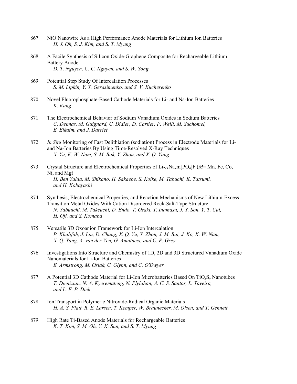- 867 NiO Nanowire As a High Performance Anode Materials for Lithium Ion Batteries  *H. J. Oh, S. J. Kim, and S. T. Myung*
- 868 A Facile Synthesis of Silicon Oxide-Graphene Composite for Rechargeable Lithium Battery Anode  *D. T. Nguyen, C. C. Nguyen, and S. W. Song*
- 869 Potential Step Study Of Intercalation Processes  *S. M. Lipkin, Y. Y. Gerasimenko, and S. V. Kucherenko*
- 870 Novel Fluorophosphate-Based Cathode Materials for Li- and Na-Ion Batteries  *K. Kang*
- 871 The Electrochemical Behavior of Sodium Vanadium Oxides in Sodium Batteries  *C. Delmas, M. Guignard, C. Didier, D. Carlier, F. Weill, M. Suchomel, E. Elkaim, and J. Darriet*
- 872 *In Situ* Monitoring of Fast Delithiation (sodiation) Process in Electrode Materials for Li and Na-Ion Batteries By Using Time-Resolved X-Ray Techniques  *X. Yu, K. W. Nam, S. M. Bak, Y. Zhou, and X. Q. Yang*
- 873 Crystal Structure and Electrochemical Properties of Li2-XNaxm[PO4]F (*M*= Mn, Fe, Co, Ni, and Mg)  *H. Ben Yahia, M. Shikano, H. Sakaebe, S. Koike, M. Tabuchi, K. Tatsumi, and H. Kobayashi*
- 874 Synthesis, Electrochemical Properties, and Reaction Mechanisms of New Lithium-Excess Transition Metal Oxides With Cation Disordered Rock-Salt-Type Structure  *N. Yabuuchi, M. Takeuchi, D. Endo, T. Ozaki, T. Inamasu, J. Y. Son, Y. T. Cui, H. Oji, and S. Komaba*
- 875 Versatile 3D Oxoanion Framework for Li-Ion Intercalation  *P. Khalifah, J. Liu, D. Chang, X. Q. Yu, Y. Zhou, J. M. Bai, J. Ko, K. W. Nam, X. Q. Yang, A. van der Ven, G. Amatucci, and C. P. Grey*
- 876 Investigations Into Structure and Chemistry of 1D, 2D and 3D Structured Vanadium Oxide Nanomaterials for Li-Ion Batteries  *E. Armstrong, M. Osiak, C. Glynn, and C. O'Dwyer*
- 877 A Potential 3D Cathode Material for Li-Ion Microbatteries Based On TiO*x*S*y* Nanotubes  *T. Djenizian, N. A. Kyeremateng, N. Plylahan, A. C. S. Santos, L. Taveira, and L. F. P. Dick*
- 878 Ion Transport in Polymeric Nitroxide-Radical Organic Materials  *H. A. S. Platt, R. E. Larsen, T. Kemper, W. Braunecker, M. Olsen, and T. Gennett*
- 879 High Rate Ti-Based Anode Materials for Rechargeable Batteries  *K. T. Kim, S. M. Oh, Y. K. Sun, and S. T. Myung*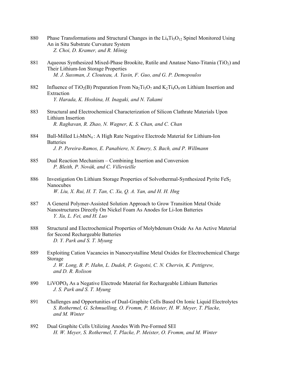- 880 Phase Transformations and Structural Changes in the  $Li<sub>4</sub>Ti<sub>5</sub>O<sub>12</sub>$  Spinel Monitored Using An in Situ Substrate Curvature System  *Z. Choi, D. Kramer, and R. Mönig*
- 881 Aqueous Synthesized Mixed-Phase Brookite, Rutile and Anatase Nano-Titania (TiO<sub>2</sub>) and Their Lithium-Ion Storage Properties  *M. J. Sussman, J. Clouteau, A. Yasin, F. Guo, and G. P. Demopoulos*
- 882 Influence of TiO<sub>2</sub>(B) Preparation From Na<sub>2</sub>Ti<sub>3</sub>O<sub>7</sub> and K<sub>2</sub>Ti<sub>4</sub>O<sub>9</sub> on Lithium Insertion and Extraction  *Y. Harada, K. Hoshina, H. Inagaki, and N. Takami*
- 883 Structural and Electrochemical Characterization of Silicon Clathrate Materials Upon Lithium Insertion  *R. Raghavan, R. Zhao, N. Wagner, K. S. Chan, and C. Chan*
- 884 Ball-Milled  $Li<sub>7</sub>MnN<sub>4</sub>$ : A High Rate Negative Electrode Material for Lithium-Ion **Batteries**  *J. P. Pereira-Ramos, E. Panabiere, N. Emery, S. Bach, and P. Willmann*
- 885 Dual Reaction Mechanism Combining Insertion and Conversion  *P. Bleith, P. Novák, and C. Villevieille*
- 886 Investigation On Lithium Storage Properties of Solvothermal-Synthesized Pyrite FeS<sub>2</sub> Nanocubes  *W. Liu, X. Rui, H. T. Tan, C. Xu, Q. A. Yan, and H. H. Hng*
- 887 A General Polymer-Assisted Solution Approach to Grow Transition Metal Oxide Nanostructures Directly On Nickel Foam As Anodes for Li-Ion Batteries  *Y. Xu, L. Fei, and H. Luo*
- 888 Structural and Electrochemical Properties of Molybdenum Oxide As An Active Material for Second Rechargeable Batteries  *D. Y. Park and S. T. Myung*
- 889 Exploiting Cation Vacancies in Nanocrystalline Metal Oxides for Electrochemical Charge Storage  *J. W. Long, B. P. Hahn, L. Dudek, P. Gogotsi, C. N. Chervin, K. Pettigrew, and D. R. Rolison*
- 890 LiVOPO4 As a Negative Electrode Material for Rechargeable Lithium Batteries  *J. S. Park and S. T. Myung*
- 891 Challenges and Opportunities of Dual-Graphite Cells Based On Ionic Liquid Electrolytes  *S. Rothermel, G. Schmuelling, O. Fromm, P. Meister, H. W. Meyer, T. Placke, and M. Winter*
- 892 Dual Graphite Cells Utilizing Anodes With Pre-Formed SEI  *H. W. Meyer, S. Rothermel, T. Placke, P. Meister, O. Fromm, and M. Winter*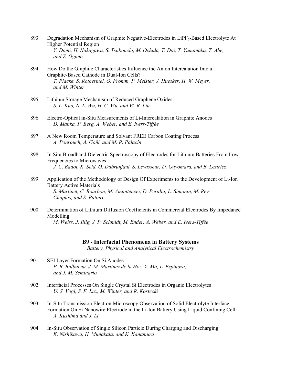- 893 Degradation Mechanism of Graphite Negative-Electrodes in  $LiPF_6$ -Based Electrolyte At Higher Potential Region  *Y. Domi, H. Nakagawa, S. Tsubouchi, M. Ochida, T. Doi, T. Yamanaka, T. Abe, and Z. Ogumi*
- 894 How Do the Graphite Characteristics Influence the Anion Intercalation Into a Graphite-Based Cathode in Dual-Ion Cells?  *T. Placke, S. Rothermel, O. Fromm, P. Meister, J. Huesker, H. W. Meyer, and M. Winter*
- 895 Lithium Storage Mechanism of Reduced Graphene Oxides  *S. L. Kuo, N. L. Wu, H. C. Wu, and W. R. Liu*
- 896 Electro-Optical in-Situ Measurements of Li-Intercalation in Graphite Anodes  *D. Manka, P. Berg, A. Weber, and E. Ivers-Tiffée*
- 897 A New Room Temperature and Solvant FREE Carbon Coating Process  *A. Ponrouch, A. Goñi, and M. R. Palacín*
- 898 In Situ Broadband Dielectric Spectroscopy of Electrodes for Lithium Batteries From Low Frequencies to Microwaves  *J. C. Badot, K. Seid, O. Dubrunfaut, S. Levasseur, D. Guyomard, and B. Lestriez*
- 899 Application of the Methodology of Design Of Experiments to the Development of Li-Ion Battery Active Materials  *S. Martinet, C. Bourbon, M. Amuntencei, D. Peralta, L. Simonin, M. Rey- Chapuis, and S. Patoux*
- 900 Determination of Lithium Diffusion Coefficients in Commercial Electrodes By Impedance Modelling  *M. Weiss, J. Illig, J. P. Schmidt, M. Ender, A. Weber, and E. Ivers-Tiffée*

#### **B9 - Interfacial Phenomena in Battery Systems**

*Battery, Physical and Analytical Electrochemistry* 

- 901 SEI Layer Formation On Si Anodes  *P. B. Balbuena, J. M. Martinez de la Hoz, Y. Ma, L. Espinoza, and J. M. Seminario*
- 902 Interfacial Processes On Single Crystal Si Electrodes in Organic Electrolytes  *U. S. Vogl, S. F. Lux, M. Winter, and R. Kostecki*
- 903 In-Situ Transmission Electron Microscopy Observation of Solid Electrolyte Interface Formation On Si Nanowire Electrode in the Li-Ion Battery Using Liquid Confining Cell  *A. Kushima and J. Li*
- 904 In-Situ Observation of Single Silicon Particle During Charging and Discharging  *K. Nishikawa, H. Munakata, and K. Kanamura*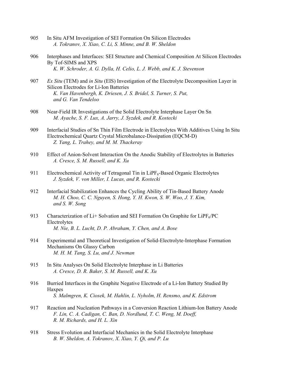- 905 In Situ AFM Investigation of SEI Formation On Silicon Electrodes  *A. Tokranov, X. Xiao, C. Li, S. Minne, and B. W. Sheldon*
- 906 Interphases and Interfaces: SEI Structure and Chemical Composition At Silicon Electrodes By Tof-SIMS and XPS  *K. W. Schroder, A. G. Dylla, H. Celio, L. J. Webb, and K. J. Stevenson*
- 907 *Ex Situ* (TEM) and *in Situ* (EIS) Investigation of the Electrolyte Decomposition Layer in Silicon Electrodes for Li-Ion Batteries  *K. Van Havenbergh, K. Driesen, J. S. Bridel, S. Turner, S. Put, and G. Van Tendeloo*
- 908 Near-Field IR Investigations of the Solid Electrolyte Interphase Layer On Sn  *M. Ayache, S. F. Lux, A. Jarry, J. Syzdek, and R. Kostecki*
- 909 Interfacial Studies of Sn Thin Film Electrode in Electrolytes With Additives Using In Situ Electrochemical Quartz Crystal Microbalance-Dissipation (EQCM-D)  *Z. Yang, L. Trahey, and M. M. Thackeray*
- 910 Effect of Anion-Solvent Interaction On the Anodic Stability of Electrolytes in Batteries  *A. Cresce, S. M. Russell, and K. Xu*
- 911 Electrochemical Activity of Tetragonal Tin in LiPF<sub>6</sub>-Based Organic Electrolytes  *J. Syzdek, V. von Miller, I. Lucas, and R. Kostecki*
- 912 Interfacial Stabilization Enhances the Cycling Ability of Tin-Based Battery Anode  *M. H. Choo, C. C. Nguyen, S. Hong, Y. H. Kwon, S. W. Woo, J. Y. Kim, and S. W. Song*
- 913 Characterization of Li+ Solvation and SEI Formation On Graphite for LiPF $_6$ /PC Electrolytes  *M. Nie, B. L. Lucht, D. P. Abraham, Y. Chen, and A. Bose*
- 914 Experimental and Theoretical Investigation of Solid-Electrolyte-Interphase Formation Mechanisms On Glassy Carbon  *M. H. M. Tang, S. Lu, and J. Newman*
- 915 In Situ Analyses On Solid Electrolyte Interphase in Li Batteries  *A. Cresce, D. R. Baker, S. M. Russell, and K. Xu*
- 916 Burried Interfaces in the Graphite Negative Electrode of a Li-Ion Battery Studied By Haxpes  *S. Malmgren, K. Ciosek, M. Hahlin, L. Nyholm, H. Rensmo, and K. Edstrom*
- 917 Reaction and Nucleation Pathways in a Conversion Reaction Lithium-Ion Battery Anode  *F. Lin, C. A. Cadigan, C. Ban, D. Nordlund, T. C. Weng, M. Doeff, R. M. Richards, and H. L. Xin*
- 918 Stress Evolution and Interfacial Mechanics in the Solid Electrolyte Interphase  *B. W. Sheldon, A. Tokranov, X. Xiao, Y. Qi, and P. Lu*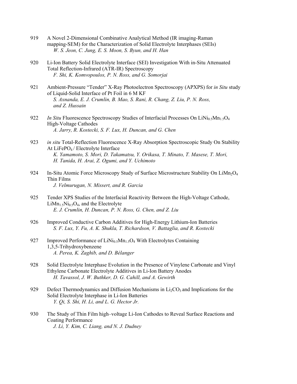- 919 A Novel 2-Dimensional Combinative Analytical Method (IR imaging-Raman mapping-SEM) for the Characterization of Solid Electrolyte Interphases (SEIs)  *W. S. Jeon, C. Jung, E. S. Moon, S. Byun, and H. Han*
- 920 Li-Ion Battery Solid Electrolyte Interface (SEI) Investigation With in-Situ Attenuated Total Reflection-Infrared (ATR-IR) Spectroscopy  *F. Shi, K. Komvopoulos, P. N. Ross, and G. Somorjai*
- 921 Ambient-Pressure "Tender" X-Ray Photoelectron Spectroscopy (APXPS) for *in Situ* study of Liquid-Solid Interface of Pt Foil in 6 M KF  *S. Axnanda, E. J. Crumlin, B. Mao, S. Rani, R. Chang, Z. Liu, P. N. Ross, and Z. Hussain*
- 922 *In Situ* Fluorescence Spectroscopy Studies of Interfacial Processes On LiNi<sub>0.5</sub>Mn<sub>1.5</sub>O<sub>4</sub> High-Voltage Cathodes  *A. Jarry, R. Kostecki, S. F. Lux, H. Duncan, and G. Chen*
- 923 *in situ* Total-Reflection Fluorescence X-Ray Absorption Spectroscopic Study On Stability At LiFePO4 / Electrolyte Interface  *K. Yamamoto, S. Mori, D. Takamatsu, Y. Orikasa, T. Minato, T. Masese, T. Mori, H. Tanida, H. Arai, Z. Ogumi, and Y. Uchimoto*
- 924 In-Situ Atomic Force Microscopy Study of Surface Microstructure Stability On LiMn<sub>2</sub>O<sub>4</sub> Thin Films  *J. Velmurugan, N. Missert, and R. Garcia*
- 925 Tender XPS Studies of the Interfacial Reactivity Between the High-Voltage Cathode, LiMn<sub>1.5</sub>Ni<sub>0.5</sub>O<sub>4</sub>, and the Electrolyte  *E. J. Crumlin, H. Duncan, P. N. Ross, G. Chen, and Z. Liu*
- 926 Improved Conductive Carbon Additives for High-Energy Lithium-Ion Batteries  *S. F. Lux, Y. Fu, A. K. Shukla, T. Richardson, V. Battaglia, and R. Kostecki*
- 927 Improved Performance of LiNi<sub>0.5</sub>Mn<sub>1.5</sub>O<sub>4</sub> With Electrolytes Containing 1,3,5-Trihydroxybenzene  *A. Perea, K. Zaghib, and D. Bélanger*
- 928 Solid Electrolyte Interphase Evolution in the Presence of Vinylene Carbonate and Vinyl Ethylene Carbonate Electrolyte Additives in Li-Ion Battery Anodes  *H. Tavassol, J. W. Buthker, D. G. Cahill, and A. Gewirth*
- 929 Defect Thermodynamics and Diffusion Mechanisms in  $Li<sub>2</sub>CO<sub>3</sub>$  and Implications for the Solid Electrolyte Interphase in Li-Ion Batteries  *Y. Qi, S. Shi, H. Li, and L. G. Hector Jr.*
- 930 The Study of Thin Film high–voltage Li-Ion Cathodes to Reveal Surface Reactions and Coating Performance  *J. Li, Y. Kim, C. Liang, and N. J. Dudney*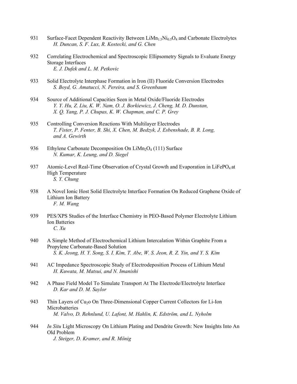- 931 Surface-Facet Dependent Reactivity Between  $\text{Lim}_{1.5}\text{Ni}_{0.5}\text{O}_4$  and Carbonate Electrolytes  *H. Duncan, S. F. Lux, R. Kostecki, and G. Chen*
- 932 Correlating Electrochemical and Spectroscopic Ellipsometry Signals to Evaluate Energy Storage Interfaces  *E. J. Dufek and L. M. Petkovic*
- 933 Solid Electrolyte Interphase Formation in Iron (II) Fluoride Conversion Electrodes  *S. Boyd, G. Amatucci, N. Pereira, and S. Greenbaum*
- 934 Source of Additional Capacities Seen in Metal Oxide/Fluoride Electrodes  *Y. Y. Hu, Z. Liu, K. W. Nam, O. J. Borkiewicz, J. Cheng, M. D. Dunstan, X. Q. Yang, P. J. Chupas, K. W. Chapman, and C. P. Grey*
- 935 Controlling Conversion Reactions With Multilayer Electrodes  *T. Fister, P. Fenter, B. Shi, X. Chen, M. Bedzyk, J. Esbenshade, B. R. Long, and A. Gewirth*
- 936 Ethylene Carbonate Decomposition On LiMn<sub>2</sub>O<sub>4</sub> (111) Surface  *N. Kumar, K. Leung, and D. Siegel*
- 937 Atomic-Level Real-Time Observation of Crystal Growth and Evaporation in LiFePO<sub>4</sub> at High Temperature  *S. Y. Chung*
- 938 A Novel Ionic Host Solid Electrolyte Interface Formation On Reduced Graphene Oxide of Lithium Ion Battery  *F. M. Wang*
- 939 PES/XPS Studies of the Interface Chemistry in PEO-Based Polymer Electrolyte Lithium Ion Batteries  *C. Xu*
- 940 A Simple Method of Electrochemical Lithium Intercalation Within Graphite From a Propylene Carbonate-Based Solution  *S. K. Jeong, H. Y. Song, S. I. Kim, T. Abe, W. S. Jeon, R. Z. Yin, and Y. S. Kim*
- 941 AC Impedance Spectroscopic Study of Electrodeposition Process of Lithium Metal  *H. Kuwata, M. Matsui, and N. Imanishi*
- 942 A Phase Field Model To Simulate Transport At The Electrode/Electrolyte Interface  *D. Kar and D. M. Saylor*
- 943 Thin Layers of Cu<sub>2</sub>o On Three-Dimensional Copper Current Collectors for Li-Ion Microbatteries  *M. Valvo, D. Rehnlund, U. Lafont, M. Hahlin, K. Edström, and L. Nyholm*
- 944 *In Situ* Light Microscopy On Lithium Plating and Dendrite Growth: New Insights Into An Old Problem  *J. Steiger, D. Kramer, and R. Mönig*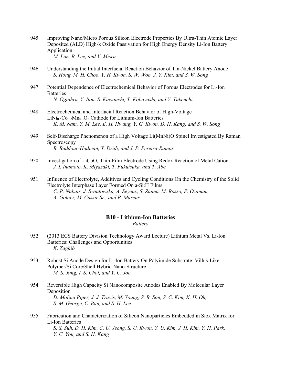945 Improving Nano/Micro Porous Silicon Electrode Properties By Ultra-Thin Atomic Layer Deposited (ALD) High-k Oxide Passivation for High Energy Density Li-Ion Battery Application

 *M. Lim, B. Lee, and V. Misra* 

- 946 Understanding the Initial Interfacial Reaction Behavior of Tin-Nickel Battery Anode  *S. Hong, M. H. Choo, Y. H. Kwon, S. W. Woo, J. Y. Kim, and S. W. Song*
- 947 Potential Dependence of Electrochemical Behavior of Porous Electrodes for Li-Ion **Batteries**  *N. Ogiahra, Y. Itou, S. Kawauchi, T. Kobayashi, and Y. Takeuchi*
- 948 Electrochemical and Interfacial Reaction Behavior of High-Voltage LiNi<sub>0.5</sub>Co<sub>0.2</sub>Mn<sub>0.3</sub>O<sub>2</sub> Cathode for Lithium-Ion Batteries  *K. M. Nam, Y. M. Lee, E. H. Hwang, Y. G. Kwon, D. H. Kang, and S. W. Song*
- 949 Self-Discharge Phenomenon of a High Voltage Li(MnNi)O Spinel Investigated By Raman Spectroscopy  *R. Baddour-Hadjean, Y. Dridi, and J. P. Pereira-Ramos*
- 950 Investigation of LiCoO<sub>2</sub> Thin-Film Electrode Using Redox Reaction of Metal Cation  *J. I. Inamoto, K. Miyazaki, T. Fukutsuka, and T. Abe*
- 951 Influence of Electrolyte, Additives and Cycling Conditions On the Chemistry of the Solid Electrolyte Interphase Layer Formed On a-Si:H Films  *C. P. Nabais, J. Swiatowska, A. Seyeux, S. Zanna, M. Rosso, F. Ozanam, A. Gohier, M. Cassir Sr., and P. Marcus*

## **B10 - Lithium-Ion Batteries**

*Battery* 

- 952 (2013 ECS Battery Division Technology Award Lecture) Lithium Metal Vs. Li-Ion Batteries: Challenges and Opportunities  *K. Zaghib*
- 953 Robust Si Anode Design for Li-Ion Battery On Polyimide Substrate: Villus-Like Polymer/Si Core/Shell Hybrid Nano-Structure  *M. S. Jung, I. S. Choi, and Y. C. Joo*
- 954 Reversible High Capacity Si Nanocomposite Anodes Enabled By Molecular Layer Deposition  *D. Molina Piper, J. J. Travis, M. Young, S. B. Son, S. C. Kim, K. H. Oh, S. M. George, C. Ban, and S. H. Lee*
- 955 Fabrication and Characterization of Silicon Nanoparticles Embedded in Siox Matrix for Li-Ion Batteries  *S. S. Suh, D. H. Kim, C. U. Jeong, S. U. Kwon, Y. U. Kim, J. H. Kim, Y. H. Park, Y. C. You, and S. H. Kang*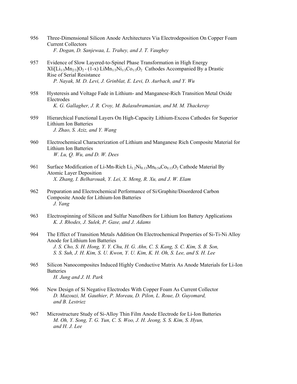- 956 Three-Dimensional Silicon Anode Architectures Via Electrodeposition On Copper Foam Current Collectors  *F. Dogan, D. Sanjewaa, L. Trahey, and J. T. Vaughey*
- 957 Evidence of Slow Layered-to-Spinel Phase Transformation in High Energy  $Xli[L_{1/3}M_{n2/3}]O_2$  - (1-x)  $LiM_{n1/3}Ni_{1/3}Co_{1/3}O_2$  Cathodes Accompanied By a Drastic Rise of Serial Resistance  *P. Nayak, M. D. Levi, J. Grinblat, E. Levi, D. Aurbach, and Y. Wu*
- 958 Hysteresis and Voltage Fade in Lithium- and Manganese-Rich Transition Metal Oxide Electrodes  *K. G. Gallagher, J. R. Croy, M. Balasubramanian, and M. M. Thackeray*
- 959 Hierarchical Functional Layers On High-Capacity Lithium-Excess Cathodes for Superior Lithium Ion Batteries  *J. Zhao, S. Aziz, and Y. Wang*
- 960 Electrochemical Characterization of Lithium and Manganese Rich Composite Material for Lithium Ion Batteries  *W. Lu, Q. Wu, and D. W. Dees*
- 961 Surface Modification of Li-Mn-Rich  $Li_{1.2}Ni_{0.13}Mn_{0.54}Co_{0.13}O_2$  Cathode Material By Atomic Layer Deposition  *X. Zhang, I. Belharouak, Y. Lei, X. Meng, R. Xu, and J. W. Elam*
- 962 Preparation and Electrochemical Performance of Si/Graphite/Disordered Carbon Composite Anode for Lithium-Ion Batteries  *J. Yang*
- 963 Electrospinning of Silicon and Sulfur Nanofibers for Lithium Ion Battery Applications  *K. J. Rhodes, J. Sulek, P. Gase, and J. Adams*
- 964 The Effect of Transition Metals Addition On Electrochemical Properties of Si-Ti-Ni Alloy Anode for Lithium Ion Batteries  *J. S. Cho, S. H. Hong, Y. Y. Chu, H. G. Ahn, C. S. Kang, S. C. Kim, S. B. Son, S. S. Suh, J. H. Kim, S. U. Kwon, Y. U. Kim, K. H. Oh, S. Lee, and S. H. Lee*
- 965 Silicon Nanocomposites Induced Highly Conductive Matrix As Anode Materials for Li-Ion **Batteries**  *H. Jung and J. H. Park*
- 966 New Design of Si Negative Electrodes With Copper Foam As Current Collector  *D. Mazouzi, M. Gauthier, P. Moreau, D. Pilon, L. Roue, D. Guyomard, and B. Lestriez*
- 967 Microstructure Study of Si-Alloy Thin Film Anode Electrode for Li-Ion Batteries  *M. Oh, Y. Song, T. G. Yun, C. S. Woo, J. H. Jeong, S. S. Kim, S. Hyun, and H. J. Lee*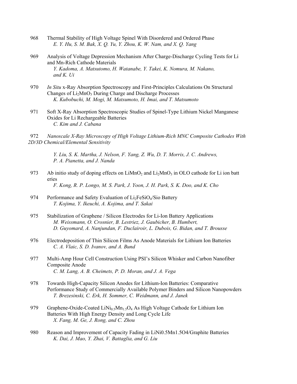- 968 Thermal Stability of High Voltage Spinel With Disordered and Ordered Phase  *E. Y. Hu, S. M. Bak, X. Q. Yu, Y. Zhou, K. W. Nam, and X. Q. Yang*
- 969 Analysis of Voltage Depression Mechanism After Charge-Discharge Cycling Tests for Li and Mn-Rich Cathode Materials  *Y. Kadoma, A. Matsutomo, H. Watanabe, Y. Takei, K. Nomura, M. Nakano, and K. Ui*
- 970 *In Situ* x-Ray Absorption Spectroscopy and First-Principles Calculations On Structural Changes of Li<sub>2</sub>MnO<sub>3</sub> During Charge and Discharge Processes  *K. Kubobuchi, M. Mogi, M. Matsumoto, H. Imai, and T. Matsumoto*
- 971 Soft X-Ray Absorption Spectroscopic Studies of Spinel-Type Lithium Nickel Manganese Oxides for Li Rechargeable Batteries  *C. Kim and J. Cabana*
- 972 *Nanoscale X-Ray Microscopy of High Voltage Lithium-Rich MNC Composite Cathodes With 2D/3D Chemical/Elemental Sensitivity*

 *Y. Liu, S. K. Martha, J. Nelson, F. Yang, Z. Wu, D. T. Morris, J. C. Andrews, P. A. Pianetta, and J. Nanda* 

- 973 Ab initio study of doping effects on  $LiMnO<sub>2</sub>$  and  $Li<sub>2</sub>MnO<sub>3</sub>$  in OLO cathode for Li ion batt eries  *F. Kong, R. P. Longo, M. S. Park, J. Yoon, J. H. Park, S. K. Doo, and K. Cho*
- 974 Performance and Safety Evaluation of  $Li<sub>2</sub>FeSiO<sub>4</sub>/Si<sub>0</sub>$  Battery  *T. Kojima, Y. Ikeuchi, A. Kojima, and T. Sakai*
- 975 Stabilization of Graphene / Silicon Electrodes for Li-Ion Battery Applications  *M. Weissmann, O. Crosnier, B. Lestriez, J. Gaubicher, B. Humbert, D. Guyomard, A. Nanjundan, F. Duclairoir, L. Dubois, G. Bidan, and T. Brousse*
- 976 Electrodeposition of Thin Silicon Films As Anode Materials for Lithium Ion Batteries  *C. A. Vlaic, S. D. Ivanov, and A. Bund*
- 977 Multi-Amp Hour Cell Construction Using PSI's Silicon Whisker and Carbon Nanofiber Composite Anode  *C. M. Lang, A. B. Cheimets, P. D. Moran, and J. A. Vega*
- 978 Towards High-Capacity Silicon Anodes for Lithium-Ion Batteries: Comparative Performance Study of Commercially Available Polymer Binders and Silicon Nanopowders  *T. Brezesinski, C. Erk, H. Sommer, C. Weidmann, and J. Janek*
- 979 Graphene-Oxide-Coated LiNi<sub>0.5</sub>Mn<sub>1.5</sub>O<sub>4</sub> As High Voltage Cathode for Lithium Ion Batteries With High Energy Density and Long Cycle Life  *X. Fang, M. Ge, J. Rong, and C. Zhou*
- 980 Reason and Improvement of Capacity Fading in LiNi0.5Mn1.5O4/Graphite Batteries  *K. Dai, J. Mao, Y. Zhai, V. Battaglia, and G. Liu*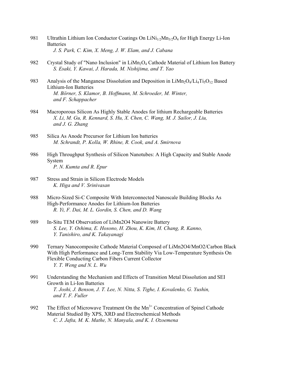- 981 Ultrathin Lithium Ion Conductor Coatings On  $LiNi<sub>1/2</sub>Mn<sub>3/2</sub>O<sub>4</sub>$  for High Energy Li-Ion **Batteries**  *J. S. Park, C. Kim, X. Meng, J. W. Elam, and J. Cabana*
- 982 Crystal Study of "Nano Inclusion" in  $LiMn<sub>2</sub>O<sub>4</sub>$  Cathode Material of Lithium Ion Battery  *S. Esaki, Y. Kawai, J. Harada, M. Nishijima, and T. Yao*
- 983 Analysis of the Manganese Dissolution and Deposition in  $\text{Lim}_{2}\text{O}_{4}/\text{Li}_{4}\text{Ti}_{5}\text{O}_{12}$  Based Lithium-Ion Batteries  *M. Börner, S. Klamor, B. Hoffmann, M. Schroeder, M. Winter, and F. Schappacher*
- 984 Macroporous Silicon As Highly Stable Anodes for lithium Rechargeable Batteries  *X. Li, M. Gu, R. Kennard, S. Hu, X. Chen, C. Wang, M. J. Sailor, J. Liu, and J. G. Zhang*
- 985 Silica As Anode Precursor for Lithium Ion batteries  *M. Schrandt, P. Kolla, W. Rhine, R. Cook, and A. Smirnova*
- 986 High Throughput Synthesis of Silicon Nanotubes: A High Capacity and Stable Anode System  *P. N. Kumta and R. Epur*
- 987 Stress and Strain in Silicon Electrode Models  *K. Higa and V. Srinivasan*
- 988 Micro-Sized Si-C Composite With Interconnected Nanoscale Building Blocks As High-Performance Anodes for Lithium-Ion Batteries  *R. Yi, F. Dai, M. L. Gordin, S. Chen, and D. Wang*
- 989 In-Situ TEM Observation of LiMn2O4 Nanowire Battery  *S. Lee, Y. Oshima, E. Hosono, H. Zhou, K. Kim, H. Chang, R. Kanno, Y. Tanishiro, and K. Takayanagi*
- 990 Ternary Nanocomposite Cathode Material Composed of LiMn2O4/MnO2/Carbon Black With High Performance and Long-Term Stability Via Low-Temperature Synthesis On Flexible Conducting Carbon Fibers Current Collector  *Y. T. Weng and N. L. Wu*
- 991 Understanding the Mechanism and Effects of Transition Metal Dissolution and SEI Growth in Li-Ion Batteries  *T. Joshi, J. Benson, J. T. Lee, N. Nitta, S. Tighe, I. Kovalenko, G. Yushin, and T. F. Fuller*
- 992 The Effect of Microwave Treatment On the  $Mn^{3+}$  Concentration of Spinel Cathode Material Studied By XPS, XRD and Electrochemical Methods  *C. J. Jafta, M. K. Mathe, N. Manyala, and K. I. Ozoemena*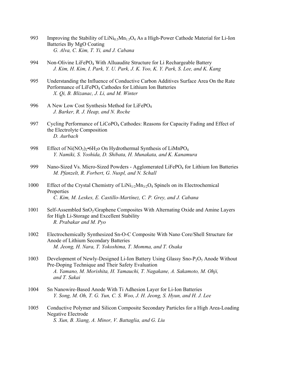- 993 Improving the Stability of  $\text{LiNi}_{0.5}\text{Mn}_1\text{-O}_4$  As a High-Power Cathode Material for Li-Ion Batteries By MgO Coating  *G. Alva, C. Kim, T. Yi, and J. Cabana*
- 994 Non-Olivine LiFePO<sub>4</sub> With Alluaudite Structure for Li Rechargeable Battery  *J. Kim, H. Kim, I. Park, Y. U. Park, J. K. Yoo, K. Y. Park, S. Lee, and K. Kang*
- 995 Understanding the Influence of Conductive Carbon Additives Surface Area On the Rate Performance of LiFePO<sub>4</sub> Cathodes for Lithium Ion Batteries  *X. Qi, B. Blizanac, J. Li, and M. Winter*
- 996 A New Low Cost Synthesis Method for LiFePO<sub>4</sub>  *J. Barker, R. J. Heap, and N. Roche*
- 997 Cycling Performance of LiCoPO<sub>4</sub> Cathodes: Reasons for Capacity Fading and Effect of the Electrolyte Composition  *D. Aurbach*
- 998 Effect of Ni(NO<sub>3</sub>)<sub>2</sub>•6H<sub>2</sub>O On Hydrothermal Synthesis of LiMnPO<sub>4</sub>  *Y. Namiki, S. Yoshida, D. Shibata, H. Munakata, and K. Kanamura*
- 999 Nano-Sized Vs. Micro-Sized Powders Agglomerated LiFePO<sub>4</sub> for Lithium Ion Batteries  *M. Pfanzelt, R. Forbert, G. Nuspl, and N. Schall*
- 1000 Effect of the Crystal Chemistry of  $LiNi<sub>1/2</sub>Mn<sub>3/2</sub>O<sub>4</sub>$  Spinels on its Electrochemical Properties  *C. Kim, M. Leskes, E. Castillo-Martínez, C. P. Grey, and J. Cabana*
- 1001 Self-Assembled SnO<sub>2</sub>/Graphene Composites With Alternating Oxide and Amine Layers for High Li-Storage and Excellent Stability  *R. Prabakar and M. Pyo*
- 1002 Electrochemically Synthesized Sn-O-C Composite With Nano Core/Shell Structure for Anode of Lithium Secondary Batteries  *M. Jeong, H. Nara, T. Yokoshima, T. Momma, and T. Osaka*
- 1003 Development of Newly-Designed Li-Ion Battery Using Glassy Sno-P2O5 Anode Without Pre-Doping Technique and Their Safety Evaluation  *A. Yamano, M. Morishita, H. Yamauchi, T. Nagakane, A. Sakamoto, M. Ohji, and T. Sakai*
- 1004 Sn Nanowire-Based Anode With Ti Adhesion Layer for Li-Ion Batteries  *Y. Song, M. Oh, T. G. Yun, C. S. Woo, J. H. Jeong, S. Hyun, and H. J. Lee*
- 1005 Conductive Polymer and Silicon Composite Secondary Particles for a High Area-Loading Negative Electrode  *S. Xun, B. Xiang, A. Minor, V. Battaglia, and G. Liu*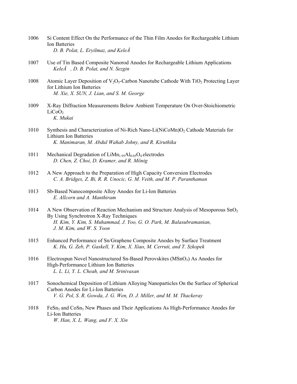- 1006 Si Content Effect On the Performance of the Thin Film Anodes for Rechargeable Lithium Ion Batteries  *D. B. Polat, L. Eryilmaz, and KeleÅ*
- 1007 Use of Tin Based Composite Nanorod Anodes for Rechargeable Lithium Applications  *KeleÅ, D. B. Polat, and N. Sezgin*
- 1008 Atomic Layer Deposition of  $V_2O_5$ -Carbon Nanotube Cathode With TiO<sub>2</sub> Protecting Layer for Lithium Ion Batteries  *M. Xie, X. SUN, J. Lian, and S. M. George*
- 1009 X-Ray Diffraction Measurements Below Ambient Temperature On Over-Stoichiometric  $LiCoO<sub>2</sub>$  *K. Mukai*
- 1010 Synthesis and Characterization of Ni-Rich Nano-Li(NiCoMn)O<sub>2</sub> Cathode Materials for Lithium Ion Batteries  *K. Manimaran, M. Abdul Wahab Johny, and R. Kiruthika*
- 1011 Mechanical Degradation of  $Lim_{1.95}Al_{0.05}O_4$  electrodes  *D. Chen, Z. Choi, D. Kramer, and R. Mönig*
- 1012 A New Approach to the Preparation of High Capacity Conversion Electrodes  *C. A. Bridges, Z. Bi, R. R. Unocic, G. M. Veith, and M. P. Paranthaman*
- 1013 Sb-Based Nanocomposite Alloy Anodes for Li-Ion Batteries  *E. Allcorn and A. Manthiram*
- 1014 A New Observation of Reaction Mechanism and Structure Analysis of Mesoporous SnO<sub>2</sub> By Using Synchrotron X-Ray Techniques  *H. Kim, Y. Kim, S. Muhammad, J. Yoo, G. O. Park, M. Balasubramanian, J. M. Kim, and W. S. Yoon*
- 1015 Enhanced Performance of Sn/Graphene Composite Anodes by Surface Treatment  *K. Hu, G. Zeb, P. Gaskell, Y. Kim, X. Xiao, M. Cerruti, and T. Szkopek*
- 1016 Electrospun Novel Nanostructured Sn-Based Perovskites  $(MSnO<sub>3</sub>)$  As Anodes for High-Performance Lithium Ion Batteries  *L. L. Li, Y. L. Cheah, and M. Srinivasan*
- 1017 Sonochemical Deposition of Lithium Alloying Nanoparticles On the Surface of Spherical Carbon Anodes for Li-Ion Batteries  *V. G. Pol, S. R. Gowda, J. G. Wen, D. J. Miller, and M. M. Thackeray*
- 1018 FeSn<sub>5</sub> and CoSn<sub>5</sub> New Phases and Their Applications As High-Performance Anodes for Li-Ion Batteries  *W. Han, X. L. Wang, and F. X. Xin*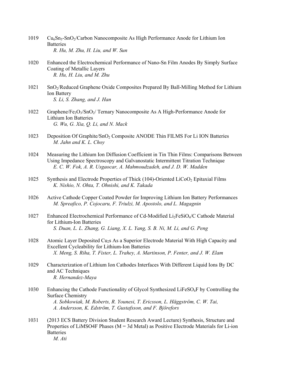- 1019 Cu<sub>6</sub>Sn<sub>5</sub>-SnO<sub>2</sub>/Carbon Nanocomposite As High Performance Anode for Lithium Ion **Batteries**  *R. Hu, M. Zhu, H. Liu, and W. Sun*
- 1020 Enhanced the Electrochemical Performance of Nano-Sn Film Anodes By Simply Surface Coating of Metallic Layers  *R. Hu, H. Liu, and M. Zhu*
- 1021 SnO2/Reduced Graphene Oxide Composites Prepared By Ball-Milling Method for Lithium Ion Battery  *S. Li, S. Zhang, and J. Han*
- 1022 Graphene/Fe<sub>2</sub>O<sub>3</sub>/SnO<sub>2</sub>/ Ternary Nanocomposite As A High-Performance Anode for Lithium Ion Batteries  *G. Wu, G. Xia, Q. Li, and N. Mack*
- 1023 Deposition Of Graphite/SnO<sub>2</sub> Composite ANODE Thin FILMS For Li ION Batteries  *M. Jahn and K. L. Choy*
- 1024 Measuring the Lithium Ion Diffusion Coefficient in Tin Thin Films: Comparisons Between Using Impedance Spectroscopy and Galvanostatic Intermittent Titration Technique  *E. C. W. Fok, A. R. Usgaocar, A. Mahmoudzadeh, and J. D. W. Madden*
- 1025 Synthesis and Electrode Properties of Thick (104)-Oriented LiCoO<sub>2</sub> Epitaxial Films  *K. Nishio, N. Ohta, T. Ohnishi, and K. Takada*
- 1026 Active Cathode Copper Coated Powder for Improving Lithium Ion Battery Performances  *M. Spreafico, P. Cojocaru, F. Triulzi, M. Apostolo, and L. Magagnin*
- 1027 Enhanced Electrochemical Performance of Cd-Modified Li2FeSiO4/C Cathode Material for Lithium-Ion Batteries  *S. Duan, L. L. Zhang, G. Liang, X. L. Yang, S. B. Ni, M. Li, and G. Peng*
- 1028 Atomic Layer Deposited Cu2s As a Superior Electrode Material With High Capacity and Excellent Cycleability for Lithium-Ion Batteries  *X. Meng, S. Riha, T. Fister, L. Trahey, A. Martinson, P. Fenter, and J. W. Elam*
- 1029 Characterization of Lithium Ion Cathodes Interfaces With Different Liquid Ions By DC and AC Techniques  *R. Hernandez-Maya*
- 1030 Enhancing the Cathode Functionality of Glycol Synthesized LiFeSO4F by Controlling the Surface Chemistry  *A. Sobkowiak, M. Roberts, R. Younesi, T. Ericsson, L. Häggström, C. W. Tai, A. Andersson, K. Edström, T. Gustafsson, and F. Björefors*
- 1031 (2013 ECS Battery Division Student Research Award Lecture) Synthesis, Structure and Properties of LiMSO4F Phases (M = 3d Metal) as Positive Electrode Materials for Li-ion **Batteries**  *M. Ati*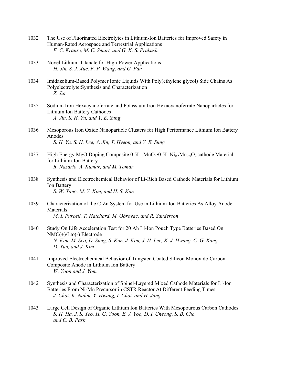- 1032 The Use of Fluorinated Electrolytes in Lithium-Ion Batteries for Improved Safety in Human-Rated Aerospace and Terrestrial Applications  *F. C. Krause, M. C. Smart, and G. K. S. Prakash*
- 1033 Novel Lithium Titanate for High-Power Applications  *H. Jin, S. J. Xue, F. P. Wang, and G. Pan*
- 1034 Imidazolium-Based Polymer Ionic Liquids With Poly(ethylene glycol) Side Chains As Polyelectrolyte:Synthesis and Characterization  *Z. Jia*
- 1035 Sodium Iron Hexacyanoferrate and Potassium Iron Hexacyanoferrate Nanoparticles for Lithium Ion Battery Cathodes  *A. Jin, S. H. Yu, and Y. E. Sung*
- 1036 Mesoporous Iron Oxide Nanoparticle Clusters for High Performance Lithium Ion Battery Anodes  *S. H. Yu, S. H. Lee, A. Jin, T. Hyeon, and Y. E. Sung*
- 1037 High Energy MgO Doping Composite  $0.5Li_2MnO_3 \cdot 0.5LiNi_{0.5}Mn_{0.5}O_2$  cathode Material for Lithium-Ion Battery  *R. Nazario, A. Kumar, and M. Tomar*
- 1038 Synthesis and Electrochemical Behavior of Li-Rich Based Cathode Materials for Lithium Ion Battery  *S. W. Yang, M. Y. Kim, and H. S. Kim*
- 1039 Characterization of the C-Zn System for Use in Lithium-Ion Batteries As Alloy Anode Materials  *M. I. Purcell, T. Hatchard, M. Obrovac, and R. Sanderson*
- 1040 Study On Life Acceleration Test for 20 Ah Li-Ion Pouch Type Batteries Based On NMC(+)/Lto(-) Electrode  *N. Kim, M. Seo, D. Sung, S. Kim, J. Kim, J. H. Lee, K. J. Hwang, C. G. Kang, D. Yun, and J. Kim*
- 1041 Improved Electrochemical Behavior of Tungsten Coated Silicon Monoxide-Carbon Composite Anode in Lithium Ion Battery  *W. Yoon and J. Yom*
- 1042 Synthesis and Characterization of Spinel-Layered Mixed Cathode Materials for Li-Ion Batteries From Ni-Mn Precursor in CSTR Reactor At Different Feeding Times  *J. Choi, K. Nahm, Y. Hwang, I. Choi, and H. Jang*
- 1043 Large Cell Design of Organic Lithium Ion Batteries With Mesopourous Carbon Cathodes  *S. H. Ha, J. S. Yeo, H. G. Yoon, E. J. Yoo, D. I. Cheong, S. B. Cho, and C. B. Park*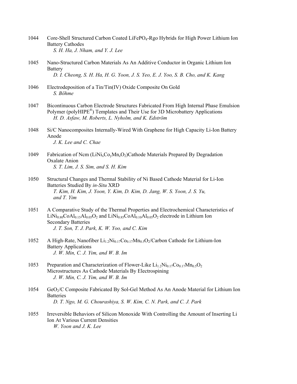- 1044 Core-Shell Structured Carbon Coated LiFePO4-Rgo Hybrids for High Power Lithium Ion Battery Cathodes  *S. H. Ha, J. Nham, and Y. J. Lee*
- 1045 Nano-Structured Carbon Materials As An Additive Conductor in Organic Lithium Ion **Battery**  *D. I. Cheong, S. H. Ha, H. G. Yoon, J. S. Yeo, E. J. Yoo, S. B. Cho, and K. Kang*
- 1046 Electrodeposition of a Tin/Tin(IV) Oxide Composite On Gold  *S. Böhme*
- 1047 Bicontinuous Carbon Electrode Structures Fabricated From High Internal Phase Emulsion Polymer (polyHIPE<sup>®</sup>) Templates and Their Use for 3D Microbattery Applications  *H. D. Asfaw, M. Roberts, L. Nyholm, and K. Edström*
- 1048 Si/C Nanocomposites Internally-Wired With Graphene for High Capacity Li-Ion Battery Anode  *J. K. Lee and C. Chae*
- 1049 Fabrication of Ncm  $(LiNi<sub>x</sub>Co<sub>y</sub>Mn<sub>z</sub>O<sub>2</sub>)$ Cathode Materials Prepared By Degradation Oxalate Anion  *S. T. Lim, J. S. Sim, and S. H. Kim*
- 1050 Structural Changes and Thermal Stability of Ni Based Cathode Material for Li-Ion Batteries Studied By *in-Situ* XRD  *T. Kim, H. Kim, J. Yoon, Y. Kim, D. Kim, D. Jang, W. S. Yoon, J. S. Yu, and T. Yim*
- 1051 A Comparative Study of the Thermal Properties and Electrochemical Characteristics of  $LiNi<sub>0.80</sub>CoAl<sub>0.15</sub>Al<sub>0.05</sub>O<sub>2</sub>$  and  $LiNi<sub>0.85</sub>CoAl<sub>0.10</sub>Al<sub>0.05</sub>O<sub>2</sub> electrode in Lithium Ion$  Secondary Batteries  *J. T. Son, T. J. Park, K. W. Yoo, and C. Kim*
- 1052 A High-Rate, Nanofiber  $Li_1_2Ni_0_{17}Co_0_{17}Mn_0_{5}O_2/C$ arbon Cathode for Lithium-Ion Battery Applications  *J. W. Min, C. J. Yim, and W. B. Im*
- 1053 Preparation and Characterization of Flower-Like  $Li_{1,2}Ni_{0,17}Co_{0,17}Mn_{0.5}O_2$  Microstructures As Cathode Materials By Electrospining  *J. W. Min, C. J. Yim, and W. B. Im*
- 1054 GeO2/C Composite Fabricated By Sol-Gel Method As An Anode Material for Lithium Ion **Batteries**  *D. T. Ngo, M. G. Chourashiya, S. W. Kim, C. N. Park, and C. J. Park*
- 1055 Irreversible Behaviors of Silicon Monoxide With Controlling the Amount of Inserting Li Ion At Various Current Densities  *W. Yoon and J. K. Lee*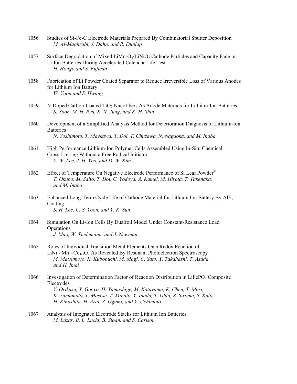- 1056 Studies of Si-Fe-C Electrode Materials Prepared By Combinatorial Sputter Deposition  *M. Al-Maghrabi, J. Dahn, and R. Dunlap*
- 1057 Surface Degradation of Mixed LiMn<sub>2</sub>O<sub>4</sub>/LiNiO<sub>2</sub> Cathode Particles and Capacity Fade in Li-Ion Batteries During Accelerated Calendar Life Test  *H. Hongo and S. Fujieda*
- 1058 Fabrication of Li Powder Coated Separator to Reduce Irreversible Loss of Various Anodes for Lithium Ion Battery  *W. Yoon and S. Hwang*
- 1059 N-Doped Carbon-Coated TiO2 Nanofibers As Anode Materials for Lithium-Ion Batteries  *S. Yoon, M. H. Ryu, K. N. Jung, and K. H. Shin*
- 1060 Development of a Simplified Analysis Method for Deterioration Diagnosis of Lithium-Ion **Batteries**  *N. Yoshimoto, T. Maekawa, T. Doi, T. Chuzawa, N. Nagaoka, and M. Inaba*
- 1061 High Performance Lithium-Ion Polymer Cells Assembled Using In-Situ Chemical Cross-Linking Without a Free Radical Initiator  *Y. W. Lee, J. H. Yoo, and D. W. Kim*
- 1062 Effect of Temperature On Negative Electrode Performance of Si Leaf Powder<sup>®</sup>  *T. Okubo, M. Saito, T. Doi, C. Yodoya, A. Kamei, M. Hirota, T. Takenaka, and M. Inaba*
- 1063 Enhanced Long-Term Cycle Life of Cathode Material for Lithium Ion Battery By AlF3 Coating  *S. H. Lee, C. S. Yoon, and Y. K. Sun*
- 1064 Simulation On Li-Ion Cells By Dualfoil Model Under Constant-Resistance Load **Operations**  *J. Mao, W. Tiedemann, and J. Newman*
- 1065 Roles of Individual Transition Metal Elements On a Redox Reaction of  $LiNi<sub>1/3</sub>Mn<sub>1/3</sub>Co<sub>1/3</sub>O<sub>2</sub>$  As Revealed By Resonant Photoelectron Spectroscopy  *M. Matsumoto, K. Kubobuchi, M. Mogi, C. Sato, Y. Takahashi, T. Asada, and H. Imai*
- 1066 Investigation of Determination Factor of Reaction Distribution in LiFePO<sub>4</sub> Composite Electrodes  *Y. Orikasa, Y. Gogyo, H. Yamashige, M. Katayama, K. Chen, T. Mori, K. Yamamoto, T. Masese, T. Minato, Y. Inada, T. Ohta, Z. Siroma, S. Kato, H. Kinoshita, H. Arai, Z. Ogumi, and Y. Uchimoto*
- 1067 Analysis of Integrated Electrode Stacks for Lithium Ion Batteries  *M. Lazar, B. L. Lucht, B. Sloan, and S. Carlson*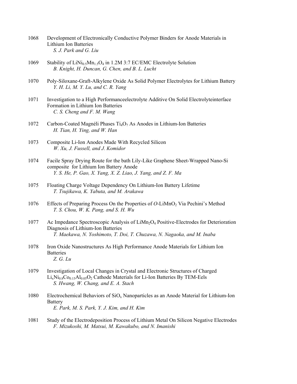- 1068 Development of Electronically Conductive Polymer Binders for Anode Materials in Lithium Ion Batteries  *S. J. Park and G. Liu*
- 1069 Stability of  $\text{LiNi}_{0.5}\text{Mn}_{1.5}\text{O}_4$  in 1.2M 3:7 EC/EMC Electrolyte Solution  *B. Knight, H. Duncan, G. Chen, and B. L. Lucht*
- 1070 Poly-Siloxane-Graft-Alkylene Oxide As Solid Polymer Electrolytes for Lithium Battery  *Y. H. Li, M. Y. Lu, and C. R. Yang*
- 1071 Investigation to a High Performanceelectrolyte Additive On Solid Electrolyteinterface Formation in Lithium Ion Batteries  *C. S. Cheng and F. M. Wang*
- 1072 Carbon-Coated Magnéli Phases  $Ti<sub>4</sub>O<sub>7</sub>$  As Anodes in Lithium-Ion Batteries  *H. Tian, H. Ying, and W. Han*
- 1073 Composite Li-Ion Anodes Made With Recycled Silicon  *W. Xu, J. Fussell, and J. Komidor*
- 1074 Facile Spray Drying Route for the bath Lily-Like Graphene Sheet-Wrapped Nano-Si composite for Lithium Ion Battery Anode  *Y. S. He, P. Gao, X. Yang, X. Z. Liao, J. Yang, and Z. F. Ma*
- 1075 Floating Charge Voltage Dependency On Lithium-Ion Battery Lifetime  *T. Tsujikawa, K. Yabuta, and M. Arakawa*
- 1076 Effects of Preparing Process On the Properties of *O*-LiMnO2 Via Pechini's Method  *T. S. Chou, W. K. Pang, and S. H. Wu*
- 1077 Ac Impedance Spectroscopic Analysis of  $Lim_2O_4$  Positive-Electrodes for Deterioration Diagnosis of Lithium-Ion Batteries  *T. Maekawa, N. Yoshimoto, T. Doi, T. Chuzawa, N. Nagaoka, and M. Inaba*
- 1078 Iron Oxide Nanostructures As High Performance Anode Materials for Lithium Ion **Batteries**  *Z. G. Lu*
- 1079 Investigation of Local Changes in Crystal and Electronic Structures of Charged  $Li_xNi_{0.8}Co_{0.15}Al_{0.05}O_2$  Cathode Materials for Li-Ion Batteries By TEM-Eels  *S. Hwang, W. Chang, and E. A. Stach*
- 1080 Electrochemical Behaviors of  $SiO<sub>x</sub>$  Nanoparticles as an Anode Material for Lithium-Ion Battery  *E. Park, M. S. Park, Y. J. Kim, and H. Kim*
- 1081 Study of the Electrodeposition Process of Lithium Metal On Silicon Negative Electrodes  *F. Mizukoshi, M. Matsui, M. Kawakubo, and N. Imanishi*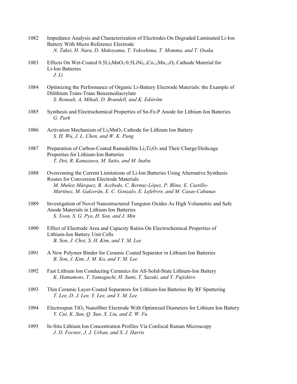- 1082 Impedance Analysis and Characterization of Electrodes On Degraded Laminated Li-Ion Battery With Micro Reference Electrode  *N. Takei, H. Nara, D. Mukoyama, T. Yokoshima, T. Momma, and T. Osaka*
- 1083 Effects On Wet-Coated  $0.5Li_2MnO_3·0.5LiNi<sub>1/3</sub>Co<sub>1/3</sub>Mn<sub>1/3</sub>O<sub>2</sub>$  Cathode Material for Li-Ion Batteries  *J. Li*
- 1084 Optimizing the Performance of Organic Li-Battery Electrode Materials: the Example of Dilithium Trans-Trans Benzenediacrylate  *S. Renault, A. Mihali, D. Brandell, and K. Edström*
- 1085 Synthesis and Electrochemical Properties of Sn-Fe-P Anode for Lithium Ion Batteries  *G. Park*
- 1086 Activation Mechanism of  $Li<sub>2</sub>MnO<sub>3</sub>$  Cathode for Lithium Ion Battery  *S. H. Wu, J. L. Chen, and W. K. Pang*
- 1087 Preparation of Carbon-Coated Ramsdellite  $Li<sub>2</sub>Ti<sub>3</sub>O<sub>7</sub>$  and Their Charge/Dishcage Properties for Lithium-Ion Batteries  *T. Doi, R. Kanazawa, M. Saito, and M. Inaba*
- 1088 Overcoming the Current Limitations of Li-Ion Batteries Using Alternative Synthesis Routes for Conversion Electrode Materials  *M. Muñoz Márquez, B. Acebedo, C. Bernuy-López, P. Bline, E. Castillo- Martínez, M. Galcerán, E. C. Gonzalo, E. Lefebvre, and M. Casas-Cabanas*
- 1089 Investigation of Novel Nanostructured Tungsten Oxides As High Volumetric and Safe Anode Materials in Lithium Ion Batteries  *S. Yoon, S. G. Pyo, H. Son, and J. Min*
- 1090 Effect of Electrode Area and Capacity Ratios On Electrochemical Properties of Lithium-Ion Battery Unit Cells  *B. Son, J. Choi, S. H. Kim, and Y. M. Lee*
- 1091 A New Polymer Binder for Ceramic Coated Separator in Lithium Ion Batteries  *B. Son, J. Kim, J. M. Ko, and Y. M. Lee*
- 1092 Fast Lithium Ion Conducting Ceramics for All-Solid-State Lithium-Ion Battery  *K. Hamamoto, T. Yamaguchi, H. Sumi, T. Suzuki, and Y. Fujishiro*
- 1093 Thin Ceramic Layer-Coated Separators for Lithium-Ion Batteries By RF Sputtering  *T. Lee, D. J. Lee, Y. Lee, and Y. M. Lee*
- 1094 Electrospun TiO2 Nanofiber Electrode With Optimized Diameters for Lithium Ion Battery  *Y. Cui, K. Sun, Q. Sun, X. Liu, and Z. W. Fu*
- 1095 In-Situ Lithium Ion Concentration Profiles Via Confocal Raman Microscopy  *J. D. Forster, J. J. Urban, and S. J. Harris*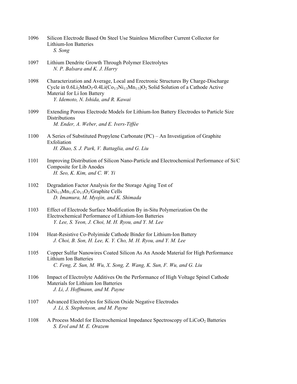- 1096 Silicon Electrode Based On Steel Use Stainless Microfiber Current Collector for Lithium-Ion Batteries  *S. Song*
- 1097 Lithium Dendrite Growth Through Polymer Electrolytes  *N. P. Balsara and K. J. Harry*
- 1098 Characterization and Average, Local and Erectronic Structures By Charge-Discharge Cycle in  $0.6Li_2MnO_3-0.4Li(Co_{1/3}Ni_{1/3}Mn_{1/3})O_2$  Solid Solution of a Cathode Active Material for Li Ion Battery  *Y. Idemoto, N. Ishida, and R. Kawai*
- 1099 Extending Porous Electrode Models for Lithium-Ion Battery Electrodes to Particle Size **Distributions**  *M. Ender, A. Weber, and E. Ivers-Tiffée*
- 1100 A Series of Substituted Propylene Carbonate (PC) An Investigation of Graphite Exfoliation  *H. Zhao, S. J. Park, V. Battaglia, and G. Liu*
- 1101 Improving Distribution of Silicon Nano-Particle and Electrochemical Performance of Si/C Composite for Lib Anodes  *H. Seo, K. Kim, and C. W. Yi*
- 1102 Degradation Factor Analysis for the Storage Aging Test of  $LiNi<sub>1/3</sub>Mn<sub>1/3</sub>Co<sub>1/3</sub>O<sub>2</sub>/Graphite Cells$  *D. Imamura, M. Myojin, and K. Shimada*
- 1103 Effect of Electrode Surface Modification By in-Situ Polymerization On the Electrochemical Performance of Lithium-Ion Batteries  *Y. Lee, S. Yeon, J. Choi, M. H. Ryou, and Y. M. Lee*
- 1104 Heat-Resistive Co-Polyimide Cathode Binder for Lithium-Ion Battery  *J. Choi, B. Son, H. Lee, K. Y. Cho, M. H. Ryou, and Y. M. Lee*
- 1105 Copper Sulfur Nanowires Coated Silicon As An Anode Material for High Performance Lithium Ion Batteries  *C. Feng, Z. Sun, M. Wu, X. Song, Z. Wang, K. Sun, F. Wu, and G. Liu*
- 1106 Impact of Electrolyte Additives On the Performance of High Voltage Spinel Cathode Materials for Lithium Ion Batteries  *J. Li, J. Hoffmann, and M. Payne*
- 1107 Advanced Electrolytes for Silicon Oxide Negative Electrodes  *J. Li, S. Stephenson, and M. Payne*
- 1108 A Process Model for Electrochemical Impedance Spectroscopy of LiCoO<sub>2</sub> Batteries  *S. Erol and M. E. Orazem*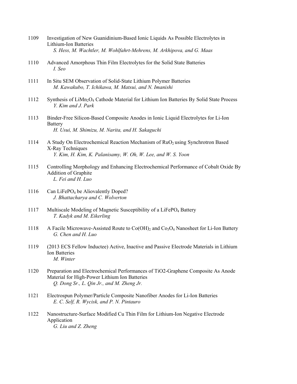- 1109 Investigation of New Guanidinium-Based Ionic Liquids As Possible Electrolytes in Lithium-Ion Batteries  *S. Hess, M. Wachtler, M. Wohlfahrt-Mehrens, M. Arkhipova, and G. Maas*
- 1110 Advanced Amorphous Thin Film Electrolytes for the Solid State Batteries  *I. Seo*
- 1111 In Situ SEM Observation of Solid-State Lithium Polymer Batteries  *M. Kawakubo, T. Ichikawa, M. Matsui, and N. Imanishi*
- 1112 Synthesis of LiMn<sub>2</sub>O<sub>4</sub> Cathode Material for Lithium Ion Batteries By Solid State Process  *Y. Kim and J. Park*
- 1113 Binder-Free Silicon-Based Composite Anodes in Ionic Liquid Electrolytes for Li-Ion Battery  *H. Usui, M. Shimizu, M. Narita, and H. Sakaguchi*
- 1114 A Study On Electrochemical Reaction Mechanism of  $RuO<sub>2</sub>$  using Synchrotron Based X-Ray Techniques  *Y. Kim, H. Kim, K. Palanisamy, W. Oh, W. Lee, and W. S. Yoon*
- 1115 Controlling Morphology and Enhancing Electrochemical Performance of Cobalt Oxide By Addition of Graphite  *L. Fei and H. Luo*
- 1116 Can LiFePO<sub>4</sub> be Aliovalently Doped?  *J. Bhattacharya and C. Wolverton*
- 1117 Multiscale Modeling of Magnetic Susceptibility of a LiFePO<sub>4</sub> Battery  *T. Kadyk and M. Eikerling*
- 1118 A Facile Microwave-Assisted Route to  $Co(OH)_2$  and  $Co_3O_4$  Nanosheet for Li-Ion Battery  *G. Chen and H. Luo*
- 1119 (2013 ECS Fellow Inductee) Active, Inactive and Passive Electrode Materials in Lithium Ion Batteries  *M. Winter*
- 1120 Preparation and Electrochemical Performances of TiO2-Graphene Composite As Anode Material for High-Power Lithium Ion Batteries  *Q. Dong Sr., L. Qin Jr., and M. Zheng Jr.*
- 1121 Electrospun Polymer/Particle Composite Nanofiber Anodes for Li-Ion Batteries  *E. C. Self, R. Wycisk, and P. N. Pintauro*
- 1122 Nanostructure-Surface Modified Cu Thin Film for Lithium-Ion Negative Electrode Application  *G. Liu and Z. Zheng*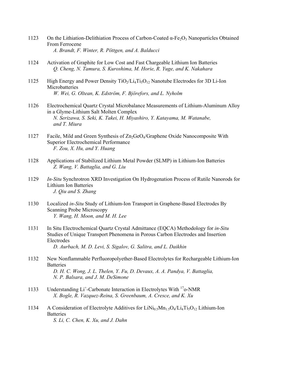- 1123 On the Lithiation-Delithiation Process of Carbon-Coated  $\alpha$ -Fe<sub>2</sub>O<sub>3</sub> Nanoparticles Obtained From Ferrocene  *A. Brandt, F. Winter, R. Pöttgen, and A. Balducci*
- 1124 Activation of Graphite for Low Cost and Fast Chargeable Lithium Ion Batteries  *Q. Cheng, N. Tamura, S. Kuroshima, M. Horie, R. Yuge, and K. Nakahara*
- 1125 High Energy and Power Density  $TiO<sub>2</sub>/Li<sub>4</sub>Ti<sub>5</sub>O<sub>12</sub>$  Nanotube Electrodes for 3D Li-Ion Microbatteries  *W. Wei, G. Oltean, K. Edström, F. Björefors, and L. Nyholm*
- 1126 Electrochemical Quartz Crystal Microbalance Measurements of Lithium-Aluminum Alloy in a Glyme-Lithium Salt Molten Complex  *N. Serizawa, S. Seki, K. Takei, H. Miyashiro, Y. Katayama, M. Watanabe, and T. Miura*
- 1127 Facile, Mild and Green Synthesis of  $Zn_2GeO_4/G$ raphene Oxide Nanocomposite With Superior Electrochemical Performance  *F. Zou, X. Hu, and Y. Huang*
- 1128 Applications of Stabilized Lithium Metal Powder (SLMP) in Lithium-Ion Batteries  *Z. Wang, V. Battaglia, and G. Liu*
- 1129 *In-Situ* Synchrotron XRD Investigation On Hydrogenation Process of Rutile Nanorods for Lithium Ion Batteries  *J. Qiu and S. Zhang*
- 1130 Localized *in-Situ* Study of Lithium-Ion Transport in Graphene-Based Electrodes By Scanning Probe Microscopy  *Y. Wang, H. Moon, and M. H. Lee*
- 1131 In Situ Electrochemical Quartz Crystal Admittance (EQCA) Methodology for *in-Situ* Studies of Unique Transport Phenomena in Porous Carbon Electrodes and Insertion Electrodes  *D. Aurbach, M. D. Levi, S. Sigalov, G. Salitra, and L. Daikhin*
- 1132 New Nonflammable Perfluoropolyether-Based Electrolytes for Rechargeable Lithium-Ion **Batteries**  *D. H. C. Wong, J. L. Thelen, Y. Fu, D. Devaux, A. A. Pandya, V. Battaglia, N. P. Balsara, and J. M. DeSimone*
- 1133 Understanding Li<sup>+</sup>-Carbonate Interaction in Electrolytes With <sup>17</sup>o-NMR  *X. Bogle, R. Vazquez-Reina, S. Greenbaum, A. Cresce, and K. Xu*
- 1134 A Consideration of Electrolyte Additives for LiNi<sub>0.5</sub>Mn<sub>1.5</sub>O<sub>4</sub>/Li<sub>4</sub>Ti<sub>5</sub>O<sub>12</sub> Lithium-Ion **Batteries**  *S. Li, C. Chen, K. Xu, and J. Dahn*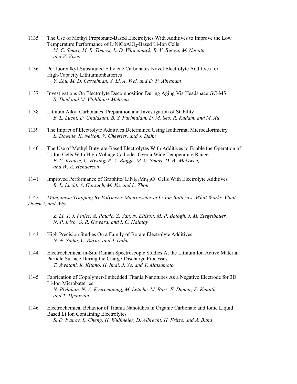- 1135 The Use of Methyl Propionate-Based Electrolytes With Additives to Improve the Low Temperature Performance of LiNiCoAlO<sub>2</sub>-Based Li-Ion Cells  *M. C. Smart, M. R. Tomcsi, L. D. Whitcanack, R. V. Bugga, M. Nagata, and V. Visco*
- 1136 Perfluoroalkyl-Substituted Ethylene Carbonates:Novel Electrolyte Additives for High-Capacity Lithiumionbatteries  *Y. Zhu, M. D. Casselman, Y. Li, A. Wei, and D. P. Abraham*
- 1137 Investigations On Electrolyte Decomposition During Aging Via Headspace GC-MS  *S. Theil and M. Wohlfahrt-Mehrens*
- 1138 Lithium Alkyl Carbonates: Preparation and Investigation of Stability  *B. L. Lucht, D. Chalasani, B. S. Parimalam, D. M. Seo, R. Kadam, and M. Xu*
- 1139 The Impact of Electrolyte Additives Determined Using Isothermal Microcalorimetry  *L. Downie, K. Nelson, V. Chevrier, and J. Dahn*
- 1140 The Use of Methyl Butyrate-Based Electrolytes With Additives to Enable the Operation of Li-Ion Cells With High Voltage Cathodes Over a Wide Temperature Range  *F. C. Krause, C. Hwang, R. V. Bugga, M. C. Smart, D. W. McOwen, and W. A. Henderson*
- 1141 Improved Performance of Graphite/  $LiNi<sub>0.5</sub>Mn<sub>1.5</sub>O<sub>4</sub>$  Cells With Electrolyte Additives  *B. L. Lucht, A. Garsuch, M. Xu, and L. Zhou*

1142 *Manganese Trapping By Polymeric Macrocycles in Li-Ion Batteries: What Works, What Doesn't, and Why*

> *Z. Li, T. J. Fuller, A. Pauric, Z. Yan, N. Ellison, M. P. Balogh, J. M. Ziegelbauer, N. P. Irish, G. R. Goward, and I. C. Halalay*

- 1143 High Precision Studies On a Family of Borate Electrolyte Additives  *N. N. Sinha, C. Burns, and J. Dahn*
- 1144 Electrochemical in-Situ Raman Spectroscopic Studies At the Lithium Ion Active Material Particle Surface During the Charge-Discharge Processes  *T. Awatani, R. Kitano, H. Imai, J. Ye, and T. Matsumoto*
- 1145 Fabrication of Copolymer-Embedded Titania Nanotubes As a Negative Electrode for 3D Li-Ion Microbatteries  *N. Plylahan, N. A. Kyeremateng, M. Letiche, M. Barr, F. Dumur, P. Knauth, and T. Djenizian*
- 1146 Electrochemical Behavior of Titania Nanotubes in Organic Carbonate and Ionic Liquid Based Li Ion Containing Electrolytes  *S. D. Ivanov, L. Cheng, H. Wulfmeier, D. Albrecht, H. Fritze, and A. Bund*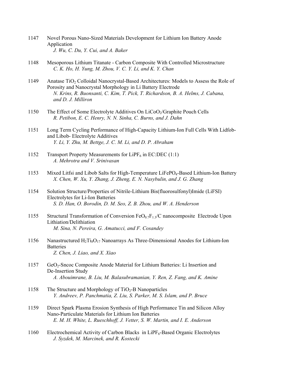- 1147 Novel Porous Nano-Sized Materials Development for Lithium Ion Battery Anode Application  *J. Wu, C. Du, Y. Cui, and A. Baker*
- 1148 Mesoporous Lithium Titanate Carbon Composite With Controlled Microstructure  *C. K. Ho, H. Yung, M. Zhou, V. C. Y. Li, and K. Y. Chan*
- 1149 Anatase TiO2 Colloidal Nanocrystal-Based Architectures: Models to Assess the Role of Porosity and Nanocrystal Morphology in Li Battery Electrode  *N. Krins, R. Buonsanti, C. Kim, T. Pick, T. Richardson, B. A. Helms, J. Cabana, and D. J. Milliron*
- 1150 The Effect of Some Electrolyte Additives On LiCoO<sub>2</sub>/Graphite Pouch Cells  *R. Petibon, E. C. Henry, N. N. Sinha, C. Burns, and J. Dahn*
- 1151 Long Term Cycling Performance of High-Capacity Lithium-Ion Full Cells With Lidfob and Libob- Electrolyte Additives  *Y. Li, Y. Zhu, M. Bettge, J. C. M. Li, and D. P. Abraham*
- 1152 Transport Property Measurements for  $LiPF_6$  in EC:DEC (1:1)  *A. Mehrotra and V. Srinivasan*
- 1153 Mixed Litfsi and Libob Salts for High-Temperature LiFePO<sub>4</sub>-Based Lithium-Ion Battery  *X. Chen, W. Xu, Y. Zhang, J. Zheng, E. N. Nasybulin, and J. G. Zhang*
- 1154 Solution Structure/Properties of Nitrile-Lithium Bis(fluorosulfonyl)Imide (LiFSI) Electrolytes for Li-Ion Batteries  *S. D. Han, O. Borodin, D. M. Seo, Z. B. Zhou, and W. A. Henderson*
- 1155 Structural Transformation of Conversion  $FeO<sub>0.7</sub>F<sub>1.3</sub>/C$  nanocomposite Electrode Upon Lithiation/Delithiation  *M. Sina, N. Pereira, G. Amatucci, and F. Cosandey*
- 1156 Nanastructured  $H_2Ti_8O_{17}$  Nanoarrays As Three-Dimensional Anodes for Lithium-Ion **Batteries**  *Z. Chen, J. Liao, and X. Xiao*
- 1157 GeO2-Sncoc Composite Anode Material for Lithium Batteries: Li Insertion and De-Insertion Study  *A. Abouimrane, B. Liu, M. Balasubramanian, Y. Ren, Z. Fang, and K. Amine*
- 1158 The Structure and Morphology of  $TiO<sub>2</sub>$ -B Nanoparticles  *Y. Andreev, P. Panchmatia, Z. Liu, S. Parker, M. S. Islam, and P. Bruce*
- 1159 Direct Spark Plasma Erosion Synthesis of High Performance Tin and Silicon Alloy Nano-Particulate Materials for Lithium Ion Batteries  *E. M. H. White, L. Rueschhoff, J. Vetter, S. W. Martin, and I. E. Anderson*
- 1160 Electrochemical Activity of Carbon Blacks in LiPF<sub>6</sub>-Based Organic Electrolytes  *J. Syzdek, M. Marcinek, and R. Kostecki*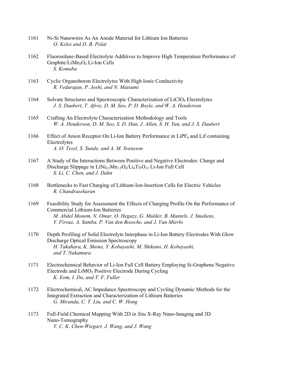- 1161 Ni-Si Nanowires As An Anode Material for Lithium Ion Batteries  *O. Keles and D. B. Polat*
- 1162 Fluorosilane-Based Electrolyte Additives to Improve High Temperature Performance of Graphite/LiMn<sub>2</sub>O<sub>4</sub> Li-Ion Cells  *S. Komaba*
- 1163 Cyclic Organoboron Electrolytes With High Ionic Conductivity  *R. Vedarajan, P. Joshi, and N. Matsumi*
- 1164 Solvate Structures and Spectroscopic Characterization of LiClO4 Electrolytes  *J. S. Daubert, T. Afroz, D. M. Seo, P. D. Boyle, and W. A. Henderson*
- 1165 Crafting An Electrolyte Characterization Methodology and Tools  *W. A. Henderson, D. M. Seo, S. D. Han, J. Allen, S. H. Yun, and J. S. Daubert*
- 1166 Effect of Anion Receptor On Li-Ion Battery Performance in LiPF $_6$  and Lif containing Electrolytes  *A. O. Tezel, S. Sunde, and A. M. Svensson*
- 1167 A Study of the Interactions Between Positive and Negative Electrodes: Charge and Discharge Slippage in  $LiNi<sub>0.5</sub>Mn<sub>1.5</sub>O<sub>4</sub>/Li<sub>4</sub>Ti<sub>5</sub>O<sub>12</sub> Li-Ion Full Cell$  *S. Li, C. Chen, and J. Dahn*
- 1168 Bottlenecks to Fast Charging of Lithium-Ion-Insertion Cells for Electric Vehicles  *R. Chandrasekaran*
- 1169 Feasibility Study for Assessment the Effects of Charging Profile On the Performance of Commercial Lithium-Ion Batteries  *M. Abdel Monem, N. Omar, O. Hegazy, G. Mulder, B. Mantels, J. Smekens, Y. Firouz, A. Samba, P. Van den Bossche, and J. Van Mierlo*
- 1170 Depth Profiling of Solid Electrolyte Interphase in Li-Ion Battery Electrodes With Glow Discharge Optical Emission Spectroscopy  *H. Takahara, K. Shono, Y. Kobayashi, M. Shikano, H. Kobayashi, and T. Nakamura*
- 1171 Electrochemical Behavior of Li-Ion Full Cell Battery Employing Si-Graphene Negative Electrode and  $LiMO<sub>2</sub>$  Positive Electrode During Cycling  *K. Eom, I. Do, and T. F. Fuller*
- 1172 Electrochemical, AC Impedance Spectroscopy and Cycling Dynamic Methods for the Integrated Extraction and Characterization of Lithium Batteries  *G. Miranda, C. T. Liu, and C. W. Hong*
- 1173 Full-Field Chemical Mapping With 2D *in Situ* X-Ray Nano-Imaging and 3D Nano-Tomography  *Y. C. K. Chen-Wiegart, J. Wang, and J. Wang*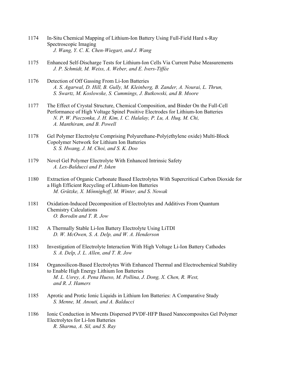- 1174 In-Situ Chemical Mapping of Lithium-Ion Battery Using Full-Field Hard x-Ray Spectroscopic Imaging  *J. Wang, Y. C. K. Chen-Wiegart, and J. Wang*
- 1175 Enhanced Self-Discharge Tests for Lithium-Ion Cells Via Current Pulse Measurements  *J. P. Schmidt, M. Weiss, A. Weber, and E. Ivers-Tiffée*
- 1176 Detection of Off Gassing From Li-Ion Batteries  *A. S. Agarwal, D. Hill, B. Gully, M. Kleinberg, B. Zander, A. Nourai, L. Thrun, S. Swartz, M. Koslowske, S. Cummings, J. Butkowski, and B. Moore*
- 1177 The Effect of Crystal Structure, Chemical Composition, and Binder On the Full-Cell Performance of High Voltage Spinel Positive Electrodes for Lithium-Ion Batteries  *N. P. W. Pieczonka, J. H. Kim, I. C. Halalay, P. Lu, A. Huq, M. Chi, A. Manthiram, and B. Powell*
- 1178 Gel Polymer Electrolyte Comprising Polyurethane-Poly(ethylene oxide) Multi-Block Copolymer Network for Lithium Ion Batteries  *S. S. Hwang, J. M. Choi, and S. K. Doo*
- 1179 Novel Gel Polymer Electrolyte With Enhanced Intrinsic Safety  *A. Lex-Balducci and P. Isken*
- 1180 Extraction of Organic Carbonate Based Electrolytes With Supercritical Carbon Dioxide for a High Efficient Recycling of Lithium-Ion Batteries  *M. Grützke, X. Mönnighoff, M. Winter, and S. Nowak*
- 1181 Oxidation-Induced Decomposition of Electrolytes and Additives From Quantum Chemistry Calculations  *O. Borodin and T. R. Jow*
- 1182 A Thermally Stable Li-Ion Battery Electrolyte Using LiTDI  *D. W. McOwen, S. A. Delp, and W. A. Henderson*
- 1183 Investigation of Electrolyte Interaction With High Voltage Li-Ion Battery Cathodes  *S. A. Delp, J. L. Allen, and T. R. Jow*
- 1184 Organosilicon-Based Electrolytes With Enhanced Thermal and Electrochemical Stability to Enable High Energy Lithium Ion Batteries  *M. L. Usrey, A. Pena Hueso, M. Pollina, J. Dong, X. Chen, R. West, and R. J. Hamers*
- 1185 Aprotic and Protic Ionic Liquids in Lithium Ion Batteries: A Comparative Study  *S. Menne, M. Anouti, and A. Balducci*
- 1186 Ionic Conduction in Mwcnts Dispersed PVDF-HFP Based Nanocomposites Gel Polymer Electrolytes for Li-Ion Batteries  *R. Sharma, A. Sil, and S. Ray*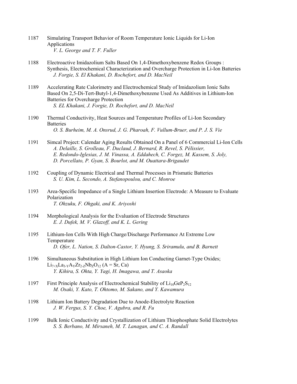- 1187 Simulating Transport Behavior of Room Temperature Ionic Liquids for Li-Ion Applications  *V. L. George and T. F. Fuller*
- 1188 Electroactive Imidazolium Salts Based On 1,4-Dimethoxybenzene Redox Groups : Synthesis, Electrochemical Characterization and Overcharge Protection in Li-Ion Batteries  *J. Forgie, S. El Khakani, D. Rochefort, and D. MacNeil*
- 1189 Accelerating Rate Calorimetry and Electrochemical Study of Imidazolium Ionic Salts Based On 2,5-Di-Tert-Butyl-1,4-Dimethoxybenzene Used As Additives in Lithium-Ion Batteries for Overcharge Protection  *S. EL Khakani, J. Forgie, D. Rochefort, and D. MacNeil*
- 1190 Thermal Conductivity, Heat Sources and Temperature Profiles of Li-Ion Secondary **Batteries**  *O. S. Burheim, M. A. Onsrud, J. G. Pharoah, F. Vullum-Bruer, and P. J. S. Vie*
- 1191 Simcal Project: Calendar Aging Results Obtained On a Panel of 6 Commercial Li-Ion Cells  *A. Delaille, S. Grolleau, F. Duclaud, J. Bernard, R. Revel, S. Pélissier, E. Redondo-Iglesias, J. M. Vinassa, A. Eddahech, C. Forgez, M. Kassem, S. Joly, D. Porcellato, P. Gyan, S. Bourlot, and M. Ouattara-Brigaudet*
- 1192 Coupling of Dynamic Electrical and Thermal Processes in Prismatic Batteries  *S. U. Kim, L. Secondo, A. Stefanopoulou, and C. Monroe*
- 1193 Area-Specific Impedance of a Single Lithium Insertion Electrode: A Measure to Evaluate Polarization  *T. Ohzuku, F. Ohgaki, and K. Ariyoshi*
- 1194 Morphological Analysis for the Evaluation of Electrode Structures  *E. J. Dufek, M. V. Glazoff, and K. L. Gering*
- 1195 Lithium-Ion Cells With High Charge/Discharge Performance At Extreme Low Temperature  *D. Ofer, L. Nation, S. Dalton-Castor, Y. Hyung, S. Sriramulu, and B. Barnett*
- 1196 Simultaneous Substitution in High Lithium Ion Conducting Garnet-Type Oxides;  $Li_{7+X}La_{3-Y}A_{Y}Zr_{2-Z}Nb_{Z}O_{12}$  (A = Sr, Ca)  *Y. Kihira, S. Ohta, Y. Yagi, H. Imagawa, and T. Asaoka*
- 1197 First Principle Analysis of Electrochemical Stability of  $Li_{10}GeP_2S_{12}$  *M. Osaki, Y. Kato, T. Ohtomo, M. Sakano, and Y. Kawamura*
- 1198 Lithium Ion Battery Degradation Due to Anode-Electrolyte Reaction  *J. W. Fergus, S. Y. Choe, V. Agubra, and R. Fu*
- 1199 Bulk Ionic Conductivity and Crystallization of Lithium Thiophosphate Solid Electrolytes  *S. S. Berbano, M. Mirsaneh, M. T. Lanagan, and C. A. Randall*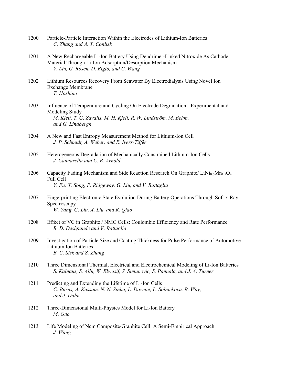| 1200 | Particle-Particle Interaction Within the Electrodes of Lithium-Ion Batteries |
|------|------------------------------------------------------------------------------|
|      | C. Zhang and A. T. Conlisk                                                   |

- 1201 A New Rechargeable Li-Ion Battery Using Dendrimer-Linked Nitroxide As Cathode Material Through Li-Ion Adsorption/Desorption Mechanism  *Y. Liu, G. Rosen, D. Bigio, and C. Wang*
- 1202 Lithium Resources Recovery From Seawater By Electrodialysis Using Novel Ion Exchange Membrane  *T. Hoshino*
- 1203 Influence of Temperature and Cycling On Electrode Degradation Experimental and Modeling Study  *M. Klett, T. G. Zavalis, M. H. Kjell, R. W. Lindström, M. Behm, and G. Lindbergh*
- 1204 A New and Fast Entropy Measurement Method for Lithium-Ion Cell  *J. P. Schmidt, A. Weber, and E. Ivers-Tiffée*
- 1205 Heterogeneous Degradation of Mechanically Constrained Lithium-Ion Cells  *J. Cannarella and C. B. Arnold*
- 1206 Capacity Fading Mechanism and Side Reaction Research On Graphite/  $LiNi<sub>0.5</sub>Mn<sub>1.5</sub>O<sub>4</sub>$  Full Cell  *Y. Fu, X. Song, P. Ridgeway, G. Liu, and V. Battaglia*
- 1207 Fingerprinting Electronic State Evolution During Battery Operations Through Soft x-Ray Spectroscopy  *W. Yang, G. Liu, X. Liu, and R. Qiao*
- 1208 Effect of VC in Graphite / NMC Cells: Coulombic Efficiency and Rate Performance  *R. D. Deshpande and V. Battaglia*
- 1209 Investigation of Particle Size and Coating Thickness for Pulse Performance of Automotive Lithium Ion Batteries  *B. C. Sisk and Z. Zhang*
- 1210 Three Dimensional Thermal, Electrical and Electrochemical Modeling of Li-Ion Batteries  *S. Kalnaus, S. Allu, W. Elwasif, S. Simunovic, S. Pannala, and J. A. Turner*
- 1211 Predicting and Extending the Lifetime of Li-Ion Cells  *C. Burns, A. Kassam, N. N. Sinha, L. Downie, L. Solnickova, B. Way, and J. Dahn*
- 1212 Three-Dimensional Multi-Physics Model for Li-Ion Battery  *M. Guo*
- 1213 Life Modeling of Ncm Composite/Graphite Cell: A Semi-Empirical Approach  *J. Wang*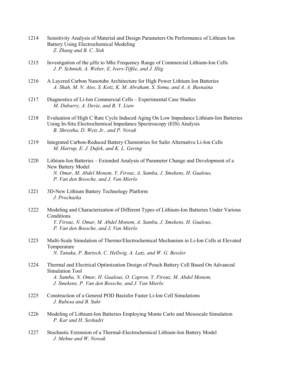- 1214 Sensitivity Analysis of Material and Design Parameters On Performance of Lithium Ion Battery Using Electrochemical Modeling  *Z. Zhang and B. C. Sisk*
- 1215 Investigation of the µHz to Mhz Frequency Range of Commercial Lithium-Ion Cells  *J. P. Schmidt, A. Weber, E. Ivers-Tiffée, and J. Illig*
- 1216 A Layered Carbon Nanotube Architecture for High Power Lithium Ion Batteries  *A. Shah, M. N. Ates, S. Kotz, K. M. Abraham, S. Somu, and A. A. Busnaina*
- 1217 Diagnostics of Li-Ion Commercial Cells Experimental Case Studies  *M. Dubarry, A. Devie, and B. Y. Liaw*
- 1218 Evaluation of High C Rate Cycle Induced Aging On Low Impedance Lithium-Ion Batteries Using In-Situ Electrochemical Impedance Spectroscopy (EIS) Analysis  *B. Shrestha, D. Wetz Jr., and P. Novak*
- 1219 Integrated Carbon-Reduced Battery Chemistries for Safer Alternative Li-Ion Cells  *M. Harrup, E. J. Dufek, and K. L. Gering*
- 1220 Lithium-Ion Batteries Extended Analysis of Parameter Change and Development of a New Battery Model  *N. Omar, M. Abdel Monem, Y. Firouz, A. Samba, J. Smekens, H. Gualous, P. Van den Bossche, and J. Van Mierlo*
- 1221 3D-New Lithium Battery Technology Platform  *J. Prochazka*
- 1222 Modeling and Characterization of Different Types of Lithium-Ion Batteries Under Various **Conditions**  *Y. Firouz, N. Omar, M. Abdel Monem, A. Samba, J. Smekens, H. Gualous, P. Van den Bossche, and J. Van Mierlo*
- 1223 Multi-Scale Simulation of Thermo/Electrochemical Mechanism in Li-Ion Cells at Elevated Temperature  *N. Tanaka, P. Bartsch, C. Hellwig, A. Latz, and W. G. Bessler*
- 1224 Thermal and Electrical Optimization Design of Pouch Battery Cell Based On Advanced Simulation Tool  *A. Samba, N. Omar, H. Gualous, O. Capron, Y. Firouz, M. Abdel Monem, J. Smekens, P. Van den Bossche, and J. Van Mierlo*
- 1225 Construction of a General POD Basisfor Faster Li-Ion Cell Simulations  *J. Rubesa and B. Suhr*
- 1226 Modeling of Lithium-Ion Batteries Employing Monte Carlo and Mesoscale Simulation  *P. Kar and H. Seshadri*
- 1227 Stochastic Extension of a Thermal-Electrochemical Lithium-Ion Battery Model  *J. Mehne and W. Nowak*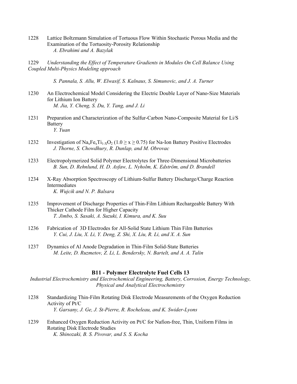- 1228 Lattice Boltzmann Simulation of Tortuous Flow Within Stochastic Porous Media and the Examination of the Tortuosity-Porosity Relationship  *A. Ebrahimi and A. Bazylak*
- 1229 *Understanding the Effect of Temperature Gradients in Modules On Cell Balance Using Coupled Multi-Physics Modeling approach*

 *S. Pannala, S. Allu, W. Elwasif, S. Kalnaus, S. Simunovic, and J. A. Turner* 

- 1230 An Electrochemical Model Considering the Electric Double Layer of Nano-Size Materials for Lithium Ion Battery  *M. Jia, Y. Cheng, S. Du, Y. Tang, and J. Li*
- 1231 Preparation and Characterization of the Sulfur-Carbon Nano-Composite Material for Li/S **Battery**  *Y. Yuan*
- 1232 Investigation of  $\text{Na}_{x}Fe_{x}Ti_{1-x}O_{2}$  (1.0  $\geq x \geq 0.75$ ) for Na-Ion Battery Positive Electrodes  *J. Thorne, S. Chowdhury, R. Dunlap, and M. Obrovac*
- 1233 Electropolymerized Solid Polymer Electrolytes for Three-Dimensional Microbatteries  *B. Sun, D. Rehnlund, H. D. Asfaw, L. Nyholm, K. Edström, and D. Brandell*
- 1234 X-Ray Absorption Spectroscopy of Lithium-Sulfur Battery Discharge/Charge Reaction Intermediates  *K. Wujcik and N. P. Balsara*
- 1235 Improvement of Discharge Properties of Thin-Film Lithium Rechargeable Battery With Thicker Cathode Film for Higher Capacity  *T. Jimbo, S. Sasaki, A. Suzuki, I. Kimura, and K. Suu*
- 1236 Fabrication of 3D Electrodes for All-Solid State Lithium Thin Film Batteries  *Y. Cui, J. Liu, X. Li, Y. Deng, Z. Shi, X. Liu, R. Li, and X. A. Sun*
- 1237 Dynamics of Al Anode Degradation in Thin-Film Solid-State Batteries  *M. Leite, D. Ruzmetov, Z. Li, L. Bendersky, N. Bartelt, and A. A. Talin*

## **B11 - Polymer Electrolyte Fuel Cells 13**

*Industrial Electrochemistry and Electrochemical Engineering, Battery, Corrosion, Energy Technology, Physical and Analytical Electrochemistry* 

- 1238 Standardizing Thin-Film Rotating Disk Electrode Measurements of the Oxygen Reduction Activity of Pt/C  *Y. Garsany, J. Ge, J. St-Pierre, R. Rocheleau, and K. Swider-Lyons*
- 1239 Enhanced Oxygen Reduction Activity on Pt/C for Nafion-free, Thin, Uniform Films in Rotating Disk Electrode Studies  *K. Shinozaki, B. S. Pivovar, and S. S. Kocha*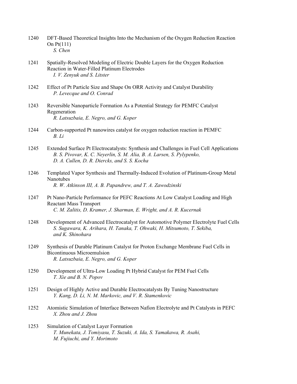- 1240 DFT-Based Theoretical Insights Into the Mechanism of the Oxygen Reduction Reaction On Pt(111)  *S. Chen*
- 1241 Spatially-Resolved Modeling of Electric Double Layers for the Oxygen Reduction Reaction in Water-Filled Platinum Electrodes  *I. V. Zenyuk and S. Litster*
- 1242 Effect of Pt Particle Size and Shape On ORR Activity and Catalyst Durability  *P. Levecque and O. Conrad*
- 1243 Reversible Nanoparticle Formation As a Potential Strategy for PEMFC Catalyst Regeneration  *R. Latsuzbaia, E. Negro, and G. Koper*
- 1244 Carbon-supported Pt nanowires catalyst for oxygen reduction reaction in PEMFC  *B. Li*
- 1245 Extended Surface Pt Electrocatalysts: Synthesis and Challenges in Fuel Cell Applications  *B. S. Pivovar, K. C. Neyerlin, S. M. Alia, B. A. Larsen, S. Pylypenko, D. A. Cullen, D. R. Diercks, and S. S. Kocha*
- 1246 Templated Vapor Synthesis and Thermally-Induced Evolution of Platinum-Group Metal Nanotubes  *R. W. Atkinson III, A. B. Papandrew, and T. A. Zawodzinski*
- 1247 Pt Nano-Particle Performance for PEFC Reactions At Low Catalyst Loading and High Reactant Mass Transport  *C. M. Zalitis, D. Kramer, J. Sharman, E. Wright, and A. R. Kucernak*
- 1248 Development of Advanced Electrocatalyst for Automotive Polymer Electrolyte Fuel Cells  *S. Sugawara, K. Arihara, H. Tanaka, T. Ohwaki, H. Mitsumoto, T. Sekiba, and K. Shinohara*
- 1249 Synthesis of Durable Platinum Catalyst for Proton Exchange Membrane Fuel Cells in Bicontinuous Microemulsion  *R. Latsuzbaia, E. Negro, and G. Koper*
- 1250 Development of Ultra-Low Loading Pt Hybrid Catalyst for PEM Fuel Cells  *T. Xie and B. N. Popov*
- 1251 Design of Highly Active and Durable Electrocatalysts By Tuning Nanostructure  *Y. Kang, D. Li, N. M. Markovic, and V. R. Stamenkovic*
- 1252 Atomistic Simulation of Interface Between Nafion Electrolyte and Pt Catalysts in PEFC  *X. Zhou and J. Zhou*
- 1253 Simulation of Catalyst Layer Formation  *T. Munekata, J. Tomiyasu, T. Suzuki, A. Ida, S. Yamakawa, R. Asahi, M. Fujiuchi, and Y. Morimoto*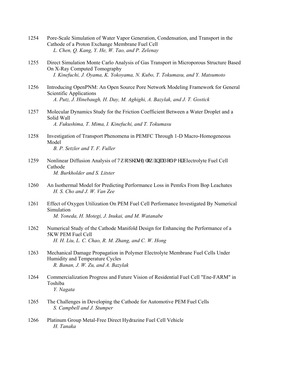- 1254 Pore-Scale Simulation of Water Vapor Generation, Condensation, and Transport in the Cathode of a Proton Exchange Membrane Fuel Cell  *L. Chen, Q. Kang, Y. He, W. Tao, and P. Zelenay*
- 1255 Direct Simulation Monte Carlo Analysis of Gas Transport in Microporous Structure Based On X-Ray Computed Tomography  *I. Kinefuchi, J. Oyama, K. Yokoyama, N. Kubo, T. Tokumasu, and Y. Matsumoto*
- 1256 Introducing OpenPNM: An Open Source Pore Network Modeling Framework for General Scientific Applications  *A. Putz, J. Hinebaugh, H. Day, M. Aghighi, A. Bazylak, and J. T. Gostick*
- 1257 Molecular Dynamics Study for the Friction Coefficient Between a Water Droplet and a Solid Wall  *A. Fukushima, T. Mima, I. Kinefuchi, and T. Tokumasu*
- 1258 Investigation of Transport Phenomena in PEMFC Through 1-D Macro-Homogeneous Model  *B. P. Setzler and T. F. Fuller*
- 1259 Nonlinear Diffusion Analysis of Vy  $q/r$  i cug'Hay 'kp'' Ran o gt' Electrolyte Fuel Cell Cathode  *M. Burkholder and S. Litster*
- 1260 An Isothermal Model for Predicting Performance Loss in Pemfcs From Bop Leachates  *H. S. Cho and J. W. Van Zee*
- 1261 Effect of Oxygen Utilization On PEM Fuel Cell Performance Investigated By Numerical Simulation  *M. Yoneda, H. Motegi, J. Inukai, and M. Watanabe*
- 1262 Numerical Study of the Cathode Manifold Design for Enhancing the Performance of a 5KW PEM Fuel Cell  *H. H. Liu, L. C. Chao, R. M. Zhang, and C. W. Hong*
- 1263 Mechanical Damage Propagation in Polymer Electrolyte Membrane Fuel Cells Under Humidity and Temperature Cycles  *R. Banan, J. W. Zu, and A. Bazylak*
- 1264 Commercialization Progress and Future Vision of Residential Fuel Cell "Ene-FARM" in Toshiba  *Y. Nagata*
- 1265 The Challenges in Developing the Cathode for Automotive PEM Fuel Cells  *S. Campbell and J. Stumper*
- 1266 Platinum Group Metal-Free Direct Hydrazine Fuel Cell Vehicle  *H. Tanaka*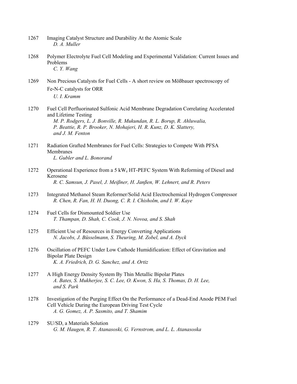| 1267 | Imaging Catalyst Structure and Durability At the Atomic Scale |
|------|---------------------------------------------------------------|
|      | D. A. Muller                                                  |

- 1268 Polymer Electrolyte Fuel Cell Modeling and Experimental Validation: Current Issues and Problems  *C. Y. Wang*
- 1269 Non Precious Catalysts for Fuel Cells A short review on Mößbauer spectroscopy of Fe‑N-C catalysts for ORR  *U. I. Kramm*
- 1270 Fuel Cell Perfluorinated Sulfonic Acid Membrane Degradation Correlating Accelerated and Lifetime Testing  *M. P. Rodgers, L. J. Bonville, R. Mukundan, R. L. Borup, R. Ahluwalia, P. Beattie, R. P. Brooker, N. Mohajeri, H. R. Kunz, D. K. Slattery, and J. M. Fenton*
- 1271 Radiation Grafted Membranes for Fuel Cells: Strategies to Compete With PFSA Membranes  *L. Gubler and L. Bonorand*
- 1272 Operational Experience from a 5 kWe HT-PEFC System With Reforming of Diesel and Kerosene  *R. C. Samsun, J. Pasel, J. Meißner, H. Janßen, W. Lehnert, and R. Peters*
- 1273 Integrated Methanol Steam Reformer/Solid Acid Electrochemical Hydrogen Compressor  *R. Chen, R. Fan, H. H. Duong, C. R. I. Chisholm, and I. W. Kaye*
- 1274 Fuel Cells for Dismounted Soldier Use  *T. Thampan, D. Shah, C. Cook, J. N. Novoa, and S. Shah*
- 1275 Efficient Use of Resources in Energy Converting Applications  *N. Jacobs, J. Büsselmann, S. Theuring, M. Zobel, and A. Dyck*
- 1276 Oscillation of PEFC Under Low Cathode Humidification: Effect of Gravitation and Bipolar Plate Design  *K. A. Friedrich, D. G. Sanchez, and A. Ortiz*
- 1277 A High Energy Density System By Thin Metallic Bipolar Plates  *A. Bates, S. Mukherjee, S. C. Lee, O. Kwon, S. Ha, S. Thomas, D. H. Lee, and S. Park*
- 1278 Investigation of the Purging Effect On the Performance of a Dead-End Anode PEM Fuel Cell Vehicle During the European Driving Test Cycle  *A. G. Gomez, A. P. Sasmito, and T. Shamim*
- 1279 SU/SD, a Materials Solution  *G. M. Haugen, R. T. Atanasoski, G. Vernstrom, and L. L. Atanasoska*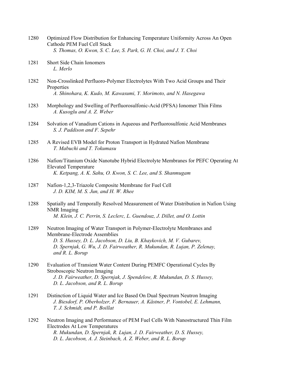- 1280 Optimized Flow Distribution for Enhancing Temperature Uniformity Across An Open Cathode PEM Fuel Cell Stack  *S. Thomas, O. Kwon, S. C. Lee, S. Park, G. H. Choi, and J. Y. Choi*
- 1281 Short Side Chain Ionomers  *L. Merlo*
- 1282 Non-Crosslinked Perfluoro-Polymer Electrolytes With Two Acid Groups and Their **Properties**  *A. Shinohara, K. Kudo, M. Kawasumi, Y. Morimoto, and N. Hasegawa*
- 1283 Morphology and Swelling of Perfluorosulfonic-Acid (PFSA) Ionomer Thin Films  *A. Kusoglu and A. Z. Weber*
- 1284 Solvation of Vanadium Cations in Aqueous and Perfluorosulfonic Acid Membranes  *S. J. Paddison and F. Sepehr*
- 1285 A Revised EVB Model for Proton Transport in Hydrated Nafion Membrane  *T. Mabuchi and T. Tokumasu*
- 1286 Nafion/Titanium Oxide Nanotube Hybrid Electrolyte Membranes for PEFC Operating At Elevated Temperature  *K. Ketpang, A. K. Sahu, O. Kwon, S. C. Lee, and S. Shanmugam*
- 1287 Nafion-1,2,3-Triazole Composite Membrane for Fuel Cell  *J. D. KIM, M. S. Jun, and H. W. Rhee*
- 1288 Spatially and Temporally Resolved Measurement of Water Distribution in Nafion Using NMR Imaging  *M. Klein, J. C. Perrin, S. Leclerc, L. Guendouz, J. Dillet, and O. Lottin*
- 1289 Neutron Imaging of Water Transport in Polymer-Electrolyte Membranes and Membrane-Electrode Assemblies  *D. S. Hussey, D. L. Jacobson, D. Liu, B. Khaykovich, M. V. Gubarev, D. Spernjak, G. Wu, J. D. Fairweather, R. Mukundan, R. Lujan, P. Zelenay, and R. L. Borup*
- 1290 Evaluation of Transient Water Content During PEMFC Operational Cycles By Stroboscopic Neutron Imaging  *J. D. Fairweather, D. Spernjak, J. Spendelow, R. Mukundan, D. S. Hussey, D. L. Jacobson, and R. L. Borup*
- 1291 Distinction of Liquid Water and Ice Based On Dual Spectrum Neutron Imaging  *J. Biesdorf, P. Oberholzer, F. Bernauer, A. Kästner, P. Vontobel, E. Lehmann, T. J. Schmidt, and P. Boillat*
- 1292 Neutron Imaging and Performance of PEM Fuel Cells With Nanostructured Thin Film Electrodes At Low Temperatures  *R. Mukundan, D. Spernjak, R. Lujan, J. D. Fairweather, D. S. Hussey, D. L. Jacobson, A. J. Steinbach, A. Z. Weber, and R. L. Borup*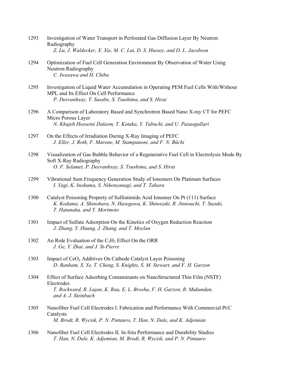| 1293 | Investigation of Water Transport in Perforated Gas Diffusion Layer By Neutron<br>Radiography<br>Z. Lu, J. Waldecker, X. Xie, M. C. Lai, D. S. Hussey, and D. L. Jacobson                    |
|------|---------------------------------------------------------------------------------------------------------------------------------------------------------------------------------------------|
| 1294 | Optimization of Fuel Cell Generation Environment By Observation of Water Using<br>Neutron Radiography<br>C. Iwasawa and H. Chiba                                                            |
| 1295 | Investigation of Liquid Water Accumulation in Operating PEM Fuel Cells With/Without<br>MPL and Its Effect On Cell Performance<br>P. Deevanhxay, T. Sasabe, S. Tsushima, and S. Hirai        |
| 1296 | A Comparison of Laboratory Based and Synchrotron Based Nano X-ray CT for PEFC<br>Micro Porous Layer<br>N. Khajeh Hosseini Dalasm, T. Kotaka, Y. Tabuchi, and U. Pasaogullari                |
| 1297 | On the Effects of Irradiation During X-Ray Imaging of PEFC<br>J. Eller, J. Roth, F. Marone, M. Stampanoni, and F. N. Büchi                                                                  |
| 1298 | Visualization of Gas Bubble Behavior of a Regenerative Fuel Cell in Electrolysis Mode By<br>Soft X-Ray Radiography<br>O. F. Selamet, P. Deevanhxay, S. Tsushima, and S. Hirai               |
| 1299 | Vibrational Sum Frequency Generation Study of Ionomers On Platinum Surfaces<br>I. Yagi, K. Inokuma, S. Nihonyanagi, and T. Tahara                                                           |
| 1300 | Catalyst Poisoning Property of Sulfonimide Acid Ionomer On Pt (111) Surface<br>K. Kodama, A. Shinohara, N. Hasegawa, K. Shinozaki, R. Jinnouchi, T. Suzuki,<br>T. Hatanaka, and Y. Morimoto |
| 1301 | Impact of Sulfate Adsorption On the Kinetics of Oxygen Reduction Reaction<br>J. Zhang, Y. Huang, J. Zhang, and T. Moylan                                                                    |
| 1302 | An Rrde Evaluation of the $C_2H_2$ Effect On the ORR<br>J. Ge, Y. Zhai, and J. St-Pierre                                                                                                    |
| 1303 | Impact of CeO <sub>x</sub> Additives On Cathode Catalyst Layer Poisoning<br>D. Banham, S. Ye, T. Cheng, S. Knights, S. M. Stewart, and F. H. Garzon                                         |
| 1304 | Effect of Surface Adsorbing Contaminants on NanoStructured Thin Film (NSTF)<br>Electrodes<br>T. Rockward, R. Lujan, K. Rau, E. L. Brosha, F. H. Garzon, R. Mukundan,<br>and A. J. Steinbach |
| 1305 | Nanofiber Fuel Cell Electrodes I. Fabrication and Performance With Commercial Pt/C<br>Catalysts<br>M. Brodt, R. Wycisk, P. N. Pintauro, T. Han, N. Dale, and K. Adjemian                    |
| 1306 | Nanofiber Fuel Cell Electrodes II. In-Situ Performance and Durability Studies<br>T. Han, N. Dale, K. Adjemian, M. Brodt, R. Wycisk, and P. N. Pintauro                                      |
|      |                                                                                                                                                                                             |
|      |                                                                                                                                                                                             |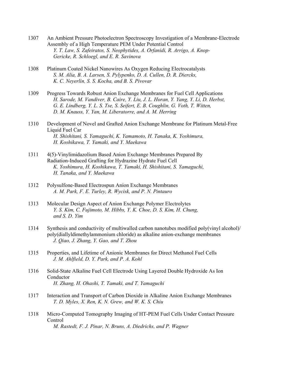- 1307 An Ambient Pressure Photoelectron Spectroscopy Investigation of a Membrane-Electrode Assembly of a High Temperature PEM Under Potential Control  *Y. T. Law, S. Zafeiratos, S. Neophytides, A. Orfanidi, R. Arrigo, A. Knop- Gericke, R. Schloegl, and E. R. Savinova*
- 1308 Platinum Coated Nickel Nanowires As Oxygen Reducing Electrocatalysts  *S. M. Alia, B. A. Larsen, S. Pylypenko, D. A. Cullen, D. R. Diercks, K. C. Neyerlin, S. S. Kocha, and B. S. Pivovar*
- 1309 Progress Towards Robust Anion Exchange Membranes for Fuel Cell Applications  *H. Sarode, M. Vandiver, B. Caire, Y. Liu, J. L. Horan, Y. Yang, Y. Li, D. Herbst, G. E. Lindberg, Y. L. S. Tse, S. Seifert, E. B. Coughlin, G. Voth, T. Witten, D. M. Knauss, Y. Yan, M. Liberatorre, and A. M. Herring*
- 1310 Development of Novel and Grafted Anion Exchange Membrane for Platinum Metal-Free Liquid Fuel Car  *H. Shishitani, S. Yamaguchi, K. Yamamoto, H. Tanaka, K. Yoshimura, H. Koshikawa, T. Yamaki, and Y. Maekawa*
- 1311 4(5)-Vinylimidazolium Based Anion Exchange Membranes Prepared By Radiation-Induced Grafting for Hydrazine Hydrate Fuel Cell  *K. Yoshimura, H. Koshikawa, T. Yamaki, H. Shishitani, S. Yamaguchi, H. Tanaka, and Y. Maekawa*
- 1312 Polysulfone-Based Electrospun Anion Exchange Membranes  *A. M. Park, F. E. Turley, R. Wycisk, and P. N. Pintauro*
- 1313 Molecular Design Aspect of Anion Exchange Polymer Electrolytes  *Y. S. Kim, C. Fujimoto, M. Hibbs, Y. K. Choe, D. S. Kim, H. Chung, and S. D. Yim*
- 1314 Synthesis and conductivity of multiwalled carbon nanotubes modified poly(vinyl alcohol)/ poly(diallyldimethylammonium chloride) as alkaline anion-exchange membranes  *J. Qiao, J. Zhang, Y. Gao, and T. Zhou*
- 1315 Properties, and Lifetime of Anionic Membranes for Direct Methanol Fuel Cells  *J. M. Ahlfield, D. Y. Park, and P. A. Kohl*
- 1316 Solid-State Alkaline Fuel Cell Electrode Using Layered Double Hydroxide As Ion Conductor  *H. Zhang, H. Ohashi, T. Tamaki, and T. Yamaguchi*
- 1317 Interaction and Transport of Carbon Dioxide in Alkaline Anion Exchange Membranes  *T. D. Myles, X. Ren, K. N. Grew, and W. K. S. Chiu*
- 1318 Micro-Computed Tomography Imaging of HT-PEM Fuel Cells Under Contact Pressure Control  *M. Rastedt, F. J. Pinar, N. Bruns, A. Diedrichs, and P. Wagner*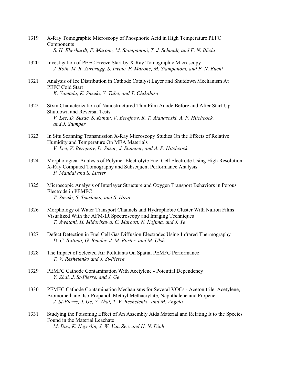- 1319 X-Ray Tomographic Microscopy of Phosphoric Acid in High Temperature PEFC Components  *S. H. Eberhardt, F. Marone, M. Stampanoni, T. J. Schmidt, and F. N. Büchi*
- 1320 Investigation of PEFC Freeze Start by X-Ray Tomographic Microscopy  *J. Roth, M. R. Zurbrügg, S. Irvine, F. Marone, M. Stampanoni, and F. N. Büchi*
- 1321 Analysis of Ice Distribution in Cathode Catalyst Layer and Shutdown Mechanism At PEFC Cold Start  *K. Yamada, K. Suzuki, Y. Tabe, and T. Chikahisa*
- 1322 Stxm Characterization of Nanostructured Thin Film Anode Before and After Start-Up Shutdown and Reversal Tests  *V. Lee, D. Susac, S. Kundu, V. Berejnov, R. T. Atanasoski, A. P. Hitchcock, and J. Stumper*
- 1323 In Situ Scanning Transmission X-Ray Microscopy Studies On the Effects of Relative Humidity and Temperature On MEA Materials  *V. Lee, V. Berejnov, D. Susac, J. Stumper, and A. P. Hitchcock*
- 1324 Morphological Analysis of Polymer Electrolyte Fuel Cell Electrode Using High Resolution X-Ray Computed Tomography and Subsequent Performance Analysis  *P. Mandal and S. Litster*
- 1325 Microscopic Analysis of Interlayer Structure and Oxygen Transport Behaviors in Porous Electrode in PEMFC  *T. Suzuki, S. Tsushima, and S. Hirai*
- 1326 Morphology of Water Transport Channels and Hydrophobic Cluster With Nafion Films Visualized With the AFM-IR Spectroscopy and Imaging Techniques  *T. Awatani, H. Midorikawa, C. Marcott, N. Kojima, and J. Ye*
- 1327 Defect Detection in Fuel Cell Gas Diffusion Electrodes Using Infrared Thermography  *D. C. Bittinat, G. Bender, J. M. Porter, and M. Ulsh*
- 1328 The Impact of Selected Air Pollutants On Spatial PEMFC Performance  *T. V. Reshetenko and J. St-Pierre*
- 1329 PEMFC Cathode Contamination With Acetylene Potential Dependency  *Y. Zhai, J. St-Pierre, and J. Ge*
- 1330 PEMFC Cathode Contamination Mechanisms for Several VOCs Acetonitrile, Acetylene, Bromomethane, Iso-Propanol, Methyl Methacrylate, Naphthalene and Propene  *J. St-Pierre, J. Ge, Y. Zhai, T. V. Reshetenko, and M. Angelo*
- 1331 Studying the Poisoning Effect of An Assembly Aids Material and Relating It to the Species Found in the Material Leachate  *M. Das, K. Neyerlin, J. W. Van Zee, and H. N. Dinh*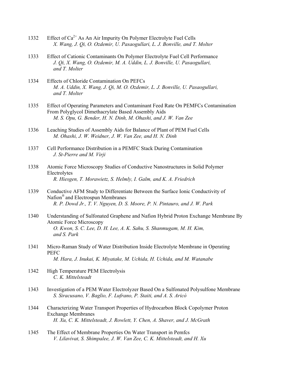- 1332 Effect of  $Ca^{2+}$  As An Air Impurity On Polymer Electrolyte Fuel Cells  *X. Wang, J. Qi, O. Ozdemir, U. Pasaogullari, L. J. Bonville, and T. Molter*
- 1333 Effect of Cationic Contaminants On Polymer Electrolyte Fuel Cell Performance  *J. Qi, X. Wang, O. Ozdemir, M. A. Uddin, L. J. Bonville, U. Pasaogullari, and T. Molter*
- 1334 Effects of Chloride Contamination On PEFCs  *M. A. Uddin, X. Wang, J. Qi, M. O. Ozdemir, L. J. Bonville, U. Pasaogullari, and T. Molter*
- 1335 Effect of Operating Parameters and Contaminant Feed Rate On PEMFCs Contamination From Polyglycol Dimethacrylate Based Assembly Aids  *M. S. Opu, G. Bender, H. N. Dinh, M. Ohashi, and J. W. Van Zee*
- 1336 Leaching Studies of Assembly Aids for Balance of Plant of PEM Fuel Cells  *M. Ohashi, J. W. Weidner, J. W. Van Zee, and H. N. Dinh*
- 1337 Cell Performance Distribution in a PEMFC Stack During Contamination  *J. St-Pierre and M. Virji*
- 1338 Atomic Force Microscopy Studies of Conductive Nanostructures in Solid Polymer Electrolytes  *R. Hiesgen, T. Morawietz, S. Helmly, I. Galm, and K. A. Friedrich*
- 1339 Conductive AFM Study to Differentiate Between the Surface Ionic Conductivity of Nafion® and Electrospun Membranes  *R. P. Dowd Jr., T. V. Nguyen, D. S. Moore, P. N. Pintauro, and J. W. Park*
- 1340 Understanding of Sulfonated Graphene and Nafion Hybrid Proton Exchange Membrane By Atomic Force Microscopy  *O. Kwon, S. C. Lee, D. H. Lee, A. K. Sahu, S. Shanmugam, M. H. Kim, and S. Park*
- 1341 Micro-Raman Study of Water Distribution Inside Electrolyte Membrane in Operating PEFC  *M. Hara, J. Inukai, K. Miyatake, M. Uchida, H. Uchida, and M. Watanabe*
- 1342 High Temperature PEM Electrolysis  *C. K. Mittelsteadt*
- 1343 Investigation of a PEM Water Electrolyzer Based On a Sulfonated Polysulfone Membrane  *S. Siracusano, V. Baglio, F. Lufrano, P. Staiti, and A. S. Aricò*
- 1344 Characterizing Water Transport Properties of Hydrocarbon Block Copolymer Proton Exchange Membranes  *H. Xu, C. K. Mittelsteadt, J. Rowlett, Y. Chen, A. Shaver, and J. McGrath*
- 1345 The Effect of Membrane Properties On Water Transport in Pemfcs  *V. Lilavivat, S. Shimpalee, J. W. Van Zee, C. K. Mittelsteadt, and H. Xu*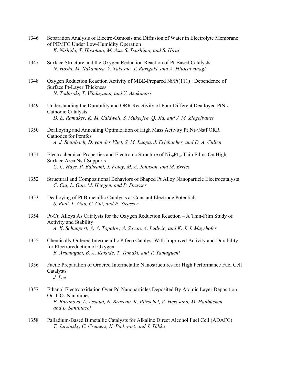- 1346 Separation Analysis of Electro-Osmosis and Diffusion of Water in Electrolyte Membrane of PEMFC Under Low-Humidity Operation  *K. Nishida, T. Hosotani, M. Asa, S. Tsushima, and S. Hirai*
- 1347 Surface Structure and the Oxygen Reduction Reaction of Pt-Based Catalysts  *N. Hoshi, M. Nakamura, Y. Takesue, T. Rurigaki, and A. Hitotsuyanagi*
- 1348 Oxygen Reduction Reaction Activity of MBE-Prepared Ni/Pt(111) : Dependence of Surface Pt-Layer Thickness  *N. Todoroki, T. Wadayama, and Y. Asakimori*
- 1349 Understanding the Durability and ORR Reactivity of Four Different Dealloyed PtNi<sub>x</sub> Cathodic Catalysts  *D. E. Ramaker, K. M. Caldwell, S. Mukerjee, Q. Jia, and J. M. Ziegelbauer*
- 1350 Dealloying and Annealing Optimization of High Mass Activity  $Pt_3Ni_7/Ns$ tf ORR Cathodes for Pemfcs  *A. J. Steinbach, D. van der Vliet, S. M. Luopa, J. Erlebacher, and D. A. Cullen*
- 1351 Electrochemical Properties and Electronic Structure of  $Ni<sub>70</sub>Pt<sub>30</sub>$  Thin Films On High Surface Area Nstf Supports  *C. C. Hays, P. Bahrami, J. Foley, M. A. Johnson, and M. Errico*
- 1352 Structural and Compositional Behaviors of Shaped Pt Alloy Nanoparticle Electrocatalysts  *C. Cui, L. Gan, M. Heggen, and P. Strasser*
- 1353 Dealloying of Pt Bimetallic Catalysts at Constant Electrode Potentials  *S. Rudi, L. Gan, C. Cui, and P. Strasser*
- 1354 Pt-Cu Alloys As Catalysts for the Oxygen Reduction Reaction A Thin-Film Study of Activity and Stability  *A. K. Schuppert, A. A. Topalov, A. Savan, A. Ludwig, and K. J. J. Mayrhofer*
- 1355 Chemically Ordered Intermetallic Ptfeco Catalyst With Improved Activity and Durability for Electroreduction of Oxygen  *B. Arumugam, B. A. Kakade, T. Tamaki, and T. Yamaguchi*
- 1356 Facile Preparation of Ordered Intermetallic Nanostructures for High Performance Fuel Cell Catalysts  *J. Lee*
- 1357 Ethanol Electrooxidation Over Pd Nanoparticles Deposited By Atomic Layer Deposition On  $TiO<sub>2</sub>$  Nanotubes  *E. Baranova, L. Assaud, N. Brazeau, K. Pitzschel, V. Heresanu, M. Hanbücken, and L. Santinacci*
- 1358 Palladium-Based Bimetallic Catalysts for Alkaline Direct Alcohol Fuel Cell (ADAFC)  *T. Jurzinsky, C. Cremers, K. Pinkwart, and J. Tübke*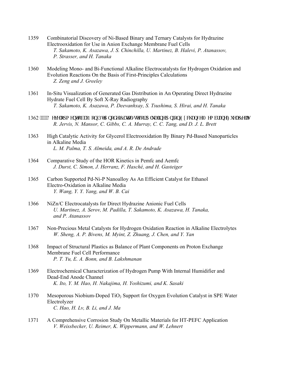- 1359 Combinatorial Discovery of Ni-Based Binary and Ternary Catalysts for Hydrazine Electrooxidation for Use in Anion Exchange Membrane Fuel Cells  *T. Sakamoto, K. Asazawa, J. S. Chinchilla, U. Martinez, B. Halevi, P. Atanassov, P. Strasser, and H. Tanaka*
- 1360 Modeling Mono- and Bi-Functional Alkaline Electrocatalysts for Hydrogen Oxidation and Evolution Reactions On the Basis of First-Principles Calculations  *Z. Zeng and J. Greeley*
- 1361 In-Situ Visualization of Generated Gas Distribution in An Operating Direct Hydrazine Hydrate Fuel Cell By Soft X-Ray Radiography  *T. Sakamoto, K. Asazawa, P. Deevanhxay, S. Tsushima, S. Hirai, and H. Tanaka*
- 1362 """"F gxgrqr o gpv'qh'c'P qp/Rv'C pqf g'Ecvcn{ w'hqt 'Cmcrkpg'C pkqp'Gzej cpi g'O go dtcpg'Hwgn'Egmu  *R. Jervis, N. Mansor, C. Gibbs, C. A. Murray, C. C. Tang, and D. J. L. Brett*
- 1363 High Catalytic Activity for Glycerol Electrooxidation By Binary Pd-Based Nanoparticles in Alkaline Media  *L. M. Palma, T. S. Almeida, and A. R. De Andrade*
- 1364 Comparative Study of the HOR Kinetics in Pemfc and Aemfc  *J. Durst, C. Simon, J. Herranz, F. Hasché, and H. Gasteiger*
- 1365 Carbon Supported Pd-Ni-P Nanoalloy As An Efficient Catalyst for Ethanol Electro-Oxidation in Alkaline Media  *Y. Wang, Y. Y. Yang, and W. B. Cai*
- 1366 NiZn/C Electrocatalysts for Direct Hydrazine Anionic Fuel Cells  *U. Martinez, A. Serov, M. Padilla, T. Sakamoto, K. Asazawa, H. Tanaka, and P. Atanassov*
- 1367 Non-Precious Metal Catalysts for Hydrogen Oxidation Reaction in Alkaline Electrolytes  *W. Sheng, A. P. Bivens, M. Myint, Z. Zhuang, J. Chen, and Y. Yan*
- 1368 Impact of Structural Plastics as Balance of Plant Components on Proton Exchange Membrane Fuel Cell Performance  *P. T. Yu, E. A. Bonn, and B. Lakshmanan*
- 1369 Electrochemical Characterization of Hydrogen Pump With Internal Humidifier and Dead-End Anode Channel  *K. Ito, Y. M. Hao, H. Nakajima, H. Yoshizumi, and K. Sasaki*
- 1370 Mesoporous Niobium-Doped TiO<sub>2</sub> Support for Oxygen Evolution Catalyst in SPE Water Electrolyzer  *C. Hao, H. Lv, B. Li, and J. Ma*
- 1371 A Comprehensive Corrosion Study On Metallic Materials for HT-PEFC Application  *V. Weissbecker, U. Reimer, K. Wippermann, and W. Lehnert*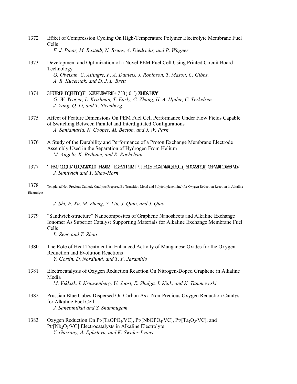- 1372 Effect of Compression Cycling On High-Temperature Polymer Electrolyte Membrane Fuel Cells  *F. J. Pinar, M. Rastedt, N. Bruns, A. Diedrichs, and P. Wagner*
- 1373 Development and Optimization of a Novel PEM Fuel Cell Using Printed Circuit Board Technology  *O. Obeisun, C. Attingre, F. A. Daniels, J. Robinson, T. Mason, C. Gibbs, A. R. Kucernak, and D. J. L. Brett*
- 1374 Rgthqto cpeg"cpf 'F wtcdkrks{ "qh'J V/RGO "Hwgn'Egmu  *G. W. Yeager, L. Krishnan, T. Early, C. Zhang, H. A. Hjuler, C. Terkelsen, J. Yang, Q. Li, and T. Steenberg*
- 1375 Affect of Feature Dimensions On PEM Fuel Cell Performance Under Flow Fields Capable of Switching Between Parallel and Interdigitated Configurations  *A. Santamaria, N. Cooper, M. Becton, and J. W. Park*
- 1376 A Study of the Durability and Performance of a Proton Exchange Membrane Electrode Assembly Used in the Separation of Hydrogen From Helium  *M. Angelo, K. Bethune, and R. Rocheleau*
- 1377 F guki pkpi "Vtcpukkqp"O gycn" Qzkf gu'lqt" Qz $\{i$ gp" T gfweykqp" cpf "Gxqnwkqp" Gngeytqecycn $\{$ uku  *J. Suntivich and Y. Shao-Horn*
- 1378 Templated Non Precious Cathode Catalysts Prepared By Transition Metal and Poly(ethyleneimine) for Oxygen Reduction Reaction in Alkaline Electrolyte

## *J. Shi, P. Xu, M. Zheng, Y. Liu, J. Qiao, and J. Qiao*

1379 "Sandwich-structure" Nanocomposites of Graphene Nanosheets and Alkaline Exchange Ionomer As Superior Catalyst Supporting Materials for Alkaline Exchange Membrane Fuel Cells

 *L. Zeng and T. Zhao* 

- 1380 The Role of Heat Treatment in Enhanced Activity of Manganese Oxides for the Oxygen Reduction and Evolution Reactions  *Y. Gorlin, D. Nordlund, and T. F. Jaramillo*
- 1381 Electrocatalysis of Oxygen Reduction Reaction On Nitrogen-Doped Graphene in Alkaline Media  *M. Vikkisk, I. Kruusenberg, U. Joost, E. Shulga, I. Kink, and K. Tammeveski*
- 1382 Prussian Blue Cubes Dispersed On Carbon As a Non-Precious Oxygen Reduction Catalyst for Alkaline Fuel Cell  *J. Sanetuntikul and S. Shanmugam*
- 1383 Oxygen Reduction On Pt/[TaOPO4/VC], Pt/[NbOPO4/VC], Pt/[Ta<sub>2</sub>O<sub>5</sub>/VC], and  $Pt/[\text{Nb}_2\text{O}_5/\text{VC}]$  Electrocatalysts in Alkaline Electrolyte  *Y. Garsany, A. Ephsteyn, and K. Swider-Lyons*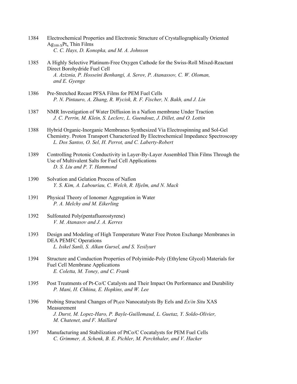- 1384 Electrochemical Properties and Electronic Structure of Crystallographically Oriented  $Ag<sub>100-X</sub>Pt<sub>x</sub>$  Thin Films  *C. C. Hays, D. Konopka, and M. A. Johnson*
- 1385 A Highly Selective Platinum-Free Oxygen Cathode for the Swiss-Roll Mixed-Reactant Direct Borohydride Fuel Cell  *A. Aziznia, P. Hosseini Benhangi, A. Serov, P. Atanassov, C. W. Oloman, and E. Gyenge*
- 1386 Pre-Stretched Recast PFSA Films for PEM Fuel Cells  *P. N. Pintauro, A. Zhang, R. Wycisk, R. F. Fischer, N. Bakh, and J. Lin*
- 1387 NMR Investigation of Water Diffusion in a Nafion membrane Under Traction  *J. C. Perrin, M. Klein, S. Leclerc, L. Guendouz, J. Dillet, and O. Lottin*
- 1388 Hybrid Organic-Inorganic Membranes Synthesized Via Electrospinning and Sol-Gel Chemistry. Proton Transport Characterized By Electrochemical Impedance Spectroscopy  *L. Dos Santos, O. Sel, H. Perrot, and C. Laberty-Robert*
- 1389 Controlling Protonic Conductivity in Layer-By-Layer Assembled Thin Films Through the Use of Multivalent Salts for Fuel Cell Applications  *D. S. Liu and P. T. Hammond*
- 1390 Solvation and Gelation Process of Nafion  *Y. S. Kim, A. Labouriau, C. Welch, R. Hjelm, and N. Mack*
- 1391 Physical Theory of Ionomer Aggregation in Water  *P. A. Melchy and M. Eikerling*
- 1392 Sulfonated Poly(pentafluorostyrene)  *V. M. Atanasov and J. A. Kerres*
- 1393 Design and Modeling of High Temperature Water Free Proton Exchange Membranes in DEA PEMFC Operations  *L. Isikel Sanli, S. Alkan Gursel, and S. Yesilyurt*
- 1394 Structure and Conduction Properties of Polyimide-Poly (Ethylene Glycol) Materials for Fuel Cell Membrane Applications  *E. Coletta, M. Toney, and C. Frank*
- 1395 Post Treatments of Pt-Co/C Catalysts and Their Impact On Performance and Durability  *P. Mani, H. Chhina, E. Hopkins, and W. Lee*
- 1396 Probing Structural Changes of Pt<sub>3</sub>co Nanocatalysts By Eels and *Ex/in Situ* XAS Measurement  *J. Durst, M. Lopez-Haro, P. Bayle-Guillemaud, L. Guetaz, Y. Soldo-Olivier, M. Chatenet, and F. Maillard*
- 1397 Manufacturing and Stabilization of PtCo/C Cocatalysts for PEM Fuel Cells  *C. Grimmer, A. Schenk, B. E. Pichler, M. Perchthaler, and V. Hacker*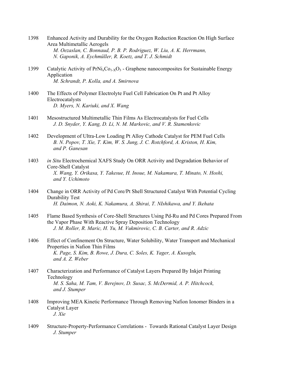- 1398 Enhanced Activity and Durability for the Oxygen Reduction Reaction On High Surface Area Multimetallic Aerogels  *M. Oezaslan, C. Bonnaud, P. B. P. Rodriguez, W. Liu, A. K. Herrmann, N. Gaponik, A. Eychmüller, R. Koetz, and T. J. Schmidt*
- 1399 Catalytic Activity of  $PrNi<sub>x</sub>Co<sub>1-x</sub>O<sub>3</sub>$  Graphene nanocomposites for Sustainable Energy Application  *M. Schrandt, P. Kolla, and A. Smirnova*
- 1400 The Effects of Polymer Electrolyte Fuel Cell Fabrication On Pt and Pt Alloy Electrocatalysts  *D. Myers, N. Kariuki, and X. Wang*
- 1401 Mesostructured Multimetallic Thin Films As Electrocatalysts for Fuel Cells  *J. D. Snyder, Y. Kang, D. Li, N. M. Markovic, and V. R. Stamenkovic*
- 1402 Development of Ultra-Low Loading Pt Alloy Cathode Catalyst for PEM Fuel Cells  *B. N. Popov, T. Xie, T. Kim, W. S. Jung, J. C. Rotchford, A. Kriston, H. Kim, and P. Ganesan*
- 1403 *in Situ* Electrochemical XAFS Study On ORR Activity and Degradation Behavior of Core-Shell Catalyst  *X. Wang, Y. Orikasa, Y. Takesue, H. Inoue, M. Nakamura, T. Minato, N. Hoshi, and Y. Uchimoto*
- 1404 Change in ORR Activity of Pd Core/Pt Shell Structured Catalyst With Potential Cycling Durability Test  *H. Daimon, N. Aoki, K. Nakamura, A. Shirai, T. NIshikawa, and Y. Ikehata*
- 1405 Flame Based Synthesis of Core-Shell Structures Using Pd-Ru and Pd Cores Prepared From the Vapor Phase With Reactive Spray Deposition Technology  *J. M. Roller, R. Maric, H. Yu, M. Vukmirovic, C. B. Carter, and R. Adzic*
- 1406 Effect of Confinement On Structure, Water Solubility, Water Transport and Mechanical Properties in Nafion Thin Films  *K. Page, S. Kim, B. Rowe, J. Dura, C. Soles, K. Yager, A. Kusoglu, and A. Z. Weber*
- 1407 Characterization and Performance of Catalyst Layers Prepared By Inkjet Printing Technology  *M. S. Saha, M. Tam, V. Berejnov, D. Susac, S. McDermid, A. P. Hitchcock, and J. Stumper*
- 1408 Improving MEA Kinetic Performance Through Removing Nafion Ionomer Binders in a Catalyst Layer  *J. Xie*
- 1409 Structure-Property-Performance Correlations Towards Rational Catalyst Layer Design  *J. Stumper*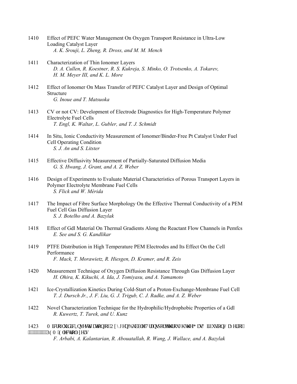- 1410 Effect of PEFC Water Management On Oxygen Transport Resistance in Ultra-Low Loading Catalyst Layer  *A. K. Srouji, L. Zheng, R. Dross, and M. M. Mench*
- 1411 Characterization of Thin Ionomer Layers  *D. A. Cullen, R. Koestner, R. S. Kukreja, S. Minko, O. Trotsenko, A. Tokarev, H. M. Meyer III, and K. L. More*
- 1412 Effect of Ionomer On Mass Transfer of PEFC Catalyst Layer and Design of Optimal Structure  *G. Inoue and T. Matsuoka*
- 1413 CV or not CV: Development of Electrode Diagnostics for High-Temperature Polymer Electrolyte Fuel Cells  *T. Engl, K. Waltar, L. Gubler, and T. J. Schmidt*
- 1414 In Situ, Ionic Conductivity Measurement of Ionomer/Binder-Free Pt Catalyst Under Fuel Cell Operating Condition  *S. J. An and S. Litster*
- 1415 Effective Diffusivity Measurement of Partially-Saturated Diffusion Media  *G. S. Hwang, J. Grant, and A. Z. Weber*
- 1416 Design of Experiments to Evaluate Material Characteristics of Porous Transport Layers in Polymer Electrolyte Membrane Fuel Cells  *S. Flick and W. Mérida*
- 1417 The Impact of Fibre Surface Morphology On the Effective Thermal Conductivity of a PEM Fuel Cell Gas Diffusion Layer  *S. J. Botelho and A. Bazylak*
- 1418 Effect of Gdl Material On Thermal Gradients Along the Reactant Flow Channels in Pemfcs  *E. See and S. G. Kandlikar*
- 1419 PTFE Distribution in High Temperature PEM Electrodes and Its Effect On the Cell Performance  *F. Mack, T. Morawietz, R. Hiesgen, D. Kramer, and R. Zeis*
- 1420 Measurement Technique of Oxygen Diffusion Resistance Through Gas Diffusion Layer  *H. Ohira, K. Kikuchi, A. Ida, J. Tomiyasu, and A. Yamamoto*
- 1421 Ice-Crystallization Kinetics During Cold-Start of a Proton-Exchange-Membrane Fuel Cell  *T. J. Dursch Jr., J. F. Liu, G. J. Trigub, C. J. Radke, and A. Z. Weber*
- 1422 Novel Characterization Technique for the Hydrophilic/Hydrophobic Properties of a Gdl  *R. Kuwertz, T. Turek, and U. Kunz*
- 1423 Oletqhukf le''Kpxguki cwqp''qh''Qz{i gp''Dwddrg''Vtcpur qtv'vj tqwi j ''yj g''I cu'F khwulxqp''Nc{gt''qh'' """"""""""RGO 'Grgevtqn{| gtu

 *F. Arbabi, A. Kalantarian, R. Abouatallah, R. Wang, J. Wallace, and A. Bazylak*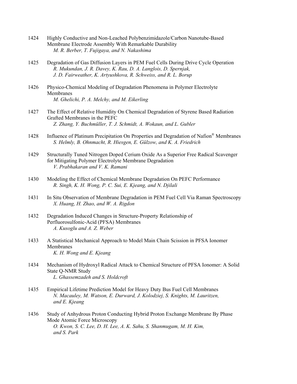- 1424 Highly Conductive and Non-Leached Polybenzimidazole/Carbon Nanotube-Based Membrane Electrode Assembly With Remarkable Durability  *M. R. Berber, T. Fujigaya, and N. Nakashima*
- 1425 Degradation of Gas Diffusion Layers in PEM Fuel Cells During Drive Cycle Operation  *R. Mukundan, J. R. Davey, K. Rau, D. A. Langlois, D. Spernjak, J. D. Fairweather, K. Artyushkova, R. Schweiss, and R. L. Borup*
- 1426 Physico-Chemical Modeling of Degradation Phenomena in Polymer Electrolyte Membranes  *M. Ghelichi, P. A. Melchy, and M. Eikerling*
- 1427 The Effect of Relative Humidity On Chemical Degradation of Styrene Based Radiation Grafted Membranes in the PEFC  *Z. Zhang, Y. Buchmüller, T. J. Schmidt, A. Wokaun, and L. Gubler*
- 1428 Influence of Platinum Precipitation On Properties and Degradation of Nafion® Membranes  *S. Helmly, B. Ohnmacht, R. Hiesgen, E. Gülzow, and K. A. Friedrich*
- 1429 Structurally Tuned Nitrogen Doped Cerium Oxide As a Superior Free Radical Scavenger for Mitigating Polymer Electrolyte Membrane Degradation  *V. Prabhakaran and V. K. Ramani*
- 1430 Modeling the Effect of Chemical Membrane Degradation On PEFC Performance  *R. Singh, K. H. Wong, P. C. Sui, E. Kjeang, and N. Djilali*
- 1431 In Situ Observation of Membrane Degradation in PEM Fuel Cell Via Raman Spectroscopy  *X. Huang, H. Zhao, and W. A. Rigdon*
- 1432 Degradation Induced Changes in Structure-Property Relationship of Perfluorosulfonic-Acid (PFSA) Membranes  *A. Kusoglu and A. Z. Weber*
- 1433 A Statistical Mechanical Approach to Model Main Chain Scission in PFSA Ionomer Membranes  *K. H. Wong and E. Kjeang*
- 1434 Mechanism of Hydroxyl Radical Attack to Chemical Structure of PFSA Ionomer: A Solid State Q-NMR Study  *L. Ghassemzadeh and S. Holdcroft*
- 1435 Empirical Lifetime Prediction Model for Heavy Duty Bus Fuel Cell Membranes  *N. Macauley, M. Watson, E. Durward, J. Kolodziej, S. Knights, M. Lauritzen, and E. Kjeang*
- 1436 Study of Anhydrous Proton Conducting Hybrid Proton Exchange Membrane By Phase Mode Atomic Force Microscopy  *O. Kwon, S. C. Lee, D. H. Lee, A. K. Sahu, S. Shanmugam, M. H. Kim, and S. Park*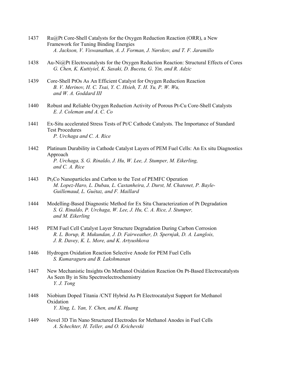- 1437 Ru@Pt Core-Shell Catalysts for the Oxygen Reduction Reaction (ORR), a New Framework for Tuning Binding Energies  *A. Jackson, V. Viswanathan, A. J. Forman, J. Nørskov, and T. F. Jaramillo*
- 1438 Au-Ni@Pt Electrocatalysts for the Oxygen Reduction Reaction: Structural Effects of Cores  *G. Chen, K. Kuttiyiel, K. Sasaki, D. Buceta, G. Yin, and R. Adzic*
- 1439 Core-Shell PtOs As An Efficient Catalyst for Oxygen Reduction Reaction  *B. V. Merinov, H. C. Tsai, Y. C. Hsieh, T. H. Yu, P. W. Wu, and W. A. Goddard III*
- 1440 Robust and Reliable Oxygen Reduction Activity of Porous Pt-Cu Core-Shell Catalysts  *E. J. Coleman and A. C. Co*
- 1441 Ex-Situ accelerated Stress Tests of Pt/C Cathode Catalysts. The Importance of Standard Test Procedures  *P. Urchaga and C. A. Rice*
- 1442 Platinum Durability in Cathode Catalyst Layers of PEM Fuel Cells: An Ex situ Diagnostics Approach  *P. Urchaga, S. G. Rinaldo, J. Hu, W. Lee, J. Stumper, M. Eikerling, and C. A. Rice*
- 1443 Pt<sub>3</sub>Co Nanoparticles and Carbon to the Test of PEMFC Operation  *M. Lopez-Haro, L. Dubau, L. Castanheira, J. Durst, M. Chatenet, P. Bayle- Guillemaud, L. Guétaz, and F. Maillard*
- 1444 Modelling-Based Diagnostic Method for Ex Situ Characterization of Pt Degradation  *S. G. Rinaldo, P. Urchaga, W. Lee, J. Hu, C. A. Rice, J. Stumper, and M. Eikerling*
- 1445 PEM Fuel Cell Catalyst Layer Structure Degradation During Carbon Corrosion  *R. L. Borup, R. Mukundan, J. D. Fairweather, D. Spernjak, D. A. Langlois, J. R. Davey, K. L. More, and K. Artyushkova*
- 1446 Hydrogen Oxidation Reaction Selective Anode for PEM Fuel Cells  *S. Kumaraguru and B. Lakshmanan*
- 1447 New Mechanistic Insights On Methanol Oxidation Reaction On Pt-Based Electrocatalysts As Seen By in Situ Spectroelectrochemistry  *Y. J. Tong*
- 1448 Niobium Doped Titania /CNT Hybrid As Pt Electrocatalyst Support for Methanol Oxidation  *Y. Xing, L. Yan, Y. Chen, and K. Huang*
- 1449 Novel 3D Tin Nano Structured Electrodes for Methanol Anodes in Fuel Cells  *A. Schechter, H. Teller, and O. Krichevski*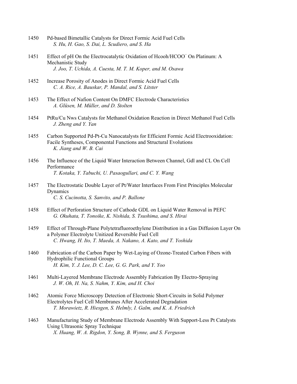- 1450 Pd-based Bimetallic Catalysts for Direct Formic Acid Fuel Cells  *S. Hu, H. Gao, S. Dai, L. Scudiero, and S. Ha*
- 1451 Effect of pH On the Electrocatalytic Oxidation of Hcooh/HCOO<sup>−</sup> On Platinum: A Mechanistic Study  *J. Joo, T. Uchida, A. Cuesta, M. T. M. Koper, and M. Osawa*
- 1452 Increase Porosity of Anodes in Direct Formic Acid Fuel Cells  *C. A. Rice, A. Bauskar, P. Mandal, and S. Litster*
- 1453 The Effect of Nafion Content On DMFC Electrode Characteristics  *A. Glüsen, M. Müller, and D. Stolten*
- 1454 PtRu/Cu Nws Catalysts for Methanol Oxidation Reaction in Direct Methanol Fuel Cells  *J. Zheng and Y. Yan*
- 1455 Carbon Supported Pd-Pt-Cu Nanocatalysts for Efficient Formic Acid Electrooxidation: Facile Syntheses, Componental Functions and Structural Evolutions  *K. Jiang and W. B. Cai*
- 1456 The Influence of the Liquid Water Interaction Between Channel, Gdl and CL On Cell Performance  *T. Kotaka, Y. Tabuchi, U. Pasaogullari, and C. Y. Wang*
- 1457 The Electrostatic Double Layer of Pt/Water Interfaces From First Principles Molecular Dynamics  *C. S. Cucinotta, S. Sanvito, and P. Ballone*
- 1458 Effect of Perforation Structure of Cathode GDL on Liquid Water Removal in PEFC  *G. Okuhata, T. Tonoike, K. Nishida, S. Tsushima, and S. Hirai*
- 1459 Effect of Through-Plane Polytetrafluoroethylene Distribution in a Gas Diffusion Layer On a Polymer Electrolyte Unitized Reversible Fuel Cell  *C. Hwang, H. Ito, T. Maeda, A. Nakano, A. Kato, and T. Yoshida*
- 1460 Fabrication of the Carbon Paper by Wet-Laying of Ozone-Treated Carbon Fibers with Hydrophilic Functional Groups  *H. Kim, Y. J. Lee, D. C. Lee, G. G. Park, and Y. Yoo*
- 1461 Multi-Layered Membrane Electrode Assembly Fabrication By Electro-Spraying  *J. W. Oh, H. Na, S. Nahm, Y. Kim, and H. Choi*
- 1462 Atomic Force Microscopy Detection of Electronic Short-Circuits in Solid Polymer Electrolytes Fuel Cell Membranes After Accelerated Degradation  *T. Morawietz, R. Hiesgen, S. Helmly, I. Galm, and K. A. Friedrich*
- 1463 Manufacturing Study of Membrane Electrode Assembly With Support-Less Pt Catalysts Using Ultrasonic Spray Technique  *X. Huang, W. A. Rigdon, Y. Song, B. Wynne, and S. Ferguson*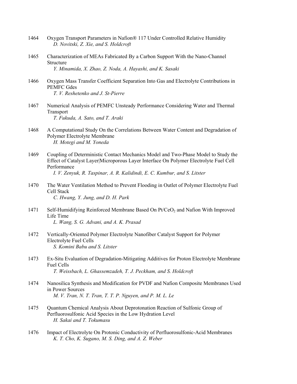- 1464 Oxygen Transport Parameters in Nafion® 117 Under Controlled Relative Humidity  *D. Novitski, Z. Xie, and S. Holdcroft*
- 1465 Characterization of MEAs Fabricated By a Carbon Support With the Nano-Channel **Structure**  *Y. Minamida, X. Zhao, Z. Noda, A. Hayashi, and K. Sasaki*
- 1466 Oxygen Mass Transfer Coefficient Separation Into Gas and Electrolyte Contributions in PEMFC Gdes  *T. V. Reshetenko and J. St-Pierre*
- 1467 Numerical Analysis of PEMFC Unsteady Performance Considering Water and Thermal **Transport**  *T. Fukuda, A. Sato, and T. Araki*
- 1468 A Computational Study On the Correlations Between Water Content and Degradation of Polymer Electrolyte Membrane  *H. Motegi and M. Yoneda*
- 1469 Coupling of Deterministic Contact Mechanics Model and Two-Phase Model to Study the Effect of Catalyst Layer|Microporous Layer Interface On Polymer Electrolyte Fuel Cell Performance

 *I. V. Zenyuk, R. Taspinar, A. R. Kalidindi, E. C. Kumbur, and S. Litster* 

- 1470 The Water Ventilation Method to Prevent Flooding in Outlet of Polymer Electrolyte Fuel Cell Stack  *C. Hwang, Y. Jung, and D. H. Park*
- 1471 Self-Humidifying Reinforced Membrane Based On Pt/CeO<sub>2</sub> and Nafion With Improved Life Time  *L. Wang, S. G. Advani, and A. K. Prasad*
- 1472 Vertically-Oriented Polymer Electrolyte Nanofiber Catalyst Support for Polymer Electrolyte Fuel Cells  *S. Komini Babu and S. Litster*
- 1473 Ex-Situ Evaluation of Degradation-Mitigating Additives for Proton Electrolyte Membrane Fuel Cells  *T. Weissbach, L. Ghassemzadeh, T. J. Peckham, and S. Holdcroft*
- 1474 Nanosilica Synthesis and Modification for PVDF and Nafion Composite Membranes Used in Power Sources  *M. V. Tran, N. T. Tran, T. T. P. Nguyen, and P. M. L. Le*
- 1475 Quantum Chemical Analysis About Deprotonation Reaction of Sulfonic Group of Perfluorosulfonic Acid Species in the Low Hydration Level  *H. Sakai and T. Tokumasu*
- 1476 Impact of Electrolyte On Protonic Conductivity of Perfluorosulfonic-Acid Membranes  *K. T. Cho, K. Sugano, M. S. Ding, and A. Z. Weber*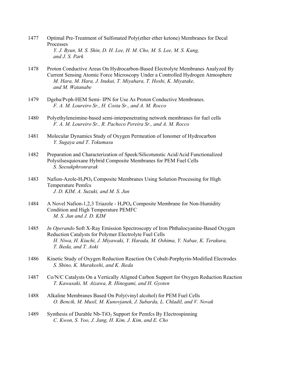- 1477 Optimal Pre-Treatment of Sulfonated Poly(ether ether ketone) Membranes for Decal Processes  *Y. J. Byun, M. S. Shin, D. H. Lee, H. M. Cho, M. S. Lee, M. S. Kang, and J. S. Park*
- 1478 Proton Conductive Areas On Hydrocarbon-Based Electrolyte Membranes Analyzed By Current Sensing Atomic Force Microscopy Under a Controlled Hydrogen Atmosphere  *M. Hara, M. Hara, J. Inukai, T. Miyahara, T. Hoshi, K. Miyatake, and M. Watanabe*
- 1479 Dgeba/Pvph-HEM Semi- IPN for Use As Proton Conductive Membranes.  *F. A. M. Loureiro Sr., H. Costa Sr., and A. M. Rocco*
- 1480 Polyethyleneimine-based semi-interpenetrating network membranes for fuel cells  *F. A. M. Loureiro Sr., R. Pacheco Pereira Sr., and A. M. Rocco*
- 1481 Molecular Dynamics Study of Oxygen Permeation of Ionomer of Hydrocarbon  *Y. Sugaya and T. Tokumasu*
- 1482 Preparation and Characterization of Speek/Silicotunstic Acid/Acid Functionalized Polysilsesquioxane Hybrid Composite Membranes for PEM Fuel Cells  *S. Seesukphronrarak*
- 1483 Nafion-Azole-H<sub>3</sub>PO<sub>4</sub> Composite Membranes Using Solution Processing for High Temperature Pemfcs  *J. D. KIM, A. Suzuki, and M. S. Jun*
- 1484 A Novel Nafion-1,2,3 Triazole H3PO4 Composite Membrane for Non-Humidity Condition and High Temperature PEMFC  *M. S. Jun and J. D. KIM*
- 1485 *In Operando* Soft X-Ray Emission Spectroscopy of Iron Phthalocyanine-Based Oxygen Reduction Catalysts for Polymer Electrolyte Fuel Cells  *H. Niwa, H. Kiuchi, J. Miyawaki, Y. Harada, M. Oshima, Y. Nabae, K. Terakura, T. Ikeda, and T. Aoki*
- 1486 Kinetic Study of Oxygen Reduction Reaction On Cobalt-Porphyrin-Modified Electrodes  *S. Shino, K. Murakoshi, and K. Ikeda*
- 1487 Co/N/C Catalysts On a Vertically Aligned Carbon Support for Oxygen Reduction Reaction  *T. Kawasaki, M. Aizawa, R. Hinogami, and H. Gyoten*
- 1488 Alkaline Membranes Based On Poly(vinyl alcohol) for PEM Fuel Cells  *O. Bencik, M. Musil, M. Kunovjanek, J. Subarda, L. Chladil, and V. Novak*
- 1489 Synthesis of Durable Nb-TiO<sub>2</sub> Support for Pemfcs By Electrospinning  *C. Kwon, S. Yoo, J. Jang, H. Kim, J. Kim, and E. Cho*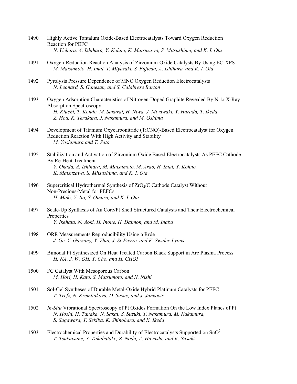- 1490 Highly Active Tantalum Oxide-Based Electrocatalysts Toward Oxygen Reduction Reaction for PEFC  *N. Uehara, A. Ishihara, Y. Kohno, K. Matsuzawa, S. Mitsushima, and K. I. Ota*
- 1491 Oxygen-Reduction Reaction Analysis of Zirconium-Oxide Catalysts By Using EC-XPS  *M. Matsumoto, H. Imai, T. Miyazaki, S. Fujieda, A. Ishihara, and K. I. Ota*
- 1492 Pyrolysis Pressure Dependence of MNC Oxygen Reduction Electrocatalysts  *N. Leonard, S. Ganesan, and S. Calabrese Barton*
- 1493 Oxygen Adsorption Characteristics of Nitrogen-Doped Graphite Revealed By N 1*s* X-Ray Absorption Spectroscopy  *H. Kiuchi, T. Kondo, M. Sakurai, H. Niwa, J. Miyawaki, Y. Harada, T. Ikeda, Z. Hou, K. Terakura, J. Nakamura, and M. Oshima*
- 1494 Development of Titanium Oxycarbonitride (TiCNO)-Based Electrocatalyst for Oxygen Reduction Reaction With High Activity and Stability  *M. Yoshimura and T. Sato*
- 1495 Stabilization and Activation of Zirconium Oxide Based Electrocatalysts As PEFC Cathode By Re-Heat Treatment  *Y. Okada, A. Ishihara, M. Matsumoto, M. Arao, H. Imai, Y. Kohno, K. Matsuzawa, S. Mitsushima, and K. I. Ota*
- 1496 Supercritical Hydrothermal Synthesis of ZrO<sub>2</sub>/C Cathode Catalyst Without Non-Precious-Metal for PEFCs  *H. Maki, Y. Ito, S. Omura, and K. I. Ota*
- 1497 Scale-Up Synthesis of Au Core/Pt Shell Structured Catalysts and Their Electrochemical Properties  *Y. Ikehata, N. Aoki, H. Inoue, H. Daimon, and M. Inaba*
- 1498 ORR Measurements Reproducibility Using a Rrde  *J. Ge, Y. Garsany, Y. Zhai, J. St-Pierre, and K. Swider-Lyons*
- 1499 Bimodal Pt Synthesized On Heat Treated Carbon Black Support in Arc Plasma Process  *H. NA, J. W. OH, Y. Cho, and H. CHOI*
- 1500 FC Catalyst With Mesoporous Carbon  *M. Hori, H. Kato, S. Matsumoto, and N. Nishi*
- 1501 Sol-Gel Syntheses of Durable Metal-Oxide Hybrid Platinum Catalysts for PEFC  *T. Trefz, N. Kremliakova, D. Susac, and J. Jankovic*
- 1502 *In-Situ* Vibrational Spectroscopy of Pt Oxides Formation On the Low Index Planes of Pt  *N. Hoshi, H. Tanaka, N. Sakai, S. Suzuki, T. Nakamura, M. Nakamura, S. Sugawara, T. Sekiba, K. Shinohara, and K. Ikeda*
- 1503 Electrochemical Properties and Durability of Electrocatalysts Supported on SnO2  *T. Tsukatsune, Y. Takabatake, Z. Noda, A. Hayashi, and K. Sasaki*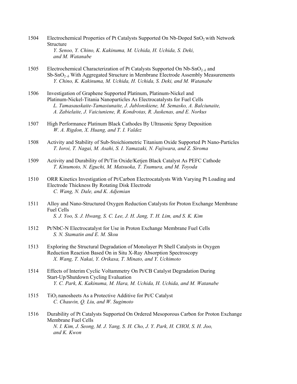- 1504 Electrochemical Properties of Pt Catalysts Supported On Nb-Doped SnO2 with Network **Structure**  *Y. Senoo, Y. Chino, K. Kakinuma, M. Uchida, H. Uchida, S. Deki, and M. Watanabe*
- 1505 Electrochemical Characterization of Pt Catalysts Supported On  $Nb-SnO<sub>2–\delta</sub>$  and  $Sb-SnO<sub>2-δ</sub>$  With Aggregated Structure in Membrane Electrode Assembly Measurements  *Y. Chino, K. Kakinuma, M. Uchida, H. Uchida, S. Deki, and M. Watanabe*
- 1506 Investigation of Graphene Supported Platinum, Platinum-Nickel and Platinum-Nickel-Titania Nanoparticles As Electrocatalysts for Fuel Cells  *L. Tamasauskaite-Tamasiunaite, J. Jablonskiene, M. Semasko, A. Balciunaite, A. Zabielaite, J. Vaiciuniene, R. Kondrotas, R. Juskenas, and E. Norkus*
- 1507 High Performance Platinum Black Cathodes By Ultrasonic Spray Deposition  *W. A. Rigdon, X. Huang, and T. I. Valdez*
- 1508 Activity and Stability of Sub-Stoichiometric Titanium Oxide Supported Pt Nano-Particles  *T. Ioroi, T. Nagai, M. Asahi, S. I. Yamazaki, N. Fujiwara, and Z. Siroma*
- 1509 Activity and Durability of Pt/Tin Oxide/Ketjen Black Catalyst As PEFC Cathode  *T. Kinumoto, N. Eguchi, M. Matsuoka, T. Tsumura, and M. Toyoda*
- 1510 ORR Kinetics Investigation of Pt/Carbon Electrocatalysts With Varying Pt Loading and Electrode Thickness By Rotating Disk Electrode  *C. Wang, N. Dale, and K. Adjemian*
- 1511 Alloy and Nano-Structured Oxygen Reduction Catalysts for Proton Exchange Membrane Fuel Cells  *S. J. Yoo, S. J. Hwang, S. C. Lee, J. H. Jang, T. H. Lim, and S. K. Kim*
- 1512 Pt/NbC-N Electrocatalyst for Use in Proton Exchange Membrane Fuel Cells  *S. N. Stamatin and E. M. Skou*
- 1513 Exploring the Structural Degradation of Monolayer Pt Shell Catalysts in Oxygen Reduction Reaction Based On in Situ X-Ray Absorption Spectroscopy  *X. Wang, T. Nakai, Y. Orikasa, T. Minato, and Y. Uchimoto*
- 1514 Effects of Interim Cyclic Voltammetry On Pt/CB Catalyst Degradation During Start-Up/Shutdown Cycling Evaluation  *Y. C. Park, K. Kakinuma, M. Hara, M. Uchida, H. Uchida, and M. Watanabe*
- 1515  $\overline{10}_2$  nanosheets As a Protective Additive for Pt/C Catalyst  *C. Chauvin, Q. Liu, and W. Sugimoto*
- 1516 Durability of Pt Catalysts Supported On Ordered Mesoporous Carbon for Proton Exchange Membrane Fuel Cells  *N. I. Kim, J. Seong, M. J. Yang, S. H. Cho, J. Y. Park, H. CHOI, S. H. Joo, and K. Kwon*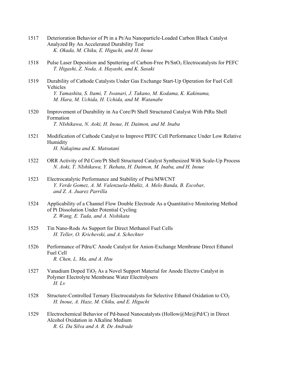- 1517 Deterioration Behavior of Pt in a Pt/Au Nanoparticle-Loaded Carbon Black Catalyst Analyzed By An Accelerated Durability Test  *K. Okada, M. Chiku, E. Higuchi, and H. Inoue*
- 1518 Pulse Laser Deposition and Sputtering of Carbon-Free Pt/SnO<sub>2</sub> Electrocatalysts for PEFC  *T. Higashi, Z. Noda, A. Hayashi, and K. Sasaki*
- 1519 Durability of Cathode Catalysts Under Gas Exchange Start-Up Operation for Fuel Cell Vehicles  *Y. Yamashita, S. Itami, T. Iwanari, J. Takano, M. Kodama, K. Kakinuma, M. Hara, M. Uchida, H. Uchida, and M. Watanabe*
- 1520 Improvement of Durability in Au Core/Pt Shell Structured Catalyst With PtRu Shell Formation  *T. NIshikawa, N. Aoki, H. Inoue, H. Daimon, and M. Inaba*
- 1521 Modification of Cathode Catalyst to Improve PEFC Cell Performance Under Low Relative Humidity  *H. Nakajima and K. Matsutani*
- 1522 ORR Activity of Pd Core/Pt Shell Structured Catalyst Synthesized With Scale-Up Process  *N. Aoki, T. NIshikawa, Y. Ikehata, H. Daimon, M. Inaba, and H. Inoue*
- 1523 Electrocatalytic Performance and Stability of Ptni/MWCNT  *Y. Verde Gomez, A. M. Valenzuela-Muñiz, A. Melo Banda, B. Escobar, and Z. A. Juarez Parrilla*
- 1524 Applicability of a Channel Flow Double Electrode As a Quantitative Monitoring Method of Pt Dissolution Under Potential Cycling  *Z. Wang, E. Tada, and A. Nishikata*
- 1525 Tin Nano-Rods As Support for Direct Methanol Fuel Cells  *H. Teller, O. Krichevski, and A. Schechter*
- 1526 Performance of Pdru/C Anode Catalyst for Anion-Exchange Membrane Direct Ethanol Fuel Cell  *R. Chen, L. Ma, and A. Hsu*
- 1527 Vanadium Doped TiO<sub>2</sub> As a Novel Support Material for Anode Electro Catalyst in Polymer Electrolyte Membrane Water Electrolysers  *H. Lv*
- 1528 Structure-Controlled Ternary Electrocatalysts for Selective Ethanol Oxidation to CO<sub>2</sub>  *H. Inoue, A. Haze, M. Chiku, and E. Higuchi*
- 1529 Electrochemical Behavior of Pd-based Nanocatalysts (Hollow@Me@Pd/C) in Direct Alcohol Oxidation in Alkaline Medium  *R. G. Da Silva and A. R. De Andrade*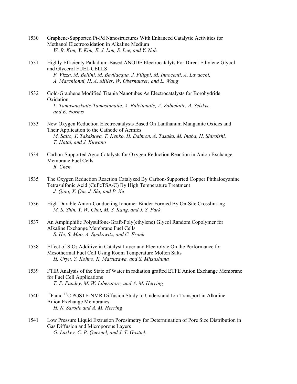- 1530 Graphene-Supported Pt-Pd Nanostructures With Enhanced Catalytic Activities for Methanol Electrooxidation in Alkaline Medium  *W. B. Kim, Y. Kim, E. J. Lim, S. Lee, and Y. Noh*
- 1531 Highly Efficienty Palladium-Based ANODE Electrocatalyts For Direct Ethylene Glycol and Glycerol FUEL CELLS  *F. Vizza, M. Bellini, M. Bevilacqua, J. Filippi, M. Innocenti, A. Lavacchi, A. Marchionni, H. A. Miller, W. Oberhauser, and L. Wang*
- 1532 Gold-Graphene Modified Titania Nanotubes As Electrocatalysts for Borohydride Oxidation  *L. Tamasauskaite-Tamasiunaite, A. Balciunaite, A. Zabielaite, A. Selskis, and E. Norkus*
- 1533 New Oxygen Reduction Electrocatalysts Based On Lanthanum Manganite Oxides and Their Application to the Cathode of Aemfcs  *M. Saito, T. Takakuwa, T. Kenko, H. Daimon, A. Tasaka, M. Inaba, H. Shiroishi, T. Hatai, and J. Kuwano*
- 1534 Carbon-Supported Agco Catalysts for Oxygen Reduction Reaction in Anion Exchange Membrane Fuel Cells  *R. Chen*
- 1535 The Oxygen Reduction Reaction Catalyzed By Carbon-Supported Copper Phthalocyanine Tetrasulfonic Acid (CuPcTSA/C) By High Temperature Treatment  *J. Qiao, X. Qin, J. Shi, and P. Xu*
- 1536 High Durable Anion-Conducting Ionomer Binder Formed By On-Site Crosslinking  *M. S. Shin, Y. W. Choi, M. S. Kang, and J. S. Park*
- 1537 An Amphiphilic Polysulfone-Graft-Poly(ethylene) Glycol Random Copolymer for Alkaline Exchange Membrane Fuel Cells  *S. He, S. Mao, A. Spakowitz, and C. Frank*
- 1538 Effect of SiO2 Additive in Catalyst Layer and Electrolyte On the Performance for Mesothermal Fuel Cell Using Room Temperature Molten Salts  *H. Uryu, Y. Kohno, K. Matsuzawa, and S. Mitsushima*
- 1539 FTIR Analysis of the State of Water in radiation grafted ETFE Anion Exchange Membrane for Fuel Cell Applications  *T. P. Pandey, M. W. Liberatore, and A. M. Herring*
- $1540$  <sup>19</sup>F and <sup>13</sup>C PGSTE-NMR Diffusion Study to Understand Ion Transport in Alkaline Anion Exchange Membranes  *H. N. Sarode and A. M. Herring*
- 1541 Low Pressure Liquid Extrusion Porosimetry for Determination of Pore Size Distribution in Gas Diffusion and Microporous Layers  *G. Laskey, C. P. Quesnel, and J. T. Gostick*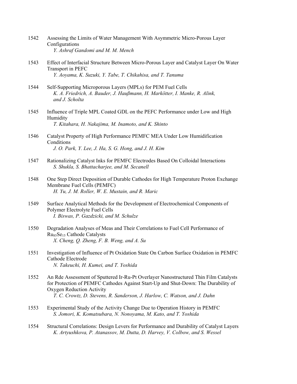- 1542 Assessing the Limits of Water Management With Asymmetric Micro-Porous Layer Configurations  *Y. Ashraf Gandomi and M. M. Mench*
- 1543 Effect of Interfacial Structure Between Micro-Porous Layer and Catalyst Layer On Water Transport in PEFC  *Y. Aoyama, K. Suzuki, Y. Tabe, T. Chikahisa, and T. Tanuma*
- 1544 Self-Supporting Microporous Layers (MPLs) for PEM Fuel Cells  *K. A. Friedrich, A. Bauder, J. Haußmann, H. Markötter, I. Manke, R. Alink, and J. Scholta*
- 1545 Influence of Triple MPL Coated GDL on the PEFC Performance under Low and High Humidity  *T. Kitahara, H. Nakajima, M. Inamoto, and K. Shinto*
- 1546 Catalyst Property of High Performance PEMFC MEA Under Low Humidification **Conditions**  *J. O. Park, Y. Lee, J. Ha, S. G. Hong, and J. H. Kim*
- 1547 Rationalizing Catalyst Inks for PEMFC Electrodes Based On Colloidal Interactions  *S. Shukla, S. Bhattacharjee, and M. Secanell*
- 1548 One Step Direct Deposition of Durable Cathodes for High Temperature Proton Exchange Membrane Fuel Cells (PEMFC)  *H. Yu, J. M. Roller, W. E. Mustain, and R. Maric*
- 1549 Surface Analytical Methods for the Development of Electrochemical Components of Polymer Electrolyte Fuel Cells  *I. Biswas, P. Gazdzicki, and M. Schulze*
- 1550 Degradation Analyses of Meas and Their Correlations to Fuel Cell Performance of Ru85Se15 Cathode Catalysts  *X. Cheng, Q. Zheng, F. B. Weng, and A. Su*
- 1551 Investigation of Influence of Pt Oxidation State On Carbon Surface Oxidation in PEMFC Cathode Electrode  *N. Takeuchi, H. Kumei, and T. Yoshida*
- 1552 An Rde Assessment of Sputtered Ir-Ru-Pt Overlayer Nanostructured Thin Film Catalysts for Protection of PEMFC Cathodes Against Start-Up and Shut-Down: The Durability of Oxygen Reduction Activity  *T. C. Crowtz, D. Stevens, R. Sanderson, J. Harlow, C. Watson, and J. Dahn*
- 1553 Experimental Study of the Activity Change Due to Operation History in PEMFC  *S. Jomori, K. Komatsubara, N. Nonoyama, M. Kato, and T. Yoshida*
- 1554 Structural Correlations: Design Levers for Performance and Durability of Catalyst Layers  *K. Artyushkova, P. Atanassov, M. Dutta, D. Harvey, V. Colbow, and S. Wessel*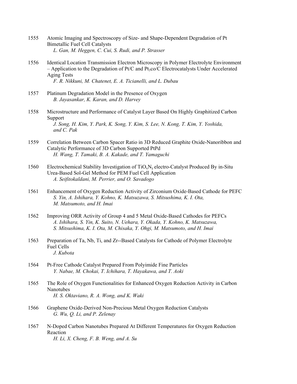- 1555 Atomic Imaging and Spectroscopy of Size- and Shape-Dependent Degradation of Pt Bimetallic Fuel Cell Catalysts  *L. Gan, M. Heggen, C. Cui, S. Rudi, and P. Strasser*
- 1556 Identical Location Transmission Electron Microscopy in Polymer Electrolyte Environment  $-$  Application to the Degradation of Pt/C and Pt<sub>3</sub>co/C Electrocatalysts Under Accelerated Aging Tests  *F. R. Nikkuni, M. Chatenet, E. A. Ticianelli, and L. Dubau*
- 1557 Platinum Degradation Model in the Presence of Oxygen  *B. Jayasankar, K. Karan, and D. Harvey*
- 1558 Microstructure and Performance of Catalyst Layer Based On Highly Graphitized Carbon Support  *J. Song, H. Kim, Y. Park, K. Song, Y. Kim, S. Lee, N. Kong, T. Kim, Y. Yoshida, and C. Pak*
- 1559 Correlation Between Carbon Spacer Ratio in 3D Reduced Graphite Oxide-Nanoribbon and Catalytic Performance of 3D Carbon Supported PtPd  *H. Wang, T. Tamaki, B. A. Kakade, and T. Yamaguchi*
- 1560 Electrochemical Stability Investigation of  $TiO_xN_y$  electro-Catalyst Produced By in-Situ Urea-Based Sol-Gel Method for PEM Fuel Cell Application  *A. Seifitokaldani, M. Perrier, and O. Savadogo*
- 1561 Enhancement of Oxygen Reduction Activity of Zirconium Oxide-Based Cathode for PEFC  *S. Yin, A. Ishihara, Y. Kohno, K. Matsuzawa, S. Mitsushima, K. I. Ota, M. Matsumoto, and H. Imai*
- 1562 Improving ORR Activity of Group 4 and 5 Metal Oxide-Based Cathodes for PEFCs  *A. Ishihara, S. Yin, K. Suito, N. Uehara, Y. Okada, Y. Kohno, K. Matsuzawa, S. Mitsushima, K. I. Ota, M. Chisaka, Y. Ohgi, M. Matsumoto, and H. Imai*
- 1563 Preparation of Ta, Nb, Ti, and Zr--Based Catalysts for Cathode of Polymer Electrolyte Fuel Cells  *J. Kubota*
- 1564 Pt-Free Cathode Catalyst Prepared From Polyimide Fine Particles  *Y. Nabae, M. Chokai, T. Ichihara, T. Hayakawa, and T. Aoki*
- 1565 The Role of Oxygen Functionalities for Enhanced Oxygen Reduction Activity in Carbon **Nanotubes**  *H. S. Oktaviano, R. A. Wong, and K. Waki*
- 1566 Graphene Oxide-Derived Non-Precious Metal Oxygen Reduction Catalysts  *G. Wu, Q. Li, and P. Zelenay*
- 1567 N-Doped Carbon Nanotubes Prepared At Different Temperatures for Oxygen Reduction Reaction  *H. Li, X. Cheng, F. B. Weng, and A. Su*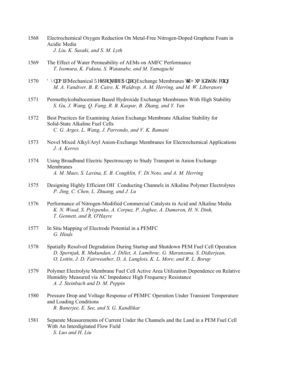- 1568 Electrochemical Oxygen Reduction On Metal-Free Nitrogen-Doped Graphene Foam in Acidic Media  *J. Liu, K. Sasaki, and S. M. Lyth*
- 1569 The Effect of Water Permeability of AEMs on AMFC Performance  *T. Isomura, K. Fukuta, S. Watanabe, and M. Yamaguchi*
- 1570  $\Gamma$  {pco ke"Mechanical Tgur qpug"qh"Cpkqp Exchange Membranes vq"J wo kf kv{ "E {en kpi  *M. A. Vandiver, B. R. Caire, K. Waldrop, A. M. Herring, and M. W. Liberatore*
- 1571 Permethylcobaltocenium Based Hydroxide Exchange Membranes With High Stability  *S. Gu, J. Wang, Q. Fang, R. B. Kaspar, B. Zhang, and Y. Yan*
- 1572 Best Practices for Examining Anion Exchange Membrane Alkaline Stability for Solid-State Alkaline Fuel Cells  *C. G. Arges, L. Wang, J. Parrondo, and V. K. Ramani*
- 1573 Novel Mixed Alkyl/Aryl Anion-Exchange Membranes for Electrochemical Applications  *J. A. Kerres*
- 1574 Using Broadband Electric Spectroscopy to Study Transport in Anion Exchange Membranes  *A. M. Maes, S. Lavina, E. B. Coughlin, V. Di Noto, and A. M. Herring*
- 1575 Designing Highly Efficient OH<sup>−</sup> Conducting Channels in Alkaline Polymer Electrolytes  *P. Jing, C. Chen, L. Zhuang, and J. Lu*
- 1576 Performance of Nitrogen-Modified Commercial Catalysts in Acid and Alkaline Media  *K. N. Wood, S. Pylypenko, A. Corpuz, P. Joghee, A. Dameron, H. N. Dinh, T. Gennett, and R. O'Hayre*
- 1577 In Situ Mapping of Electrode Potential in a PEMFC  *G. Hinds*
- 1578 Spatially Resolved Degradation During Startup and Shutdown PEM Fuel Cell Operation  *D. Spernjak, R. Mukundan, J. Dillet, A. Lamibrac, G. Maranzana, S. Didierjean, O. Lottin, J. D. Fairweather, D. A. Langlois, K. L. More, and R. L. Borup*
- 1579 Polymer Electrolyte Membrane Fuel Cell Active Area Utilization Dependence on Relative Humidity Measured via AC Impedance High Frequency Resistance  *A. J. Steinbach and D. M. Peppin*
- 1580 Pressure Drop and Voltage Response of PEMFC Operation Under Transient Temperature and Loading Conditions  *R. Banerjee, E. See, and S. G. Kandlikar*
- 1581 Separate Measurements of Current Under the Channels and the Land in a PEM Fuel Cell With An Interdigitated Flow Field  *S. Luo and H. Liu*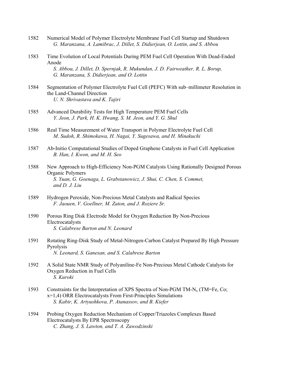- 1582 Numerical Model of Polymer Electrolyte Membrane Fuel Cell Startup and Shutdown  *G. Maranzana, A. Lamibrac, J. Dillet, S. Didierjean, O. Lottin, and S. Abbou*
- 1583 Time Evolution of Local Potentials During PEM Fuel Cell Operation With Dead-Ended Anode  *S. Abbou, J. Dillet, D. Spernjak, R. Mukundan, J. D. Fairweather, R. L. Borup, G. Maranzana, S. Didierjean, and O. Lottin*
- 1584 Segmentation of Polymer Electrolyte Fuel Cell (PEFC) With sub–millimeter Resolution in the Land-Channel Direction  *U. N. Shrivastava and K. Tajiri*
- 1585 Advanced Durability Tests for High Temperature PEM Fuel Cells  *Y. Jeon, J. Park, H. K. Hwang, S. M. Jeon, and Y. G. Shul*
- 1586 Real Time Measurement of Water Transport in Polymer Electrolyte Fuel Cell  *M. Sudoh, R. Shimokawa, H. Nagai, Y. Sugesawa, and H. Minakuchi*
- 1587 Ab-Initio Computational Studies of Doped Graphene Catalysts in Fuel Cell Application  *B. Han, I. Kwon, and M. H. Seo*
- 1588 New Approach to High-Efficiency Non-PGM Catalysts Using Rationally Designed Porous Organic Polymers  *S. Yuan, G. Goenaga, L. Grabstanowicz, J. Shui, C. Chen, S. Commet, and D. J. Liu*
- 1589 Hydrogen Peroxide, Non-Precious Metal Catalysts and Radical Species  *F. Jaouen, V. Goellner, M. Zaton, and J. Roziere Sr.*
- 1590 Porous Ring Disk Electrode Model for Oxygen Reduction By Non-Precious **Electrocatalysts**  *S. Calabrese Barton and N. Leonard*
- 1591 Rotating Ring-Disk Study of Metal-Nitrogen-Carbon Catalyst Prepared By High Pressure Pyrolysis  *N. Leonard, S. Ganesan, and S. Calabrese Barton*
- 1592 A Solid State NMR Study of Polyaniline-Fe Non-Precious Metal Cathode Catalysts for Oxygen Reduction in Fuel Cells  *S. Kuroki*
- 1593 Constraints for the Interpretation of XPS Spectra of Non-PGM TM- $N_x$  (TM=Fe, Co; x=1,4) ORR Electrocatalysts From First-Principles Simulations  *S. Kabir, K. Artyushkova, P. Atanassov, and B. Kiefer*
- 1594 Probing Oxygen Reduction Mechanism of Copper/Triazoles Complexes Based Electrocatalysts By EPR Spectroscopy  *C. Zhang, J. S. Lawton, and T. A. Zawodzinski*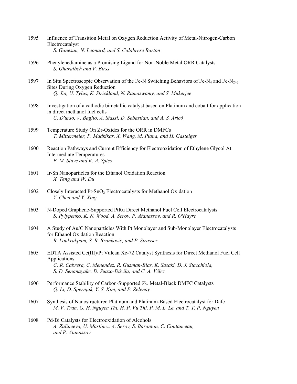- 1595 Influence of Transition Metal on Oxygen Reduction Activity of Metal-Nitrogen-Carbon Electrocatalyst  *S. Ganesan, N. Leonard, and S. Calabrese Barton*
- 1596 Phenylenediamine as a Promising Ligand for Non-Noble Metal ORR Catalysts  *S. Gharaibeh and V. Birss*
- 1597 In Situ Spectroscopic Observation of the Fe-N Switching Behaviors of Fe-N<sub>4</sub> and Fe-N<sub>2+2</sub> Sites During Oxygen Reduction  *Q. Jia, U. Tylus, K. Strickland, N. Ramaswamy, and S. Mukerjee*
- 1598 Investigation of a cathodic bimetallic catalyst based on Platinum and cobalt for application in direct methanol fuel cells  *C. D'urso, V. Baglio, A. Stassi, D. Sebastian, and A. S. Aricò*
- 1599 Temperature Study On Zr-Oxides for the ORR in DMFCs  *T. Mittermeier, P. Madkikar, X. Wang, M. Piana, and H. Gasteiger*
- 1600 Reaction Pathways and Current Efficiency for Electrooxidation of Ethylene Glycol At Intermediate Temperatures  *E. M. Stuve and K. A. Spies*
- 1601 Ir-Sn Nanoparticles for the Ethanol Oxidation Reaction  *X. Teng and W. Du*
- 1602 Closely Interacted Pt-SnO2 Electrocatalysts for Methanol Oxidation  *Y. Chen and Y. Xing*
- 1603 N-Doped Graphene-Supported PtRu Direct Methanol Fuel Cell Electrocatalysts  *S. Pylypenko, K. N. Wood, A. Serov, P. Atanassov, and R. O'Hayre*
- 1604 A Study of Au/C Nanoparticles With Pt Monolayer and Sub-Monolayer Electrocatalysts for Ethanol Oxidation Reaction  *R. Loukrakpam, S. R. Brankovic, and P. Strasser*
- 1605 EDTA Assisted Ce(III)/Pt Vulcan Xc-72 Catalyst Synthesis for Direct Methanol Fuel Cell Applications  *C. R. Cabrera, C. Menendez, R. Guzman-Blas, K. Sasaki, D. J. Stacchiola, S. D. Senanayake, D. Suazo-Dávila, and C. A. Vélez*
- 1606 Performance Stability of Carbon-Supported *Vs.* Metal-Black DMFC Catalysts  *Q. Li, D. Spernjak, Y. S. Kim, and P. Zelenay*
- 1607 Synthesis of Nanostructured Platinum and Platinum-Based Electrocatalyst for Dafc  *M. V. Tran, G. H. Nguyen Thi, H. P. Vu Thi, P. M. L. Le, and T. T. P. Nguyen*
- 1608 Pd-Bi Catalysts for Electrooxidation of Alcohols  *A. Zalineeva, U. Martinez, A. Serov, S. Baranton, C. Coutanceau, and P. Atanassov*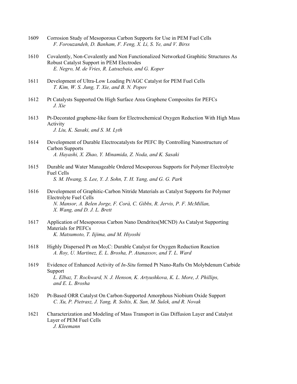- 1609 Corrosion Study of Mesoporous Carbon Supports for Use in PEM Fuel Cells  *F. Forouzandeh, D. Banham, F. Feng, X. Li, S. Ye, and V. Birss*
- 1610 Covalently, Non-Covalently and Non Functionalized Networked Graphitic Structures As Robust Catalyst Support in PEM Electrodes  *E. Negro, M. de Vries, R. Latsuzbaia, and G. Koper*
- 1611 Development of Ultra-Low Loading Pt/AGC Catalyst for PEM Fuel Cells  *T. Kim, W. S. Jung, T. Xie, and B. N. Popov*
- 1612 Pt Catalysts Supported On High Surface Area Graphene Composites for PEFCs  *J. Xie*
- 1613 Pt-Decorated graphene-like foam for Electrochemical Oxygen Reduction With High Mass Activity  *J. Liu, K. Sasaki, and S. M. Lyth*
- 1614 Development of Durable Electrocatalysts for PEFC By Controlling Nanostructure of Carbon Supports  *A. Hayashi, X. Zhao, Y. Minamida, Z. Noda, and K. Sasaki*
- 1615 Durable and Water Manageable Ordered Mesoporous Supports for Polymer Electrolyte Fuel Cells  *S. M. Hwang, S. Lee, Y. J. Sohn, T. H. Yang, and G. G. Park*
- 1616 Development of Graphitic-Carbon Nitride Materials as Catalyst Supports for Polymer Electrolyte Fuel Cells  *N. Mansor, A. Belen Jorge, F. Corà, C. Gibbs, R. Jervis, P. F. McMillan, X. Wang, and D. J. L. Brett*
- 1617 Application of Mesoporous Carbon Nano Dendrites(MCND) As Catalyst Supporting Materials for PEFCs  *K. Matsumoto, T. Iijima, and M. Hiyoshi*
- 1618 Highly Dispersed Pt on Mo2C: Durable Catalyst for Oxygen Reduction Reaction  *A. Roy, U. Martinez, E. L. Brosha, P. Atanassov, and T. L. Ward*
- 1619 Evidence of Enhanced Activity of *In-Situ* formed Pt Nano-Rafts On Molybdenum Carbide Support  *L. Elbaz, T. Rockward, N. J. Henson, K. Artyushkova, K. L. More, J. Phillips, and E. L. Brosha*
- 1620 Pt-Based ORR Catalyst On Carbon-Supported Amorphous Niobium Oxide Support  *C. Xu, P. Pietrasz, J. Yang, R. Soltis, K. Sun, M. Sulek, and R. Novak*
- 1621 Characterization and Modeling of Mass Transport in Gas Diffusion Layer and Catalyst Layer of PEM Fuel Cells  *J. Kleemann*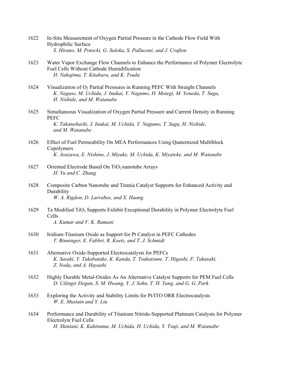- 1622 In-Situ Measurement of Oxygen Partial Pressure in the Cathode Flow Field With Hydrophilic Surface  *S. Hirano, M. Potocki, G. Saloka, S. Palluconi, and J. Crafton*
- 1623 Water Vapor Exchange Flow Channels to Enhance the Performance of Polymer Electrolyte Fuel Cells Without Cathode Humidification  *H. Nakajima, T. Kitahara, and K. Tsuda*
- 1624 Visualization of O<sub>2</sub> Partial Pressures in Running PEFC With Straight Channels  *K. Nagase, M. Uchida, J. Inukai, Y. Nagumo, H. Motegi, M. Yoneda, T. Suga, H. Nishide, and M. Watanabe*
- 1625 Simultaneous Visualization of Oxygen Partial Pressure and Current Density in Running PEFC  *K. Takanohashi, J. Inukai, M. Uchida, Y. Nagumo, T. Suga, H. Nishide, and M. Watanabe*
- 1626 Effect of Fuel Permeability On MEA Performances Using Quaternized Multiblock Copolymers  *K. Asazawa, E. Nishino, J. Miyake, M. Uchida, K. Miyateke, and M. Watanabe*
- 1627 Oriented Electrode Based On  $TiO<sub>2</sub>$  nanotube Arrays  *H. Yu and C. Zhang*
- 1628 Composite Carbon Nanotube and Titania Catalyst Supports for Enhanced Activity and Durability  *W. A. Rigdon, D. Larrabee, and X. Huang*
- 1629 Ta Modified TiO2 Supports Exhibit Exceptional Durability in Polymer Electrolyte Fuel Cells  *A. Kumar and V. K. Ramani*
- 1630 Iridium-Titanium Oxide as Support for Pt Catalyst in PEFC Cathodes  *T. Binninger, E. Fabbri, R. Koetz, and T. J. Schmidt*
- 1631 Alternative Oxide-Supported Electrocatalysts for PEFCs  *K. Sasaki, Y. Takabatake, K. Kanda, T. Tsukatsune, T. Higashi, F. Takasaki, Z. Noda, and A. Hayashi*
- 1632 Highly Durable Metal-Oxides As An Alternative Catalyst Supports for PEM Fuel Cells  *D. Cilingir Dogan, S. M. Hwang, Y. J. Sohn, T. H. Yang, and G. G. Park*
- 1633 Exploring the Activity and Stability Limits for Pt/ITO ORR Electrocatalysts  *W. E. Mustain and Y. Liu*
- 1634 Performance and Durability of Titanium Nitride-Supported Platinum Catalysts for Polymer Electrolyte Fuel Cells  *H. Shintani, K. Kakinuma, M. Uchida, H. Uchida, Y. Tsuji, and M. Watanabe*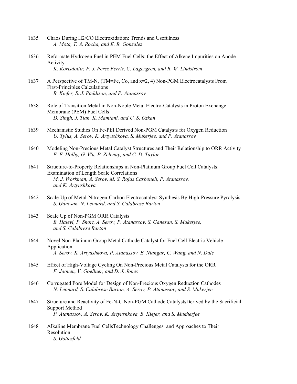- 1635 Chaos During H2/CO Electroxidation: Trends and Usefulness  *A. Mota, T. A. Rocha, and E. R. Gonzalez*
- 1636 Reformate Hydrogen Fuel in PEM Fuel Cells: the Effect of Alkene Impurities on Anode Activity  *K. Kortsdottir, F. J. Perez Ferriz, C. Lagergren, and R. W. Lindström*
- 1637 A Perspective of TM-N<sub>x</sub> (TM=Fe, Co, and  $x=2$ , 4) Non-PGM Electrocatalysts From First-Principles Calculations  *B. Kiefer, S. J. Paddison, and P. Atanassov*
- 1638 Role of Transition Metal in Non-Noble Metal Electro-Catalysts in Proton Exchange Membrane (PEM) Fuel Cells  *D. Singh, J. Tian, K. Mamtani, and U. S. Ozkan*
- 1639 Mechanistic Studies On Fe-PEI Derived Non-PGM Catalysts for Oxygen Reduction  *U. Tylus, A. Serov, K. Artyushkova, S. Mukerjee, and P. Atanassov*
- 1640 Modeling Non-Precious Metal Catalyst Structures and Their Relationship to ORR Activity  *E. F. Holby, G. Wu, P. Zelenay, and C. D. Taylor*
- 1641 Structure-to-Property Relationships in Non-Platinum Group Fuel Cell Catalysts: Examination of Length Scale Correlations  *M. J. Workman, A. Serov, M. S. Rojas Carbonell, P. Atanassov, and K. Artyushkova*
- 1642 Scale-Up of Metal-Nitrogen-Carbon Electrocatalyst Synthesis By High-Pressure Pyrolysis  *S. Ganesan, N. Leonard, and S. Calabrese Barton*
- 1643 Scale Up of Non-PGM ORR Catalysts  *B. Halevi, P. Short, A. Serov, P. Atanassov, S. Ganesan, S. Mukerjee, and S. Calabrese Barton*
- 1644 Novel Non-Platinum Group Metal Cathode Catalyst for Fuel Cell Electric Vehicle Application  *A. Serov, K. Artyushkova, P. Atanassov, E. Niangar, C. Wang, and N. Dale*
- 1645 Effect of High-Voltage Cycling On Non-Precious Metal Catalysts for the ORR  *F. Jaouen, V. Goellner, and D. J. Jones*
- 1646 Corrugated Pore Model for Design of Non-Precious Oxygen Reduction Cathodes  *N. Leonard, S. Calabrese Barton, A. Serov, P. Atanassov, and S. Mukerjee*
- 1647 Structure and Reactivity of Fe-N-C Non-PGM Cathode CatalystsDerived by the Sacrificial Support Method  *P. Atanassov, A. Serov, K. Artyushkova, B. Kiefer, and S. Mukherjee*
- 1648 Alkaline Membrane Fuel CellsTechnology Challenges and Approaches to Their Resolution  *S. Gottesfeld*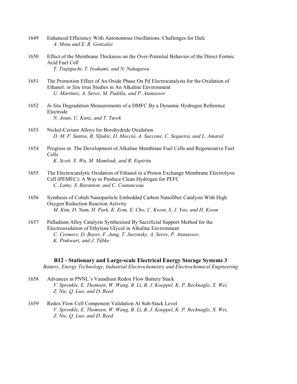- 1649 Enhanced Efficiency With Autonomous Oscillations: Challenges for Dafc  *A. Mota and E. R. Gonzalez*
- 1650 Effect of the Membrane Thickness on the Over-Potential Behavior of the Direct Formic Acid Fuel Cell  *T. Tsujiguchi, T. Iwakami, and N. Nakagawa*
- 1651 The Promotion Effect of An Oxide Phase On Pd Electrocatalysts for the Oxidation of Ethanol: *in Situ* irras Studies in An Alkaline Environment  *U. Martinez, A. Serov, M. Padilla, and P. Atanassov*
- 1652 *In Situ* Degradation Measurements of a DMFC By a Dynamic Hydrogen Reference Electrode  *N. Aoun, U. Kunz, and T. Turek*
- 1653 Nickel-Cerium Alloys for Borohydride Oxidation  *D. M. F. Santos, B. Sljukic, D. Macciò, A. Saccone, C. Sequeira, and L. Amaral*
- 1654 Progress in The Development of Alkaline Membrane Fuel Cells and Regenerative Fuel Cells  *K. Scott, X. Wu, M. Mamlouk, and R. Espiritu*
- 1655 The Electrocatalytic Oxidation of Ethanol in a Proton Exchange Membrane Electrolysis Cell (PEMEC): A Way to Produce Clean Hydrogen for PEFC  *C. Lamy, S. Baranton, and C. Coutanceau*
- 1656 Synthesis of Cobalt Nanoparticle Embedded Carbon Nanofiber Catalysts With High Oxygen Reduction Reaction Activity  *M. Kim, D. Nam, H. Park, K. Eom, E. Cho, C. Kwon, S. J. Yoo, and H. Kwon*
- 1657 Palladium Alloy Catalysts Synthesized By Sacrificial Support Method for the Electrooxidation of Ethylene Glycol in Alkaline Environment  *C. Cremers, D. Bayer, F. Jung, T. Jurzinsky, A. Serov, P. Atanassov, K. Pinkwart, and J. Tübke*

#### **B12 - Stationary and Large-scale Electrical Energy Storage Systems 3**

*Battery, Energy Technology, Industrial Electrochemistry and Electrochemical Engineering* 

- 1658 Advances in PNNL's Vanadium Redox Flow Battery Stack  *V. Sprenkle, E. Thomsen, W. Wang, B. Li, B. J. Koeppel, K. P. Recknagle, X. Wei, Z. Nie, Q. Luo, and D. Reed*
- 1659 Redox Flow Cell Component Validation At Sub-Stack Level  *V. Sprenkle, E. Thomsen, W. Wang, B. Li, B. J. Koeppel, K. P. Recknagle, X. Wei, Z. Nie, Q. Luo, and D. Reed*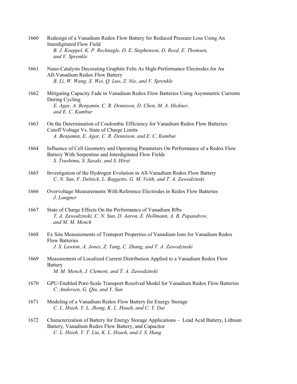- 1660 Redesign of a Vanadium Redox Flow Battery for Reduced Pressure Loss Using An Interdigitated Flow Field  *B. J. Koeppel, K. P. Recknagle, D. E. Stephenson, D. Reed, E. Thomsen, and V. Sprenkle*
- 1661 Nano-Catalysts Decorating Graphite Felts As High-Performance Electrodes for An All-Vanadium Redox Flow Battery  *B. Li, W. Wang, X. Wei, Q. Luo, Z. Nie, and V. Sprenkle*
- 1662 Mitigating Capacity Fade in Vanadium Redox Flow Batteries Using Asymmetric Currents During Cycling  *E. Agar, A. Benjamin, C. R. Dennison, D. Chen, M. A. Hickner, and E. C. Kumbur*
- 1663 On the Determination of Coulombic Efficiency for Vanadium Redox Flow Batteries: Cutoff Voltage Vs. State of Charge Limits  *A. Benjamin, E. Agar, C. R. Dennison, and E. C. Kumbur*
- 1664 Influence of Cell Geometry and Operating Parameters On Performance of a Redox Flow Battery With Serpentine and Interdigitated Flow Fields  *S. Tsushima, S. Sasaki, and S. Hirai*
- 1665 Investigation of the Hydrogen Evolution in All-Vanadium Redox Flow Battery  *C. N. Sun, F. Delnick, L. Baggetto, G. M. Veith, and T. A. Zawodzinski*
- 1666 Overvoltage Measurements With Reference Electrodes in Redox Flow Batteries  *J. Langner*
- 1667 State of Charge Effects On the Performance of Vanadium Rfbs  *T. A. Zawodzinski, C. N. Sun, D. Aaron, E. Hollmann, A. B. Papandrew, and M. M. Mench*
- 1668 Ex Situ Measurements of Transport Properties of Vanadium Ions for Vanadium Redox Flow Batteries  *J. S. Lawton, A. Jones, Z. Tang, C. Zhang, and T. A. Zawodzinski*
- 1669 Measurement of Localized Current Distribution Applied to a Vanadium Redox Flow **Battery**  *M. M. Mench, J. Clement, and T. A. Zawodzinski*
- 1670 GPU-Enabled Pore-Scale Transport Resolved Model for Vanadium Redox Flow Batteries  *C. Andersen, G. Qiu, and Y. Sun*
- 1671 Modeling of a Vanadium Redox Flow Battery for Energy Storage  *C. L. Hsieh, Y. L. Jhong, K. L. Hsueh, and C. Y. Dai*
- 1672 Characterization of Battery for Energy Storage Applications Lead Acid Battery, Lithium Battery, Vanadium Redox Flow Battery, and Capacitor  *C. L. Hsieh, Y. T. Liu, K. L. Hsueh, and J. S. Hung*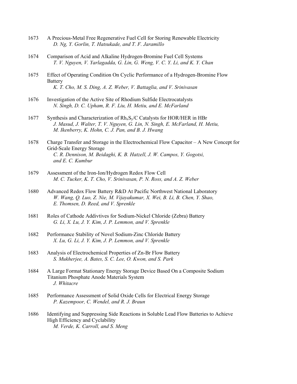- 1673 A Precious-Metal Free Regenerative Fuel Cell for Storing Renewable Electricity  *D. Ng, Y. Gorlin, T. Hatsukade, and T. F. Jaramillo*
- 1674 Comparison of Acid and Alkaline Hydrogen-Bromine Fuel Cell Systems  *T. V. Nguyen, V. Yarlagadda, G. Lin, G. Weng, V. C. Y. Li, and K. Y. Chan*
- 1675 Effect of Operating Condition On Cyclic Performance of a Hydrogen-Bromine Flow Battery  *K. T. Cho, M. S. Ding, A. Z. Weber, V. Battaglia, and V. Srinivasan*
- 1676 Investigation of the Active Site of Rhodium Sulfide Electrocatalysts  *N. Singh, D. C. Upham, R. F. Liu, H. Metiu, and E. McFarland*
- 1677 Synthesis and Characterization of  $Rh_xS_v/C$  Catalysts for HOR/HER in HBr  *J. Masud, J. Walter, T. V. Nguyen, G. Lin, N. Singh, E. McFarland, H. Metiu, M. Ikenberry, K. Hohn, C. J. Pan, and B. J. Hwang*
- 1678 Charge Transfer and Storage in the Electrochemical Flow Capacitor A New Concept for Grid-Scale Energy Storage  *C. R. Dennison, M. Beidaghi, K. B. Hatzell, J. W. Campos, Y. Gogotsi, and E. C. Kumbur*
- 1679 Assessment of the Iron-Ion/Hydrogen Redox Flow Cell  *M. C. Tucker, K. T. Cho, V. Srinivasan, P. N. Ross, and A. Z. Weber*
- 1680 Advanced Redox Flow Battery R&D At Pacific Northwest National Laboratory  *W. Wang, Q. Luo, Z. Nie, M. Vijayakumar, X. Wei, B. Li, B. Chen, Y. Shao, E. Thomsen, D. Reed, and V. Sprenkle*
- 1681 Roles of Cathode Addivtives for Sodium-Nickel Chloride (Zebra) Battery  *G. Li, X. Lu, J. Y. Kim, J. P. Lemmon, and V. Sprenkle*
- 1682 Performance Stability of Novel Sodium-Zinc Chloride Battery  *X. Lu, G. Li, J. Y. Kim, J. P. Lemmon, and V. Sprenkle*
- 1683 Analysis of Electrochemical Properties of Zn-Br Flow Battery  *S. Mukherjee, A. Bates, S. C. Lee, O. Kwon, and S. Park*
- 1684 A Large Format Stationary Energy Storage Device Based On a Composite Sodium Titanium Phosphate Anode Materials System  *J. Whitacre*
- 1685 Performance Assessment of Solid Oxide Cells for Electrical Energy Storage  *P. Kazempoor, C. Wendel, and R. J. Braun*
- 1686 Identifying and Suppressing Side Reactions in Soluble Lead Flow Batteries to Achieve High Efficiency and Cyclability  *M. Verde, K. Carroll, and S. Meng*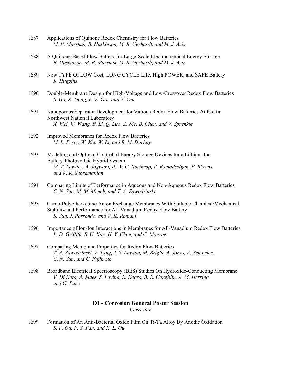- 1687 Applications of Quinone Redox Chemistry for Flow Batteries  *M. P. Marshak, B. Huskinson, M. R. Gerhardt, and M. J. Aziz*
- 1688 A Quinone-Based Flow Battery for Large-Scale Electrochemical Energy Storage  *B. Huskinson, M. P. Marshak, M. R. Gerhardt, and M. J. Aziz*
- 1689 New TYPE Of LOW Cost, LONG CYCLE Life, High POWER, and SAFE Battery  *R. Huggins*
- 1690 Double-Membrane Design for High-Voltage and Low-Crossover Redox Flow Batteries  *S. Gu, K. Gong, E. Z. Yan, and Y. Yan*
- 1691 Nanoporous Separator Development for Various Redox Flow Batteries At Pacific Northwest National Laboratory  *X. Wei, W. Wang, B. Li, Q. Luo, Z. Nie, B. Chen, and V. Sprenkle*
- 1692 Improved Membranes for Redox Flow Batteries  *M. L. Perry, W. Xie, W. Li, and R. M. Darling*
- 1693 Modeling and Optimal Control of Energy Storage Devices for a Lithium-Ion Battery-Photovoltaic Hybrid System  *M. T. Lawder, A. Jagwani, P. W. C. Northrop, V. Ramadesigan, P. Biswas, and V. R. Subramanian*
- 1694 Comparing Limits of Performance in Aqueous and Non-Aqueous Redox Flow Batteries  *C. N. Sun, M. M. Mench, and T. A. Zawodzinski*
- 1695 Cardo-Polyetherketone Anion Exchange Membranes With Suitable Chemical/Mechanical Stability and Performance for All-Vanadium Redox Flow Battery  *S. Yun, J. Parrondo, and V. K. Ramani*
- 1696 Importance of Ion-Ion Interactions in Membranes for All-Vanadium Redox Flow Batteries  *L. D. Griffith, S. U. Kim, H. Y. Chen, and C. Monroe*
- 1697 Comparing Membrane Properties for Redox Flow Batteries  *T. A. Zawodzinski, Z. Tang, J. S. Lawton, M. Bright, A. Jones, A. Schnyder, C. N. Sun, and C. Fujimoto*
- 1698 Broadband Electrical Spectroscopy (BES) Studies On Hydroxide-Conducting Membrane  *V. Di Noto, A. Maes, S. Lavina, E. Negro, B. E. Coughlin, A. M. Herring, and G. Pace*

# **D1 - Corrosion General Poster Session**

*Corrosion* 

1699 Formation of An Anti-Bacterial Oxide Film On Ti-Ta Alloy By Anodic Oxidation  *S. F. Ou, F. Y. Fan, and K. L. Ou*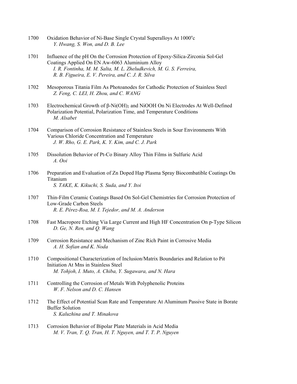- 1700 Oxidation Behavior of Ni-Base Single Crystal Superalloys At 1000°c  *Y. Hwang, S. Won, and D. B. Lee*
- 1701 Influence of the pH On the Corrosion Protection of Epoxy-Silica-Zirconia Sol-Gel Coatings Applied On EN Aw-6063 Aluminium Alloy  *I. R. Fontinha, M. M. Salta, M. L. Zheludkevich, M. G. S. Ferreira, R. B. Figueira, E. V. Pereira, and C. J. R. Silva*
- 1702 Mesoporous Titania Film As Photoanodes for Cathodic Protection of Stainless Steel  *Z. Feng, C. LEI, H. Zhou, and C. WANG*
- 1703 Electrochemical Growth of β-Ni(OH)2 and NiOOH On Ni Electrodes At Well-Defined Polarization Potential, Polarization Time, and Temperature Conditions  *M. Alsabet*
- 1704 Comparison of Corrosion Resistance of Stainless Steels in Sour Environments With Various Chloride Concentration and Temperature  *J. W. Rho, G. E. Park, K. Y. Kim, and C. J. Park*
- 1705 Dissolution Behavior of Pt-Co Binary Alloy Thin Films in Sulfuric Acid  *A. Ooi*
- 1706 Preparation and Evaluation of Zn Doped Hap Plasma Spray Biocombatible Coatings On Titanium  *S. TAKE, K. Kikuchi, S. Suda, and Y. Itoi*
- 1707 Thin-Film Ceramic Coatings Based On Sol-Gel Chemistries for Corrosion Protection of Low-Grade Carbon Steels  *R. E. Pérez-Roa, M. I. Tejedor, and M. A. Anderson*
- 1708 Fast Macropore Etching Via Large Current and High HF Concentration On p-Type Silicon  *D. Ge, N. Ren, and Q. Wang*
- 1709 Corrosion Resistance and Mechanism of Zinc Rich Paint in Corrosive Media  *A. H. Sofian and K. Noda*
- 1710 Compositional Characterization of Inclusion/Matrix Boundaries and Relation to Pit Initiation At Mns in Stainless Steel  *M. Tohjoh, I. Muto, A. Chiba, Y. Sugawara, and N. Hara*
- 1711 Controlling the Corrosion of Metals With Polyphenolic Proteins  *W. F. Nelson and D. C. Hansen*
- 1712 The Effect of Potential Scan Rate and Temperature At Aluminum Passive State in Borate Buffer Solution  *S. Kaluzhina and T. Minakova*
- 1713 Corrosion Behavior of Bipolar Plate Materials in Acid Media  *M. V. Tran, T. Q. Tran, H. T. Nguyen, and T. T. P. Nguyen*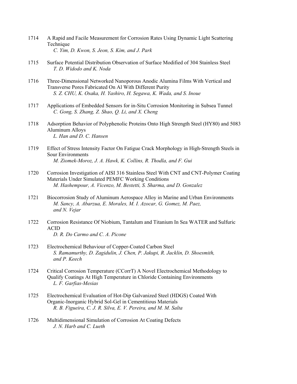- 1714 A Rapid and Facile Measurement for Corrosion Rates Using Dynamic Light Scattering Technique  *C. Yim, D. Kwon, S. Jeon, S. Kim, and J. Park*
- 1715 Surface Potential Distribution Observation of Surface Modified of 304 Stainless Steel  *T. D. Widodo and K. Noda*
- 1716 Three-Dimensional Networked Nanoporous Anodic Alumina Films With Vertical and Transverse Pores Fabricated On Al With Different Purity  *S. Z. CHU, K. Osaka, H. Yashiro, H. Segawa, K. Wada, and S. Inoue*
- 1717 Applications of Embedded Sensors for in-Situ Corrosion Monitoring in Subsea Tunnel  *C. Gong, S. Zhang, Z. Shao, Q. Li, and X. Cheng*
- 1718 Adsorption Behavior of Polyphenolic Proteins Onto High Strength Steel (HY80) and 5083 Aluminum Alloys  *L. Han and D. C. Hansen*
- 1719 Effect of Stress Intensity Factor On Fatigue Crack Morphology in High-Strength Steels in Sour Environments  *M. Ziomek-Moroz, J. A. Hawk, K. Collins, R. Thodla, and F. Gui*
- 1720 Corrosion Investigation of AISI 316 Stainless Steel With CNT and CNT-Polymer Coating Materials Under Simulated PEMFC Working Conditions  *M. Hashempour, A. Vicenzo, M. Bestetti, S. Sharma, and D. Gonzalez*
- 1721 Biocorrosion Study of Aluminum Aerospace Alloy in Marine and Urban Environments  *M. Sancy, A. Abarzua, E. Morales, M. I. Azocar, G. Gomez, M. Paez, and N. Vejar*
- 1722 Corrosion Resistance Of Niobium, Tantalum and Titanium In Sea WATER and Sulfuric ACID  *D. R. Do Carmo and C. A. Picone*
- 1723 Electrochemical Behaviour of Copper-Coated Carbon Steel  *S. Ramamurthy, D. Zagidulin, J. Chen, P. Jakupi, R. Jacklin, D. Shoesmith, and P. Keech*
- 1724 Critical Corrosion Temperature (CCorrT) A Novel Electrochemical Methodology to Qualify Coatings At High Temperature in Chloride Containing Environments  *L. F. Garfias-Mesias*
- 1725 Electrochemical Evaluation of Hot-Dip Galvanized Steel (HDGS) Coated With Organic-Inorganic Hybrid Sol-Gel in Cementitious Materials  *R. B. Figueira, C. J. R. Silva, E. V. Pereira, and M. M. Salta*
- 1726 Multidimensional Simulation of Corrosion At Coating Defects  *J. N. Harb and C. Lueth*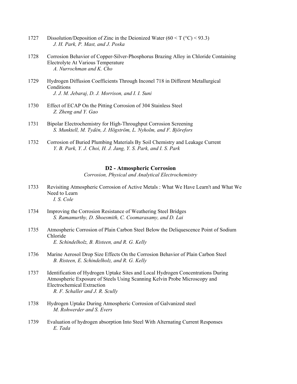- 1727 Dissolution/Deposition of Zinc in the Deionized Water  $(60 < T (°C) < 93.3)$  *J. H. Park, P. Mast, and J. Poska*
- 1728 Corrosion Behavior of Copper-Silver-Phosphorus Brazing Alloy in Chloride Containing Electrolyte At Various Temperature  *A. Nurrochman and K. Cho*
- 1729 Hydrogen Diffusion Coefficients Through Inconel 718 in Different Metallurgical **Conditions**  *J. J. M. Jebaraj, D. J. Morrison, and I. I. Suni*
- 1730 Effect of ECAP On the Pitting Corrosion of 304 Stainless Steel  *Z. Zheng and Y. Gao*
- 1731 Bipolar Electrochemistry for High-Throughput Corrosion Screening  *S. Munktell, M. Tydén, J. Högström, L. Nyholm, and F. Björefors*
- 1732 Corrosion of Buried Plumbing Materials By Soil Chemistry and Leakage Current  *Y. B. Park, Y. J. Choi, H. J. Jang, Y. S. Park, and I. S. Park*

#### **D2 - Atmospheric Corrosion**

*Corrosion, Physical and Analytical Electrochemistry* 

- 1733 Revisiting Atmospheric Corrosion of Active Metals : What We Have Learn't and What We Need to Learn  *I. S. Cole*
- 1734 Improving the Corrosion Resistance of Weathering Steel Bridges  *S. Ramamurthy, D. Shoesmith, C. Coomarasamy, and D. Lai*
- 1735 Atmospheric Corrosion of Plain Carbon Steel Below the Deliquescence Point of Sodium Chloride  *E. Schindelholz, B. Risteen, and R. G. Kelly*
- 1736 Marine Aerosol Drop Size Effects On the Corrosion Behavior of Plain Carbon Steel  *B. Risteen, E. Schindelholz, and R. G. Kelly*
- 1737 Identification of Hydrogen Uptake Sites and Local Hydrogen Concentrations During Atmospheric Exposure of Steels Using Scanning Kelvin Probe Microscopy and Electrochemical Extraction  *R. F. Schaller and J. R. Scully*
- 1738 Hydrogen Uptake During Atmospheric Corrosion of Galvanized steel  *M. Rohwerder and S. Evers*
- 1739 Evaluation of hydrogen absorption Into Steel With Alternating Current Responses  *E. Tada*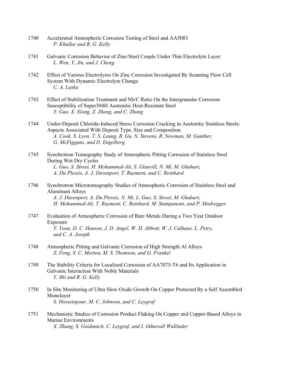- 1740 Accelerated Atmospheric Corrosion Testing of Steel and AA5083  *P. Khullar and R. G. Kelly*
- 1741 Galvanic Corrosion Behavior of Zinc/Steel Couple Under Thin Electrolyte Layer  *L. Wen, Y. Jin, and J. Cheng*
- 1742 Effect of Various Electrolytes On Zinc Corrosion Investigated By Scanning Flow Cell System With Dynamic Electrolyte Change  *C. A. Laska*
- 1743 Effect of Stabilization Treatment and Nb/C Ratio On the Intergranular Corrosion Susceptibility of Super304H Austenitic Heat-Resistant Steel  *Y. Gao, X. Xiong, Z. Zheng, and C. Zhang*
- 1744 Under-Deposit Chloride-Induced Stress Corrosion Cracking in Austenitic Stainless Steels: Aspects Associated With Deposit Type, Size and Composition  *A. Cook, S. Lyon, T. S. Leung, B. Gu, N. Stevens, R. Newman, M. Gunther, G. McFiggans, and D. Engelberg*
- 1745 Synchrotron Tomography Study of Atmospheric Pitting Corrosion of Stainless Steel During Wet-Dry Cycles  *L. Guo, S. Street, H. Mohammed-Ali, S. Glanvill, N. Mi, M. Ghahari, A. Du Plessis, A. J. Davenport, T. Rayment, and C. Reinhard*
- 1746 Synchrotron Microtomography Studies of Atmospheric Corrosion of Stainless Steel and Aluminum Alloys  *A. J. Davenport, A. Du Plessis, N. Mi, L. Guo, S. Street, M. Ghahari, H. Mohammed-Ali, T. Rayment, C. Reinhard, M. Stampanoni, and P. Modregger*
- 1747 Evaluation of Atmospheric Corrosion of Bare Metals During a Two Year Outdoor Exposure  *Y. Yoon, D. C. Hansen, J. D. Angel, W. H. Abbott, W. J. Culhane, L. Petry, and C. A. Joseph*
- 1748 Atmospheric Pitting and Galvanic Corrosion of High Strength Al Alloys  *Z. Feng, S. C. Morton, M. S. Thomson, and G. Frankel*
- 1749 The Stability Criteria for Localized Corrosion of AA7075-T6 and Its Application in Galvanic Interaction With Noble Materials  *Y. Shi and R. G. Kelly*
- 1750 In Situ Monitoring of Ultra Slow Oxide Growth On Copper Protected By a Self Assembled Monolayer  *S. Hosseinpour, M. C. Johnson, and C. Leygraf*
- 1751 Mechanistic Studies of Corrosion Product Flaking On Copper and Copper-Based Alloys in Marine Environments  *X. Zhang, S. Goidanich, C. Leygraf, and I. Odnevall Wallinder*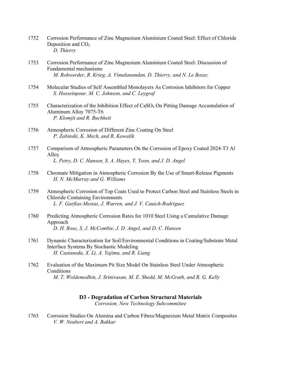- 1752 Corrosion Performance of Zinc Magnesium Aluminium Coated Steel: Effect of Chloride Deposition and  $CO<sub>2</sub>$  *D. Thierry*
- 1753 Corrosion Performance of Zinc Magnesium Aluminium Coated Steel: Discussion of Fundamental mechanisms  *M. Rohwerder, R. Krieg, A. Vimalanandan, D. Thierry, and N. Le Bozec*
- 1754 Molecular Studies of Self Assembled Monolayers As Corrosion Inhibitors for Copper  *S. Hosseinpour, M. C. Johnson, and C. Leygraf*
- 1755 Characterization of the Inhibition Effect of CaSO4 On Pitting Damage Accumulation of Aluminum Alloy 7075-T6  *P. Klomjit and R. Buchheit*
- 1756 Atmospheric Corrosion of Different Zinc Coating On Steel  *P. Zabinski, K. Mech, and R. Kowalik*
- 1757 Comparison of Atmospheric Parameters On the Corrosion of Epoxy Coated 2024-T3 Al Alloy  *L. Petry, D. C. Hansen, S. A. Hayes, Y. Yoon, and J. D. Angel*
- 1758 Chromate Mitigation in Atmospheric Corrosion By the Use of Smart-Release Pigments  *H. N. McMurray and G. Williams*
- 1759 Atmospheric Corrosion of Top Coats Used to Protect Carbon Steel and Stainless Steels in Chloride Containing Environments  *L. F. Garfias-Mesias, J. Warren, and J. V. Cauich-Rodriguez*
- 1760 Predicting Atmospheric Corrosion Rates for 1010 Steel Using a Cumulative Damage Approach  *D. H. Rose, S. J. McCombie, J. D. Angel, and D. C. Hansen*
- 1761 Dynamic Characterization for Soil/Environmental Conditions in Coating/Substrate Metal Interface Systems By Stochastic Modeling  *H. Castaneda, X. Li, A. Yajima, and R. Liang*
- 1762 Evaluation of the Maximum Pit Size Model On Stainless Steel Under Atmospheric **Conditions**  *M. T. Woldemedhin, J. Srinivasan, M. E. Shedd, M. McGrath, and R. G. Kelly*

#### **D3 - Degradation of Carbon Structural Materials**

*Corrosion, New Technology Subcommittee* 

1763 Corrosion Studies On Alumina and Carbon Fibres/Magnesium Metal Matrix Composites  *V. W. Neubert and A. Bakkar*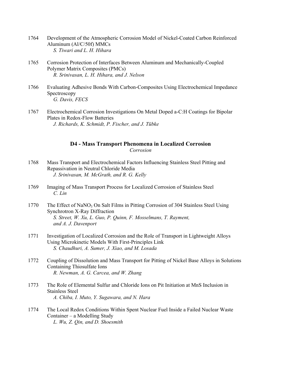- 1764 Development of the Atmospheric Corrosion Model of Nickel-Coated Carbon Reinforced Aluminum (Al/C/50f) MMCs  *S. Tiwari and L. H. Hihara*
- 1765 Corrosion Protection of Interfaces Between Aluminum and Mechanically-Coupled Polymer Matrix Composites (PMCs)  *R. Srinivasan, L. H. Hihara, and J. Nelson*
- 1766 Evaluating Adhesive Bonds With Carbon-Composites Using Electrochemical Impedance Spectroscopy  *G. Davis, FECS*
- 1767 Electrochemical Corrosion Investigations On Metal Doped a-C:H Coatings for Bipolar Plates in Redox-Flow Batteries  *J. Richards, K. Schmidt, P. Fischer, and J. Tübke*

### **D4 - Mass Transport Phenomena in Localized Corrosion**  *Corrosion*

- 1768 Mass Transport and Electrochemical Factors Influencing Stainless Steel Pitting and Repassivation in Neutral Chloride Media  *J. Srinivasan, M. McGrath, and R. G. Kelly*
- 1769 Imaging of Mass Transport Process for Localized Corrosion of Stainless Steel  *C. Lin*
- 1770 The Effect of NaNO<sub>3</sub> On Salt Films in Pitting Corrosion of 304 Stainless Steel Using Synchrotron X-Ray Diffraction  *S. Street, W. Xu, L. Guo, P. Quinn, F. Mosselmans, T. Rayment, and A. J. Davenport*
- 1771 Investigation of Localized Corrosion and the Role of Transport in Lightweight Alloys Using Microkinetic Models With First-Principles Link  *S. Chaudhuri, A. Sumer, J. Xiao, and M. Losada*
- 1772 Coupling of Dissolution and Mass Transport for Pitting of Nickel Base Alloys in Solutions Containing Thiosulfate Ions  *R. Newman, A. G. Carcea, and W. Zhang*
- 1773 The Role of Elemental Sulfur and Chloride Ions on Pit Initiation at MnS Inclusion in Stainless Steel  *A. Chiba, I. Muto, Y. Sugawara, and N. Hara*
- 1774 The Local Redox Conditions Within Spent Nuclear Fuel Inside a Failed Nuclear Waste Container – a Modelling Study  *L. Wu, Z. Qin, and D. Shoesmith*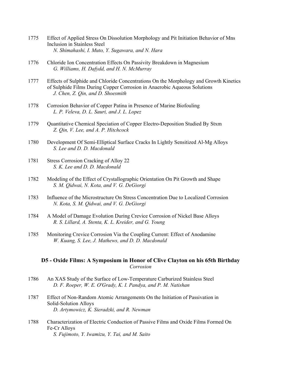- 1775 Effect of Applied Stress On Dissolution Morphology and Pit Initiation Behavior of Mns Inclusion in Stainless Steel  *N. Shimahashi, I. Muto, Y. Sugawara, and N. Hara*
- 1776 Chloride Ion Concentration Effects On Passivity Breakdown in Magnesium  *G. Williams, H. Dafydd, and H. N. McMurray*
- 1777 Effects of Sulphide and Chloride Concentrations On the Morphology and Growth Kinetics of Sulphide Films During Copper Corrosion in Anaerobic Aqueous Solutions  *J. Chen, Z. Qin, and D. Shoesmith*
- 1778 Corrosion Behavior of Copper Patina in Presence of Marine Biofouling  *L. P. Veleva, D. L. Sauri, and J. L. Lopez*
- 1779 Quantitative Chemical Speciation of Copper Electro-Deposition Studied By Stxm  *Z. Qin, V. Lee, and A. P. Hitchcock*
- 1780 Development Of Semi-Elliptical Surface Cracks In Lightly Sensitized Al-Mg Alloys  *S. Lee and D. D. Macdonald*
- 1781 Stress Corrosion Cracking of Alloy 22  *S. K. Lee and D. D. Macdonald*
- 1782 Modeling of the Effect of Crystallographic Orientation On Pit Growth and Shape  *S. M. Qidwai, N. Kota, and V. G. DeGiorgi*
- 1783 Influence of the Microstructure On Stress Concentration Due to Localized Corrosion  *N. Kota, S. M. Qidwai, and V. G. DeGiorgi*
- 1784 A Model of Damage Evolution During Crevice Corrosion of Nickel Base Alloys  *R. S. Lillard, A. Stenta, K. L. Kreider, and G. Young*
- 1785 Monitoring Crevice Corrosion Via the Coupling Current: Effect of Anodamine  *W. Kuang, S. Lee, J. Mathews, and D. D. Macdonald*

## **D5 - Oxide Films: A Symposium in Honor of Clive Clayton on his 65th Birthday**  *Corrosion*

- 1786 An XAS Study of the Surface of Low-Temperature Carburized Stainless Steel  *D. F. Roeper, W. E. O'Grady, K. I. Pandya, and P. M. Natishan*
- 1787 Effect of Non-Random Atomic Arrangements On the Initiation of Passivation in Solid-Solution Alloys  *D. Artymowicz, K. Sieradzki, and R. Newman*
- 1788 Characterization of Electric Conduction of Passive Films and Oxide Films Formed On Fe-Cr Alloys  *S. Fujimoto, Y. Iwamizu, Y. Tai, and M. Saito*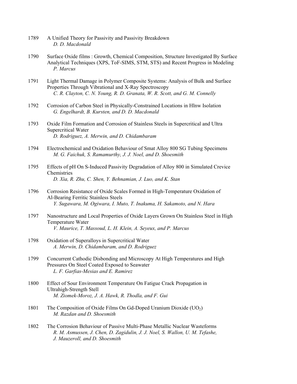- 1789 A Unified Theory for Passivity and Passivity Breakdown  *D. D. Macdonald*
- 1790 Surface Oxide films : Growth, Chemical Composition, Structure Investigated By Surface Analytical Techniques (XPS, ToF-SIMS, STM, STS) and Recent Progress in Modeling  *P. Marcus*
- 1791 Light Thermal Damage in Polymer Composite Systems: Analysis of Bulk and Surface Properties Through Vibrational and X-Ray Spectroscopy  *C. R. Clayton, C. N. Young, R. D. Granata, W. R. Scott, and G. M. Connelly*
- 1792 Corrosion of Carbon Steel in Physically-Constrained Locations in Hlnw Isolation  *G. Engelhardt, B. Kursten, and D. D. Macdonald*
- 1793 Oxide Film Formation and Corrosion of Stainless Steels in Supercritical and Ultra Supercritical Water  *D. Rodriguez, A. Merwin, and D. Chidambaram*
- 1794 Electrochemical and Oxidation Behaviour of Smat Alloy 800 SG Tubing Specimens  *M. G. Faichuk, S. Ramamurthy, J. J. Noel, and D. Shoesmith*
- 1795 Effects of pH On S-Induced Passivity Degradation of Alloy 800 in Simulated Crevice **Chemistries**  *D. Xia, R. Zhu, C. Shen, Y. Behnamian, J. Luo, and K. Stan*
- 1796 Corrosion Resistance of Oxide Scales Formed in High-Temperature Oxidation of Al-Bearing Ferritic Stainless Steels  *Y. Sugawara, M. Ogiwara, I. Muto, T. Inakuma, H. Sakamoto, and N. Hara*
- 1797 Nanostructure and Local Properties of Oxide Layers Grown On Stainless Steel in High Temperature Water  *V. Maurice, T. Massoud, L. H. Klein, A. Seyeux, and P. Marcus*
- 1798 Oxidation of Superalloys in Supercritical Water  *A. Merwin, D. Chidambaram, and D. Rodriguez*
- 1799 Concurrent Cathodic Disbonding and Microscopy At High Temperatures and High Pressures On Steel Coated Exposed to Seawater  *L. F. Garfias-Mesias and E. Ramirez*
- 1800 Effect of Sour Environment Temperature On Fatigue Crack Propagation in Ultrahigh-Strength Stell  *M. Ziomek-Moroz, J. A. Hawk, R. Thodla, and F. Gui*
- 1801 The Composition of Oxide Films On Gd-Doped Uranium Dioxide  $(UO<sub>2</sub>)$  *M. Razdan and D. Shoesmith*
- 1802 The Corrosion Behaviour of Passive Multi-Phase Metallic Nuclear Wasteforms  *R. M. Asmussen, J. Chen, D. Zagidulin, J. J. Noel, S. Wallon, U. M. Tefashe, J. Mauzeroll, and D. Shoesmith*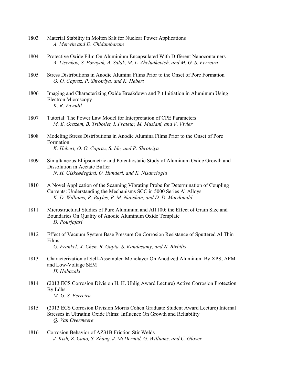- 1803 Material Stability in Molten Salt for Nuclear Power Applications  *A. Merwin and D. Chidambaram*
- 1804 Protective Oxide Film On Aluminium Encapsulated With Different Nanocontainers  *A. Lisenkov, S. Poznyak, A. Salak, M. L. Zheludkevich, and M. G. S. Ferreira*
- 1805 Stress Distributions in Anodic Alumina Films Prior to the Onset of Pore Formation  *O. O. Capraz, P. Shrotriya, and K. Hebert*
- 1806 Imaging and Characterizing Oxide Breakdown and Pit Initiation in Aluminum Using Electron Microscopy  *K. R. Zavadil*
- 1807 Tutorial: The Power Law Model for Interpretation of CPE Parameters  *M. E. Orazem, B. Tribollet, I. Frateur, M. Musiani, and V. Vivier*
- 1808 Modeling Stress Distributions in Anodic Alumina Films Prior to the Onset of Pore Formation  *K. Hebert, O. O. Capraz, S. Ide, and P. Shrotriya*
- 1809 Simultaneous Ellipsometric and Potentiostatic Study of Aluminum Oxide Growth and Dissolution in Acetate Buffer  *N. H. Giskeødegård, O. Hunderi, and K. Nisancioglu*
- 1810 A Novel Application of the Scanning Vibrating Probe for Determination of Coupling Currents: Understanding the Mechanisms SCC in 5000 Series Al Alloys  *K. D. Williams, R. Bayles, P. M. Natishan, and D. D. Macdonald*
- 1811 Microstructural Studies of Pure Aluminum and Al1100: the Effect of Grain Size and Boundaries On Quality of Anodic Aluminum Oxide Template  *D. Pourjafari*
- 1812 Effect of Vacuum System Base Pressure On Corrosion Resistance of Sputtered Al Thin Films  *G. Frankel, X. Chen, R. Gupta, S. Kandasamy, and N. Birbilis*
- 1813 Characterization of Self-Assembled Monolayer On Anodized Aluminum By XPS, AFM and Low-Voltage SEM  *H. Habazaki*
- 1814 (2013 ECS Corrosion Division H. H. Uhlig Award Lecture) Active Corrosion Protection By Ldhs  *M. G. S. Ferreira*
- 1815 (2013 ECS Corrosion Division Morris Cohen Graduate Student Award Lecture) Internal Stresses in Ultrathin Oxide Films: Influence On Growth and Reliability  *Q. Van Overmeere*
- 1816 Corrosion Behavior of AZ31B Friction Stir Welds  *J. Kish, Z. Cano, S. Zhang, J. McDermid, G. Williams, and C. Glover*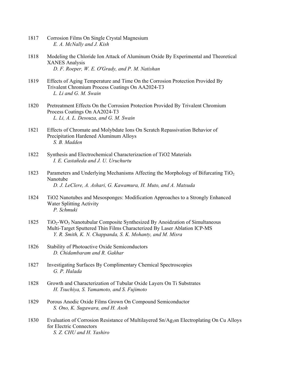- 1817 Corrosion Films On Single Crystal Magnesium  *E. A. McNally and J. Kish*
- 1818 Modeling the Chloride Ion Attack of Aluminum Oxide By Experimental and Theoretical XANES Analysis  *D. F. Roeper, W. E. O'Grady, and P. M. Natishan*
- 1819 Effects of Aging Temperature and Time On the Corrosion Protection Provided By Trivalent Chromium Process Coatings On AA2024-T3  *L. Li and G. M. Swain*
- 1820 Pretreatment Effects On the Corrosion Protection Provided By Trivalent Chromium Process Coatings On AA2024-T3  *L. Li, A. L. Desouza, and G. M. Swain*
- 1821 Effects of Chromate and Molybdate Ions On Scratch Repassivation Behavior of Precipitation Hardened Aluminum Alloys  *S. B. Madden*
- 1822 Synthesis and Electrochemical Characterizaction of TiO2 Materials  *I. E. Castañeda and J. U. Uruchurtu*
- 1823 Parameters and Underlying Mechanisms Affecting the Morphology of Bifurcating TiO<sub>2</sub> Nanotube  *D. J. LeClere, A. Ashari, G. Kawamura, H. Muto, and A. Matsuda*
- 1824 TiO2 Nanotubes and Mesosponges: Modification Approaches to a Strongly Enhanced Water Splitting Activity  *P. Schmuki*
- $1825$  TiO<sub>2</sub>-WO<sub>3</sub> Nanotubular Composite Synthesized By Anoidzation of Simultaneous Multi-Target Sputtered Thin Films Characterized By Laser Ablation ICP-MS  *Y. R. Smith, K. N. Chappanda, S. K. Mohanty, and M. Misra*
- 1826 Stability of Photoactive Oxide Semiconductors  *D. Chidambaram and R. Gakhar*
- 1827 Investigating Surfaces By Complimentary Chemical Spectroscopies  *G. P. Halada*
- 1828 Growth and Characterization of Tubular Oxide Layers On Ti Substrates  *H. Tsuchiya, S. Yamamoto, and S. Fujimoto*
- 1829 Porous Anodic Oxide Films Grown On Compound Semiconductor  *S. Ono, K. Sugawara, and H. Asoh*
- 1830 Evaluation of Corrosion Resistance of Multilayered Sn/Ag<sub>3</sub>sn Electroplating On Cu Alloys for Electric Connectors  *S. Z. CHU and H. Yashiro*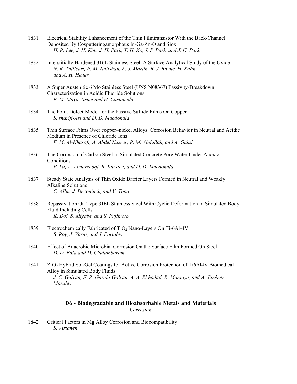- 1831 Electrical Stability Enhancement of the Thin Filmtransistor With the Back-Channel Deposited By Cosputteringamorphous In-Ga-Zn-O and Siox  *H. R. Lee, J. H. Kim, J. H. Park, Y. H. Ko, J. S. Park, and J. G. Park*
- 1832 Interstitially Hardened 316L Stainless Steel: A Surface Analytical Study of the Oxide  *N. R. Tailleart, P. M. Natishan, F. J. Martin, R. J. Rayne, H. Kahn, and A. H. Heuer*
- 1833 A Super Austenitic 6 Mo Stainless Steel (UNS N08367) Passivity-Breakdown Characterization in Acidic Fluoride Solutions  *E. M. Maya Visuet and H. Castaneda*
- 1834 The Point Defect Model for the Passive Sulfide Films On Copper  *S. sharifi-Asl and D. D. Macdonald*
- 1835 Thin Surface Films Over copper–nickel Alloys: Corrosion Behavior in Neutral and Acidic Medium in Presence of Chloride Ions  *F. M. Al-Kharafi, A. Abdel Nazeer, R. M. Abdullah, and A. Galal*
- 1836 The Corrosion of Carbon Steel in Simulated Concrete Pore Water Under Anoxic Conditions  *P. Lu, A. Almarzooqi, B. Kursten, and D. D. Macdonald*
- 1837 Steady State Analysis of Thin Oxide Barrier Layers Formed in Neutral and Weakly Alkaline Solutions  *C. Albu, J. Deconinck, and V. Topa*
- 1838 Repassivation On Type 316L Stainless Steel With Cyclic Deformation in Simulated Body Fluid Including Cells  *K. Doi, S. Miyabe, and S. Fujimoto*
- 1839 Electrochemically Fabricated of TiO<sub>2</sub> Nano-Layers On Ti-6Al-4V  *S. Roy, J. Varia, and J. Portoles*
- 1840 Effect of Anaerobic Microbial Corrosion On the Surface Film Formed On Steel  *D. D. Bala and D. Chidambaram*
- 1841 ZrO2 Hybrid Sol-Gel Coatings for Active Corrosion Protection of Ti6Al4V Biomedical Alloy in Simulated Body Fluids  *J. C. Galván, F. R. García-Galván, A. A. El hadad, R. Montoya, and A. Jiménez- Morales*

### **D6 - Biodegradable and Bioabsorbable Metals and Materials**  *Corrosion*

1842 Critical Factors in Mg Alloy Corrosion and Biocompatibility  *S. Virtanen*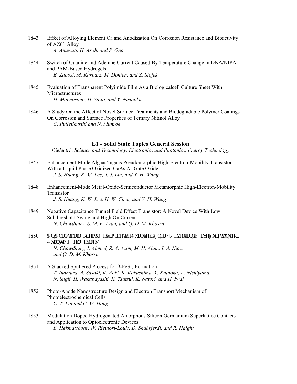- 1843 Effect of Alloying Element Ca and Anodization On Corrosion Resistance and Bioactivity of AZ61 Alloy  *A. Anawati, H. Asoh, and S. Ono*
- 1844 Switch of Guanine and Adenine Current Caused By Temperature Change in DNA/NIPA and PAM-Based Hydrogels  *E. Zabost, M. Karbarz, M. Donten, and Z. Stojek*
- 1845 Evaluation of Transparent Polyimide Film As a Biologicalcell Culture Sheet With **Microstructures**  *H. Maenosono, H. Saito, and Y. Nishioka*
- 1846 A Study On the Affect of Novel Surface Treatments and Biodegradable Polymer Coatings On Corrosion and Surface Properties of Ternary Nitinol Alloy  *C. Pulletikurthi and N. Munroe*

### **E1 - Solid State Topics General Session**

*Dielectric Science and Technology, Electronics and Photonics, Energy Technology* 

- 1847 Enhancement-Mode Algaas/Ingaas Pseudomorphic High-Electron-Mobility Transistor With a Liquid Phase Oxidized GaAs As Gate Oxide  *J. S. Huang, K. W. Lee, J. J. Lin, and Y. H. Wang*
- 1848 Enhancement-Mode Metal-Oxide-Semiconductor Metamorphic High-Electron-Mobility Transistor  *J. S. Huang, K. W. Lee, H. W. Chen, and Y. H. Wang*
- 1849 Negative Capacitance Tunnel Field Effect Transistor: A Novel Device With Low Subthreshold Swing and High On Current  *N. Chowdhury, S. M. F. Azad, and Q. D. M. Khosru*
- 1850 Cp'Cpcn{ wecn'O qf gn'vq'F gygto kpg''y g'S wcpwk gf 'Gpgti { 'Ngxgnu''cpf ''Y cxg'Hwpewlqpu'hqt S wcpwo "Y gm'F gxlegu  *N. Chowdhury, I. Ahmed, Z. A. Azim, M. H. Alam, I. A. Niaz, and Q. D. M. Khosru*
- 1851 A Stacked Sputtered Process for  $β$ -FeSi<sub>2</sub> Formation  *T. Inamura, A. Sasaki, K. Aoki, K. Kakushima, Y. Kataoka, A. Nishiyama, N. Sugii, H. Wakabayashi, K. Tsutsui, K. Natori, and H. Iwai*
- 1852 Photo-Anode Nanostructure Design and Electron Transport Mechanism of Photoelectrochemical Cells  *C. T. Liu and C. W. Hong*
- 1853 Modulation Doped Hydrogenated Amorphous Silicon Germanium Superlattice Contacts and Application to Optoelectronic Devices  *B. Hekmatshoar, W. Rieutort-Louis, D. Shahrjerdi, and R. Haight*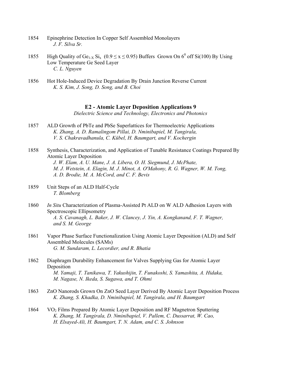- 1854 Epinephrine Detection In Copper Self Assembled Monolayers  *J. F. Silva Sr.*
- 1855 High Quality of Ge<sub>1-X</sub> Si<sub>x</sub> ( $0.9 \le x \le 0.95$ ) Buffers Grown On 6<sup>0</sup> off Si(100) By Using Low Temperature Ge Seed Layer  *C. L. Nguyen*
- 1856 Hot Hole-Induced Device Degradation By Drain Junction Reverse Current  *K. S. Kim, J. Song, D. Song, and B. Choi*

# **E2 - Atomic Layer Deposition Applications 9**

*Dielectric Science and Technology, Electronics and Photonics* 

- 1857 ALD Growth of PbTe and PbSe Superlattices for Thermoelectric Applications  *K. Zhang, A. D. Ramalingom Pillai, D. Nminibapiel, M. Tangirala, V. S. Chakravadhanula, C. Kübel, H. Baumgart, and V. Kochergin*
- 1858 Synthesis, Characterization, and Application of Tunable Resistance Coatings Prepared By Atomic Layer Deposition  *J. W. Elam, A. U. Mane, J. A. Libera, O. H. Siegmund, J. McPhate, M. J. Wetstein, A. Elagin, M. J. Minot, A. O'Mahony, R. G. Wagner, W. M. Tong, A. D. Brodie, M. A. McCord, and C. F. Bevis*
- 1859 Unit Steps of an ALD Half-Cycle  *T. Blomberg*
- 1860 *In Situ* Characterization of Plasma-Assisted Pt ALD on W ALD Adhesion Layers with Spectroscopic Ellipsometry  *A. S. Cavanagh, L. Baker, J. W. Clancey, J. Yin, A. Kongkanand, F. T. Wagner, and S. M. George*
- 1861 Vapor Phase Surface Functionalization Using Atomic Layer Deposition (ALD) and Self Assembled Molecules (SAMs)  *G. M. Sundaram, L. Lecordier, and R. Bhatia*
- 1862 Diaphragm Durability Enhancement for Valves Supplying Gas for Atomic Layer Deposition  *M. Yamaji, T. Tanikawa, T. Yakushijin, T. Funakoshi, S. Yamashita, A. Hidaka, M. Nagase, N. Ikeda, S. Sugawa, and T. Ohmi*
- 1863 ZnO Nanorods Grown On ZnO Seed Layer Derived By Atomic Layer Deposition Process  *K. Zhang, S. Khadka, D. Nminibapiel, M. Tangirala, and H. Baumgart*
- 1864 VO2 Films Prepared By Atomic Layer Deposition and RF Magnetron Sputtering  *K. Zhang, M. Tangirala, D. Nminibapiel, V. Pallem, C. Dussarrat, W. Cao, H. Elsayed-Ali, H. Baumgart, T. N. Adam, and C. S. Johnson*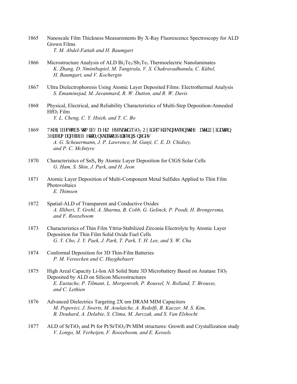- 1865 Nanoscale Film Thickness Measurements By X-Ray Fluorescence Spectroscopy for ALD Grown Films  *T. M. Abdel-Fattah and H. Baumgart*
- 1866 Microstructure Analysis of ALD  $Bi_2Te_3/Sb_2Te_3$  Thermoelectric Nanolaminates  *K. Zhang, D. Nminibapiel, M. Tangirala, V. S. Chakravadhanula, C. Kübel, H. Baumgart, and V. Kochergin*
- 1867 Ultra Dielectrophoresis Using Atomic Layer Deposited Films: Electrothermal Analysis  *S. Emaminejad, M. Javanmard, R. W. Dutton, and R. W. Davis*
- 1868 Physical, Electrical, and Reliability Characteristics of Multi-Step Deposition-Annealed  $HfO<sub>2</sub>$  Film  *Y. L. Cheng, C. Y. Hsieh, and T. C. Bo*
- 1869 Vj g'Ghheev'qh'C vqo ke 'Nc { gt 'F gr qukgf 'TiO<sub>2</sub> Qzkf g 'Vj kempguu'qp' vj g 'Y c vgt 'Qzkf c vkqp Rgthqto cpeg"qh"O gycn' Kouwr yqt/Ukrkeqp"Cpqf gu  *A. G. Scheuermann, J. P. Lawrence, M. Gunji, C. E. D. Chidsey, and P. C. McIntyre*
- 1870 Characteristics of  $\text{SnS}_{x}$  By Atomic Layer Deposition for CIGS Solar Cells  *G. Ham, S. Shin, J. Park, and H. Jeon*
- 1871 Atomic Layer Deposition of Multi-Component Metal Sulfides Applied to Thin Film **Photovoltaics**  *E. Thimsen*
- 1872 Spatial-ALD of Transparent and Conductive Oxides  *A. Illiberi, T. Grehl, A. Sharma, B. Cobb, G. Gelinck, P. Poodt, H. Brongersma, and F. Roozeboom*
- 1873 Characteristics of Thin Film Yttria-Stabilized Zirconia Electrolyte by Atomic Layer Deposition for Thin Film Solid Oxide Fuel Cells  *G. Y. Cho, J. Y. Paek, J. Park, T. Park, Y. H. Lee, and S. W. Cha*
- 1874 Conformal Deposition for 3D Thin-Film Batteries  *P. M. Vereecken and C. Huyghebaert*
- 1875 High Areal Capacity Li-Ion All Solid State 3D Microbattery Based on Anatase TiO<sub>2</sub> Deposited by ALD on Silicon Microstructures  *E. Eustache, P. Tilmant, L. Morgenroth, P. Roussel, N. Rolland, T. Brousse, and C. Lethien*
- 1876 Advanced Dielectrics Targeting 2X nm DRAM MIM Capacitors  *M. Popovici, J. Swerts, M. Aoulaiche, A. Redolfi, B. Kaczer, M. S. Kim, B. Douhard, A. Delabie, S. Clima, M. Jurczak, and S. Van Elshocht*
- 1877 ALD of  $SrTiO<sub>3</sub>$  and Pt for Pt/SrTiO<sub>3</sub>/Pt MIM structures: Growth and Crystallization study  *V. Longo, M. Verheijen, F. Roozeboom, and E. Kessels*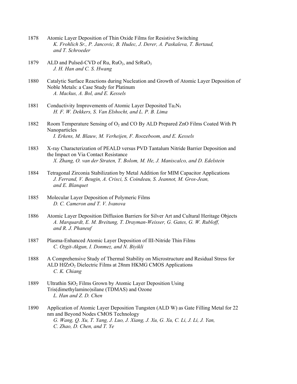- 1878 Atomic Layer Deposition of Thin Oxide Films for Resistive Switching  *K. Frohlich Sr., P. Jancovic, B. Hudec, J. Derer, A. Paskaleva, T. Bertaud, and T. Schroeder*
- 1879 ALD and Pulsed-CVD of Ru, RuO<sub>2</sub>, and SrRuO<sub>3</sub>  *J. H. Han and C. S. Hwang*
- 1880 Catalytic Surface Reactions during Nucleation and Growth of Atomic Layer Deposition of Noble Metals: a Case Study for Platinum  *A. Mackus, A. Bol, and E. Kessels*
- 1881 Conductivity Improvements of Atomic Layer Deposited  $Ta_3N_5$  *H. F. W. Dekkers, S. Van Elshocht, and L. P. B. Lima*
- 1882 Room Temperature Sensing of O<sub>2</sub> and CO By ALD Prepared ZnO Films Coated With Pt Nanoparticles  *I. Erkens, M. Blauw, M. Verheijen, F. Roozeboom, and E. Kessels*
- 1883 X-ray Characterization of PEALD versus PVD Tantalum Nitride Barrier Deposition and the Impact on Via Contact Resistance  *X. Zhang, O. van der Straten, T. Bolom, M. He, J. Maniscalco, and D. Edelstein*
- 1884 Tetragonal Zirconia Stabilization by Metal Addition for MIM Capacitor Applications  *J. Ferrand, V. Beugin, A. Crisci, S. Coindeau, S. Jeannot, M. Gros-Jean, and E. Blanquet*
- 1885 Molecular Layer Deposition of Polymeric Films  *D. C. Cameron and T. V. Ivanova*
- 1886 Atomic Layer Deposition Diffusion Barriers for Silver Art and Cultural Heritage Objects  *A. Marquardt, E. M. Breitung, T. Drayman-Weisser, G. Gates, G. W. Rubloff, and R. J. Phaneuf*
- 1887 Plasma-Enhanced Atomic Layer Deposition of III-Nitride Thin Films  *C. Ozgit-Akgun, I. Donmez, and N. Biyikli*
- 1888 A Comprehensive Study of Thermal Stability on Microstructure and Residual Stress for ALD  $HIZrO<sub>2</sub>$  Dielectric Films at 28nm HKMG CMOS Applications  *C. K. Chiang*
- 1889 Ultrathin  $SiO<sub>2</sub>$  Films Grown by Atomic Layer Deposition Using Tris(dimethylamino)silane (TDMAS) and Ozone  *L. Han and Z. D. Chen*
- 1890 Application of Atomic Layer Deposition Tungsten (ALD W) as Gate Filling Metal for 22 nm and Beyond Nodes CMOS Technology  *G. Wang, Q. Xu, T. Yang, J. Luo, J. Xiang, J. Xu, G. Xu, C. Li, J. Li, J. Yan, C. Zhao, D. Chen, and T. Ye*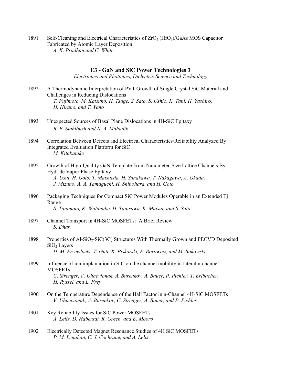1891 Self-Cleaning and Electrical Characteristics of ZrO<sub>2</sub> (HfO<sub>2</sub>)/GaAs MOS Capacitor Fabricated by Atomic Layer Deposition  *A. K. Pradhan and C. White* 

# **E3 - GaN and SiC Power Technologies 3**

*Electronics and Photonics, Dielectric Science and Technology* 

- 1892 A Thermodynamic Interpretation of PVT Growth of Single Crystal SiC Material and Challenges in Reducing Dislocations  *T. Fujimoto, M. Katsuno, H. Tsuge, S. Sato, S. Ushio, K. Tani, H. Yashiro, H. Hirano, and T. Yano*
- 1893 Unexpected Sources of Basal Plane Dislocations in 4H‑SiC Epitaxy  *R. E. Stahlbush and N. A. Mahadik*
- 1894 Correlation Between Defects and Electrical Characteristics/Reliability Analyzed By Integrated Evaluation Platform for SiC  *M. Kitabatake*
- 1895 Growth of High-Quality GaN Template From Nanometer-Size Lattice Channels By Hydride Vapor Phase Epitaxy  *A. Usui, H. Goto, T. Matsueda, H. Sunakawa, T. Nakagawa, A. Okada, J. Mizuno, A. A. Yamaguchi, H. Shinohara, and H. Goto*
- 1896 Packaging Techniques for Compact SiC Power Modules Operable in an Extended Tj Range  *S. Tanimoto, K. Watanabe, H. Tanisawa, K. Matsui, and S. Sato*
- 1897 Channel Transport in 4H-SiC MOSFETs: A Brief Review  *S. Dhar*
- 1898 Properties of Al-SiO<sub>2</sub>-SiC(3C) Structures With Thermally Grown and PECVD Deposited SiO<sub>2</sub> Layers  *H. M. Przewlocki, T. Gutt, K. Piskorski, P. Borowicz, and M. Bakowski*
- 1899 Influence of ion implantation in SiC on the channel mobility in lateral n-channel **MOSFETs**  *C. Strenger, V. Uhnevionak, A. Burenkov, A. Bauer, P. Pichler, T. Erlbacher, H. Ryssel, and L. Frey*
- 1900 On the Temperature Dependence of the Hall Factor in n-Channel 4H-SiC MOSFETs  *V. Uhnevionak, A. Burenkov, C. Strenger, A. Bauer, and P. Pichler*
- 1901 Key Reliability Issues for SiC Power MOSFETs  *A. Lelis, D. Habersat, R. Green, and E. Mooro*
- 1902 Electrically Detected Magnet Resonance Studies of 4H SiC MOSFETs  *P. M. Lenahan, C. J. Cochrane, and A. Lelis*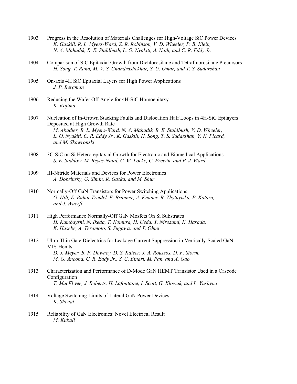- 1903 Progress in the Resolution of Materials Challenges for High-Voltage SiC Power Devices  *K. Gaskill, R. L. Myers-Ward, Z. R. Robinson, V. D. Wheeler, P. B. Klein, N. A. Mahadik, R. E. Stahlbush, L. O. Nyakiti, A. Nath, and C. R. Eddy Jr.*
- 1904 Comparison of SiC Epitaxial Growth from Dichlorosilane and Tetrafluorosilane Precursors  *H. Song, T. Rana, M. V. S. Chandrashekhar, S. U. Omar, and T. S. Sudarshan*
- 1905 On-axis 4H SiC Epitaxial Layers for High Power Applications  *J. P. Bergman*
- 1906 Reducing the Wafer Off Angle for 4H-SiC Homoepitaxy  *K. Kojima*
- 1907 Nucleation of In-Grown Stacking Faults and Dislocation Half Loops in 4H-SiC Epilayers Deposited at High Growth Rate  *M. Abadier, R. L. Myers-Ward, N. A. Mahadik, R. E. Stahlbush, V. D. Wheeler, L. O. Nyakiti, C. R. Eddy Jr., K. Gaskill, H. Song, T. S. Sudarshan, Y. N. Picard, and M. Skowronski*
- 1908 3C-SiC on Si Hetero-epitaxial Growth for Electronic and Biomedical Applications  *S. E. Saddow, M. Reyes-Natal, C. W. Locke, C. Frewin, and P. J. Ward*
- 1909 III-Nitride Materials and Devices for Power Electronics  *A. Dobrinsky, G. Simin, R. Gaska, and M. Shur*
- 1910 Normally-Off GaN Transistors for Power Switching Applications  *O. Hilt, E. Bahat-Treidel, F. Brunner, A. Knauer, R. Zhytnytska, P. Kotara, and J. Wuerfl*
- 1911 High Performance Normally-Off GaN Mosfets On Si Substrates  *H. Kambayshi, N. Ikeda, T. Nomura, H. Ueda, Y. Nirozumi, K. Harada, K. Hasebe, A. Teramoto, S. Sugawa, and T. Ohmi*
- 1912 Ultra-Thin Gate Dielectrics for Leakage Current Suppression in Vertically-Scaled GaN MIS-Hemts  *D. J. Meyer, B. P. Downey, D. S. Katzer, J. A. Roussos, D. F. Storm, M. G. Ancona, C. R. Eddy Jr., S. C. Binari, M. Pan, and X. Gao*
- 1913 Characterization and Performance of D-Mode GaN HEMT Transistor Used in a Cascode Configuration  *T. MacElwee, J. Roberts, H. Lafontaine, I. Scott, G. Klowak, and L. Yushyna*
- 1914 Voltage Switching Limits of Lateral GaN Power Devices  *K. Shenai*
- 1915 Reliability of GaN Electronics: Novel Electrical Result  *M. Kuball*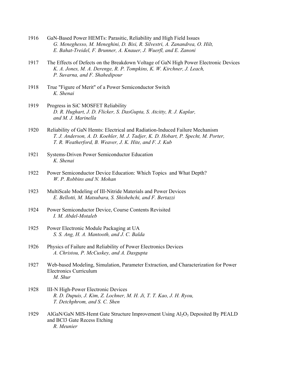- 1916 GaN-Based Power HEMTs: Parasitic, Reliability and High Field Issues  *G. Meneghesso, M. Meneghini, D. Bisi, R. Silvestri, A. Zanandrea, O. Hilt, E. Bahat-Treidel, F. Brunner, A. Knauer, J. Wuerfl, and E. Zanoni*
- 1917 The Effects of Defects on the Breakdown Voltage of GaN High Power Electronic Devices  *K. A. Jones, M. A. Derenge, R. P. Tompkins, K. W. Kirchner, J. Leach, P. Suvarna, and F. Shahedipour*
- 1918 True "Figure of Merit" of a Power Semiconductor Switch  *K. Shenai*
- 1919 Progress in SiC MOSFET Reliability  *D. R. Hughart, J. D. Flicker, S. DasGupta, S. Atcitty, R. J. Kaplar, and M. J. Marinella*
- 1920 Reliability of GaN Hemts: Electrical and Radiation-Induced Failure Mechanism  *T. J. Anderson, A. D. Koehler, M. J. Tadjer, K. D. Hobart, P. Specht, M. Porter, T. R. Weatherford, B. Weaver, J. K. Hite, and F. J. Kub*
- 1921 Systems-Driven Power Semiconductor Education  *K. Shenai*
- 1922 Power Semiconductor Device Education: Which Topics and What Depth?  *W. P. Robbins and N. Mohan*
- 1923 MultiScale Modeling of III-Nitride Materials and Power Devices  *E. Bellotti, M. Matsubara, S. Shishehchi, and F. Bertazzi*
- 1924 Power Semiconductor Device, Course Contents Revisited  *I. M. Abdel-Motaleb*
- 1925 Power Electronic Module Packaging at UA  *S. S. Ang, H. A. Mantooth, and J. C. Balda*
- 1926 Physics of Failure and Reliability of Power Electronics Devices  *A. Christou, P. McCuskey, and A. Dasgupta*
- 1927 Web-based Modeling, Simulation, Parameter Extraction, and Characterization for Power Electronics Curriculum  *M. Shur*
- 1928 III-N High-Power Electronic Devices  *R. D. Dupuis, J. Kim, Z. Lochner, M. H. Ji, T. T. Kao, J. H. Ryou, T. Detchphrom, and S. C. Shen*
- 1929 AlGaN/GaN MIS-Hemt Gate Structure Improvement Using Al2O3 Deposited By PEALD and BCl3 Gate Recess Etching  *R. Meunier*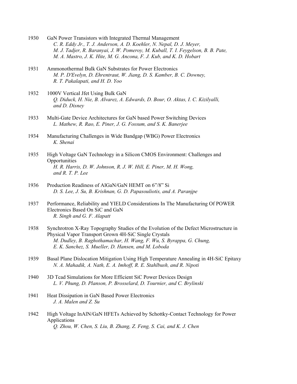- 1930 GaN Power Transistors with Integrated Thermal Management  *C. R. Eddy Jr., T. J. Anderson, A. D. Koehler, N. Nepal, D. J. Meyer, M. J. Tadjer, R. Baranyai, J. W. Pomeroy, M. Kuball, T. I. Feygelson, B. B. Pate, M. A. Mastro, J. K. Hite, M. G. Ancona, F. J. Kub, and K. D. Hobart*
- 1931 Ammonothermal Bulk GaN Substrates for Power Electronics  *M. P. D'Evelyn, D. Ehrentraut, W. Jiang, D. S. Kamber, B. C. Downey, R. T. Pakalapati, and H. D. Yoo*
- 1932 1000V Vertical Jfet Using Bulk GaN  *Q. Diduck, H. Nie, B. Alvarez, A. Edwards, D. Bour, O. Aktas, I. C. Kizilyalli, and D. Disney*
- 1933 Multi-Gate Device Architectures for GaN based Power Switching Devices  *L. Mathew, R. Rao, E. Piner, J. G. Fossum, and S. K. Banerjee*
- 1934 Manufacturing Challenges in Wide Bandgap (WBG) Power Electronics  *K. Shenai*
- 1935 High Voltage GaN Technology in a Silicon CMOS Environment: Challenges and **Opportunities**  *H. R. Harris, D. W. Johnson, R. J. W. Hill, E. Piner, M. H. Wong, and R. T. P. Lee*
- 1936 Production Readiness of AlGaN/GaN HEMT on 6"/8" Si  *D. S. Lee, J. Su, B. Krishnan, G. D. Papasouliotis, and A. Paranjpe*
- 1937 Performance, Reliability and YIELD Considerations In The Manufacturing Of POWER Electronics Based On SiC and GaN  *R. Singh and G. F. Alapatt*
- 1938 Synchrotron X-Ray Topography Studies of the Evolution of the Defect Microstructure in Physical Vapor Transport Grown 4H-SiC Single Crystals  *M. Dudley, B. Raghothamachar, H. Wang, F. Wu, S. Byrappa, G. Chung, E. K. Sanchez, S. Mueller, D. Hansen, and M. Loboda*
- 1939 Basal Plane Dislocation Mitigation Using High Temperature Annealing in 4H-SiC Epitaxy  *N. A. Mahadik, A. Nath, E. A. Imhoff, R. E. Stahlbush, and R. Nipoti*
- 1940 3D Tcad Simulations for More Efficient SiC Power Devices Design  *L. V. Phung, D. Planson, P. Brosselard, D. Tournier, and C. Brylinski*
- 1941 Heat Dissipation in GaN Based Power Electronics  *J. A. Malen and Z. Su*
- 1942 High Voltage InAlN/GaN HFETs Achieved by Schottky-Contact Technology for Power Applications  *Q. Zhou, W. Chen, S. Liu, B. Zhang, Z. Feng, S. Cai, and K. J. Chen*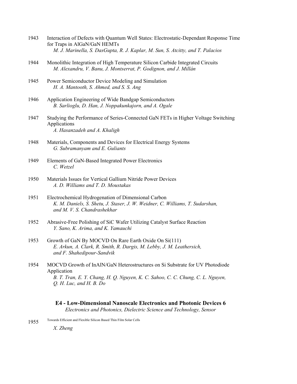- 1943 Interaction of Defects with Quantum Well States: Electrostatic-Dependant Response Time for Traps in AlGaN/GaN HEMTs  *M. J. Marinella, S. DasGupta, R. J. Kaplar, M. Sun, S. Atcitty, and T. Palacios*
- 1944 Monolithic Integration of High Temperature Silicon Carbide Integrated Circuits  *M. Alexandru, V. Banu, J. Montserrat, P. Godignon, and J. Millán*
- 1945 Power Semiconductor Device Modeling and Simulation  *H. A. Mantooth, S. Ahmed, and S. S. Ang*
- 1946 Application Engineering of Wide Bandgap Semiconductors  *B. Sarlioglu, D. Han, J. Noppakunkajorn, and A. Ogale*
- 1947 Studying the Performance of Series-Connected GaN FETs in Higher Voltage Switching Applications  *A. Hasanzadeh and A. Khaligh*
- 1948 Materials, Components and Devices for Electrical Energy Systems  *G. Subramanyam and E. Guliants*
- 1949 Elements of GaN-Based Integrated Power Electronics  *C. Wetzel*
- 1950 Materials Issues for Vertical Gallium Nitride Power Devices  *A. D. Williams and T. D. Moustakas*
- 1951 Electrochemical Hydrogenation of Dimensional Carbon  *K. M. Daniels, S. Shetu, J. Staser, J. W. Weidner, C. Williams, T. Sudarshan, and M. V. S. Chandrashekhar*
- 1952 Abrasive-Free Polishing of SiC Wafer Utilizing Catalyst Surface Reaction  *Y. Sano, K. Arima, and K. Yamauchi*
- 1953 Growth of GaN By MOCVD On Rare Earth Oxide On Si(111)  *E. Arkun, A. Clark, R. Smith, R. Dargis, M. Lebby, J. M. Leathersich, and F. Shahedipour-Sandvik*
- 1954 MOCVD Growth of InAlN/GaN Heterostructures on Si Substrate for UV Photodiode Application  *B. T. Tran, E. Y. Chang, H. Q. Nguyen, K. C. Sahoo, C. C. Chung, C. L. Nguyen, Q. H. Luc, and H. B. Do*

# **E4 - Low-Dimensional Nanoscale Electronics and Photonic Devices 6**

*Electronics and Photonics, Dielectric Science and Technology, Sensor* 

1955 Towards Efficient and Flexible Silicon Based Thin Film Solar Cells

 *X. Zheng*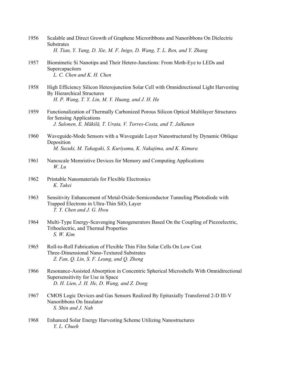|      | Substrates<br>H. Tian, Y. Yang, D. Xie, M. F. Inigo, D. Wang, T. L. Ren, and Y. Zhang                                                                                                   |
|------|-----------------------------------------------------------------------------------------------------------------------------------------------------------------------------------------|
| 1957 | Biomimetic Si Nanotips and Their Hetero-Junctions: From Moth-Eye to LEDs and<br>Supercapacitors<br>L. C. Chen and K. H. Chen                                                            |
| 1958 | High Efficiency Silicon Heterojunction Solar Cell with Omnidirectional Light Harvesting<br>By Hierarchical Structures<br>H. P. Wang, T. Y. Lin, M. Y. Huang, and J. H. He               |
| 1959 | Functionalization of Thermally Carbonized Porous Silicon Optical Multilayer Structures<br>for Sensing Applications<br>J. Salonen, E. Mäkilä, T. Urata, V. Torres-Costa, and T. Jalkanen |
| 1960 | Waveguide-Mode Sensors with a Waveguide Layer Nanostructured by Dynamic Oblique<br>Deposition<br>M. Suzuki, M. Takagaki, S. Kuriyama, K. Nakajima, and K. Kimura                        |
| 1961 | Nanoscale Memristive Devices for Memory and Computing Applications<br>$W.$ Lu                                                                                                           |
| 1962 | Printable Nanomaterials for Flexible Electronics<br>K. Takei                                                                                                                            |
| 1963 | Sensitivity Enhancement of Metal-Oxide-Semiconductor Tunneling Photodiode with<br>Trapped Electrons in Ultra-Thin SiO <sub>2</sub> Layer<br>T. Y. Chen and J. G. Hwu                    |
| 1964 | Multi-Type Energy-Scavenging Nanogenerators Based On the Coupling of Piezoelectric,<br>Triboelectric, and Thermal Properties<br>S. W. Kim                                               |
| 1965 | Roll-to-Roll Fabrication of Flexible Thin Film Solar Cells On Low Cost<br>Three-Dimensional Nano-Textured Substrates<br>Z. Fan, Q. Lin, S. F. Leung, and Q. Zheng                       |
| 1966 | Resonance-Assisted Absorption in Concentric Spherical Microshells With Omnidirectional<br>Supersensitivity for Use in Space<br>D. H. Lien, J. H. He, D. Wang, and Z. Dong               |
| 1967 | CMOS Logic Devices and Gas Sensors Realized By Epitaxially Transferred 2-D III-V<br>Nanoribbons On Insulator<br>S. Shin and J. Nah                                                      |
| 1968 | Enhanced Solar Energy Harvesting Scheme Utilizing Nanostructures<br>Y. L. Chueh                                                                                                         |

1956 Scalable and Direct Growth of Graphene Microribbons and Nanoribbons On Dielectric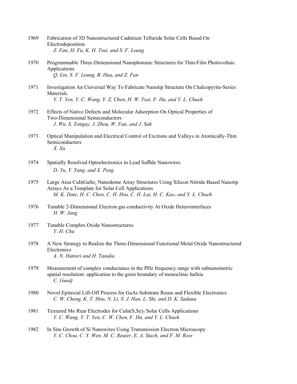- 1969 Fabrication of 3D Nanostructured Cadmium Telluride Solar Cells Based On Electrodeposition  *Z. Fan, H. Fu, K. H. Tsui, and S. F. Leung*
- 1970 Programmable Three-Dimensional Nanophotonic Structures for Thin-Film Photovoltaic Applications  *Q. Lin, S. F. Leung, B. Hua, and Z. Fan*
- 1971 Investigation An Universal Way To Fabricate Nanotip Structure On Chalcopyrite-Series Materials  *Y. T. Yen, Y. C. Wang, Y. Z. Chen, H. W. Tsai, F. Hu, and Y. L. Chueh*
- 1972 Effects of Native Defects and Molecular Adsorption On Optical Properties of Two-Dimensional Semiconductors  *J. Wu, S. Tongay, J. Zhou, W. Fan, and J. Suh*
- 1973 Optical Manipulation and Electrical Control of Excitons and Valleys in Atomically-Thin Semiconductors  *X. Xu*
- 1974 Spatially Resolved Optoelectronics in Lead Sulfide Nanowires  *D. Yu, Y. Yang, and X. Peng*
- 1975 Large Area CuInGaSe<sub>2</sub> Nanodome Array Structures Using Silicon Nitride-Based Nanotip Arrays As a Template for Solar Cell Applications  *M. K. Date, H. C. Chen, C. H. Hsu, C. H. Lai, H. C. Kuo, and Y. L. Chueh*
- 1976 Tunable 2-Dimensional Electron gas conductivity At Oxide Heterointerfaces  *H. W. Jang*
- 1977 Tunable Complex Oxide Nanostructures  *Y. H. Chu*
- 1978 A New Strategy to Realize the Three-Dimensional Functional Metal Oxide Nanostructured **Electronics**  *A. N. Hattori and H. Tanaka*
- 1979 Measurement of complex conductance in the PHz frequency range with subnanometric spatial resolution: application to the grain boundary of monoclinic hafnia  *C. Guedj*
- 1980 Novel Epitaxial Lift-Off Process for GaAs Substrate Reuse and Flexible Electronics  *C. W. Cheng, K. T. Shiu, N. Li, S. J. Han, L. Shi, and D. K. Sadana*
- 1981 Textured Mo Rear Electrodes for CuIn(S, Se)<sub>2</sub> Solar Cells Applications  *Y. C. Wang, Y. T. Yen, C. W. Chen, F. Hu, and Y. L. Chueh*
- 1982 In Situ Growth of Si Nanowires Using Transmission Electron Microscopy  *Y. C. Chou, C. Y. Wen, M. C. Reuter, E. A. Stach, and F. M. Ross*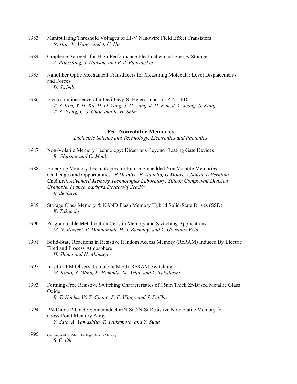- 1983 Manipulating Threshold Voltages of III-V Nanowire Field Effect Transistors  *N. Han, F. Wang, and J. C. Ho*
- 1984 Graphene Aerogels for High-Performance Electrochemical Energy Storage  *Z. Rousslang, J. Hanson, and P. J. Pauzauskie*
- 1985 Nanofiber Optic Mechanical Transducers for Measuring Molecular Level Displacements and Forces  *D. Sirbuly*
- 1986 Electroluminescence of n-Ge/i-Ge/p-Si Hetero Junction PIN LEDs  *T. S. Kim, Y. H. Kil, H. D. Yang, J. H. Yang, J. H. Kim, J. Y. Jeong, S. Kang, T. S. Jeong, C. J. Choi, and K. H. Shim*

#### **E5 - Nonvolatile Memories**

*Dielectric Science and Technology, Electronics and Photonics* 

- 1987 Non-Volatile Memory Technology: Directions Beyond Floating Gate Devices  *R. Gleixner and C. Mouli*
- 1988 Emerging Memory Technologies for Future Embedded Non Volatile Memories: Challenges and Opportunities *B.Desalvo, E.Vianello, G.Molas, V.Sousa, L.Perniola CEA/Leti, Advanced Memory Technologies Laboratory, Silicon Component Division Grenoble, France, barbara.Desalvo@Cea.Fr B. de Salvo*
- 1989 Storage Class Memory & NAND Flash Memory Hybrid Solid-State Drives (SSD)  *K. Takeuchi*
- 1990 Programmable Metallization Cells in Memory and Switching Applications  *M. N. Kozicki, P. Dandamudi, H. J. Barnaby, and Y. Gonzalez-Velo*
- 1991 Solid-State Reactions in Resistive Random Access Memory (ReRAM) Induced By Electric Filed and Process Atmosphere  *H. Shima and H. Akinaga*
- 1992 In-situ TEM Observation of Cu/MoOx ReRAM Switching  *M. Kudo, Y. Ohno, K. Hamada, M. Arita, and Y. Takahashi*
- 1993 Forming-Free Resistive Switching Characteristics of 15nm Thick Zr-Based Metallic Glass Oxide  *B. T. Kacha, W. Z. Chang, S. F. Wang, and J. P. Chu*
- 1994 PN-Diode P-Oxide-Semiconductor/N-SiC/N-Si Resistive Nonvolatile Memory for Cross-Point Memory Array  *Y. Sato, A. Yamashita, T. Tsukamoto, and Y. Suda*
- 1995 Challenges of Stt-Mram for High Density Memory  *S. C. Oh*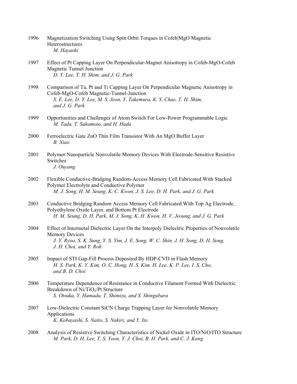- 1996 Magnetization Switching Using Spin Orbit Torques in Cofeb|MgO Magnetic **Heterostructures**  *M. Hayashi*
- 1997 Effect of Pt Capping Layer On Perpendicular-Magnet Anisotropy in Cofeb-MgO-Cofeb Magnetic Tunnel Junction  *D. Y. Lee, T. H. Shim, and J. G. Park*
- 1998 Comparison of Ta, Pt and Ti Capping Layer On Perpendicular Magnetic Anisotropy in Cofeb-MgO-Cofeb Magnetic-Tunnel-Junction  *S. E. Lee, D. Y. Lee, M. S. Jeon, Y. Takemura, K. S. Chae, T. H. Shim, and J. G. Park*
- 1999 Opportunities and Challenges of Atom Switch For Low-Power Programmable Logic  *M. Tada, T. Sakamoto, and H. Hada*
- 2000 Ferroelectric Gate ZnO Thin Film Transistor With An MgO Buffer Layer  *B. Xiao*
- 2001 Polymer:Nanoparticle Nonvolatile Memory Devices With Electrode-Sensitive Resistive Switches  *J. Ouyang*
- 2002 Flexible Conductive-Bridging Random-Access Memory Cell Fabricated With Stacked Polymer Electrolyte and Conductive Polymer  *M. J. Song, H. M. Seung, K. C. Kwon, J. S. Lee, D. H. Park, and J. G. Park*
- 2003 Conductive Bridging Random Access Memory Cell Fabricated With Top Ag Electrode, Polyethylene Oxide Layer, and Bottom Pt Electrode  *H. M. Seung, D. H. Park, M. J. Song, K. H. Kwon, H. V. Jeoung, and J. G. Park*
- 2004 Effect of Intermetal Dielectric Layer On the Interpoly Dielectric Properties of Nonvolatile Memory Devices  *J. Y. Ryoo, S. K. Sung, Y. S. Yim, J. E. Song, W. C. Shin, J. H. Song, D. H. Song, J. H. Choi, and Y. Roh*
- 2005 Impact of STI Gap-Fill Process Deposited By HDP-CVD in Flash Memory  *H. S. Park, K. Y. Kim, O. C. Hong, H. S. Kim, H. Lee, K. P. Lee, I. S. Cho, and B. D. Choi*
- 2006 Temperature Dependence of Resistance in Conductive Filament Formed With Dielectric Breakdown of Ni/TiO<sub>2</sub>/Pt Structure  *S. Otsuka, Y. Hamada, T. Shimizu, and S. Shingubara*
- 2007 Low-Dielectric Constant SiCN Charge Trapping Layer for Nonvolatile Memory Applications  *K. Kobayashi, S. Naito, S. Nakiri, and Y. Ito*
- 2008 Analysis of Resistive Switching Characteristics of Nickel Oxide in ITO/NiO/ITO Structure  *M. Park, D. H. Lee, T. S. Yoon, Y. J. Choi, B. H. Park, and C. J. Kang*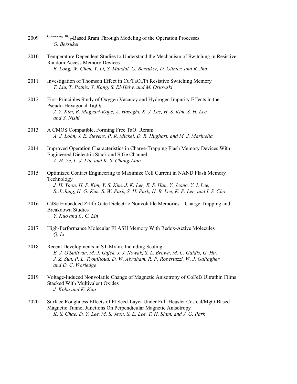- 2009 Optimizing HfO<sub>2</sub>-Based Rram Through Modeling of the Operation Processes  *G. Bersuker*
- 2010 Temperature Dependent Studies to Understand the Mechanism of Switching in Resistive Random Access Memory Devices  *B. Long, W. Chen, Y. Li, S. Mandal, G. Bersuker, D. Gilmer, and R. Jha*
- 2011 Investigation of Thomson Effect in  $Cu/TaO<sub>x</sub>/Pt$  Resistive Switching Memory  *T. Liu, T. Potnis, Y. Kang, S. El-Helw, and M. Orlowski*
- 2012 First-Principles Study of Oxygen Vacancy and Hydrogen Impurity Effects in the Pseudo-Hexagonal Ta<sub>2</sub>O<sub>5</sub>  *J. Y. Kim, B. Magyari-Kope, A. Hazeghi, K. J. Lee, H. S. Kim, S. H. Lee, and Y. Nishi*
- 2013 A CMOS Compatible, Forming Free TaO<sub>x</sub> Reram  *A. J. Lohn, J. E. Stevens, P. R. Mickel, D. R. Hughart, and M. J. Marinella*
- 2014 Improved Operation Characteristics in Charge-Trapping Flash Memory Devices With Engineered Dielectric Stack and SiGe Channel  *Z. H. Ye, L. J. Liu, and K. S. Chang-Liao*
- 2015 Optimized Contact Engineering to Maximize Cell Current in NAND Flash Memory Technology  *J. H. Yoon, H. S. Kim, Y. S. Kim, J. K. Lee, E. S. Han, Y. Jeong, Y. I. Lee, S. J. Jang, H. G. Kim, S. W. Park, S. H. Park, H. B. Lee, K. P. Lee, and I. S. Cho*
- 2016 CdSe Embedded Zrhfo Gate Dielectric Nonvolatile Memories Charge Trapping and Breakdown Studies  *Y. Kuo and C. C. Lin*
- 2017 High-Performance Molecular FLASH Memory With Redox-Active Molecules  *Q. Li*
- 2018 Recent Developments in ST-Mram, Including Scaling  *E. J. O'Sullivan, M. J. Gajek, J. J. Nowak, S. L. Brown, M. C. Gaidis, G. Hu, J. Z. Sun, P. L. Trouilloud, D. W. Abraham, R. P. Robertazzi, W. J. Gallagher, and D. C. Worledge*
- 2019 Voltage-Induced Nonvolatile Change of Magnetic Anisotropy of CoFeB Ultrathin Films Stacked With Multivalent Oxides  *J. Koba and K. Kita*
- 2020 Surface Roughness Effects of Pt Seed-Layer Under Full-Heusler Co<sub>2</sub>feal/MgO-Based Magnetic Tunnel Junctions On Perpendicular Magnetic Anisotropy  *K. S. Chae, D. Y. Lee, M. S. Jeon, S. E. Lee, T. H. Shim, and J. G. Park*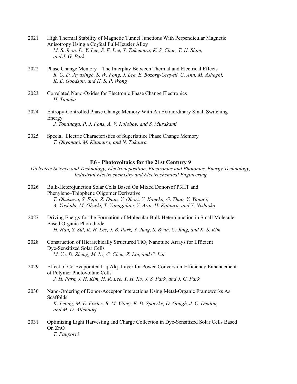- 2021 High Thermal Stability of Magnetic Tunnel Junctions With Perpendicular Magnetic Anisotropy Using a  $Co<sub>2</sub>$ feal Full-Heusler Alloy  *M. S. Jeon, D. Y. Lee, S. E. Lee, Y. Takemura, K. S. Chae, T. H. Shim, and J. G. Park*
- 2022 Phase Change Memory The Interplay Between Thermal and Electrical Effects  *R. G. D. Jeyasingh, S. W. Fong, J. Lee, E. Bozorg-Grayeli, C. Ahn, M. Asheghi, K. E. Goodson, and H. S. P. Wong*
- 2023 Correlated Nano-Oxides for Electronic Phase Change Electronics  *H. Tanaka*
- 2024 Entropy-Controlled Phase Change Memory With An Extraordinary Small Switching Energy  *J. Tominaga, P. J. Fons, A. V. Kolobov, and S. Murakami*
- 2025 Special Electric Characteristics of Superlattice Phase Change Memory  *T. Ohyanagi, M. Kitamura, and N. Takaura*

#### **E6 - Photovoltaics for the 21st Century 9**

*Dielectric Science and Technology, Electrodeposition, Electronics and Photonics, Energy Technology, Industrial Electrochemistry and Electrochemical Engineering* 

- 2026 Bulk-Heterojunction Solar Cells Based On Mixed Donorsof P3HT and Phenylene–Thiophene Oligomer Derivative  *T. Okukawa, S. Fujii, Z. Duan, Y. Ohori, Y. Kaneko, G. Zhao, Y. Yanagi, A. Yoshida, M. Ohzeki, T. Yanagidate, Y. Arai, H. Kataura, and Y. Nishioka*
- 2027 Driving Energy for the Formation of Molecular Bulk Heterojunction in Small Molecule Based Organic Photodiode  *H. Han, S. Sul, K. H. Lee, J. B. Park, Y. Jung, S. Byun, C. Jung, and K. S. Kim*
- 2028 Construction of Hierarchically Structured  $TiO<sub>2</sub>$  Nanotube Arrays for Efficient Dye-Sensitized Solar Cells  *M. Ye, D. Zheng, M. Lv, C. Chen, Z. Lin, and C. Lin*
- 2029 Effect of Co-Evaporated Liq:Alq<sub>3</sub> Layer for Power-Conversion-Efficiency Enhancement of Polymer Photovoltaic Cells  *J. H. Park, J. H. Kim, H. R. Lee, Y. H. Ko, J. S. Park, and J. G. Park*
- 2030 Nano-Ordering of Donor-Acceptor Interactions Using Metal-Organic Frameworks As **Scaffolds**  *K. Leong, M. E. Foster, B. M. Wong, E. D. Spoerke, D. Gough, J. C. Deaton, and M. D. Allendorf*
- 2031 Optimizing Light Harvesting and Charge Collection in Dye-Sensitized Solar Cells Based On ZnO  *T. Pauporté*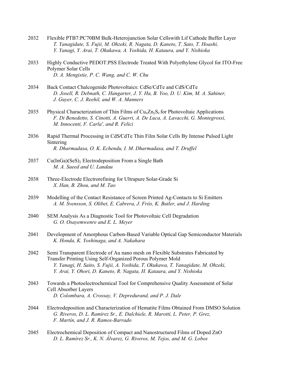- 2032 Flexible PTB7:PC70BM Bulk-Heterojunction Solar Cellswith Lif Cathode Buffer Layer  *T. Yanagidate, S. Fujii, M. Ohzeki, R. Nagata, D. Kaneto, T. Sato, T. Hoashi, Y. Yanagi, Y. Arai, T. Okukawa, A. Yoshida, H. Kataura, and Y. Nishioka*
- 2033 Highly Conductive PEDOT:PSS Electrode Treated With Polyethylene Glycol for ITO-Free Polymer Solar Cells  *D. A. Mengistie, P. C. Wang, and C. W. Chu*
- 2034 Back Contact Chalcogenide Photovoltaics: CdSe/CdTe and CdS/CdTe  *D. Josell, R. Debnath, C. Hangarter, J. Y. Ha, B. Yoo, D. U. Kim, M. A. Sahiner, J. Guyer, C. J. Reehil, and W. A. Manners*
- 2035 Physical Characterization of Thin Films of  $Cu<sub>x</sub>Zn<sub>y</sub>S<sub>z</sub>$  for Photovoltaic Applications  *F. Di Benedetto, S. Cinotti, A. Guerri, A. De Luca, A. Lavacchi, G. Montegrossi, M. Innocenti, F. Carla', and R. Felici*
- 2036 Rapid Thermal Processing in CdS⁄CdTe Thin Film Solar Cells By Intense Pulsed Light Sintering  *R. Dharmadasa, O. K. Echendu, I. M. Dharmadasa, and T. Druffel*
- $2037$  Cu(InGa)(SeS)<sub>2</sub> Electrodeposition From a Single Bath  *M. A. Saeed and U. Landau*
- 2038 Three-Electrode Electrorefining for Ultrapure Solar-Grade Si  *X. Han, B. Zhou, and M. Tao*
- 2039 Modelling of the Contact Resistance of Screen Printed Ag-Contacts to Si Emitters  *A. M. Svensson, S. Olibet, E. Cabrera, J. Friis, K. Butler, and J. Harding*
- 2040 SEM Analysis As a Diagnostic Tool for Photovoltaic Cell Degradation  *G. O. Osayemwenre and E. L. Meyer*
- 2041 Development of Amorphous Carbon-Based Variable Optical Gap Semiconductor Materials  *K. Honda, K. Yoshinaga, and A. Nakahara*
- 2042 Semi Transparent Electrode of Au nano mesh on Flexible Substrates Fabricated by Transfer Printing Using Self-Organized Porous Polymer Mold  *Y. Yanagi, H. Saito, S. Fujii, A. Yoshida, T. Okukawa, T. Yanagidate, M. Ohzeki, Y. Arai, Y. Ohori, D. Kaneto, R. Nagata, H. Kataura, and Y. Nishioka*
- 2043 Towards a Photoelectrochemical Tool for Comprehensive Quality Assessment of Solar Cell Absorber Layers  *D. Colombara, A. Crossay, V. Depredurand, and P. J. Dale*
- 2044 Electrodeposition and Characterization of Hematite Films Obtained From DMSO Solution  *G. Riveros, D. L. Ramírez Sr., E. Dalchiele, R. Marotti, L. Peter, P. Grez, F. Martín, and J. R. Ramos-Barrado*
- 2045 Electrochemical Deposition of Compact and Nanostructured Films of Doped ZnO  *D. L. Ramírez Sr., K. N. Álvarez, G. Riveros, M. Tejos, and M. G. Lobos*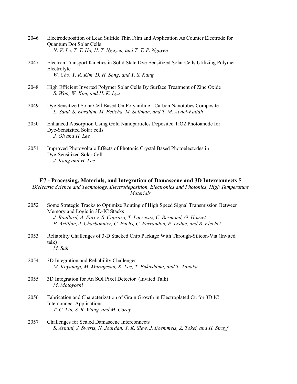| 2046 | Electrodeposition of Lead Sulfide Thin Film and Application As Counter Electrode for |
|------|--------------------------------------------------------------------------------------|
|      | Quantum Dot Solar Cells                                                              |
|      | N. V. Le, T. T. Ha, H. T. Nguyen, and T. T. P. Nguyen                                |

- 2047 Electron Transport Kinetics in Solid State Dye-Sensitized Solar Cells Utilizing Polymer Electrolyte  *W. Cho, Y. R. Kim, D. H. Song, and Y. S. Kang*
- 2048 High Efficient Inverted Polymer Solar Cells By Surface Treatment of Zinc Oxide  *S. Woo, W. Kim, and H. K. Lyu*
- 2049 Dye Sensitized Solar Cell Based On Polyaniline Carbon Nanotubes Composite  *L. Saad, S. Ebrahim, M. Fetteha, M. Soliman, and T. M. Abdel-Fattah*
- 2050 Enhanced Absorption Using Gold Nanoparticles Deposited TiO2 Photoanode for Dye-Sensizited Solar cells  *J. Oh and H. Lee*
- 2051 Improved Photovoltaic Effects of Photonic Crystal Based Photoelectodes in Dye-Sensitized Solar Cell  *J. Kang and H. Lee*

#### **E7 - Processing, Materials, and Integration of Damascene and 3D Interconnects 5**

*Dielectric Science and Technology, Electrodeposition, Electronics and Photonics, High Temperature Materials* 

- 2052 Some Strategic Tracks to Optimize Routing of High Speed Signal Transmission Between Memory and Logic in 3D-IC Stacks  *J. Roullard, A. Farcy, S. Capraro, T. Lacrevaz, C. Bermond, G. Houzet, P. Artillan, J. Charbonnier, C. Fuchs, C. Ferrandon, P. Leduc, and B. Flechet*
- 2053 Reliability Challenges of 3-D Stacked Chip Package With Through-Silicon-Via (Invited talk)  *M. Suh*
- 2054 3D Integration and Reliability Challenges  *M. Koyanagi, M. Murugesan, K. Lee, T. Fukushima, and T. Tanaka*
- 2055 3D Integration for An SOI Pixel Detector (Invited Talk)  *M. Motoyoshi*
- 2056 Fabrication and Characterization of Grain Growth in Electroplated Cu for 3D IC Interconnect Applications  *T. C. Liu, S. R. Wang, and M. Corey*
- 2057 Challenges for Scaled Damascene Interconnects  *S. Armini, J. Swerts, N. Jourdan, Y. K. Siew, J. Boemmels, Z. Tokei, and H. Struyf*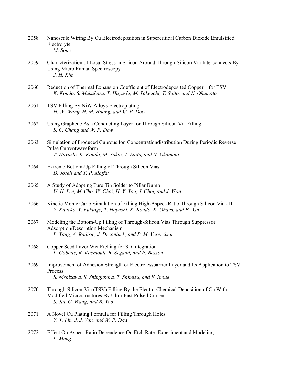| 2058 | Nanoscale Wiring By Cu Electrodeposition in Supercritical Carbon Dioxide Emulsified |
|------|-------------------------------------------------------------------------------------|
|      | Electrolyte                                                                         |
|      | M. Sone                                                                             |

- 2059 Characterization of Local Stress in Silicon Around Through-Silicon Via Interconnects By Using Micro Raman Spectroscopy  *J. H. Kim*
- 2060 Reduction of Thermal Expansion Coefficient of Electrodeposited Copper for TSV  *K. Kondo, S. Mukahara, T. Hayashi, M. Takeuchi, T. Saito, and N. Okamoto*
- 2061 TSV Filling By NiW Alloys Electroplating  *H. W. Wang, H. M. Huang, and W. P. Dow*
- 2062 Using Graphene As a Conducting Layer for Through Silicon Via Filling  *S. C. Chang and W. P. Dow*
- 2063 Simulation of Produced Cuprous Ion Concentrationdistribution During Periodic Reverse Pulse Currentwaveform  *T. Hayashi, K. Kondo, M. Yokoi, T. Saito, and N. Okamoto*
- 2064 Extreme Bottom-Up Filling of Through Silicon Vias  *D. Josell and T. P. Moffat*
- 2065 A Study of Adopting Pure Tin Solder to Pillar Bump  *U. H. Lee, M. Cho, W. Choi, H. Y. You, J. Choi, and J. Won*
- 2066 Kinetic Monte Carlo Simulation of Filling High-Aspect-Ratio Through Silicon Via II  *Y. Kaneko, Y. Fukiage, T. Hayashi, K. Kondo, K. Ohara, and F. Asa*
- 2067 Modeling the Bottom-Up Filling of Through-Silicon Vias Through Suppressor Adsorption/Desorption Mechanism  *L. Yang, A. Radisic, J. Deconinck, and P. M. Vereecken*
- 2068 Copper Seed Layer Wet Etching for 3D Integration  *L. Gabette, R. Kachtouli, R. Segaud, and P. Besson*
- 2069 Improvement of Adhesion Strength of Electrolessbarrier Layer and Its Application to TSV Process  *S. Nishizawa, S. Shingubara, T. Shimizu, and F. Inoue*
- 2070 Through-Silicon-Via (TSV) Filling By the Electro-Chemical Deposition of Cu With Modified Microstructures By Ultra-Fast Pulsed Current  *S. Jin, G. Wang, and B. Yoo*
- 2071 A Novel Cu Plating Formula for Filling Through Holes  *Y. T. Lin, J. J. Yan, and W. P. Dow*
- 2072 Effect On Aspect Ratio Dependence On Etch Rate: Experiment and Modeling  *L. Meng*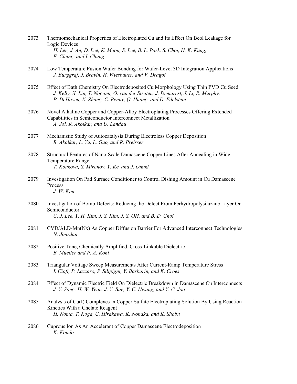- 2073 Thermomechanical Properties of Electroplated Cu and Its Effect On Beol Leakage for Logic Devices  *H. Lee, J. An, D. Lee, K. Moon, S. Lee, B. L. Park, S. Choi, H. K. Kang, E. Chung, and I. Chung*
- 2074 Low Temperature Fusion Wafer Bonding for Wafer-Level 3D Integration Applications  *J. Burggraf, J. Bravin, H. Wiesbauer, and V. Dragoi*
- 2075 Effect of Bath Chemistry On Electrodeposited Cu Morphology Using Thin PVD Cu Seed  *J. Kelly, X. Lin, T. Nogami, O. van der Straten, J. Demarest, J. Li, R. Murphy, P. DeHaven, X. Zhang, C. Penny, Q. Huang, and D. Edelstein*
- 2076 Novel Alkaline Copper and Copper-Alloy Electroplating Processes Offering Extended Capabilities in Semiconductor Interconnect Metallization  *A. Joi, R. Akolkar, and U. Landau*
- 2077 Mechanistic Study of Autocatalysis During Electroless Copper Deposition  *R. Akolkar, L. Yu, L. Guo, and R. Preisser*
- 2078 Structural Features of Nano-Scale Damascene Copper Lines After Annealing in Wide Temperature Range  *T. Konkova, S. Mironov, Y. Ke, and J. Onuki*
- 2079 Investigation On Pad Surface Conditioner to Control Dishing Amount in Cu Damascene Process  *J. W. Kim*
- 2080 Investigation of Bomb Defects: Reducing the Defect From Perhydropolysilazane Layer On Semiconductor  *C. J. Lee, Y. H. Kim, J. S. Kim, J. S. OH, and B. D. Choi*
- 2081 CVD/ALD-Mn(Nx) As Copper Diffusion Barrier For Advanced Interconnect Technologies  *N. Jourdan*
- 2082 Positive Tone, Chemically Amplified, Cross-Linkable Dielectric  *B. Mueller and P. A. Kohl*
- 2083 Triangular Voltage Sweep Measurements After Current-Ramp Temperature Stress  *I. Ciofi, P. Lazzaro, S. Silipigni, Y. Barbarin, and K. Croes*
- 2084 Effect of Dynamic Electric Field On Dielectric Breakdown in Damascene Cu Interconnects  *J. Y. Song, H. W. Yeon, J. Y. Bae, Y. C. Hwang, and Y. C. Joo*
- 2085 Analysis of Cu(I) Complexes in Copper Sulfate Electroplating Solution By Using Reaction Kinetics With a Chelate Reagent  *H. Noma, T. Koga, C. Hirakawa, K. Nonaka, and K. Shobu*
- 2086 Cuprous Ion As An Accelerant of Copper Damascene Electrodeposition  *K. Kondo*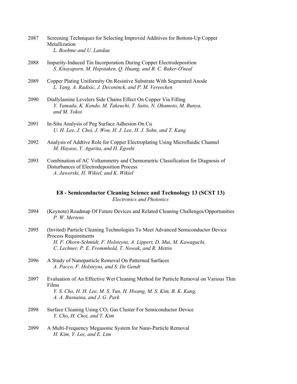- 2087 Screening Techniques for Selecting Improved Additives for Bottom-Up Copper Metallization  *L. Boehme and U. Landau*
- 2088 Impurity-Induced Tin Incorporation During Copper Electrodeposition  *S. Kitayaporn, M. Hopstaken, Q. Huang, and B. C. Baker-O'neal*
- 2089 Copper Plating Uniformity On Resistive Substrate With Segmented Anode  *L. Yang, A. Radisic, J. Deconinck, and P. M. Vereecken*
- 2090 Diallylamine Levelers Side Chains Effect On Copper Via Filling  *Y. Yamada, K. Kondo, M. Takeuchi, T. Saito, N. Okamoto, M. Bunya, and M. Yokoi*
- 2091 In-Situ Analysis of Peg Surface Adhesion On Cu  *U. H. Lee, J. Choi, J. Won, H. J. Lee, H. J. Sohn, and T. Kang*
- 2092 Analysis of Addtive Role for Copper Electroplating Using Microfluidic Channel  *M. Hayase, Y. Agarita, and H. Egoshi*
- 2093 Combination of AC Voltammetry and Chemometric Classification for Diagnosis of Disturbances of Electrodeposition Process  *A. Jaworski, H. Wikiel, and K. Wikiel*

# **E8 - Semiconductor Cleaning Science and Technology 13 (SCST 13)**  *Electronics and Photonics*

- 2094 (Keynote) Roadmap Of Future Devices and Related Cleaning Challenges/Opportunities  *P. W. Mertens*
- 2095 (Invited) Particle Cleaning Technologies To Meet Advanced Semiconductor Device Process Requirements  *H. F. Okorn-Schmidt, F. Holsteyns, A. Lippert, D. Mui, M. Kawaguchi, C. Lechner, P. E. Frommhold, T. Nowak, and R. Mettin*
- 2096 A Study of Nanoparticle Removal On Patterned Surfaces  *A. Pacco, F. Holsteyns, and S. De Gendt*
- 2097 Evaluation of An Effective Wet Cleaning Method for Particle Removal on Various Thin Films  *Y. S. Cho, H. H. Lee, M. S. Yun, H. Hwang, M. S. Kim, B. K. Kang, A. A. Busnaina, and J. G. Park*
- 2098 Surface Cleaning Using CO<sub>2</sub> Gas Cluster For Semiconductor Device  *Y. Cho, H. Choi, and T. Kim*
- 2099 A Multi-Frequency Megasonic System for Nano-Particle Removal  *H. Kim, Y. Lee, and E. Lim*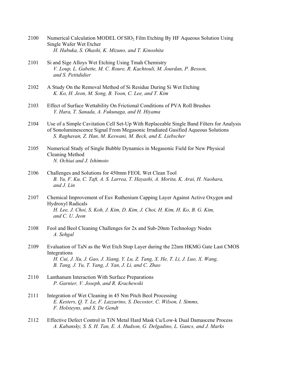- 2100 Numerical Calculation MODEL Of SIO2 Film Etching By HF Aqueous Solution Using Single Wafer Wet Etcher  *H. Habuka, S. Ohashi, K. Mizuno, and T. Kinoshita*
- 2101 Si and Sige Alloys Wet Etching Using Tmah Chemistry  *V. Loup, L. Gabette, M. C. Roure, R. Kachtouli, M. Jourdan, P. Besson, and S. Petitdidier*
- 2102 A Study On the Removal Method of Si Residue During Si Wet Etching  *K. Ko, H. Jeon, M. Song, B. Yoon, C. Lee, and T. Kim*
- 2103 Effect of Surface Wettability On Frictional Conditions of PVA Roll Brushes  *Y. Hara, T. Sanada, A. Fukunaga, and H. Hiyama*
- 2104 Use of a Simple Cavitation Cell Set-Up With Replaceable Single Band Filters for Analysis of Sonoluminescence Signal From Megasonic Irradiated Gasified Aqueous Solutions  *S. Raghavan, Z. Han, M. Keswani, M. Beck, and E. Liebscher*
- 2105 Numerical Study of Single Bubble Dynamics in Megasonic Field for New Physical Cleaning Method  *N. Ochiai and J. Ishimoto*
- 2106 Challenges and Solutions for 450mm FEOL Wet Clean Tool  *B. Yu, F. Ku, C. Taft, A. S. Larrea, T. Hayashi, A. Morita, K. Arai, H. Naohara, and J. Lin*
- 2107 Chemical Improvement of Euv Ruthenium Capping Layer Against Active Oxygen and Hydroxyl Radicals  *H. Lee, J. Choi, S. Koh, J. Kim, D. Kim, J. Choi, H. Kim, H. Ko, B. G. Kim, and C. U. Jeon*
- 2108 Feol and Beol Cleaning Challenges for 2x and Sub-20nm Technology Nodes  *A. Sehgal*
- 2109 Evaluation of TaN as the Wet Etch Stop Layer during the 22nm HKMG Gate Last CMOS Integrations  *H. Cui, J. Xu, J. Gao, J. Xiang, Y. Lu, Z. Tang, X. He, T. Li, J. Luo, X. Wang, B. Tang, J. Yu, T. Yang, J. Yan, J. Li, and C. Zhao*
- 2110 Lanthanum Interaction With Surface Preparations  *P. Garnier, V. Joseph, and R. Krachewski*
- 2111 Integration of Wet Cleaning in 45 Nm Pitch Beol Processing  *E. Kesters, Q. T. Le, F. Lazzarino, S. Decoster, C. Wilson, I. Simms, F. Holsteyns, and S. De Gendt*
- 2112 Effective Defect Control in TiN Metal Hard Mask Cu/Low-k Dual Damascene Process  *A. Kabansky, S. S. H. Tan, E. A. Hudson, G. Delgadino, L. Gancs, and J. Marks*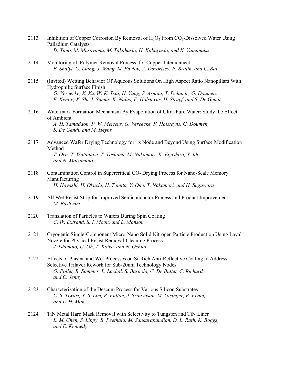- 2113 Inhibition of Copper Corrosion By Removal of  $H_2O_2$  From CO<sub>2</sub>-Dissolved Water Using Palladium Catalysts  *D. Yano, M. Murayama, M. Takahashi, H. Kobayashi, and K. Yamanaka*
- 2114 Monitoring of Polymer Removal Process for Copper Interconnect  *E. Shalyt, G. Liang, J. Wang, M. Pavlov, V. Dozortsev, P. Bratin, and C. Bai*
- 2115 (Invited) Wetting Behavior Of Aqueous Solutions On High Aspect Ratio Nanopillars With Hydrophilic Surface Finish  *G. Vereecke, X. Xu, W. K. Tsai, H. Yang, S. Armini, T. Delande, G. Doumen, F. Kentie, X. Shi, I. Simms, K. Nafus, F. Holsteyns, H. Struyf, and S. De Gendt*
- 2116 Watermark Formation Mechanism By Evaporation of Ultra-Pure Water: Study the Effect of Ambient  *A. H. Tamaddon, P. W. Mertens, G. Vereecke, F. Holsteyns, G. Doumen, S. De Gendt, and M. Heyns*
- 2117 Advanced Wafer Drying Technology for 1x Node and Beyond Using Surface Modification Method  *T. Orii, T. Watanabe, T. Toshima, M. Nakamori, K. Egashira, Y. Ido, and N. Matsumoto*
- 2118 Contamination Control in Supercritical CO<sub>2</sub> Drying Process for Nano-Scale Memory Manufacturing  *H. Hayashi, H. Okuchi, H. Tomita, Y. Ono, T. Nakamori, and H. Sugawara*
- 2119 All Wet Resist Strip for Improved Semiconductor Process and Product Improvement  *M. Bashyam*
- 2120 Translation of Particles to Wafers During Spin Coating  *C. W. Extrand, S. I. Moon, and L. Monson*
- 2121 Cryogenic Single-Component Micro-Nano Solid Nitrogen Particle Production Using Laval Nozzle for Physical Resist Removal-Cleaning Process  *J. Ishimoto, U. Oh, T. Koike, and N. Ochiai*
- 2122 Effects of Plasma and Wet Processes on Si-Rich Anti-Reflective Coating to Address Selective Trilayer Rework for Sub-20nm Technology Nodes  *O. Pollet, R. Sommer, L. Lachal, S. Barnola, C. De Buttet, C. Richard, and C. Jenny*
- 2123 Characterization of the Descum Process for Various Silicon Substrates  *C. S. Tiwari, Y. S. Lim, R. Fulton, J. Srinivasan, M. Gisinger, P. Flynn, and L. H. Mak*
- 2124 TiN Metal Hard Mask Removal with Selectivity to Tungsten and TiN Liner  *L. M. Chen, S. Lippy, B. Peethala, M. Sankarapandian, D. L. Rath, K. Boggs, and E. Kennedy*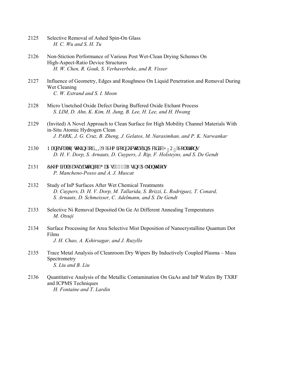- 2125 Selective Removal of Ashed Spin-On Glass  *H. C. Wu and S. H. Tu*
- 2126 Non-Stiction Performance of Various Post Wet-Clean Drying Schemes On High-Aspect-Ratio Device Structures  *H. W. Chen, R. Gouk, S. Verhaverbeke, and R. Visser*
- 2127 Influence of Geometry, Edges and Roughness On Liquid Penetration and Removal During Wet Cleaning  *C. W. Extrand and S. I. Moon*
- 2128 Micro Unetched Oxide Defect During Buffered Oxide Etchant Process  *S. LIM, D. Ahn, K. Kim, H. Jung, B. Lee, H. Lee, and H. Hwang*
- 2129 (Invited) A Novel Approach to Clean Surface for High Mobility Channel Materials With in-Situ Atomic Hydrogen Clean  *J. PARK, J. G. Cruz, B. Zheng, J. Gelatos, M. Narasimhan, and P. K. Narwankar*
- 2130 P cpquecng 'Gvej kpi "qh'KKXX" Ugo keqpf wevqtu 'kp 'Cekf ke 'J  $_AQ_A$  'Uqnwkqpu  *D. H. V. Dorp, S. Arnauts, D. Cuypers, J. Rip, F. Holsteyns, and S. De Gendt*
- 2131 Ej go kecn'Reuukxevkqp''qh'I cCu'\*322+''Wukpi ''Cmepyj kqnu  *P. Mancheno-Posso and A. J. Muscat*
- 2132 Study of InP Surfaces After Wet Chemical Treatments  *D. Cuypers, D. H. V. Dorp, M. Tallarida, S. Brizzi, L. Rodriguez, T. Conard, S. Arnauts, D. Schmeisser, C. Adelmann, and S. De Gendt*
- 2133 Selective Ni Removal Deposited On Ge At Different Annealing Temperatures  *M. Otsuji*
- 2134 Surface Processing for Area Selective Mist Deposition of Nanocrystalline Quantum Dot Films  *J. H. Chao, A. Kshirsagar, and J. Ruzyllo*
- 2135 Trace Metal Analysis of Cleanroom Dry Wipers By Inductively Coupled Plasma Mass Spectrometry  *S. Liu and B. Liu*
- 2136 Quantitative Analysis of the Metallic Contamination On GaAs and InP Wafers By TXRF and ICPMS Techniques  *H. Fontaine and T. Lardin*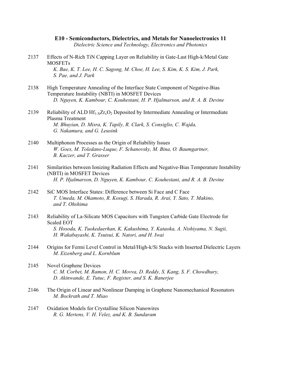**E10 - Semiconductors, Dielectrics, and Metals for Nanoelectronics 11**  *Dielectric Science and Technology, Electronics and Photonics* 

- 2137 Effects of N-Rich TiN Capping Layer on Reliability in Gate-Last High-k/Metal Gate **MOSFETs**  *K. Bae, K. T. Lee, H. C. Sagong, M. Choe, H. Lee, S. Kim, K. S. Kim, J. Park, S. Pae, and J. Park*
- 2138 High Temperature Annealing of the Interface State Component of Negative-Bias Temperature Instability (NBTI) in MOSFET Devices  *D. Nguyen, K. Kambour, C. Kouhestani, H. P. Hjalmarson, and R. A. B. Devine*
- 2139 Reliability of ALD  $Hf_{1-x}Zr_xO_2$  Deposited by Intermediate Annealing or Intermediate Plasma Treatment  *M. Bhuyian, D. Misra, K. Tapily, R. Clark, S. Consiglio, C. Wajda, G. Nakamura, and G. Leusink*
- 2140 Multiphonon Processes as the Origin of Reliability Issues  *W. Goes, M. Toledano-Luque, F. Schanovsky, M. Bina, O. Baumgartner, B. Kaczer, and T. Grasser*
- 2141 Similarities between Ionizing Radiation Effects and Negative-Bias Temperature Instability (NBTI) in MOSFET Devices  *H. P. Hjalmarson, D. Nguyen, K. Kambour, C. Kouhestani, and R. A. B. Devine*
- 2142 SiC MOS Interface States: Difference between Si Face and C Face  *T. Umeda, M. Okamoto, R. Kosugi, S. Harada, R. Arai, Y. Sato, T. Makino, and T. Ohshima*
- 2143 Reliability of La-Silicate MOS Capacitors with Tungsten Carbide Gate Electrode for Scaled EOT  *S. Hosoda, K. Tuokedaerhan, K. Kakushima, Y. Kataoka, A. Nishiyama, N. Sugii, H. Wakabayashi, K. Tsutsui, K. Natori, and H. Iwai*
- 2144 Origins for Fermi Level Control in Metal/High-k/Si Stacks with Inserted Dielectric Layers  *M. Eizenberg and L. Kornblum*
- 2145 Novel Graphene Devices  *C. M. Corbet, M. Ramon, H. C. Movva, D. Reddy, S. Kang, S. F. Chowdhury, D. Akinwande, E. Tutuc, F. Register, and S. K. Banerjee*
- 2146 The Origin of Linear and Nonlinear Damping in Graphene Nanomechanical Resonators  *M. Bockrath and T. Miao*
- 2147 Oxidation Models for Crystalline Silicon Nanowires  *R. G. Mertens, V. H. Velez, and K. B. Sundaram*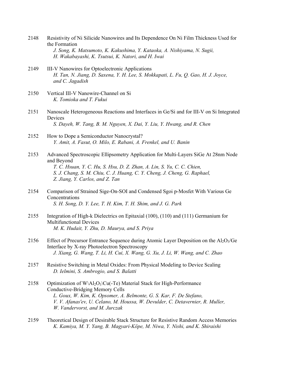- 2148 Resistivity of Ni Silicide Nanowires and Its Dependence On Ni Film Thickness Used for the Formation  *J. Song, K. Matsumoto, K. Kakushima, Y. Kataoka, A. Nishiyama, N. Sugii, H. Wakabayashi, K. Tsutsui, K. Natori, and H. Iwai*
- 2149 III-V Nanowires for Optoelectronic Applications  *H. Tan, N. Jiang, D. Saxena, Y. H. Lee, S. Mokkapati, L. Fu, Q. Gao, H. J. Joyce, and C. Jagadish*
- 2150 Vertical III-V Nanowire-Channel on Si  *K. Tomioka and T. Fukui*
- 2151 Nanoscale Heterogeneous Reactions and Interfaces in Ge/Si and for III-V on Si Integrated Devices  *S. Dayeh, W. Tang, B. M. Nguyen, X. Dai, Y. Liu, Y. Hwang, and R. Chen*
- 2152 How to Dope a Semiconductor Nanocrystal?  *Y. Amit, A. Fasut, O. Milo, E. Rabani, A. Frenkel, and U. Banin*
- 2153 Advanced Spectroscopic Ellipsometry Application for Multi-Layers SiGe At 28nm Node and Beyond  *T. C. Hsuan, Y. C. Hu, S. Hsu, D. Z. Zhan, A. Lin, S. Yu, C. C. Chien,*

 *S. J. Chang, S. M. Chiu, C. J. Huang, C. Y. Cheng, J. Cheng, G. Raphael, Z. Jiang, Y. Carlos, and Z. Tan* 

- 2154 Comparison of Strained Sige-On-SOI and Condensed Sgoi p-Mosfet With Various Ge Concentrations  *S. H. Song, D. Y. Lee, T. H. Kim, T. H. Shim, and J. G. Park*
- 2155 Integration of High-k Dielectrics on Epitaxial (100), (110) and (111) Germanium for Multifunctional Devices  *M. K. Hudait, Y. Zhu, D. Maurya, and S. Priya*
- 2156 Effect of Precursor Entrance Sequence during Atomic Layer Deposition on the  $A<sub>1</sub>O<sub>3</sub>/Ge$  Interface by X-ray Photoelectron Spectroscopy  *J. Xiang, G. Wang, T. Li, H. Cui, X. Wang, G. Xu, J. Li, W. Wang, and C. Zhao*
- 2157 Resistive Switching in Metal Oxides: From Physical Modeling to Device Scaling  *D. Ielmini, S. Ambrogio, and S. Balatti*
- 2158 Optimization of W\Al<sub>2</sub>O<sub>3</sub>\Cu(-Te) Material Stack for High-Performance Conductive-Bridging Memory Cells  *L. Goux, W. Kim, K. Opsomer, A. Belmonte, G. S. Kar, F. De Stefano, V. V. Afanas'ev, U. Celano, M. Houssa, W. Devulder, C. Detavernier, R. Muller, W. Vandervorst, and M. Jurczak*
- 2159 Theoretical Design of Desirable Stack Structure for Resistive Random Access Memories  *K. Kamiya, M. Y. Yang, B. Magyari-Köpe, M. Niwa, Y. Nishi, and K. Shiraishi*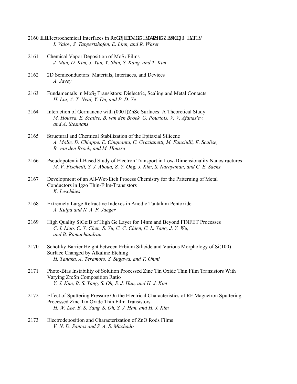- 2160 """Electrochemical Interfaces in Ref qz/dcugf 'T gukukxg'Uy kej kpi 'F gxkegu  *I. Valov, S. Tappertzhofen, E. Linn, and R. Waser*
- 2161 Chemical Vapor Deposition of  $MoS<sub>2</sub>$  Films  *J. Mun, D. Kim, J. Yun, Y. Shin, S. Kang, and T. Kim*
- 2162 2D Semiconductors: Materials, Interfaces, and Devices  *A. Javey*
- 2163 Fundamentals in  $MoS<sub>2</sub> Transistors: Dielectric, Scaling and Metal contacts$  *H. Liu, A. T. Neal, Y. Du, and P. D. Ye*
- 2164 Interaction of Germanene with (0001)ZnSe Surfaces: A Theoretical Study  *M. Houssa, E. Scalise, B. van den Broek, G. Pourtois, V. V. Afanas'ev, and A. Stesmans*
- 2165 Structural and Chemical Stabilization of the Epitaxial Silicene  *A. Molle, D. Chiappe, E. Cinquanta, C. Grazianetti, M. Fanciulli, E. Scalise, B. van den Broek, and M. Houssa*
- 2166 Pseudopotential-Based Study of Electron Transport in Low-Dimensionality Nanostructures  *M. V. Fischetti, S. J. Aboud, Z. Y. Ong, J. Kim, S. Narayanan, and C. E. Sachs*
- 2167 Development of an All-Wet-Etch Process Chemistry for the Patterning of Metal Conductors in Igzo Thin-Film-Transistors  *K. Leschkies*
- 2168 Extremely Large Refractive Indexes in Anodic Tantalum Pentoxide  *A. Kulpa and N. A. F. Jaeger*
- 2169 High Quality SiGe:B of High Ge Layer for 14nm and Beyond FINFET Processes  *C. I. Liao, C. Y. Chen, S. Yu, C. C. Chien, C. L. Yang, J. Y. Wu, and B. Ramachandran*
- 2170 Schottky Barrier Height between Erbium Silicide and Various Morphology of Si(100) Surface Changed by Alkaline Etching  *H. Tanaka, A. Teramoto, S. Sugawa, and T. Ohmi*
- 2171 Photo-Bias Instability of Solution Processed Zinc Tin Oxide Thin Film Transistors With Varying Zn:Sn Composition Ratio  *Y. J. Kim, B. S. Yang, S. Oh, S. J. Han, and H. J. Kim*
- 2172 Effect of Sputtering Pressure On the Electrical Characteristics of RF Magnetron Sputtering Processed Zinc Tin Oxide Thin Film Transistors  *H. W. Lee, B. S. Yang, S. Oh, S. J. Han, and H. J. Kim*
- 2173 Electrodeposition and Characterization of ZnO Rods Films  *V. N. D. Santos and S. A. S. Machado*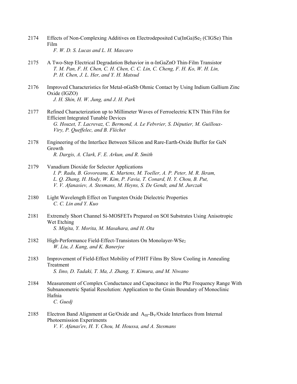- 2174 Effects of Non-Complexing Additives on Electrodeposited Cu(InGa)Se<sub>2</sub> (CIGSe) Thin Film  *F. W. D. S. Lucas and L. H. Mascaro*
- 2175 A Two-Step Electrical Degradation Behavior in α-InGaZnO Thin-Film Transistor  *T. M. Pan, F. H. Chen, C. H. Chen, C. C. Lin, C. Cheng, F. H. Ko, W. H. Lin, P. H. Chen, J. L. Her, and Y. H. Matsud*
- 2176 Improved Characteristics for Metal-nGaSb Ohmic Contact by Using Indium Gallium Zinc Oxide (IGZO)  *J. H. Shin, H. W. Jung, and J. H. Park*
- 2177 Refined Characterization up to Millimeter Waves of Ferroelectric KTN Thin Film for Efficient Integrated Tunable Devices  *G. Houzet, T. Lacrevaz, C. Bermond, A. Le Febvrier, S. Députier, M. Guilloux- Viry, P. Queffelec, and B. Fléchet*
- 2178 Engineering of the Interface Between Silicon and Rare-Earth-Oxide Buffer for GaN Growth  *R. Dargis, A. Clark, F. E. Arkun, and R. Smith*
- 2179 Vanadium Dioxide for Selector Applications  *I. P. Radu, B. Govoreanu, K. Martens, M. Toeller, A. P. Peter, M. R. Ikram, L. Q. Zhang, H. Hody, W. Kim, P. Favia, T. Conard, H. Y. Chou, B. Put, V. V. Afanasiev, A. Stesmans, M. Heyns, S. De Gendt, and M. Jurczak*
- 2180 Light Wavelength Effect on Tungsten Oxide Dielectric Properties  *C. C. Lin and Y. Kuo*
- 2181 Extremely Short Channel Si-MOSFETs Prepared on SOI Substrates Using Anisotropic Wet Etching  *S. Migita, Y. Morita, M. Masahara, and H. Ota*
- 2182 High-Performance Field-Effect-Transistors On Monolayer-WSe<sub>2</sub>  *W. Liu, J. Kang, and K. Banerjee*
- 2183 Improvement of Field-Effect Mobility of P3HT Films By Slow Cooling in Annealing Treatment  *S. Iino, D. Tadaki, T. Ma, J. Zhang, Y. Kimura, and M. Niwano*
- 2184 Measurement of Complex Conductance and Capacitance in the Phz Frequency Range With Subnanometric Spatial Resolution: Application to the Grain Boundary of Monoclinic Hafnia  *C. Guedj*
- 2185 Electron Band Alignment at Ge/Oxide and  $A_{III} B_{V}/Ox$  ide Interfaces from Internal Photoemission Experiments  *V. V. Afanas'ev, H. Y. Chou, M. Houssa, and A. Stesmans*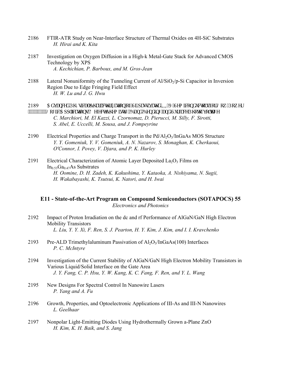- 2186 FTIR-ATR Study on Near-Interface Structure of Thermal Oxides on 4H-SiC Substrates  *H. Hirai and K. Kita*
- 2187 Investigation on Oxygen Diffusion in a High-k Metal-Gate Stack for Advanced CMOS Technology by XPS  *A. Kechichian, P. Barboux, and M. Gros-Jean*
- 2188 Lateral Nonuniformity of the Tunneling Current of  $A/SiO_2/p-Si$  Capacitor in Inversion Region Due to Edge Fringing Field Effect  *H. W. Lu and J. G. Hwu*
- 2189 Cf xcpegf 'Rj {ukecn'Ej ctcevetk| cvkqp ''qh''Uk'r cuukxcvgf ''KKKX''Ugo keqpf wevqtu'hqt 'Nqy /Rqy gt """"""""""Nai ke'Crrneckapu<FghgevEjgo km {.'Dcpf'Dgpfkpi "cpf'Uwthceg'Rjqvq/xqncig  *C. Marchiori, M. El Kazzi, L. Czornomaz, D. Pierucci, M. Silly, F. Sirotti, S. Abel, E. Uccelli, M. Sousa, and J. Fompeyrine*
- 2190 Electrical Properties and Charge Transport in the  $Pd/Al_2O_3/InGaAs$  MOS Structure  *Y. Y. Gomeniuk, Y. V. Gomeniuk, A. N. Nazarov, S. Monaghan, K. Cherkaoui, O'Connor, I. Povey, V. Djara, and P. K. Hurley*
- 2191 Electrical Characterization of Atomic Layer Deposited La<sub>2</sub>O<sub>3</sub> Films on  $In_{0.53}Ga_{0.47}As$  Substrates  *H. Oomine, D. H. Zadeh, K. Kakushima, Y. Kataoka, A. Nishiyama, N. Sugii, H. Wakabayashi, K. Tsutsui, K. Natori, and H. Iwai*

# **E11 - State-of-the-Art Program on Compound Semiconductors (SOTAPOCS) 55**  *Electronics and Photonics*

- 2192 Impact of Proton Irradiation on the dc and rf Performance of AlGaN/GaN High Electron Mobility Transistors  *L. Liu, Y. Y. Xi, F. Ren, S. J. Pearton, H. Y. Kim, J. Kim, and I. I. Kravchenko*
- 2193 Pre-ALD Trimethylaluminum Passivation of  $A_2O_3/InGaAs(100)$  Interfaces  *P. C. McIntyre*
- 2194 Investigation of the Current Stability of AlGaN/GaN High Electron Mobility Transistors in Various Liquid/Solid Interface on the Gate Area  *J. Y. Fang, C. P. Hsu, Y. W. Kang, K. C. Fang, F. Ren, and Y. L. Wang*
- 2195 New Designs For Spectral Control In Nanowire Lasers  *P. Yang and A. Fu*
- 2196 Growth, Properties, and Optoelectronic Applications of III-As and III-N Nanowires  *L. Geelhaar*
- 2197 Nonpolar Light-Emitting Diodes Using Hydrothermally Grown a-Plane ZnO  *H. Kim, K. H. Baik, and S. Jang*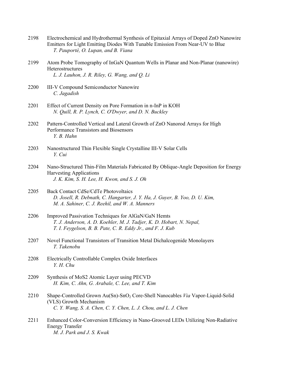| 2198 | Electrochemical and Hydrothermal Synthesis of Epitaxial Arrays of Doped ZnO Nanowire<br>Emitters for Light Emitting Diodes With Tunable Emission From Near-UV to Blue<br>T. Pauporté, O. Lupan, and B. Viana |
|------|--------------------------------------------------------------------------------------------------------------------------------------------------------------------------------------------------------------|
| 2199 | Atom Probe Tomography of InGaN Quantum Wells in Planar and Non-Planar (nanowire)<br>Heterostructures<br>L. J. Lauhon, J. R. Riley, G. Wang, and Q. Li                                                        |
| 2200 | <b>III-V Compound Semiconductor Nanowire</b><br>C. Jagadish                                                                                                                                                  |
| 2201 | Effect of Current Density on Pore Formation in n-InP in KOH<br>N. Quill, R. P. Lynch, C. O'Dwyer, and D. N. Buckley                                                                                          |
| 2202 | Pattern-Controlled Vertical and Lateral Growth of ZnO Nanorod Arrays for High<br>Performance Transistors and Biosensors<br>Y. B. Hahn                                                                        |
| 2203 | Nanostructured Thin Flexible Single Crystalline III-V Solar Cells<br>Y. Cui                                                                                                                                  |
| 2204 | Nano-Structured Thin-Film Materials Fabricated By Oblique-Angle Deposition for Energy<br><b>Harvesting Applications</b><br>J. K. Kim, S. H. Lee, H. Kwon, and S. J. Oh                                       |
| 2205 | <b>Back Contact CdSe/CdTe Photovoltaics</b><br>D. Josell, R. Debnath, C. Hangarter, J. Y. Ha, J. Guyer, B. Yoo, D. U. Kim,<br>M. A. Sahiner, C. J. Reehil, and W. A. Manners                                 |
| 2206 | Improved Passivation Techniques for AlGaN/GaN Hemts<br>T. J. Anderson, A. D. Koehler, M. J. Tadjer, K. D. Hobart, N. Nepal,<br>T. I. Feygelson, B. B. Pate, C. R. Eddy Jr., and F. J. Kub                    |
| 2207 | Novel Functional Transistors of Transition Metal Dichalcogenide Monolayers<br>T. Takenobu                                                                                                                    |
| 2208 | Electrically Controllable Complex Oxide Interfaces<br>Y. H. Chu                                                                                                                                              |
| 2209 | Synthesis of MoS2 Atomic Layer using PECVD<br>H. Kim, C. Ahn, G. Arabale, C. Lee, and T. Kim                                                                                                                 |
| 2210 | Shape-Controlled Grown Au(Sn)-SnO <sub>2</sub> Core-Shell Nanocables Via Vapor-Liquid-Solid<br>(VLS) Growth Mechanism<br>C. Y. Wang, S. A. Chen, C. Y. Chen, L. J. Chou, and L. J. Chen                      |
| 2211 | Enhanced Color-Conversion Efficiency in Nano-Grooved LEDs Utilizing Non-Radiative<br><b>Energy Transfer</b><br>M. J. Park and J. S. Kwak                                                                     |
|      |                                                                                                                                                                                                              |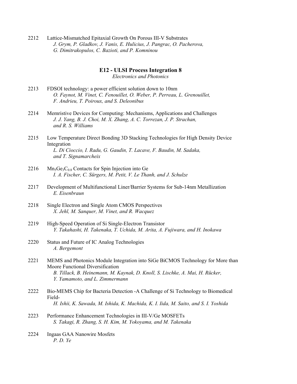2212 Lattice-Mismatched Epitaxial Growth On Porous III-V Substrates  *J. Grym, P. Gladkov, J. Vanis, E. Hulicius, J. Pangrac, O. Pacherova, G. Dimitrakopulos, C. Bazioti, and P. Komninou* 

# **E12 - ULSI Process Integration 8**

*Electronics and Photonics* 

- 2213 FDSOI technology: a power efficient solution down to 10nm  *O. Faynot, M. Vinet, C. Fenouillet, O. Weber, P. Perreau, L. Grenouillet, F. Andrieu, T. Poiroux, and S. Deleonibus*
- 2214 Memristive Devices for Computing: Mechanisms, Applications and Challenges  *J. J. Yang, B. J. Choi, M. X. Zhang, A. C. Torrezan, J. P. Strachan, and R. S. Williams*
- 2215 Low Temperature Direct Bonding 3D Stacking Technologies for High Density Device Integration  *L. Di Cioccio, I. Radu, G. Gaudin, T. Lacave, F. Baudin, M. Sadaka, and T. Signamarcheix*
- 2216 Mn<sub>5</sub>Ge<sub>3</sub>C<sub>0.8</sub> Contacts for Spin Injection into Ge  *I. A. Fischer, C. Sürgers, M. Petit, V. Le Thanh, and J. Schulze*
- 2217 Development of Multifunctional Liner/Barrier Systems for Sub-14nm Metallization  *E. Eisenbraun*
- 2218 Single Electron and Single Atom CMOS Perspectives  *X. Jehl, M. Sanquer, M. Vinet, and R. Wacquez*
- 2219 High-Speed Operation of Si Single-Electron Transistor  *Y. Takahashi, H. Takenaka, T. Uchida, M. Arita, A. Fujiwara, and H. Inokawa*
- 2220 Status and Future of IC Analog Technologies  *A. Bergemont*
- 2221 MEMS and Photonics Module Integration into SiGe BiCMOS Technology for More than Moore Functional Diversification  *B. Tillack, B. Heinemann, M. Kaynak, D. Knoll, S. Lischke, A. Mai, H. Rücker, Y. Yamamoto, and L. Zimmermann*
- 2222 Bio-MEMS Chip for Bacteria Detection -A Challenge of Si Technology to Biomedical Field-  *H. Ishii, K. Sawada, M. Ishida, K. Machida, K. I. Iida, M. Saito, and S. I. Yoshida*
- 2223 Performance Enhancement Technologies in III-V/Ge MOSFETs  *S. Takagi, R. Zhang, S. H. Kim, M. Yokoyama, and M. Takenaka*
- 2224 Ingaas GAA Nanowire Mosfets  *P. D. Ye*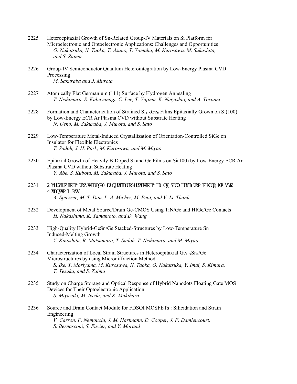| 2225 | Heteroepitaxial Growth of Sn-Related Group-IV Materials on Si Platform for<br>Microelectronic and Optoelectronic Applications: Challenges and Opportunities<br>O. Nakatsuka, N. Taoka, T. Asano, T. Yamaha, M. Kurosawa, M. Sakashita,<br>and S. Zaima               |
|------|----------------------------------------------------------------------------------------------------------------------------------------------------------------------------------------------------------------------------------------------------------------------|
| 2226 | Group-IV Semiconductor Quantum Heterointegration by Low-Energy Plasma CVD<br>Processing<br>M. Sakuraba and J. Murota                                                                                                                                                 |
| 2227 | Atomically Flat Germanium (111) Surface by Hydrogen Annealing<br>T. Nishimura, S. Kabuyanagi, C. Lee, T. Yajima, K. Nagashio, and A. Toriumi                                                                                                                         |
| 2228 | Formation and Characterization of Strained $Si1-xGex$ Films Epitaxially Grown on Si(100)<br>by Low-Energy ECR Ar Plasma CVD without Substrate Heating<br>N. Ueno, M. Sakuraba, J. Murota, and S. Sato                                                                |
| 2229 | Low-Temperature Metal-Induced Crystallization of Orientation-Controlled SiGe on<br><b>Insulator for Flexible Electronics</b><br>T. Sadoh, J. H. Park, M. Kurosawa, and M. Miyao                                                                                      |
| 2230 | Epitaxial Growth of Heavily B-Doped Si and Ge Films on Si(100) by Low-Energy ECR Ar<br>Plasma CVD without Substrate Heating<br>Y. Abe, S. Kubota, M. Sakuraba, J. Murota, and S. Sato                                                                                |
| 2231 | Qxgtxlgy "qh'I tqy y "cpf "O ci pgyle"Rtqr gtvlgu"qh'I gO p "Gr krc { gtu<'Htqo "Vj kp"Hkro u "vq<br>S wcpwo 'Fqui<br>A. Spiesser, M. T. Dau, L. A. Michez, M. Petit, and V. Le Thanh                                                                                |
| 2232 | Development of Metal Source/Drain Ge-CMOS Using TiN/Ge and HfGe/Ge Contacts<br>H. Nakashima, K. Yamamoto, and D. Wang                                                                                                                                                |
| 2233 | High-Quality Hybrid-GeSn/Ge Stacked-Structures by Low-Temperature Sn<br><b>Induced-Melting Growth</b><br>Y. Kinoshita, R. Matsumura, T. Sadoh, T. Nishimura, and M. Miyao                                                                                            |
| 2234 | Characterization of Local Strain Structures in Heteroepitaxial Ge <sub>1-x</sub> Sn <sub>x</sub> /Ge<br>Microstructures by using Microdiffraction Method<br>S. Ike, Y. Moriyama, M. Kurosawa, N. Taoka, O. Nakatsuka, Y. Imai, S. Kimura,<br>T. Tezuka, and S. Zaima |
| 2235 | Study on Charge Storage and Optical Response of Hybrid Nanodots Floating Gate MOS<br>Devices for Their Optoelectronic Application<br>S. Miyazaki, M. Ikeda, and K. Makihara                                                                                          |
| 2236 | Source and Drain Contact Module for FDSOI MOSFETs : Silicidation and Strain<br>Engineering<br>V. Carron, F. Nemouchi, J. M. Hartmann, D. Cooper, J. F. Damlencourt,<br>S. Bernasconi, S. Favier, and Y. Morand                                                       |
|      |                                                                                                                                                                                                                                                                      |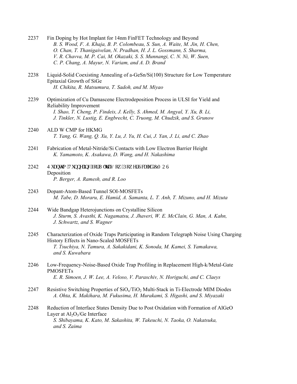- 2237 Fin Doping by Hot Implant for 14nm FinFET Technology and Beyond  *B. S. Wood, F. A. Khaja, B. P. Colombeau, S. Sun, A. Waite, M. Jin, H. Chen, O. Chan, T. Thanigaivelan, N. Pradhan, H. J. L. Gossmann, S. Sharma, V. R. Chavva, M. P. Cai, M. Okazaki, S. S. Munnangi, C. N. Ni, W. Suen, C. P. Chang, A. Mayur, N. Variam, and A. D. Brand*
- 2238 Liquid-Solid Coexisting Annealing of a-GeSn/Si(100) Structure for Low Temperature Epitaxial Growth of SiGe  *H. Chikita, R. Matsumura, T. Sadoh, and M. Miyao*
- 2239 Optimization of Cu Damascene Electrodeposition Process in ULSI for Yield and Reliability Improvement  *I. Shao, T. Cheng, P. Findeis, J. Kelly, S. Ahmed, M. Angyal, Y. Xu, B. Li, J. Tinkler, N. Lustig, E. Engbrecht, C. Truong, M. Chudzik, and S. Grunow*
- 2240 ALD W CMP for HKMG  *T. Yang, G. Wang, Q. Xu, Y. Lu, J. Yu, H. Cui, J. Yan, J. Li, and C. Zhao*
- 2241 Fabrication of Metal-Nitride/Si Contacts with Low Electron Barrier Height  *K. Yamamoto, K. Asakawa, D. Wang, and H. Nakashima*
- 2242 S w.pwo "Vwppgrkpi 'hqt"Wintc/Nqy /Rqy gt"Uecrgf 'EOQU Deposition  *P. Berger, A. Ramesh, and R. Loo*
- 2243 Dopant-Atom-Based Tunnel SOI-MOSFETs  *M. Tabe, D. Moraru, E. Hamid, A. Samanta, L. T. Anh, T. Mizuno, and H. Mizuta*
- 2244 Wide Bandgap Heterojunctions on Crystalline Silicon  *J. Sturm, S. Avasthi, K. Nagamatsu, J. Jhaveri, W. E. McClain, G. Man, A. Kahn, J. Schwartz, and S. Wagner*
- 2245 Characterization of Oxide Traps Participating in Random Telegraph Noise Using Charging History Effects in Nano-Scaled MOSFETs  *T. Tsuchiya, N. Tamura, A. Sakakidani, K. Sonoda, M. Kamei, S. Yamakawa, and S. Kuwabara*
- 2246 Low-Frequency-Noise-Based Oxide Trap Profiling in Replacement High-k/Metal-Gate PMOSFETs  *E. R. Simoen, J. W. Lee, A. Veloso, V. Paraschiv, N. Horiguchi, and C. Claeys*
- 2247 Resistive Switching Properties of  $SiO<sub>x</sub>/TiO<sub>2</sub> Multi-Stack in Ti-Electrode MIM Diodes$  *A. Ohta, K. Makihara, M. Fukusima, H. Murakami, S. Higashi, and S. Miyazaki*
- 2248 Reduction of Interface States Density Due to Post Oxidation with Formation of AlGeO Layer at  $Al_2O_3/Ge$  Interface  *S. Shibayama, K. Kato, M. Sakashita, W. Takeuchi, N. Taoka, O. Nakatsuka, and S. Zaima*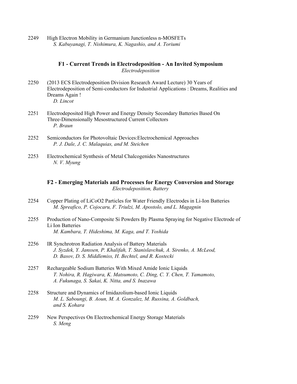2249 High Electron Mobility in Germanium Junctionless n-MOSFETs  *S. Kabuyanagi, T. Nishimura, K. Nagashio, and A. Toriumi* 

# **F1 - Current Trends in Electrodeposition - An Invited Symposium**  *Electrodeposition*

- 2250 (2013 ECS Electrodeposition Division Research Award Lecture) 30 Years of Electrodeposition of Semi-conductors for Industrial Applications : Dreams, Realities and Dreams Again !  *D. Lincot*
- 2251 Electrodeposited High Power and Energy Density Secondary Batteries Based On Three-Dimensionally Mesostructured Current Collectors  *P. Braun*
- 2252 Semiconductors for Photovoltaic Devices:Electrochemical Approaches  *P. J. Dale, J. C. Malaquias, and M. Steichen*
- 2253 Electrochemical Synthesis of Metal Chalcogenides Nanostructures  *N. V. Myung*

# **F2 - Emerging Materials and Processes for Energy Conversion and Storage**  *Electrodeposition, Battery*

- 2254 Copper Plating of LiCoO2 Particles for Water Friendly Electrodes in Li-Ion Batteries  *M. Spreafico, P. Cojocaru, F. Triulzi, M. Apostolo, and L. Magagnin*
- 2255 Production of Nano-Composite Si Powders By Plasma Spraying for Negative Electrode of Li Ion Batteries  *M. Kambara, T. Hideshima, M. Kaga, and T. Yoshida*
- 2256 IR Synchrotron Radiation Analysis of Battery Materials  *J. Syzdek, Y. Janssen, P. Khalifah, T. Stanislavchuk, A. Sirenko, A. McLeod, D. Basov, D. S. Middlemiss, H. Bechtel, and R. Kostecki*
- 2257 Rechargeable Sodium Batteries With Mixed Amide Ionic Liquids  *T. Nohira, R. Hagiwara, K. Matsumoto, C. Ding, C. Y. Chen, T. Yamamoto, A. Fukunaga, S. Sakai, K. Nitta, and S. Inazawa*
- 2258 Structure and Dynamics of Imidazolium-based Ionic Liquids  *M. L. Saboungi, B. Aoun, M. A. Gonzalez, M. Russina, A. Goldbach, and S. Kohara*
- 2259 New Perspectives On Electrochemical Energy Storage Materials  *S. Meng*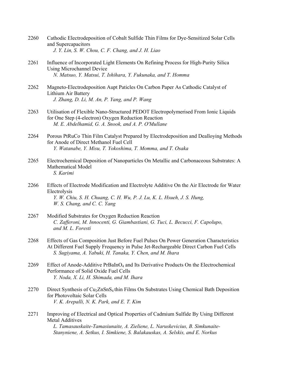- 2260 Cathodic Electrodeposition of Cobalt Sulfide Thin Films for Dye-Sensitized Solar Cells and Supercapacitors  *J. Y. Lin, S. W. Chou, C. F. Chang, and J. H. Liao*
- 2261 Influence of Incorporated Light Elements On Refining Process for High-Purity Silica Using Microchannel Device  *N. Matsuo, Y. Matsui, T. Ishihara, Y. Fukunaka, and T. Homma*
- 2262 Magneto-Electrodeposition Aupt Paticles On Carbon Paper As Cathodic Catalyst of Lithium Air Battery  *J. Zhang, D. Li, M. An, P. Yang, and P. Wang*
- 2263 Utilisation of Flexible Nano-Structured PEDOT Electropolymerised From Ionic Liquids for One Step (4-electron) Oxygen Reduction Reaction  *M. E. Abdelhamid, G. A. Snook, and A. P. O'Mullane*
- 2264 Porous PtRuCo Thin Film Catalyst Prepared by Electrodeposition and Dealloying Methods for Anode of Direct Methanol Fuel Cell  *Y. Watanabe, Y. Misu, T. Yokoshima, T. Momma, and T. Osaka*
- 2265 Electrochemical Deposition of Nanoparticles On Metallic and Carbonaceous Substrates: A Mathematical Model  *S. Karimi*
- 2266 Effects of Electrode Modification and Electrolyte Additive On the Air Electrode for Water Electrolysis  *Y. W. Chiu, S. H. Chuang, C. H. Wu, P. J. Lu, K. L. Hsueh, J. S. Hung, W. S. Chang, and C. C. Yang*
- 2267 Modified Substrates for Oxygen Reduction Reaction  *C. Zafferoni, M. Innocenti, G. Giambastiani, G. Tuci, L. Becucci, F. Capolupo, and M. L. Foresti*
- 2268 Effects of Gas Composition Just Before Fuel Pulses On Power Generation Characteristics At Different Fuel Supply Frequency in Pulse Jet-Rechargeable Direct Carbon Fuel Cells  *S. Sugiyama, A. Yabuki, H. Tanaka, Y. Chen, and M. Ihara*
- 2269 Effect of Anode-Additive PrBaInO<sub>4</sub> and Its Derivative Products On the Electrochemical Performance of Solid Oxide Fuel Cells  *Y. Noda, X. Li, H. Shimada, and M. Ihara*
- 2270 Direct Synthesis of Cu<sub>2</sub>ZnSnS<sub>4</sub> thin Films On Substrates Using Chemical Bath Deposition for Photovoltaic Solar Cells  *V. K. Arepalli, N. K. Park, and E. T. Kim*
- 2271 Improving of Electrical and Optical Properties of Cadmium Sulfide By Using Different Metal Additives  *L. Tamasauskaite-Tamasiunaite, A. Zieliene, L. Naruskevicius, B. Simkunaite-*

 *Stanyniene, A. Setkus, I. Simkiene, S. Balakauskas, A. Selskis, and E. Norkus*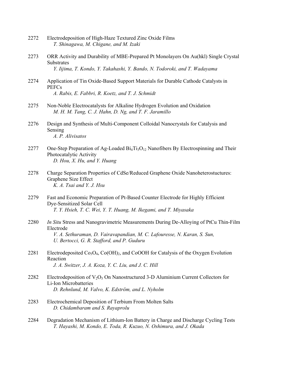- 2272 Electrodeposition of High-Haze Textured Zinc Oxide Films  *T. Shinagawa, M. Chigane, and M. Izaki*
- 2273 ORR Activity and Durability of MBE-Prepared Pt Monolayers On Au(hkl) Single Crystal **Substrates**  *Y. Iijima, T. Kondo, Y. Takahashi, Y. Bando, N. Todoroki, and T. Wadayama*
- 2274 Application of Tin Oxide-Based Support Materials for Durable Cathode Catalysts in **PEFCs**  *A. Rabis, E. Fabbri, R. Koetz, and T. J. Schmidt*
- 2275 Non-Noble Electrocatalysts for Alkaline Hydrogen Evolution and Oxidation  *M. H. M. Tang, C. J. Hahn, D. Ng, and T. F. Jaramillo*
- 2276 Design and Synthesis of Multi-Component Colloidal Nanocrystals for Catalysis and Sensing  *A. P. Alivisatos*
- 2277 One-Step Preparation of Ag-Loaded  $Bi_4Ti_3O_{12}$  Nanofibers By Electrospinning and Their Photocatalytic Activity  *D. Hou, X. Hu, and Y. Huang*
- 2278 Charge Separation Properties of CdSe/Reduced Graphene Oxide Nanoheterostuctures: Graphene Size Effect  *K. A. Tsai and Y. J. Hsu*
- 2279 Fast and Economic Preparation of Pt-Based Counter Electrode for Highly Efficient Dye-Sensitized Solar Cell  *T. Y. Hsieh, T. C. Wei, Y. T. Huang, M. Ikegami, and T. Miyasaka*
- 2280 *In Situ* Stress and Nanogravimetric Measurements During De-Alloying of PtCu Thin-Film Electrode  *V. A. Sethuraman, D. Vairavapandian, M. C. Lafouresse, N. Karan, S. Sun, U. Bertocci, G. R. Stafford, and P. Guduru*
- 2281 Electrodeposited  $Co<sub>3</sub>O<sub>4</sub>$ ,  $Co(OH)<sub>2</sub>$ , and CoOOH for Catalysis of the Oxygen Evolution Reaction  *J. A. Switzer, J. A. Koza, Y. C. Liu, and J. C. Hill*
- 2282 Electrodeposition of  $V_2O_5$  On Nanostructured 3-D Aluminium Current Collectors for Li-Ion Microbatteries  *D. Rehnlund, M. Valvo, K. Edström, and L. Nyholm*
- 2283 Electrochemical Deposition of Terbium From Molten Salts  *D. Chidambaram and S. Rayaprolu*
- 2284 Degradation Mechanism of Lithium-Ion Battery in Charge and Discharge Cycling Tests  *T. Hayashi, M. Kondo, E. Toda, R. Kuzuo, N. Oshimura, and J. Okada*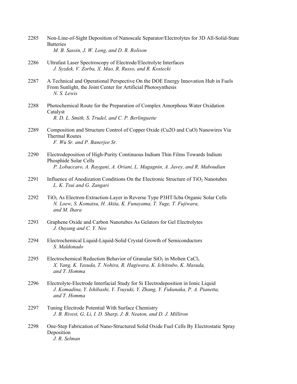| 2285 | Non-Line-of-Sight Deposition of Nanoscale Separator/Electrolytes for 3D All-Solid-State |
|------|-----------------------------------------------------------------------------------------|
|      | <b>Batteries</b>                                                                        |
|      | M. B. Sassin, J. W. Long, and D. R. Rolison                                             |

- 2286 Ultrafast Laser Spectroscopy of Electrode/Electrolyte Interfaces  *J. Syzdek, V. Zorba, X. Mao, R. Russo, and R. Kostecki*
- 2287 A Technical and Operational Perspective On the DOE Energy Innovation Hub in Fuels From Sunlight, the Joint Center for Artificial Photosynthesis  *N. S. Lewis*
- 2288 Photochemical Route for the Preparation of Complex Amorphous Water Oxidation Catalyst  *R. D. L. Smith, S. Trudel, and C. P. Berlinguette*
- 2289 Composition and Structure Control of Copper Oxide (Cu2O and CuO) Nanowires Via Thermal Routes  *F. Wu Sr. and P. Banerjee Sr.*
- 2290 Electrodeposition of High-Purity Continuous Indium Thin Films Towards Indium Phosphide Solar Cells  *P. Lobaccaro, A. Raygani, A. Oriani, L. Magagnin, A. Javey, and R. Maboudian*
- 2291 Influence of Anodization Conditions On the Electronic Structure of TiO<sub>2</sub> Nanotubes  *L. K. Tsui and G. Zangari*
- 2292 TiO2 As Electron-Extraction-Layer in Reverse Type P3HT/Icba Organic Solar Cells  *N. Loew, S. Komatsu, H. Akita, K. Funayama, T. Yuge, T. Fujiwara, and M. Ihara*
- 2293 Graphene Oxide and Carbon Nanotubes As Gelators for Gel Electrolytes  *J. Ouyang and C. Y. Neo*
- 2294 Electrochemical Liquid-Liquid-Solid Crystal Growth of Semiconductors  *S. Maldonado*
- 2295 Electrochemical Reduction Behavior of Granular  $SiO<sub>2</sub>$  in Molten CaCl<sub>2</sub>  *X. Yang, K. Yasuda, T. Nohira, R. Hagiwara, K. Ichitsubo, K. Masuda, and T. Homma*
- 2296 Electrolyte-Electrode Interfacial Study for Si Electrodeposition in Ionic Liquid  *J. Komadina, Y. Ishibashi, Y. Tsuyuki, Y. Zhang, Y. Fukunaka, P. A. Pianetta, and T. Homma*
- 2297 Tuning Electrode Potential With Surface Chemistry  *J. B. Rivest, G. Li, I. D. Sharp, J. B. Neaton, and D. J. Milliron*
- 2298 One-Step Fabrication of Nano-Structured Solid Oxide Fuel Cells By Electrostatic Spray Deposition  *J. R. Selman*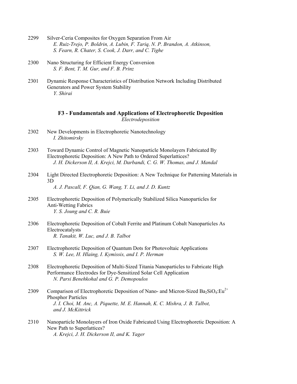- 2299 Silver-Ceria Composites for Oxygen Separation From Air  *E. Ruiz-Trejo, P. Boldrin, A. Lubin, F. Tariq, N. P. Brandon, A. Atkinson, S. Fearn, R. Chater, S. Cook, J. Darr, and C. Tighe*
- 2300 Nano Structuring for Efficient Energy Conversion  *S. F. Bent, T. M. Gur, and F. B. Prinz*
- 2301 Dynamic Response Characteristics of Distribution Network Including Distributed Generators and Power System Stability  *Y. Shirai*

# **F3 - Fundamentals and Applications of Electrophoretic Deposition**  *Electrodeposition*

- 2302 New Developments in Electrophoretic Nanotechnology  *I. Zhitomirsky*
- 2303 Toward Dynamic Control of Magnetic Nanoparticle Monolayers Fabricated By Electrophoretic Deposition: A New Path to Ordered Superlattices?  *J. H. Dickerson II, A. Krejci, M. Darbandi, C. G. W. Thomas, and J. Mandal*
- 2304 Light Directed Electrophoretic Deposition: A New Technique for Patterning Materials in 3D  *A. J. Pascall, F. Qian, G. Wang, Y. Li, and J. D. Kuntz*
- 2305 Electrophoretic Deposition of Polymerically Stabilized Silica Nanoparticles for Anti-Wetting Fabrics  *Y. S. Joung and C. R. Buie*
- 2306 Electrophoretic Deposition of Cobalt Ferrite and Platinum Cobalt Nanoparticles As Electrocatalysts  *R. Tanakit, W. Luc, and J. B. Talbot*
- 2307 Electrophoretic Deposition of Quantum Dots for Photovoltaic Applications  *S. W. Lee, H. Hlaing, I. Kymissis, and I. P. Herman*
- 2308 Electrophoretic Deposition of Multi-Sized Titania Nanoparticles to Fabricate High Performance Electrodes for Dye-Sensitized Solar Cell Application  *N. Parsi Benehkohal and G. P. Demopoulos*
- 2309 Comparison of Electrophoretic Deposition of Nano- and Micron-Sized Ba<sub>2</sub>SiO<sub>4</sub>:Eu<sup>2+</sup> Phosphor Particles  *J. I. Choi, M. Anc, A. Piquette, M. E. Hannah, K. C. Mishra, J. B. Talbot, and J. McKittrick*
- 2310 Nanoparticle Monolayers of Iron Oxide Fabricated Using Electrophoretic Deposition: A New Path to Superlattices?  *A. Krejci, J. H. Dickerson II, and K. Yager*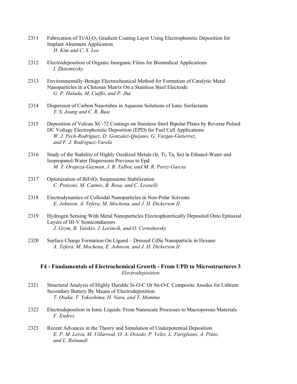- 2311 Fabrication of  $Ti/A<sub>2</sub>O<sub>3</sub>$  Gradient Coating Layer Using Electrophoretic Deposition for Implant Abutment Application  *H. Kim and C. S. Lee*
- 2312 Electrodeposition of Organic-Inorganic Films for Biomedical Applications  *I. Zhitomirsky*
- 2313 Environmentally-Benign Electrochemical Method for Formation of Catalytic Metal Nanoparticles in a Chitosan Matrix On a Stainless Steel Electrode  *G. P. Halada, M. Cuiffo, and P. Jha*
- 2314 Dispersion of Carbon Nanotubes in Aqueous Solutions of Ionic Surfactants  *Y. S. Joung and C. R. Buie*
- 2315 Deposition of Vulcan XC-72 Coatings on Stainless Steel Bipolar Plates by Reverse Pulsed DC Voltage Electrophoretic Deposition (EPD) for Fuel Cell Applications  *W. J. Pech-Rodriguez, D. Gonzalez-Quijano, G. Vargas-Gutierrez, and F. J. Rodriguez-Varela*
- 2316 Study of the Stability of Highly Oxidized Metals (Ir, Ti, Ta, Sn) in Ethanol-Water and Isopropanol-Water Dispersions Previous to Epd  *M. T. Oropeza-Guzman, J. B. Talbot, and M. R. Perez-Garcia*
- $2317$  Optimization of BiFeO<sub>3</sub> Suspensions Stabilization  *C. Ponzoni, M. Cannio, R. Rosa, and C. Leonelli*
- 2318 Electrodynamics of Colloidal Nanoparticles in Non-Polar Solvents  *E. Johnson, A. Tefera, M. Mochena, and J. H. Dickerson II*
- 2319 Hydrogen Sensing With Metal Nanoparticles Electrophoretically Deposited Onto Epitaxial Layers of III-V Semiconductors  *J. Grym, R. Yatskiv, J. Lorincik, and O. Cernohorsky*
- 2320 Surface Charge Formation On Ligand Dressed CdSe Nanoparticle in Hexane  *A. Tefera, M. Mochena, E. Johnson, and J. H. Dickerson II*

### **F4 - Fundamentals of Electrochemical Growth - From UPD to Microstructures 3**  *Electrodeposition*

- 2321 Structural Analysis of Highly Durable Si-O-C Or Sn-O-C Composite Anodes for Lithium Secondary Battery By Means of Electrodeposition  *T. Osaka, T. Yokoshima, H. Nara, and T. Momma*
- 2322 Electrodeposition in Ionic Liquids: From Nanoscale Processes to Macroporous Materials  *F. Endres*
- 2323 Recent Advances in the Theory and Simulation of Underpotential Deposition  *E. P. M. Leiva, M. Villarreal, O. A. Oviedo, P. Velez, L. Farigliano, A. Pinto, and L. Reinaudi*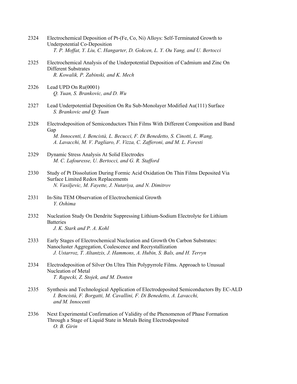- 2324 Electrochemical Deposition of Pt-(Fe, Co, Ni) Alloys: Self-Terminated Growth to Underpotential Co-Deposition  *T. P. Moffat, Y. Liu, C. Hangarter, D. Gokcen, L. Y. Ou Yang, and U. Bertocci*
- 2325 Electrochemical Analysis of the Underpotential Deposition of Cadmium and Zinc On Different Substrates  *R. Kowalik, P. Zabinski, and K. Mech*
- 2326 Lead UPD On Ru(0001)  *Q. Yuan, S. Brankovic, and D. Wu*
- 2327 Lead Underpotential Deposition On Ru Sub-Monolayer Modified Au(111) Surface  *S. Brankovic and Q. Yuan*
- 2328 Electrodeposition of Semiconductors Thin Films With Different Composition and Band Gap  *M. Innocenti, I. Bencistà, L. Becucci, F. Di Benedetto, S. Cinotti, L. Wang, A. Lavacchi, M. V. Pagliaro, F. Vizza, C. Zafferoni, and M. L. Foresti*
- 2329 Dynamic Stress Analysis At Solid Electrodes  *M. C. Lafouresse, U. Bertocci, and G. R. Stafford*
- 2330 Study of Pt Dissolution During Formic Acid Oxidation On Thin Films Deposited Via Surface Limited Redox Replacements  *N. Vasiljevic, M. Fayette, J. Nutariya, and N. Dimitrov*
- 2331 In-Situ TEM Observation of Electrochemical Growth  *Y. Oshima*
- 2332 Nucleation Study On Dendrite Suppressing Lithium-Sodium Electrolyte for Lithium **Batteries**  *J. K. Stark and P. A. Kohl*
- 2333 Early Stages of Electrochemical Nucleation and Growth On Carbon Substrates: Nanocluster Aggregation, Coalescence and Recrystallization  *J. Ustarroz, T. Altantzis, J. Hammons, A. Hubin, S. Bals, and H. Terryn*
- 2334 Electrodeposition of Silver On Ultra Thin Polypyrrole Films. Approach to Unusual Nucleation of Metal  *T. Rapecki, Z. Stojek, and M. Donten*
- 2335 Synthesis and Technological Application of Electrodeposited Semiconductors By EC-ALD  *I. Bencistà, F. Borgatti, M. Cavallini, F. Di Benedetto, A. Lavacchi, and M. Innocenti*
- 2336 Next Experimental Confirmation of Validity of the Phenomenon of Phase Formation Through a Stage of Liquid State in Metals Being Electrodeposited  *O. B. Girin*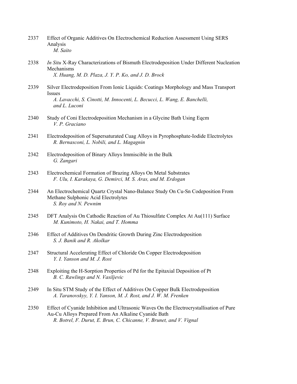- 2337 Effect of Organic Additives On Electrochemical Reduction Assessment Using SERS Analysis  *M. Saito*
- 2338 *In Situ* X-Ray Characterizations of Bismuth Electrodeposition Under Different Nucleation Mechanisms  *X. Huang, M. D. Plaza, J. Y. P. Ko, and J. D. Brock*
- 2339 Silver Electrodeposition From Ionic Liquids: Coatings Morphology and Mass Transport Issues  *A. Lavacchi, S. Cinotti, M. Innocenti, L. Becucci, L. Wang, E. Banchelli, and L. Luconi*
- 2340 Study of Coni Electrodeposition Mechanism in a Glycine Bath Using Eqcm  *V. P. Graciano*
- 2341 Electrodeposition of Supersaturated Cuag Alloys in Pyrophosphate-Iodide Electrolytes  *R. Bernasconi, L. Nobili, and L. Magagnin*
- 2342 Electrodeposition of Binary Alloys Immiscible in the Bulk  *G. Zangari*
- 2343 Electrochemical Formation of Brazing Alloys On Metal Substrates  *F. Ulu, I. Karakaya, G. Demirci, M. S. Aras, and M. Erdogan*
- 2344 An Electrochemical Quartz Crystal Nano-Balance Study On Cu-Sn Codeposition From Methane Sulphonic Acid Electrolytes  *S. Roy and N. Pewnim*
- 2345 DFT Analysis On Cathodic Reaction of Au Thiosulfate Complex At Au(111) Surface  *M. Kunimoto, H. Nakai, and T. Homma*
- 2346 Effect of Additives On Dendritic Growth During Zinc Electrodeposition  *S. J. Banik and R. Akolkar*
- 2347 Structural Accelerating Effect of Chloride On Copper Electrodeposition  *Y. I. Yanson and M. J. Rost*
- 2348 Exploiting the H-Sorption Properties of Pd for the Epitaxial Deposition of Pt  *B. C. Rawlings and N. Vasiljevic*
- 2349 In Situ STM Study of the Effect of Additives On Copper Bulk Electrodeposition  *A. Taranovskyy, Y. I. Yanson, M. J. Rost, and J. W. M. Frenken*
- 2350 Effect of Cyanide Inhibition and Ultrasonic Waves On the Electrocrystallisation of Pure Au-Cu Alloys Prepared From An Alkaline Cyanide Bath  *R. Botrel, F. Durut, E. Brun, C. Chicanne, V. Brunet, and V. Vignal*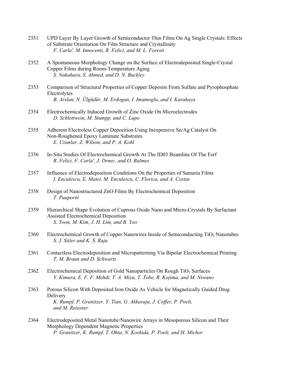- 2351 UPD Layer By Layer Growth of Semiconductor Thin Films On Ag Single Crystals: Effects of Substrate Orientation On Film Structure and Crystallinity  *F. Carla', M. Innocenti, R. Felici, and M. L. Foresti*
- 2352 A Spontaneous Morphology Change on the Surface of Electrodeposited Single-Crystal Copper Films during Room-Temperature Aging  *S. Nakahara, S. Ahmed, and D. N. Buckley*
- 2353 Comparison of Structural Properties of Copper Deposits From Sulfate and Pyrophosphate Electrolytes  *B. Arslan, N. Ülgüdür, M. Erdogan, I. Imamoglu, and I. Karakaya*
- 2354 Electrochemically Induced Growth of Zinc Oxide On Microelectrodes  *D. Schlettwein, M. Stumpp, and C. Lupo*
- 2355 Adherent Electroless Copper Deposition Using Inexpensive Sn/Ag Catalyst On Non-Roughened Epoxy Laminate Substrates  *E. Uzunlar, Z. Wilson, and P. A. Kohl*
- 2356 In-Situ Studies Of Electrochemical Growth At The ID03 Beamline Of The Esrf  *R. Felici, F. Carla', J. Drnec, and O. Balmes*
- 2357 Influence of Electrodeposition Conditions On the Properties of Samaria Films  *I. Enculescu, E. Matei, M. Enculescu, C. Florica, and A. Costas*
- 2358 Design of Nanostructured ZnO Films By Electrochemical Deposition  *T. Pauporté*
- 2359 Hierarchical Shape Evolution of Cuprous Oxide Nano and Micro-Crystals By Surfactant Assisted Electrochemical Deposition  *S. Yoon, M. Kim, J. H. Lim, and B. Yoo*
- 2360 Electrochemical Growth of Copper Nanowires Inside of Semiconducting TiO<sub>2</sub> Nanotubes  *S. J. Sitler and K. S. Raja*
- 2361 Contactless Electrodeposition and Micropatterning Via Bipolar Electrochemical Printing  *T. M. Braun and D. Schwartz*
- 2362 Electrochemical Deposition of Gold Nanoparticles On Rough TiO<sub>2</sub> Surfaces  *Y. Kimura, E. F. F. Mehdi, T. A. Miya, T. Tobe, R. Kojima, and M. Niwano*
- 2363 Porous Silicon With Deposited Iron Oxide As Vehicle for Magnetically Guided Drug Delivery  *K. Rumpf, P. Granitzer, Y. Tian, G. Akkaraju, J. Coffer, P. Poelt, and M. Reissner*
- 2364 Electrodeposited Metal Nanotube/Nanowire Arrays in Mesoporous Silicon and Their Morphology Dependent Magnetic Properties  *P. Granitzer, K. Rumpf, T. Ohta, N. Koshida, P. Poelt, and H. Michor*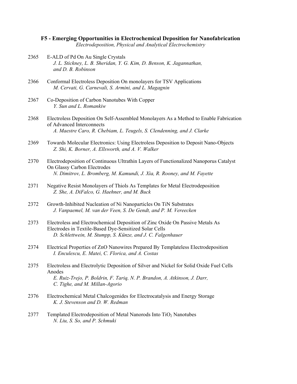# **F5 - Emerging Opportunities in Electrochemical Deposition for Nanofabrication**

*Electrodeposition, Physical and Analytical Electrochemistry* 

- 2365 E-ALD of Pd On Au Single Crystals  *J. L. Stickney, L. B. Sheridan, Y. G. Kim, D. Benson, K. Jagannathan, and D. B. Robinson*
- 2366 Conformal Electroless Deposition On monolayers for TSV Applications  *M. Cervati, G. Carnevali, S. Armini, and L. Magagnin*
- 2367 Co-Deposition of Carbon Nanotubes With Copper  *Y. Sun and L. Romankiw*
- 2368 Electroless Deposition On Self-Assembled Monolayers As a Method to Enable Fabrication of Advanced Interconnects  *A. Maestre Caro, R. Chebiam, L. Teugels, S. Clendenning, and J. Clarke*
- 2369 Towards Molecular Electronics: Using Electroless Deposition to Deposit Nano-Objects  *Z. Shi, K. Borner, A. Ellsworth, and A. V. Walker*
- 2370 Electrodeposition of Continuous Ultrathin Layers of Functionalized Nanoporus Catalyst On Glassy Carbon Electrodes  *N. Dimitrov, L. Bromberg, M. Kamundi, J. Xia, R. Rooney, and M. Fayette*
- 2371 Negative Resist Monolayers of Thiols As Templates for Metal Electrodeposition  *Z. She, A. DiFalco, G. Haehner, and M. Buck*
- 2372 Growth-Inhibited Nucleation of Ni Nanoparticles On TiN Substrates  *J. Vanpaemel, M. van der Veen, S. De Gendt, and P. M. Vereecken*
- 2373 Electroless and Electrochemical Deposition of Zinc Oxide On Passive Metals As Electrodes in Textile-Based Dye-Sensitized Solar Cells  *D. Schlettwein, M. Stumpp, S. Künze, and J. C. Falgenhauer*
- 2374 Electrical Properties of ZnO Nanowires Prepared By Templateless Electrodeposition  *I. Enculescu, E. Matei, C. Florica, and A. Costas*
- 2375 Electroless and Electrolytic Deposition of Silver and Nickel for Solid Oxide Fuel Cells Anodes  *E. Ruiz-Trejo, P. Boldrin, F. Tariq, N. P. Brandon, A. Atkinson, J. Darr, C. Tighe, and M. Millan-Agorio*
- 2376 Electrochemical Metal Chalcogenides for Electrocatalysis and Energy Storage  *K. J. Stevenson and D. W. Redman*
- 2377 Templated Electrodeposition of Metal Nanorods Into  $TiO<sub>2</sub>$  Nanotubes  *N. Liu, S. So, and P. Schmuki*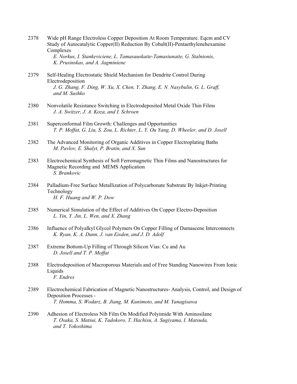|      | Study of Autocatalytic Copper(II) Reduction By Cobalt(II)-Pentaethylenehexamine<br>Complexes<br>E. Norkus, I. Stankeviciene, L. Tamasauskaite-Tamasiunaite, G. Stalnionis,<br>K. Prusinskas, and A. Jagminiene |
|------|----------------------------------------------------------------------------------------------------------------------------------------------------------------------------------------------------------------|
| 2379 | Self-Healing Electrostatic Shield Mechanism for Dendrite Control During<br>Electrodeposition<br>J. G. Zhang, F. Ding, W. Xu, X. Chen, Y. Zhang, E. N. Nasybulin, G. L. Graff,<br>and M. Sushko                 |
| 2380 | Nonvolatile Resistance Switching in Electrodeposited Metal Oxide Thin Films<br>J. A. Switzer, J. A. Koza, and I. Schroen                                                                                       |
| 2381 | Superconformal Film Growth: Challenges and Opportunities<br>T. P. Moffat, G. Liu, S. Zou, L. Richter, L. Y. Ou Yang, D. Wheeler, and D. Josell                                                                 |
| 2382 | The Advanced Monitoring of Organic Additives in Copper Electroplating Baths<br>M. Pavlov, E. Shalyt, P. Bratin, and X. Sun                                                                                     |
| 2383 | Electrochemical Synthesis of Soft Ferromagnetic Thin Films and Nanostructures for<br>Magnetic Recording and MEMS Application<br>S. Brankovic                                                                   |
| 2384 | Palladium-Free Surface Metallization of Polycarbonate Substrate By Inkjet-Printing<br>Technology<br>H. F. Huang and W. P. Dow                                                                                  |
| 2385 | Numerical Simulation of the Effect of Additives On Copper Electro-Deposition<br>L. Yin, Y. Jin, L. Wen, and X. Zhang                                                                                           |
| 2386 | Influence of Polyalkyl Glycol Polymers On Copper Filling of Damascene Interconnects<br>K. Ryan, K. A. Dunn, J. van Eisden, and J. D. Adolf                                                                     |
| 2387 | Extreme Bottom-Up Filling of Through Silicon Vias: Cu and Au<br>D. Josell and T. P. Moffat                                                                                                                     |
| 2388 | Electrodeposition of Macroporous Materials and of Free Standing Nanowires From Ionic<br>Liquids<br>F. Endres                                                                                                   |
| 2389 | Electrochemical Fabrication of Magnetic Nanostructures-Analysis, Control, and Design of<br>Deposition Processes -<br>T. Homma, S. Wodarz, B. Jiang, M. Kunimoto, and M. Yanagisawa                             |
| 2390 | Adhesion of Electroless Nib Film On Modified Polyimide With Aminosilane<br>T. Osaka, S. Matsui, K. Tadokoro, T. Hachisu, A. Sugiyama, I. Matsuda,<br>and T. Yokoshima                                          |
|      |                                                                                                                                                                                                                |

2378 Wide pH Range Electroless Copper Deposition At Room Temperature. Eqcm and CV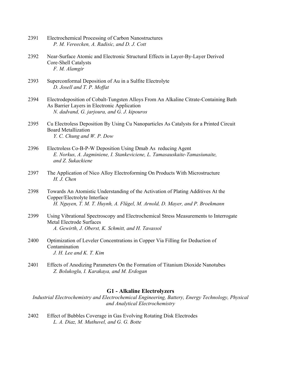| 2391 | Electrochemical Processing of Carbon Nanostructures |
|------|-----------------------------------------------------|
|      | P. M. Vereecken, A. Radisic, and D. J. Cott         |

- 2392 Near-Surface Atomic and Electronic Structural Effects in Layer-By-Layer Derived Core-Shell Catalysts  *F. M. Alamgir*
- 2393 Superconformal Deposition of Au in a Sulfite Electrolyte  *D. Josell and T. P. Moffat*
- 2394 Electrodeposition of Cobalt-Tungsten Alloys From An Alkaline Citrate-Containing Bath As Barrier Layers in Electronic Application  *N. dadvand, G. jarjoura, and G. J. kipouros*
- 2395 Cu Electroless Deposition By Using Cu Nanoparticles As Catalysts for a Printed Circuit Board Metallization  *Y. C. Chung and W. P. Dow*
- 2396 Electroless Co-B-P-W Deposition Using Dmab As reducing Agent  *E. Norkus, A. Jagminiene, I. Stankeviciene, L. Tamasauskaite-Tamasiunaite, and Z. Sukackiene*
- 2397 The Application of Nico Alloy Electroforming On Products With Microstructure  *H. J. Chen*
- 2398 Towards An Atomistic Understanding of the Activation of Plating Additives At the Copper/Electrolyte Interface  *H. Nguyen, T. M. T. Huynh, A. Flügel, M. Arnold, D. Mayer, and P. Broekmann*
- 2399 Using Vibrational Spectroscopy and Electrochemical Stress Measurements to Interrogate Metal Electrode Surfaces  *A. Gewirth, J. Oberst, K. Schmitt, and H. Tavassol*
- 2400 Optimization of Leveler Concentrations in Copper Via Filling for Deduction of Contamination  *J. H. Lee and K. T. Kim*
- 2401 Effects of Anodizing Parameters On the Formation of Titanium Dioxide Nanotubes  *Z. Bolukoglu, I. Karakaya, and M. Erdogan*

### **G1 - Alkaline Electrolyzers**

*Industrial Electrochemistry and Electrochemical Engineering, Battery, Energy Technology, Physical and Analytical Electrochemistry* 

2402 Effect of Bubbles Coverage in Gas Evolving Rotating Disk Electrodes  *L. A. Diaz, M. Muthuvel, and G. G. Botte*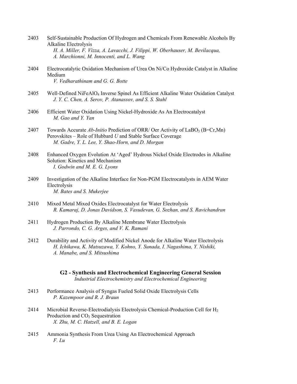| 2403 | Self-Sustainable Production Of Hydrogen and Chemicals From Renewable Alcohols By |
|------|----------------------------------------------------------------------------------|
|      | Alkaline Electrolysis                                                            |
|      | H. A. Miller, F. Vizza, A. Lavacchi, J. Filippi, W. Oberhauser, M. Bevilacqua,   |
|      | A. Marchionni, M. Innocenti, and L. Wang                                         |

- 2404 Electrocatalytic Oxidation Mechanism of Urea On Ni/Co Hydroxide Catalyst in Alkaline Medium  *V. Vedharathinam and G. G. Botte*
- 2405 Well-Defined NiFeAlO4 Inverse Spinel As Efficient Alkaline Water Oxidation Catalyst  *J. Y. C. Chen, A. Serov, P. Atanassov, and S. S. Stahl*
- 2406 Efficient Water Oxidation Using Nickel-Hydroxide As An Electrocatalyst  *M. Gao and Y. Yan*
- 2407 Towards Accurate *Ab-Initio* Prediction of ORR/ Oer Activity of LaBO<sub>3</sub> (B=Cr,Mn) Perovskites – Role of Hubbard *U* and Stable Surface Coverage  *M. Gadre, Y. L. Lee, Y. Shao-Horn, and D. Morgan*
- 2408 Enhanced Oxygen Evolution At 'Aged' Hydrous Nickel Oxide Electrodes in Alkaline Solution: Kinetics and Mechanism  *I. Godwin and M. E. G. Lyons*
- 2409 Investigation of the Alkaline Interface for Non-PGM Electrocatalysts in AEM Water Electrolysis  *M. Bates and S. Mukerjee*
- 2410 Mixed Metal Mixed Oxides Electrocatalyst for Water Electrolysis  *R. Kamaraj, D. Jonas Davidson, S. Vasudevan, G. Sozhan, and S. Ravichandran*
- 2411 Hydrogen Production By Alkaline Membrane Water Electrolysis  *J. Parrondo, C. G. Arges, and V. K. Ramani*
- 2412 Durability and Activity of Modified Nickel Anode for Alkaline Water Electrolysis  *H. Ichikawa, K. Matsuzawa, Y. Kohno, Y. Sunada, I. Nagashima, Y. Nishiki, A. Manabe, and S. Mitsushima* 
	- **G2 Synthesis and Electrochemical Engineering General Session**  *Industrial Electrochemistry and Electrochemical Engineering*
- 2413 Performance Analysis of Syngas Fueled Solid Oxide Electrolysis Cells  *P. Kazempoor and R. J. Braun*
- 2414 Microbial Reverse-Electrodialysis Electrolysis Chemical-Production Cell for  $H_2$ Production and CO<sub>2</sub> Sequestration  *X. Zhu, M. C. Hatzell, and B. E. Logan*
- 2415 Ammonia Synthesis From Urea Using An Electrochemical Approach  *F. Lu*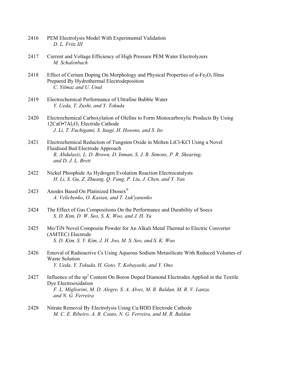| 2416 | PEM Electrolysis Model With Experimental Validation |
|------|-----------------------------------------------------|
|      | D. L. Fritz III                                     |

- 2417 Current and Voltage Efficiency of High Pressure PEM Water Electrolyzers  *M. Schalenbach*
- 2418 Effect of Cerium Doping On Morphology and Physical Properties of  $\alpha$ -Fe<sub>2</sub>O<sub>3</sub> films Prepared By Hydrothermal Electrodeposition  *C. Yilmaz and U. Unal*
- 2419 Electrochemical Performance of Ultrafine Bubble Water  *Y. Ueda, T. Zushi, and Y. Tokuda*
- 2420 Electrochemical Carboxylation of Olefins to Form Monocarboxylic Products By Using  $12CaO·7Al<sub>2</sub>O<sub>3</sub>$  Electride Cathode  *J. Li, T. Fuchigami, S. Inagi, H. Hosono, and S. Ito*
- 2421 Electrochemical Reduction of Tungsten Oxide in Molten LiCl-KCl Using a Novel Fluidised Bed Electrode Approach  *R. Abdulaziz, L. D. Brown, D. Inman, S. J. R. Simons, P. R. Shearing, and D. J. L. Brett*
- 2422 Nickel Phosphide As Hydrogen Evolution Reaction Electrocatalysts  *H. Li, S. Gu, Z. Zhuang, Q. Fang, P. Liu, J. Chen, and Y. Yan*
- 2423 Anodes Based On Platinized Ebonex<sup>®</sup>  *A. Velichenko, O. Kasian, and T. Luk'yanenko*
- 2424 The Effect of Gas Compositions On the Performance and Durability of Soecs  *S. D. Kim, D. W. Seo, S. K. Woo, and J. H. Yu*
- 2425 Mo/TiN Novel Composite Powder for An Alkali Metal Thermal to Electric Converter (AMTEC) Electrode  *S. D. Kim, S. Y. Kim, J. H. Joo, M. S. Seo, and S. K. Woo*
- 2426 Emoval of Radioactive Cs Using Aqueous Sodium Metasilicate With Reduced Volumes of Waste Solution  *Y. Ueda, Y. Tokuda, H. Goto, T. Kobayashi, and Y. Ono*
- 2427 Influence of the  $sp^2$  Content On Boron Doped Diamond Electrodes Applied in the Textile Dye Electrooxidation  *F. L. Migliorini, M. D. Alegre, S. A. Alves, M. R. Baldan, M. R. V. Lanza, and N. G. Ferreira*
- 2428 Nitrate Removal By Electrolysis Using Cu/BDD Electrode Cathode  *M. C. E. Ribeiro, A. B. Couto, N. G. Ferreira, and M. R. Baldan*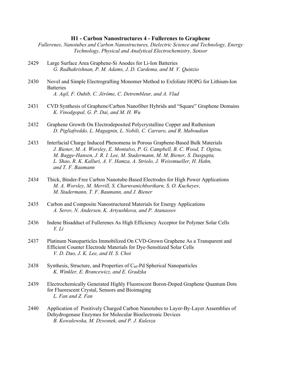#### **H1 - Carbon Nanostructures 4 - Fullerenes to Graphene**

*Fullerenes, Nanotubes and Carbon Nanostructures, Dielectric Science and Technology, Energy Technology, Physical and Analytical Electrochemistry, Sensor* 

- 2429 Large Surface Area Graphene-Si Anodes for Li-Ion Batteries  *G. Radhakrishnan, P. M. Adams, J. D. Cardema, and M. V. Quinzio*
- 2430 Novel and Simple Electrografting Monomer Method to Exfoliate HOPG for Lithium-Ion **Batteries**  *A. Aqil, F. Ouhib, C. Jérôme, C. Detrembleur, and A. Vlad*
- 2431 CVD Synthesis of Graphene/Carbon Nanofiber Hybrids and "Square" Graphene Domains  *K. Vinodgopal, G. P. Dai, and M. H. Wu*
- 2432 Graphene Growth On Electrodeposited Polycrystalline Copper and Ruthenium  *D. Pigliafreddo, L. Magagnin, L. Nobili, C. Carraro, and R. Maboudian*
- 2433 Interfacial Charge Induced Phenomena in Porous Graphene-Based Bulk Materials  *J. Biener, M. A. Worsley, E. Montalvo, P. G. Campbell, B. C. Wood, T. Ogitsu, M. Bagge-Hansen, J. R. I. Lee, M. Stadermann, M. M. Biener, S. Dasgupta, L. Shao, R. K. Kalluri, A. V. Hamza, A. Striolo, J. Weissmueller, H. Hahn, and T. F. Baumann*
- 2434 Thick, Binder-Free Carbon Nanotube-Based Electrodes for High Power Applications  *M. A. Worsley, M. Merrill, S. Charnvanichborikarn, S. O. Kucheyev, M. Stadermann, T. F. Baumann, and J. Biener*
- 2435 Carbon and Composite Nanostructured Materials for Energy Applications  *A. Serov, N. Andersen, K. Artyushkova, and P. Atanassov*
- 2436 Indene Bisadduct of Fullerenes As High Efficiency Acceptor for Polymer Solar Cells  *Y. Li*
- 2437 Platinum Nanoparticles Immobilized On CVD-Grown Graphene As a Transparent and Efficient Counter Electrode Materials for Dye-Sensitized Solar Cells  *V. D. Dao, J. K. Lee, and H. S. Choi*
- 2438 Synthesis, Structure, and Properties of  $C_{60}$ -Pd Spherical Nanoparticles  *K. Winkler, E. Brancewicz, and E. Gradzka*
- 2439 Electrochemically Generated Highly Fluorescent Boron-Doped Graphene Quantum Dots for Fluorescent Crystal, Sensors and Bioimaging  *L. Fan and Z. Fan*
- 2440 Application of Positively Charged Carbon Nanotubes to Layer-By-Layer Assemblies of Dehydrogenase Enzymes for Molecular Bioelectronic Devices  *B. Kowalewska, M. Dzwonek, and P. J. Kulesza*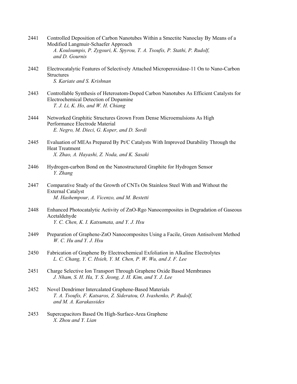| 2441 | Controlled Deposition of Carbon Nanotubes Within a Smectite Nanoclay By Means of a |
|------|------------------------------------------------------------------------------------|
|      | Modified Langmuir-Schaefer Approach                                                |
|      | A. Kouloumpis, P. Zygouri, K. Spyrou, T. A. Tsoufis, P. Stathi, P. Rudolf,         |
|      | and D. Gournis                                                                     |
|      |                                                                                    |

- 2442 Electrocatalytic Features of Selectively Attached Microperoxidase-11 On to Nano-Carbon **Structures**  *S. Kariate and S. Krishnan*
- 2443 Controllable Synthesis of Heteroatom-Doped Carbon Nanotubes As Efficient Catalysts for Electrochemical Detection of Dopamine  *T. J. Li, K. Ho, and W. H. Chiang*
- 2444 Networked Graphitic Structures Grown From Dense Microemulsions As High Performance Electrode Material  *E. Negro, M. Dieci, G. Koper, and D. Sordi*
- 2445 Evaluation of MEAs Prepared By Pt/C Catalysts With Improved Durability Through the Heat Treatment  *X. Zhao, A. Hayashi, Z. Noda, and K. Sasaki*
- 2446 Hydrogen-carbon Bond on the Nanostructured Graphite for Hydrogen Sensor  *Y. Zhang*
- 2447 Comparative Study of the Growth of CNTs On Stainless Steel With and Without the External Catalyst  *M. Hashempour, A. Vicenzo, and M. Bestetti*
- 2448 Enhanced Photocatalytic Activity of ZnO-Rgo Nanocomposites in Degradation of Gaseous Acetaldehyde  *Y. C. Chen, K. I. Katsumata, and Y. J. Hsu*
- 2449 Preparation of Graphene-ZnO Nanocomposites Using a Facile, Green Antisolvent Method  *W. C. Hu and Y. J. Hsu*
- 2450 Fabrication of Graphene By Electrochemical Exfoliation in Alkaline Electrolytes  *L. C. Chang, Y. C. Hsieh, Y. M. Chen, P. W. Wu, and J. F. Lee*
- 2451 Charge Selective Ion Transport Through Graphene Oxide Based Membranes  *J. Nham, S. H. Ha, Y. S. Jeong, J. H. Kim, and Y. J. Lee*
- 2452 Novel Dendrimer Intercalated Graphene-Based Materials  *T. A. Tsoufis, F. Katsaros, Z. Sideratou, O. Ivashenko, P. Rudolf, and M. A. Karakassides*
- 2453 Supercapacitors Based On High-Surface-Area Graphene  *X. Zhou and Y. Lian*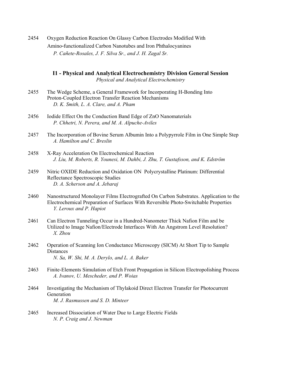2454 Oxygen Reduction Reaction On Glassy Carbon Electrodes Modified With Amino-functionalized Carbon Nanotubes and Iron Phthalocyanines  *P. Cañete-Rosales, J. F. Silva Sr., and J. H. Zagal Sr.* 

## **I1 - Physical and Analytical Electrochemistry Division General Session**  *Physical and Analytical Electrochemistry*

- 2455 The Wedge Scheme, a General Framework for Incorporating H-Bonding Into Proton-Coupled Electron Transfer Reaction Mechanisms  *D. K. Smith, L. A. Clare, and A. Pham*
- 2456 Iodide Effect On the Conduction Band Edge of ZnO Nanomaterials  *P. Chhetri, N. Perera, and M. A. Alpuche-Aviles*
- 2457 The Incorporation of Bovine Serum Albumin Into a Polypyrrole Film in One Simple Step  *A. Hamilton and C. Breslin*
- 2458 X-Ray Acceleration On Electrochemical Reaction  *J. Liu, M. Roberts, R. Younesi, M. Dahbi, J. Zhu, T. Gustafsson, and K. Edström*
- 2459 Nitric OXIDE Reduction and Oxidation ON Polycrystalline Platinum: Differential Reflectance Spectroscopic Studies  *D. A. Scherson and A. Jebaraj*
- 2460 Nanostructured Monolayer Films Electrografted On Carbon Substrates. Application to the Electrochemical Preparation of Surfaces With Reversible Photo-Switchable Properties  *Y. Leroux and P. Hapiot*
- 2461 Can Electron Tunneling Occur in a Hundred-Nanometer Thick Nafion Film and be Utilized to Image Nafion/Electrode Interfaces With An Angstrom Level Resolution?  *X. Zhou*
- 2462 Operation of Scanning Ion Conductance Microscopy (SICM) At Short Tip to Sample Distances  *N. Sa, W. Shi, M. A. Derylo, and L. A. Baker*
- 2463 Finite-Elements Simulation of Etch Front Propagation in Silicon Electropolishing Process  *A. Ivanov, U. Mescheder, and P. Woias*
- 2464 Investigating the Mechanism of Thylakoid Direct Electron Transfer for Photocurrent Generation  *M. J. Rasmussen and S. D. Minteer*
- 2465 Increased Dissociation of Water Due to Large Electric Fields  *N. P. Craig and J. Newman*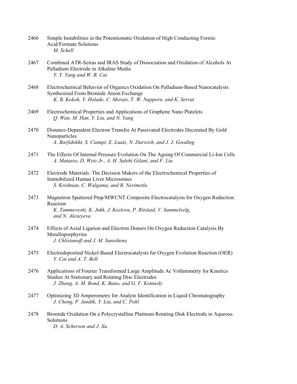- 2466 Simple Instabilities in the Potentiostatic Oxidation of High Conducting Formic Acid/Formate Solutions  *M. Schell*
- 2467 Combined ATR-Seiras and IRAS Study of Dissociation and Oxidation of Alcohols At Palladium Electrode in Alkaline Media  *Y. Y. Yang and W. B. Cai*
- 2468 Electrochemical Behavior of Organics Oxidation On Palladium-Based Nanocatalysts Synthesized From Bromide Anion Exchange  *K. B. Kokoh, Y. Holade, C. Morais, T. W. Napporn, and K. Servat*
- 2469 Electrochemical Properties and Applications of Graphene Nano Platelets  *Q. Wan, M. Han, Y. Liu, and N. Yang*
- 2470 Distance-Dependent Electron Transfer At Passivated Electrodes Decorated By Gold Nanoparticles  *A. Barfidokht, S. Ciampi, E. Luais, N. Darwish, and J. J. Gooding*
- 2471 The Effects Of Internal Pressure Evolution On The Ageing Of Commercial Li-Ion Cells  *A. Matasso, D. Wetz Jr., A. H. Salehi Gilani, and F. Liu*
- 2472 Electrode Materials: The Decision Makers of the Electrochemical Properties of Immobilized Human Liver Microsomes  *S. Krishnan, C. Walgama, and R. Nerimetla*
- 2473 Magnetron Sputtered Ptnp/MWCNT Composite Electrocatalysts for Oxygen Reduction Reaction  *K. Tammeveski, K. Jukk, J. Kozlova, P. Ritslaid, V. Sammelselg, and N. Alexeyeva*
- 2474 Effects of Axial Ligation and Electron Donors On Oxygen Reduction Catalysis By Metalloporphyrins  *J. Chlistunoff and J. M. Sansiñena*
- 2475 Electrodeposited Nickel-Based Electrocatalysts for Oxygen Evolution Reaction (OER)  *Y. Cai and A. T. Bell*
- 2476 Applications of Fourier Transformed Large Amplitude Ac Voltammetry for Kinetics Studies At Stationary and Rotating Disc Electrodes  *J. Zhang, A. M. Bond, K. Bano, and G. F. Kennedy*
- 2477 Optimizing 3D Amperometry for Analyte Identification in Liquid Chromatography  *J. Cheng, P. Jandik, Y. Liu, and C. Pohl*
- 2478 Bromide Oxidation On a Polycrystalline Platinum Rotating Disk Electrode in Aqueous **Solutions**  *D. A. Scherson and J. Xu*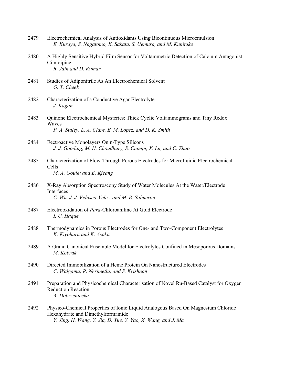| 2479 | Electrochemical Analysis of Antioxidants Using Bicontinuous Microemulsion |  |
|------|---------------------------------------------------------------------------|--|
|      | E. Kuraya, S. Nagatomo, K. Sakata, S. Uemura, and M. Kunitake             |  |

- 2480 A Highly Sensitive Hybrid Film Sensor for Voltammetric Detection of Calcium Antagonist Cilnidipine  *R. Jain and D. Kumar*
- 2481 Studies of Adiponitrile As An Electrochemical Solvent  *G. T. Cheek*
- 2482 Characterization of a Conductive Agar Electrolyte  *J. Kagan*
- 2483 Quinone Electrochemical Mysteries: Thick Cyclic Voltammograms and Tiny Redox Waves  *P. A. Staley, L. A. Clare, E. M. Lopez, and D. K. Smith*
- 2484 Eectroactive Monolayers On n-Type Silicons  *J. J. Gooding, M. H. Choudhury, S. Ciampi, X. Lu, and C. Zhao*
- 2485 Characterization of Flow-Through Porous Electrodes for Microfluidic Electrochemical Cells  *M. A. Goulet and E. Kjeang*
- 2486 X-Ray Absorption Spectroscopy Study of Water Molecules At the Water/Electrode Interfaces  *C. Wu, J. J. Velasco-Velez, and M. B. Salmeron*
- 2487 Electrooxidation of *Para*-Chloroaniline At Gold Electrode  *I. U. Haque*
- 2488 Thermodynamics in Porous Electrodes for One- and Two-Component Electrolytes  *K. Kiyohara and K. Asaka*
- 2489 A Grand Canonical Ensemble Model for Electrolytes Confined in Mesoporous Domains  *M. Kobrak*
- 2490 Directed Immobilization of a Heme Protein On Nanostructured Electrodes  *C. Walgama, R. Nerimetla, and S. Krishnan*
- 2491 Preparation and Physicochemical Characterisation of Novel Ru-Based Catalyst for Oxygen Reduction Reaction  *A. Dobrzeniecka*
- 2492 Physico-Chemical Properties of Ionic Liquid Analogous Based On Magnesium Chloride Hexahydrate and Dimethylformamide  *Y. Jing, H. Wang, Y. Jia, D. Yue, Y. Yao, X. Wang, and J. Ma*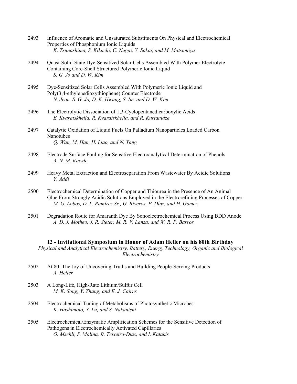- 2493 Influence of Aromatic and Unsaturated Substituents On Physical and Electrochemical Properties of Phosphonium Ionic Liquids  *K. Tsunashima, S. Kikuchi, C. Nagai, Y. Sakai, and M. Matsumiya*
- 2494 Quasi-Solid-State Dye-Sensitized Solar Cells Assembled With Polymer Electrolyte Containing Core-Shell Structured Polymeric Ionic Liquid  *S. G. Jo and D. W. Kim*
- 2495 Dye-Sensitized Solar Cells Assembled With Polymeric Ionic Liquid and Poly(3,4-ethylenedioxythiophene) Counter Electrode  *N. Jeon, S. G. Jo, D. K. Hwang, S. Im, and D. W. Kim*
- 2496 The Electrolytic Dissociation of 1,3-Cyclopentanedicarboxylic Acids  *E. Kvaratskhelia, R. Kvaratskhelia, and R. Kurtanidze*
- 2497 Catalytic Oxidation of Liquid Fuels On Palladium Nanoparticles Loaded Carbon Nanotubes  *Q. Wan, M. Han, H. Liao, and N. Yang*
- 2498 Electrode Surface Fouling for Sensitive Electroanalytical Determination of Phenols  *A. N. M. Kawde*
- 2499 Heavy Metal Extraction and Electroseparation From Wastewater By Acidic Solutions  *Y. Addi*
- 2500 Electrochemical Determination of Copper and Thiourea in the Presence of An Animal Glue From Strongly Acidic Solutions Employed in the Electrorefining Processes of Copper  *M. G. Lobos, D. L. Ramírez Sr., G. Riveros, P. Díaz, and H. Gomez*
- 2501 Degradation Route for Amaranth Dye By Sonoelectrochemical Process Using BDD Anode  *A. D. J. Motheo, J. R. Steter, M. R. V. Lanza, and W. R. P. Barros*

#### **I2 - Invitational Symposium in Honor of Adam Heller on his 80th Birthday**

*Physical and Analytical Electrochemistry, Battery, Energy Technology, Organic and Biological Electrochemistry* 

- 2502 At 80: The Joy of Uncovering Truths and Building People-Serving Products  *A. Heller*
- 2503 A Long-Life, High-Rate Lithium/Sulfur Cell  *M. K. Song, Y. Zhang, and E. J. Cairns*
- 2504 Electrochemical Tuning of Metabolisms of Photosynthetic Microbes  *K. Hashimoto, Y. Lu, and S. Nakanishi*
- 2505 Electrochemical/Enzymatic Amplification Schemes for the Sensitive Detection of Pathogens in Electrochemically Activated Capillaries  *O. Msehli, S. Molina, B. Teixeira-Dias, and I. Katakis*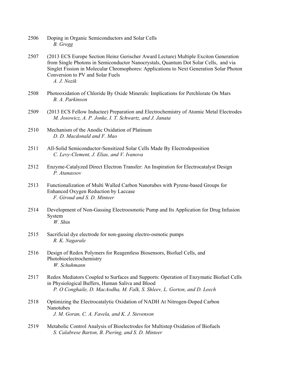- 2506 Doping in Organic Semiconductors and Solar Cells  *B. Gregg*
- 2507 (2013 ECS Europe Section Heinz Gerischer Award Lecture) Multiple Exciton Generation from Single Photons in Semiconductor Nanocrystals, Quantum Dot Solar Cells, and via Singlet Fission in Molecular Chromophores: Applications to Next Generation Solar Photon Conversion to PV and Solar Fuels  *A. J. Nozik*
- 2508 Photooxidation of Chloride By Oxide Minerals: Implications for Perchlorate On Mars  *B. A. Parkinson*
- 2509 (2013 ECS Fellow Inductee) Preparation and Electrochemistry of Atomic Metal Electrodes  *M. Josowicz, A. P. Jonke, I. T. Schwartz, and J. Janata*
- 2510 Mechanism of the Anodic Oxidation of Platinum  *D. D. Macdonald and F. Mao*
- 2511 All-Solid Semiconductor-Sensitized Solar Cells Made By Electrodeposition  *C. Levy-Clement, J. Elias, and V. Ivanova*
- 2512 Enzyme-Catalyzed Direct Electron Transfer: An Inspiration for Electrocatalyst Design  *P. Atanassov*
- 2513 Functionalization of Multi Walled Carbon Nanotubes with Pyrene-based Groups for Enhanced Oxygen Reduction by Laccase  *F. Giroud and S. D. Minteer*
- 2514 Development of Non-Gassing Electroosmotic Pump and Its Application for Drug Infusion System  *W. Shin*
- 2515 Sacrificial dye electrode for non-gassing electro-osmotic pumps  *R. K. Nagarale*
- 2516 Design of Redox Polymers for Reagentless Biosensors, Biofuel Cells, and Photobioelectrochemistry  *W. Schuhmann*
- 2517 Redox Mediators Coupled to Surfaces and Supports: Operation of Enzymatic Biofuel Cells in Physiological Buffers, Human Saliva and Blood  *P. O Conghaile, D. MacAodha, M. Falk, S. Shleev, L. Gorton, and D. Leech*
- 2518 Optimizing the Electrocatalytic Oxidation of NADH At Nitrogen-Doped Carbon Nanotubes  *J. M. Goran, C. A. Favela, and K. J. Stevenson*
- 2519 Metabolic Control Analysis of Bioelectrodes for Multistep Oxidation of Biofuels  *S. Calabrese Barton, B. Piering, and S. D. Minteer*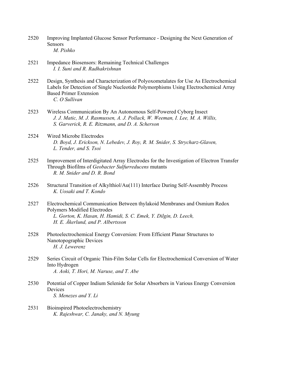- 2520 Improving Implanted Glucose Sensor Performance Designing the Next Generation of Sensors  *M. Pishko*
- 2521 Impedance Biosensors: Remaining Technical Challenges  *I. I. Suni and R. Radhakrishnan*
- 2522 Design, Synthesis and Characterization of Polyoxometalates for Use As Electrochemical Labels for Detection of Single Nucleotide Polymorphisms Using Electrochemical Array Based Primer Extension  *C. O Sullivan*
- 2523 Wireless Communication By An Autonomous Self-Powered Cyborg Insect  *J. J. Matic, M. J. Rasmussen, A. J. Pollack, W. Weeman, I. Lee, M. A. Willis, S. Garverick, R. E. Ritzmann, and D. A. Scherson*
- 2524 Wired Microbe Electrodes  *D. Boyd, J. Erickson, N. Lebedev, J. Roy, R. M. Snider, S. Strycharz-Glaven, L. Tender, and S. Tsoi*
- 2525 Improvement of Interdigitated Array Electrodes for the Investigation of Electron Transfer Through Biofilms of *Geobacter Sulfurreducens* mutants  *R. M. Snider and D. R. Bond*
- 2526 Structural Transition of Alkylthiol/Au(111) Interface During Self-Assembly Process  *K. Uosaki and T. Kondo*
- 2527 Electrochemical Communication Between thylakoid Membranes and Osmium Redox Polymers Modified Electrodes  *L. Gorton, K. Hasan, H. Hamidi, S. C. Emek, Y. Dilgin, D. Leech, H. E. Åkerlund, and P. Albertsson*
- 2528 Photoelectrochemical Energy Conversion: From Efficient Planar Structures to Nanotopographic Devices  *H. J. Lewerenz*
- 2529 Series Circuit of Organic Thin-Film Solar Cells for Electrochemical Conversion of Water Into Hydrogen  *A. Aoki, T. Hori, M. Naruse, and T. Abe*
- 2530 Potential of Copper Indium Selenide for Solar Absorbers in Various Energy Conversion **Devices**  *S. Menezes and Y. Li*
- 2531 Bioinspired Photoelectrochemistry  *K. Rajeshwar, C. Janaky, and N. Myung*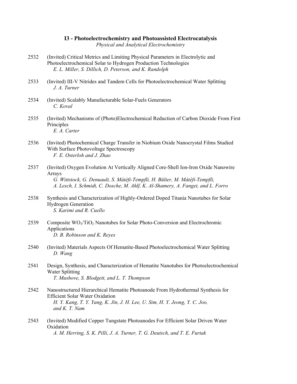#### **I3 - Photoelectrochemistry and Photoassisted Electrocatalysis**

*Physical and Analytical Electrochemistry* 

- 2532 (Invited) Critical Metrics and Limiting Physical Parameters in Electrolytic and Photoelectrochemical Solar to Hydrogen Production Technologies  *E. L. Miller, S. Dillich, D. Peterson, and K. Randolph*
- 2533 (Invited) III-V Nitrides and Tandem Cells for Photoelectrochemical Water Splitting  *J. A. Turner*
- 2534 (Invited) Scalably Manufacturable Solar-Fuels Generators  *C. Koval*
- 2535 (Invited) Mechanisms of (Photo)Electrochemical Reduction of Carbon Dioxide From First **Principles**  *E. A. Carter*
- 2536 (Invited) Photochemical Charge Transfer in Niobium Oxide Nanocrystal Films Studied With Surface Photovoltage Spectroscopy  *F. E. Osterloh and J. Zhao*
- 2537 (Invited) Oxygen Evolution At Vertically Aligned Core-Shell Ion-Iron Oxide Nanowire Arrays  *G. Wittstock, G. Denuault, S. Mátéfi-Tempfli, H. Bülter, M. Mátéfi-Tempfli, A. Lesch, I. Schmidt, C. Dosche, M. Ahlf, K. Al-Shamery, A. Fanget, and L. Forro*
- 2538 Synthesis and Characterization of Highly-Ordered Doped Titania Nanotubes for Solar Hydrogen Generation  *S. Karimi and R. Cuello*
- 2539 Composite  $WO<sub>3</sub>/TiO<sub>2</sub>$  Nanotubes for Solar Photo-Conversion and Electrochromic Applications  *D. B. Robinson and K. Reyes*
- 2540 (Invited) Materials Aspects Of Hematite-Based Photoelectrochemical Water Splitting  *D. Wang*
- 2541 Design, Synthesis, and Characterization of Hematite Nanotubes for Photoelectrochemical Water Splitting  *T. Mushove, S. Blodgett, and L. T. Thompson*
- 2542 Nanostructured Hierarchical Hematite Photoanode From Hydrothermal Synthesis for Efficient Solar Water Oxidation  *H. Y. Kang, T. Y. Yang, K. Jin, J. H. Lee, U. Sim, H. Y. Jeong, Y. C. Joo, and K. T. Nam*
- 2543 (Invited) Modified Copper Tungstate Photoanodes For Efficient Solar Driven Water **Oxidation**  *A. M. Herring, S. K. Pilli, J. A. Turner, T. G. Deutsch, and T. E. Furtak*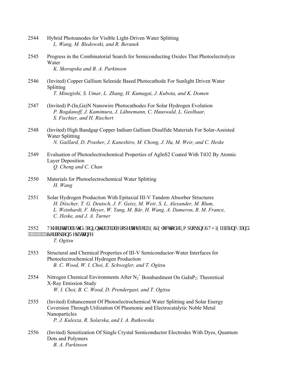- 2544 Hybrid Photoanodes for Visible Light-Driven Water Splitting  *L. Wang, M. Bledowski, and R. Beranek*
- 2545 Progress in the Combinatorial Search for Semiconducting Oxides That Photoelectrolyze Water  *K. Skorupska and B. A. Parkinson*
- 2546 (Invited) Copper Gallium Selenide Based Photocathode For Sunlight Driven Water Splitting  *T. Minegishi, S. Umar, L. Zhang, H. Kumagai, J. Kubota, and K. Domen*
- 2547 (Invited) P-(In,Ga)N Nanowire Photocathodes For Solar Hydrogen Evolution  *P. Bogdanoff, J. Kamimura, J. Lähnemann, C. Hauswald, L. Geelhaar, S. Fiechter, and H. Riechert*
- 2548 (Invited) High Bandgap Copper Indium Gallium Disulfide Materials For Solar-Assisted Water Splitting  *N. Gaillard, D. Prasher, J. Kaneshiro, M. Chong, J. Hu, M. Weir, and C. Heske*
- 2549 Evaluation of Photoelectrochemical Properties of AgInS2 Coated With TiO2 By Atomic Layer Deposition  *Q. Cheng and C. Chan*
- 2550 Materials for Photoelectrochemical Water Splitting  *H. Wang*
- 2551 Solar Hydrogen Production With Epitaxial III-V Tandem Absorber Structures  *H. Döscher, T. G. Deutsch, J. F. Geisz, M. Weir, S. L. Alexander, M. Blum, L. Weinhardt, F. Meyer, W. Yang, M. Bär, H. Wang, A. Dameron, R. M. France, C. Heske, and J. A. Turner*
- 2552 Vj gqt gylecn'Uwt { "qp"Kpy ethc ekn'Rtqr gt ylgu" hqt "RGE" Grgevt qf g< "Kortqxkpi" UVJ "Ghthelgpe { "cpf" """"""""""""Eqttqukqp'Tgukucpeg  *T. Ogitsu*
- 2553 Structural and Chemical Properties of III-V Semiconductor-Water Interfaces for Photoelectrochemical Hydrogen Production  *B. C. Wood, W. I. Choi, E. Schwegler, and T. Ogitsu*
- 2554 Nitrogen Chemical Environments After  $N_2^+$  Bombardment On GaInP<sub>2</sub>: Theoretical X-Ray Emission Study  *W. I. Choi, B. C. Wood, D. Prendergast, and T. Ogitsu*
- 2555 (Invited) Enhancement Of Photoelectrochemical Water Splitting and Solar Energy Coversion Through Utilization Of Plasmonic and Electrocatalytic Noble Metal Nanoparticles  *P. J. Kulesza, R. Solarska, and I. A. Rutkowska*
- 2556 (Invited) Sensitization Of Single Crystal Semiconductor Electrodes With Dyes, Quantum Dots and Polymers  *B. A. Parkinson*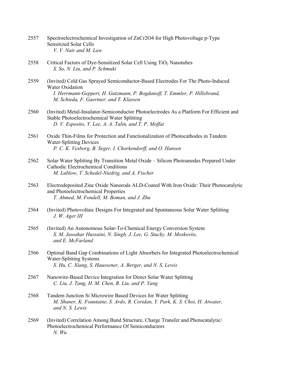- 2557 Spectroelectrochemical Investigation of ZnCr2O4 for High Photovoltage p-Type Sensitized Solar Cells  *V. V. Nair and M. Law*
- 2558 Critical Factors of Dye-Sensitized Solar Cell Using  $TiO<sub>2</sub>$  Nanotubes  *S. So, N. Liu, and P. Schmuki*
- 2559 (Invited) Cold Gas Sprayed Semiconductor-Based Electrodes For The Photo-Induced Water Oxidation  *I. Herrmann-Geppert, H. Gutzmann, P. Bogdanoff, T. Emmler, P. Hillebrand, M. Schieda, F. Gaertner, and T. Klassen*
- 2560 (Invited) Metal-Insulator-Semiconductor Photoelectrodes As a Platform For Efficient and Stable Photoelectrochemical Water Splitting  *D. V. Esposito, Y. Lee, A. A. Talin, and T. P. Moffat*
- 2561 Oxide Thin-Films for Protection and Functionalization of Photocathodes in Tandem Water-Splitting Devices  *P. C. K. Vesborg, B. Seger, I. Chorkendorff, and O. Hansen*
- 2562 Solar Water Splitting By Transition Metal Oxide Silicon Photoanodes Prepared Under Cathodic Electrochemical Conditions  *M. Lublow, T. Schedel-Niedrig, and A. Fischer*
- 2563 Electrodeposited Zinc Oxide Nanorods ALD-Coated With Iron Oxide: Their Photocatalytic and Photoelectrochemical Properties  *T. Ahmed, M. Fondell, M. Boman, and J. Zhu*
- 2564 (Invited) Photovoltaic Designs For Integrated and Spontaneous Solar Water Splitting  *J. W. Ager III*
- 2565 (Invited) An Autonomous Solar-To-Chemical Energy Conversion System  *S. M. Jawahar Hussaini, N. Singh, J. Lee, G. Stucky, M. Moskovits, and E. McFarland*
- 2566 Optimal Band Gap Combinations of Light Absorbers for Integrated Photoelectrochemical Water-Splitting Systems  *S. Hu, C. Xiang, S. Haussener, A. Berger, and N. S. Lewis*
- 2567 Nanowire-Based Device Integration for Direct Solar Water Splitting  *C. Liu, J. Tang, H. M. Chen, B. Liu, and P. Yang*
- 2568 Tandem Junction Si Microwire Based Devices for Water Splitting  *M. Shaner, K. Fountaine, S. Ardo, R. Coridan, Y. Park, K. S. Choi, H. Atwater, and N. S. Lewis*
- 2569 (Invited) Correlation Among Band Structure, Charge Transfer and Photocatalytic/ Photoelectrochemical Performance Of Semiconductors  *N. Wu*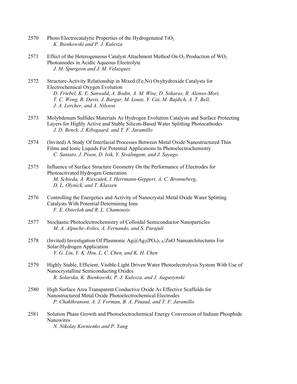- 2570 Photo/Electrocatalytic Properties of the Hydrogenated  $TiO<sub>2</sub>$  *K. Bienkowski and P. J. Kulesza*
- 2571 Effect of the Heterogeneous Catalyst Attachment Method On  $O_2$  Production of WO<sub>3</sub> Photoanodes in Acidic Aqueous Electrolyte  *J. M. Spurgeon and J. M. Velazquez*
- 2572 Structure-Activity Relationship in Mixed (Fe,Ni) Oxyhydroxide Catalysts for Electrochemical Oxygen Evolution  *D. Friebel, K. E. Sanwald, A. Bodin, A. M. Wise, D. Sokaras, R. Alonso-Mori, T. C. Weng, R. Davis, J. Bargar, M. Louie, Y. Cai, M. Bajdich, A. T. Bell, J. A. Lercher, and A. Nilsson*
- 2573 Molybdenum Sulfides Materials As Hydrogen Evolution Catalysts and Surface Protecting Layers for Highly Active and Stable Silicon-Based Water Splitting Photocathodes  *J. D. Benck, J. Kibsgaard, and T. F. Jaramillo*
- 2574 (Invited) A Study Of Interfacial Processes Between Metal Oxide Nanostructured Thin Films and Ionic Liquids For Potential Applications In Photoelectrochemistry  *C. Santato, J. Pison, D. Isik, Y. Sivalingam, and J. Sayago*
- 2575 Influence of Surface Structure Geometry On the Performance of Electrodes for Photoactivated Hydrogen Generation  *M. Schieda, A. Rzeszutek, I. Herrmann-Geppert, A. C. Bronneberg, D. L. Olynick, and T. Klassen*
- 2576 Controlling the Energetics and Activity of Nanocrystal Metal Oxide Water Splitting Catalysts With Potential Determining Ions  *F. E. Osterloh and R. L. Chamousis*
- 2577 Stochastic Photoelectrochemistry of Colloidal Semiconductor Nanoparticles  *M. A. Alpuche-Aviles, A. Fernando, and S. Parajuli*
- 2578 (Invited) Investigation Of Plasmonic  $\text{Ag}(a)$   $\text{Ag}(PQ_4)$ <sub>1-X</sub>/ZnO Nanoarchitectures For Solar-Hydrogen Application  *Y. G. Lin, Y. K. Hsu, L. C. Chen, and K. H. Chen*
- 2579 Highly Stable, Efficient, Visible-Light Driven Water Photoelectrolysis System With Use of Nanocrystalline Semiconducting Oxides  *R. Solarska, K. Bienkowski, P. J. Kulesza, and J. Augustynski*
- 2580 High Surface Area Transparent Conductive Oxide As Effective Scaffolds for Nanostructured Metal Oxide Photoelectrochemical Electrodes  *P. Chakthranont, A. J. Forman, B. A. Pinaud, and T. F. Jaramillo*
- 2581 Solution Phase Growth and Photoelectrochemical Energy Conversion of Indium Phosphide Nanowires  *N. Nikolay Kornienko and P. Yang*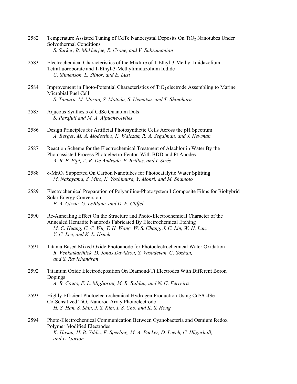- 2582 Temperature Assisted Tuning of CdTe Nanocrystal Deposits On TiO2 Nanotubes Under Solvothermal Conditions  *S. Sarker, B. Mukherjee, E. Crone, and V. Subramanian*
- 2583 Electrochemical Characteristics of the Mixture of 1-Ethyl-3-Methyl Imidazolium Tetrafluoroborate and 1-Ethyl-3-Methylimidazolium Iodide  *C. Siimenson, L. Siinor, and E. Lust*
- 2584 Improvement in Photo-Potential Characteristics of TiO<sub>2</sub> electrode Assembling to Marine Microbial Fuel Cell  *S. Tamura, M. Morita, S. Motoda, S. Uematsu, and T. Shinohara*
- 2585 Aqueous Synthesis of CdSe Quantum Dots  *S. Parajuli and M. A. Alpuche-Aviles*
- 2586 Design Principles for Artificial Photosynthetic Cells Across the pH Spectrum  *A. Berger, M. A. Modestino, K. Walczak, R. A. Segalman, and J. Newman*
- 2587 Reaction Scheme for the Electrochemical Treatment of Alachlor in Water By the Photoassisted Process Photoelectro-Fenton With BDD and Pt Anodes  *A. R. F. Pipi, A. R. De Andrade, E. Brillas, and I. Sirés*
- 2588 δ-MnO2 Supported On Carbon Nanotubes for Photocatalytic Water Splitting  *M. Nakayama, S. Mito, K. Yoshimura, Y. Mohri, and M. Shamoto*
- 2589 Electrochemical Preparation of Polyaniline-Photosystem I Composite Films for Biohybrid Solar Energy Conversion  *E. A. Gizzie, G. LeBlanc, and D. E. Cliffel*
- 2590 Re-Annealing Effect On the Structure and Photo-Electrochemical Character of the Annealed Hematite Nanorods Fabricated By Electrochemical Etching  *M. C. Huang, C. C. Wu, T. H. Wang, W. S. Chang, J. C. Lin, W. H. Lan, Y. C. Lee, and K. L. Hsueh*
- 2591 Titania Based Mixed Oxide Photoanode for Photoelectrochemical Water Oxidation  *R. Venkatkarthick, D. Jonas Davidson, S. Vasudevan, G. Sozhan, and S. Ravichandran*
- 2592 Titanium Oxide Electrodeposition On Diamond/Ti Electrodes With Different Boron Dopings  *A. B. Couto, F. L. Migliorini, M. R. Baldan, and N. G. Ferreira*
- 2593 Highly Efficient Photoelectrochemical Hydrogen Production Using CdS/CdSe Co-Sensitized TiO<sub>2</sub> Nanorod Array Photoelectrode  *H. S. Han, S. Shin, J. S. Kim, I. S. Cho, and K. S. Hong*
- 2594 Photo-Electrochemical Communication Between Cyanobacteria and Osmium Redox Polymer Modified Electrodes  *K. Hasan, H. B. Yildiz, E. Sperling, M. A. Packer, D. Leech, C. Hägerhäll, and L. Gorton*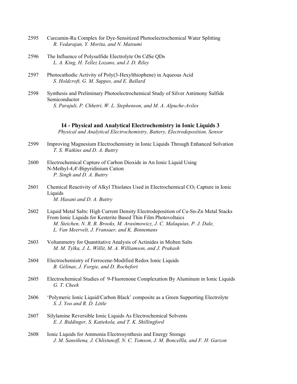- 2595 Curcumin-Ru Complex for Dye-Sensitized Photoelectrochemical Water Splitting  *R. Vedarajan, Y. Morita, and N. Matsumi*
- 2596 The Influence of Polysulfide Electrolyte On CdSe QDs  *L. A. King, H. Tellez Lozano, and J. D. Riley*
- 2597 Photocathodic Activity of Poly(3-Hexylthiophene) in Aqueous Acid  *S. Holdcroft, G. M. Suppes, and E. Ballard*
- 2598 Synthesis and Preliminary Photoelectrochemical Study of Silver Antimony Sulfide Semiconductor  *S. Parajuli, P. Chhetri, W. L. Stephenson, and M. A. Alpuche-Aviles*

```
I4 - Physical and Analytical Electrochemistry in Ionic Liquids 3
```
*Physical and Analytical Electrochemistry, Battery, Electrodeposition, Sensor* 

- 2599 Improving Magnesium Electrochemistry in Ionic Liquids Through Enhanced Solvation  *T. S. Watkins and D. A. Buttry*
- 2600 Electrochemical Capture of Carbon Dioxide in An Ionic Liquid Using N-Methyl-4,4'-Bipyridinium Cation  *P. Singh and D. A. Buttry*
- $2601$  Chemical Reactivity of Alkyl Thiolates Used in Electrochemical  $CO<sub>2</sub>$  Capture in Ionic **Liquids**  *M. Hasani and D. A. Buttry*
- 2602 Liquid Metal Salts: High Current Density Electrodeposition of Cu-Sn-Zn Metal Stacks From Ionic Liquids for Kesterite Based Thin Film Photovoltaics  *M. Steichen, N. R. B. Brooks, M. Arasimowicz, J. C. Malaquias, P. J. Dale, L. Van Meervelt, J. Fransaer, and K. Binnemans*
- 2603 Voltammetry for Quantitative Analysis of Actinides in Molten Salts  *M. M. Tylka, J. L. Willit, M. A. Williamson, and J. Prakash*
- 2604 Electrochemistry of Ferrocene-Modified Redox Ionic Liquids  *B. Gélinas, J. Forgie, and D. Rochefort*
- 2605 Electrochemical Studies of 9-Fluorenone Complexation By Aluminum in Ionic Liquids  *G. T. Cheek*
- 2606 'Polymeric Ionic Liquid/Carbon Black' composite as a Green Supporting Electrolyte  *S. J. Yoo and R. D. Little*
- 2607 Silylamine Reversible Ionic Liquids As Electrochemical Solvents  *E. J. Biddinger, S. Kattekola, and T. K. Shillingford*
- 2608 Ionic Liquids for Ammonia Electrosynthesis and Energy Storage  *J. M. Sansiñena, J. Chlistunoff, N. C. Tomson, J. M. Boncellla, and F. H. Garzon*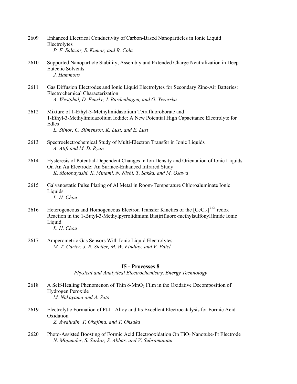- 2609 Enhanced Electrical Conductivity of Carbon-Based Nanoparticles in Ionic Liquid Electrolytes  *P. F. Salazar, S. Kumar, and B. Cola*
- 2610 Supported Nanoparticle Stability, Assembly and Extended Charge Neutralization in Deep Eutectic Solvents  *J. Hammons*
- 2611 Gas Diffusion Electrodes and Ionic Liquid Electrolytes for Secondary Zinc-Air Batteries: Electrochemical Characterization  *A. Westphal, D. Fenske, I. Bardenhagen, and O. Yezerska*
- 2612 Mixture of 1-Ethyl-3-Methylimidazolium Tetrafluoroborate and 1-Ethyl-3-Methylimidazolium Iodide: A New Potential High Capacitance Electrolyte for Edlcs  *L. Siinor, C. Siimenson, K. Lust, and E. Lust*
- 2613 Spectroelectrochemical Study of Multi-Electron Transfer in Ionic Liquids  *A. Atifi and M. D. Ryan*
- 2614 Hysteresis of Potential-Dependent Changes in Ion Density and Orientation of Ionic Liquids On An Au Electrode: An Surface-Enhanced Infrared Study  *K. Motobayashi, K. Minami, N. Nishi, T. Sakka, and M. Osawa*
- 2615 Galvanostatic Pulse Plating of Al Metal in Room-Temperature Chloroaluminate Ionic **Liquids**  *L. H. Chou*
- 2616 Heterogeneous and Homogeneous Electron Transfer Kinetics of the  $[CeCl_6]^{3-2}$  redox Reaction in the 1-Butyl-3-Methylpyrrolidinium Bis(trifluoro-methylsulfonyl)Imide Ionic Liquid  *L. H. Chou*
- 2617 Amperometric Gas Sensors With Ionic Liquid Electrolytes  *M. T. Carter, J. R. Stetter, M. W. Findlay, and V. Patel*

### **I5 - Processes 8**

*Physical and Analytical Electrochemistry, Energy Technology* 

- 2618 A Self-Healing Phenomenon of Thin  $\delta$ -MnO<sub>2</sub> Film in the Oxidative Decomposition of Hydrogen Peroxide  *M. Nakayama and A. Sato*
- 2619 Electrolytic Formation of Pt-Li Alloy and Its Excellent Electrocatalysis for Formic Acid Oxidation  *Z. Awaludin, T. Okajima, and T. Ohsaka*
- 2620 Photo-Assisted Boosting of Formic Acid Electrooxidation On TiO<sub>2</sub> Nanotube-Pt Electrode  *N. Mojumder, S. Sarkar, S. Abbas, and V. Subramanian*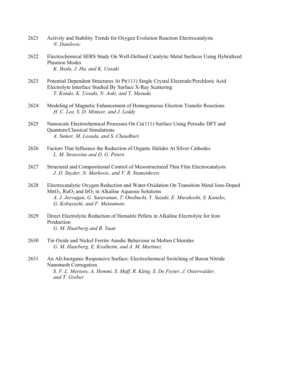- 2621 Activity and Stability Trends for Oxygen Evolution Reaction Electrocatalysts  *N. Danilovic*
- 2622 Electrochemical SERS Study On Well-Defined Catalytic Metal Surfaces Using Hybridized Plasmon Modes  *K. Ikeda, J. Hu, and K. Uosaki*
- 2623 Potential Dependent Structures At Pt(111) Single Crystal Electrode/Perchloric Acid Electrolyte Interface Studied By Surface X-Ray Scattering  *T. Kondo, K. Uosaki, N. Aoki, and T. Masuda*
- 2624 Modeling of Magnetic Enhancement of Homogeneous Electron Transfer Reactions  *H. C. Lee, S. D. Minteer, and J. Leddy*
- 2625 Nanoscale Electrochemical Processes On Cu(111) Surface Using Periodic DFT and Quantum/Classical Simulations  *A. Sumer, M. Losada, and S. Chaudhuri*
- 2626 Factors That Influence the Reduction of Organic Halides At Silver Cathodes  *L. M. Strawsine and D. G. Peters*
- 2627 Structural and Compositional Control of Mesostructured Thin Film Electrocatalysts  *J. D. Snyder, N. Markovic, and V. R. Stamenkovic*
- 2628 Electrocatalytic Oxygen Reduction and Water-Oxidation On Transition Metal Ions-Doped  $MnO<sub>2</sub>$ , Ru $O<sub>2</sub>$  and Ir $O<sub>2</sub>$  in Alkaline Aqueous Solutions  *A. J. Jeevagan, G. Saravanan, T. Onobuchi, Y. Suzuki, E. Murakoshi, S. Kaneko, G. Kobayashi, and F. Matsumoto*
- 2629 Direct Electrolytic Reduction of Hematite Pellets in Alkaline Electrolyte for Iron Production  *G. M. Haarberg and B. Yuan*
- 2630 Tin Oxide and Nickel Ferrite Anodic Behaviour in Molten Chlorides  *G. M. Haarberg, E. Kvalheim, and A. M. Martinez*
- 2631 An All-Inorganic Responsive Surface: Electrochemical Switching of Boron Nitride Nanomesh Corrugation  *S. F. L. Mertens, A. Hemmi, S. Muff, R. Küng, S. De Feyter, J. Osterwalder, and T. Greber*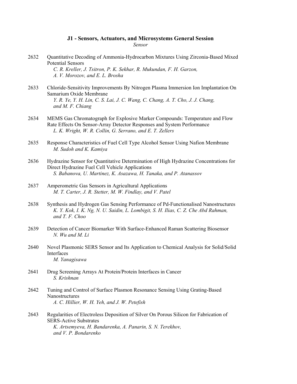# **J1 - Sensors, Actuators, and Microsystems General Session**

*Sensor* 

- 2632 Quantitative Decoding of Ammonia-Hydrocarbon Mixtures Using Zirconia-Based Mixed Potential Sensors  *C. R. Kreller, J. Tsitron, P. K. Sekhar, R. Mukundan, F. H. Garzon, A. V. Morozov, and E. L. Brosha*
- 2633 Chloride-Sensitivity Improvements By Nitrogen Plasma Immersion Ion Implantation On Samarium Oxide Membrane  *Y. R. Ye, Y. H. Lin, C. S. Lai, J. C. Wang, C. Chang, A. T. Cho, J. J. Chang, and M. F. Chiang*
- 2634 MEMS Gas Chromatograph for Explosive Marker Compounds: Temperature and Flow Rate Effects On Sensor-Array Detector Responses and System Performance  *L. K. Wright, W. R. Collin, G. Serrano, and E. T. Zellers*
- 2635 Response Characteristics of Fuel Cell Type Alcohol Sensor Using Nafion Membrane  *M. Sudoh and K. Kamiya*
- 2636 Hydrazine Sensor for Quantitative Determination of High Hydrazine Concentrations for Direct Hydrazine Fuel Cell Vehicle Applications  *S. Babanova, U. Martinez, K. Asazawa, H. Tanaka, and P. Atanassov*
- 2637 Amperometric Gas Sensors in Agricultural Applications  *M. T. Carter, J. R. Stetter, M. W. Findlay, and V. Patel*
- 2638 Synthesis and Hydrogen Gas Sensing Performance of Pd-Functionalised Nanostructures  *K. Y. Kok, I. K. Ng, N. U. Saidin, L. Lombigit, S. H. Ilias, C. Z. Che Abd Rahman, and T. F. Choo*
- 2639 Detection of Cancer Biomarker With Surface-Enhanced Raman Scattering Biosensor  *N. Wu and M. Li*
- 2640 Novel Plasmonic SERS Sensor and Its Application to Chemical Analysis for Solid/Solid Interfaces  *M. Yanagisawa*
- 2641 Drug Screening Arrays At Protein/Protein Interfaces in Cancer  *S. Krishnan*
- 2642 Tuning and Control of Surface Plasmon Resonance Sensing Using Grating-Based **Nanostructures**  *A. C. Hillier, W. H. Yeh, and J. W. Petefish*
- 2643 Regularities of Electroless Deposition of Silver On Porous Silicon for Fabrication of SERS-Active Substrates  *K. Artsemyeva, H. Bandarenka, A. Panarin, S. N. Terekhov, and V. P. Bondarenko*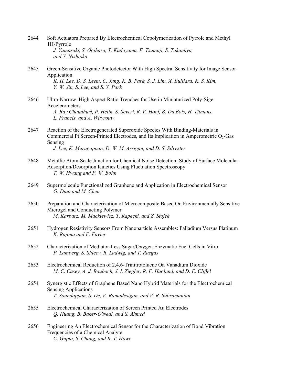| 2644 | Soft Actuators Prepared By Electrochemical Copolymerization of Pyrrole and Methyl<br>1H-Pyrrole<br>J. Yamasaki, S. Ogihara, T. Kadoyama, F. Tsumuji, S. Takamiya,<br>and Y. Nishioka                                                                         |
|------|--------------------------------------------------------------------------------------------------------------------------------------------------------------------------------------------------------------------------------------------------------------|
| 2645 | Green-Sensitive Organic Photodetector With High Spectral Sensitivity for Image Sensor<br>Application<br>K. H. Lee, D. S. Leem, C. Jung, K. B. Park, S. J. Lim, X. Bulliard, K. S. Kim,<br>Y. W. Jin, S. Lee, and S. Y. Park                                  |
| 2646 | Ultra-Narrow, High Aspect Ratio Trenches for Use in Miniaturized Poly-Sige<br>Accelerometers<br>A. Ray Chaudhuri, P. Helin, S. Severi, R. V. Hoof, B. Du Bois, H. Tilmans,<br>L. Francis, and A. Witvrouw                                                    |
| 2647 | Reaction of the Electrogenerated Superoxide Species With Binding-Materials in<br>Commercial Pt Screen-Printed Electrodes, and Its Implication in Amperometric O <sub>2</sub> -Gas<br>Sensing<br>J. Lee, K. Murugappan, D. W. M. Arrigan, and D. S. Silvester |
| 2648 | Metallic Atom-Scale Junction for Chemical Noise Detection: Study of Surface Molecular<br>Adsorption/Desorption Kinetics Using Fluctuation Spectroscopy<br>T. W. Hwang and P. W. Bohn                                                                         |
| 2649 | Supermolecule Functionalized Graphene and Application in Electrochemical Sensor<br>G. Diao and M. Chen                                                                                                                                                       |
| 2650 | Preparation and Characterization of Microcomposite Based On Environmentally Sensitive<br>Microgel and Conducting Polymer<br>M. Karbarz, M. Mackiewicz, T. Rapecki, and Z. Stojek                                                                             |
| 2651 | Hydrogen Resistivity Sensors From Nanoparticle Assembles: Palladium Versus Platinum<br>K. Rajoua and F. Favier                                                                                                                                               |
| 2652 | Characterization of Mediator-Less Sugar/Oxygen Enzymatic Fuel Cells in Vitro<br>P. Lamberg, S. Shleev, R. Ludwig, and T. Ruzgas                                                                                                                              |
| 2653 | Electrochemical Reduction of 2,4,6-Trinitrotoluene On Vanadium Dioxide<br>M. C. Casey, A. J. Raubach, J. I. Ziegler, R. F. Haglund, and D. E. Cliffel                                                                                                        |
| 2654 | Synergistic Effects of Graphene Based Nano Hybrid Materials for the Electrochemical<br><b>Sensing Applications</b><br>T. Soundappan, S. De, V. Ramadesigan, and V. R. Subramanian                                                                            |
| 2655 | Electrochemical Characterization of Screen Printed Au Electrodes<br>Q. Huang, B. Baker-O'Neal, and S. Ahmed                                                                                                                                                  |
| 2656 | Engineering An Electrochemical Sensor for the Characterization of Bond Vibration<br>Frequencies of a Chemical Analyte<br>C. Gupta, S. Chang, and R. T. Howe                                                                                                  |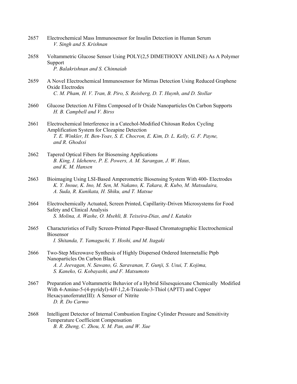- 2657 Electrochemical Mass Immunosensor for Insulin Detection in Human Serum  *V. Singh and S. Krishnan*
- 2658 Voltammetric Glucose Sensor Using POLY(2,5 DIMETHOXY ANILINE) As A Polymer Support  *P. Balakrishnan and S. Chinnaiah*
- 2659 A Novel Electrochemical Immunosensor for Mirnas Detection Using Reduced Graphene Oxide Electrodes  *C. M. Pham, H. V. Tran, B. Piro, S. Reisberg, D. T. Huynh, and D. Stollar*
- 2660 Glucose Detection At Films Composed of Ir Oxide Nanoparticles On Carbon Supports  *H. B. Campbell and V. Birss*
- 2661 Electrochemical Interference in a Catechol-Modified Chitosan Redox Cycling Amplification System for Clozapine Detection  *T. E. Winkler, H. Ben-Yoav, S. E. Chocron, E. Kim, D. L. Kelly, G. F. Payne, and R. Ghodssi*
- 2662 Tapered Optical Fibers for Biosensing Applications  *B. King, I. Idehenre, P. E. Powers, A. M. Sarangan, J. W. Haus, and K. M. Hansen*
- 2663 Bioimaging Using LSI-Based Amperometric Biosensing System With 400- Electrodes  *K. Y. Inoue, K. Ino, M. Sen, M. Nakano, K. Takara, R. Kubo, M. Matsudaira, A. Suda, R. Kunikata, H. Shiku, and T. Matsue*
- 2664 Electrochemically Actuated, Screen Printed, Capillarity-Driven Microsystems for Food Safety and Clinical Analysis  *S. Molina, A. Washe, O. Msehli, B. Teixeira-Dias, and I. Katakis*
- 2665 Characteristics of Fully Screen-Printed Paper-Based Chromatographic Electrochemical Biosensor  *I. Shitanda, T. Yamaguchi, Y. Hoshi, and M. Itagaki*
- 2666 Two-Step Microwave Synthesis of Highly Dispersed Ordered Intermetallic Ptpb Nanoparticles On Carbon Black  *A. J. Jeevagan, N. Sawano, G. Saravanan, T. Gunji, S. Usui, T. Kojima, S. Kaneko, G. Kobayashi, and F. Matsumoto*
- 2667 Preparation and Voltammetric Behavior of a Hybrid Silsesquioxane Chemically Modified With 4-Amino-5-(4-pyridyl)-4*H*-1,2,4-Triazole-3-Thiol (APTT) and Copper Hexacyanoferrate(III): A Sensor of Nitrite  *D. R. Do Carmo*
- 2668 Intelligent Detector of Internal Combustion Engine Cylinder Pressure and Sensitivity Temperature Coefficient Compensation  *B. R. Zheng, C. Zhou, X. M. Pan, and W. Xue*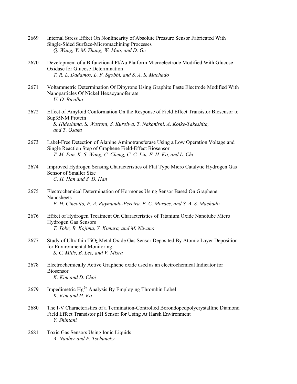- 2669 Internal Stress Effect On Nonlinearity of Absolute Pressure Sensor Fabricated With Single-Sided Surface-Micromachining Processes  *Q. Wang, Y. M. Zhang, W. Mao, and D. Ge*
- 2670 Development of a Bifunctional Pt/Au Platform Microelectrode Modified With Glucose Oxidase for Glucose Determination  *T. R. L. Dadamos, L. F. Sgobbi, and S. A. S. Machado*
- 2671 Voltammetric Determination Of Dipyrone Using Graphite Paste Electrode Modified With Nanoparticles Of Nickel Hexacyanoferrate  *U. O. Bicalho*
- 2672 Effect of Amyloid Conformation On the Response of Field Effect Transistor Biosensor to Sup35NM Protein  *S. Hideshima, S. Wustoni, S. Kuroiwa, T. Nakanishi, A. Koike-Takeshita, and T. Osaka*
- 2673 Label-Free Detection of Alanine Aminotransferase Using a Low Operation Voltage and Single Reaction Step of Graphene Field-Effect Biosensor  *T. M. Pan, K. S. Wang, C. Cheng, C. C. Lin, F. H. Ko, and L. Chi*
- 2674 Improved Hydrogen Sensing Characteristics of Flat Type Micro Catalytic Hydrogen Gas Sensor of Smaller Size  *C. H. Han and S. D. Han*
- 2675 Electrochemical Determination of Hormones Using Sensor Based On Graphene Nanosheets  *F. H. Cincotto, P. A. Raymundo-Pereira, F. C. Moraes, and S. A. S. Machado*
- 2676 Effect of Hydrogen Treatment On Characteristics of Titanium Oxide Nanotube Micro Hydrogen Gas Sensors  *T. Tobe, R. Kojima, Y. Kimura, and M. Niwano*
- 2677 Study of Ultrathin TiO<sub>2</sub> Metal Oxide Gas Sensor Deposited By Atomic Layer Deposition for Environmental Monitoring  *S. C. Mills, B. Lee, and V. Misra*
- 2678 Electrochemically Active Graphene oxide used as an electrochemical Indicator for Biosensor  *K. Kim and D. Choi*
- 2679 Impedimetric  $Hg^{2+}$  Analysis By Employing Thrombin Label  *K. Kim and H. Ko*
- 2680 The I-V Characteristics of a Termination-Controlled Borondopedpolycrystalline Diamond Field Effect Transistor pH Sensor for Using At Harsh Environment  *Y. Shintani*
- 2681 Toxic Gas Sensors Using Ionic Liquids  *A. Nauber and P. Tschuncky*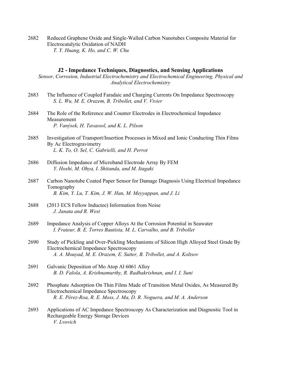2682 Reduced Graphene Oxide and Single-Walled Carbon Nanotubes Composite Material for Electrocatalytic Oxidation of NADH  *T. Y. Huang, K. Ho, and C. W. Chu* 

### **J2 - Impedance Techniques, Diagnostics, and Sensing Applications**

*Sensor, Corrosion, Industrial Electrochemistry and Electrochemical Engineering, Physical and Analytical Electrochemistry* 

- 2683 The Influence of Coupled Faradaic and Charging Currents On Impedance Spectroscopy  *S. L. Wu, M. E. Orazem, B. Tribollet, and V. Vivier*
- 2684 The Role of the Reference and Counter Electrodes in Electrochemical Impedance Measurement  *P. Vanýsek, H. Tavassol, and K. L. Pilson*
- 2685 Investigation of Transport/Insertion Processes in Mixed and Ionic Conducting Thin Films By Ac Electrogravimetry  *L. K. To, O. Sel, C. Gabrielli, and H. Perrot*
- 2686 Diffusion Impedance of Microband Electrode Array By FEM  *Y. Hoshi, M. Ohya, I. Shitanda, and M. Itagaki*
- 2687 Carbon Nanotube Coated Paper Sensor for Damage Diagnosis Using Electrical Impedance Tomography  *B. Kim, Y. Lu, T. Kim, J. W. Han, M. Meyyappan, and J. Li*
- 2688 (2013 ECS Fellow Inductee) Information from Noise  *J. Janata and R. West*
- 2689 Impedance Analysis of Copper Alloys At the Corrosion Potential in Seawater  *I. Frateur, B. E. Torres Bautista, M. L. Carvalho, and B. Tribollet*
- 2690 Study of Pickling and Over-Pickling Mechanisms of Silicon High Alloyed Steel Grade By Electrochemical Impedance Spectroscopy  *A. A. Mouyad, M. E. Orazem, E. Sutter, B. Tribollet, and A. Koltsov*
- 2691 Galvanic Deposition of Mo Atop Al 6061 Alloy  *B. D. Falola, A. Krishnamurthy, R. Radhakrishnan, and I. I. Suni*
- 2692 Phosphate Adsorption On Thin Films Made of Transition Metal Oxides, As Measured By Electrochemical Impedance Spectroscopy  *R. E. Pérez-Roa, R. E. Moss, J. Ma, D. R. Noguera, and M. A. Anderson*
- 2693 Applications of AC Impedance Spectroscopy As Characterization and Diagnostic Tool in Rechargeable Energy Storage Devices  *V. Lvovich*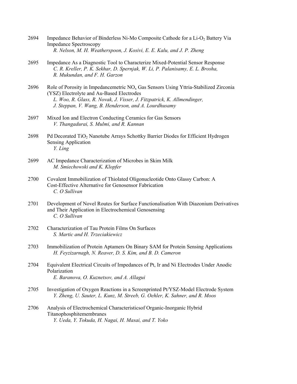- 2694 Impedance Behavior of Binderless Ni-Mo Composite Cathode for a Li-O<sub>2</sub> Battery Via Impedance Spectroscopy  *R. Nelson, M. H. Weatherspoon, J. Kosivi, E. E. Kalu, and J. P. Zheng*
- 2695 Impedance As a Diagnostic Tool to Characterize Mixed-Potential Sensor Response  *C. R. Kreller, P. K. Sekhar, D. Spernjak, W. Li, P. Palanisamy, E. L. Brosha, R. Mukundan, and F. H. Garzon*
- 2696 Role of Porosity in Impedancemetric  $N_{\alpha}$  Gas Sensors Using Yttria-Stabilized Zirconia (YSZ) Electrolyte and Au-Based Electrodes  *L. Woo, R. Glass, R. Novak, J. Visser, J. Fitzpatrick, K. Allmendinger, J. Steppan, V. Wang, B. Henderson, and A. Lourdhusamy*
- 2697 Mixed Ion and Electron Conducting Ceramics for Gas Sensors  *V. Thangadurai, S. Mulmi, and R. Kannan*
- 2698 Pd Decorated TiO<sub>2</sub> Nanotube Arrays Schottky Barrier Diodes for Efficient Hydrogen Sensing Application  *Y. Ling*
- 2699 AC Impedance Characterization of Microbes in Skim Milk  *M. Smiechowski and K. Klopfer*
- 2700 Covalent Immobilization of Thiolated Oligonucleotide Onto Glassy Carbon: A Cost-Effective Alternative for Genosensor Fabrication  *C. O Sullivan*
- 2701 Development of Novel Routes for Surface Functionalisation With Diazonium Derivatives and Their Application in Electrochemical Genosensing  *C. O Sullivan*
- 2702 Characterization of Tau Protein Films On Surfaces  *S. Martic and H. Trzeciakiewicz*
- 2703 Immobilization of Protein Aptamers On Binary SAM for Protein Sensing Applications  *H. Feyzizarnagh, N. Reaver, D. S. Kim, and B. D. Cameron*
- 2704 Equivalent Electrical Circuits of Impedances of Pt, Ir and Ni Electrodes Under Anodic Polarization  *E. Baranova, O. Kuznetsov, and A. Allagui*
- 2705 Investigation of Oxygen Reactions in a Screenprinted Pt/YSZ-Model Electrode System  *Y. Zheng, U. Sauter, L. Kunz, M. Streeb, G. Oehler, K. Sahner, and R. Moos*
- 2706 Analysis of Electrochemical Characteristicsof Organic-Inorganic Hybrid Titanophosphitemembranes  *Y. Ueda, Y. Tokuda, H. Nagai, H. Masai, and T. Yoko*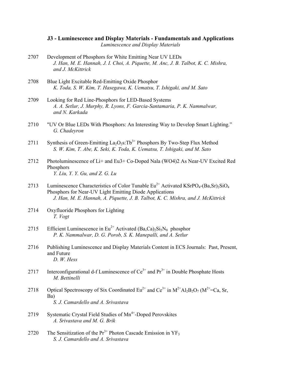**J3 - Luminescence and Display Materials - Fundamentals and Applications**  *Luminescence and Display Materials* 

- 2707 Development of Phosphors for White Emitting Near UV LEDs  *J. Han, M. E. Hannah, J. I. Choi, A. Piquette, M. Anc, J. B. Talbot, K. C. Mishra, and J. McKittrick*
- 2708 Blue Light Excitable Red-Emitting Oxide Phosphor  *K. Toda, S. W. Kim, T. Hasegawa, K. Uematsu, T. Ishigaki, and M. Sato*
- 2709 Looking for Red Line-Phosphors for LED-Based Systems  *A. A. Setlur, J. Murphy, R. Lyons, F. Garcia-Santamaria, P. K. Nammalwar, and N. Karkada*
- 2710 "UV Or Blue LEDs With Phosphors: An Interesting Way to Develop Smart Lighting."  *G. Chadeyron*
- 2711 Synthesis of Green-Emitting  $La_2O_2s: Tb^{3+}$  Phosphors By Two-Step Flux Method  *S. W. Kim, T. Abe, K. Seki, K. Toda, K. Uematsu, T. Ishigaki, and M. Sato*
- 2712 Photoluminescence of Li+ and Eu3+ Co-Doped Nala (WO4)2 As Near-UV Excited Red Phosphors  *Y. Liu, Y. Y. Gu, and Z. G. Lu*
- 2713 Luminescence Characteristics of Color Tunable  $Eu^{2+}$  Activated KSrPO<sub>4</sub>-(Ba,Sr)<sub>2</sub>SiO<sub>4</sub> Phosphors for Near-UV Light Emitting Diode Applications  *J. Han, M. E. Hannah, A. Piquette, J. B. Talbot, K. C. Mishra, and J. McKittrick*
- 2714 Oxyfluoride Phosphors for Lighting  *T. Vogt*
- 2715 Efficient Luminescence in  $Eu^{2+}$  Activated (Ba,Ca)<sub>2</sub>Si<sub>5</sub>N<sub>8</sub> phosphor  *P. K. Nammalwar, D. G. Porob, S. K. Manepalli, and A. Setlur*
- 2716 Publishing Luminescence and Display Materials Content in ECS Journals: Past, Present, and Future  *D. W. Hess*
- 2717 Interconfigurational d-f Luminescence of  $Ce^{3+}$  and  $Pr^{3+}$  in Double Phosphate Hosts  *M. Bettinelli*
- 2718 Optical Spectroscopy of Six Coordinated  $Eu^{2+}$  and  $Ce^{3+}$  in  $M^{2+}Al_2B_2O_7$  ( $M^{2+}=Ca$ , Sr, Ba)  *S. J. Camardello and A. Srivastava*
- 2719 Systematic Crystal Field Studies of Mn<sup>4+</sup>-Doped Perovskites  *A. Srivastava and M. G. Brik*
- 2720 The Sensitization of the  $Pr<sup>3+</sup>$  Photon Cascade Emission in  $YF_3$  *S. J. Camardello and A. Srivastava*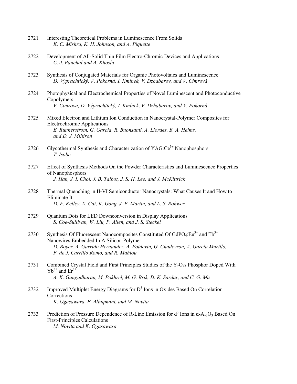- 2721 Interesting Theoretical Problems in Luminescence From Solids  *K. C. Mishra, K. H. Johnson, and A. Piquette*
- 2722 Development of All-Solid Thin Film Electro-Chromic Devices and Applications  *C. J. Panchal and A. Khosla*
- 2723 Synthesis of Conjugated Materials for Organic Photovoltaics and Luminescence  *D. Výprachtický, V. Pokorná, I. Kmínek, V. Dzhabarov, and V. Cimrová*
- 2724 Photophysical and Electrochemical Properties of Novel Luminescent and Photoconductive Copolymers  *V. Cimrova, D. Výprachtický, I. Kmínek, V. Dzhabarov, and V. Pokorná*
- 2725 Mixed Electron and Lithium Ion Conduction in Nanocrystal-Polymer Composites for Electrochromic Applications  *E. Runnerstrom, G. Garcia, R. Buonsanti, A. Llordes, B. A. Helms, and D. J. Milliron*
- 2726 Glycothermal Synthesis and Characterization of  $YAG:Ce<sup>3+</sup>$  Nanophosphors  *T. Isobe*
- 2727 Effect of Synthesis Methods On the Powder Characteristics and Luminescence Properties of Nanophosphors  *J. Han, J. I. Choi, J. B. Talbot, J. S. H. Lee, and J. McKittrick*
- 2728 Thermal Quenching in II-VI Semiconductor Nanocrystals: What Causes It and How to Eliminate It  *D. F. Kelley, X. Cai, K. Gong, J. E. Martin, and L. S. Rohwer*
- 2729 Quantum Dots for LED Downconversion in Display Applications  *S. Coe-Sullivan, W. Liu, P. Allen, and J. S. Steckel*
- 2730 Synthesis Of Fluorescent Nanocomposites Constituted Of  $GdPO<sub>4</sub>:Eu<sup>3+</sup>$  and Tb<sup>3+</sup> Nanowires Embedded In A Silicon Polymer  *D. Boyer, A. Garrido Hernandez, A. Potdevin, G. Chadeyron, A. García Murillo, F. de J. Carrillo Romo, and R. Mahiou*
- 2731 Combined Crystal Field and First Principles Studies of the  $Y_2O_2$ s Phosphor Doped With  $Yb^{3+}$  and  $Er^{3+}$  *A. K. Gangadharan, M. Pokhrel, M. G. Brik, D. K. Sardar, and C. G. Ma*
- 2732 Improved Multiplet Energy Diagrams for  $D<sup>3</sup>$  Ions in Oxides Based On Correlation Corrections  *K. Ogasawara, F. Alluqmani, and M. Novita*
- 2733 Prediction of Pressure Dependence of R-Line Emission for  $d^3$  Ions in  $\alpha$ -Al<sub>2</sub>O<sub>3</sub> Based On First-Principles Calculations  *M. Novita and K. Ogasawara*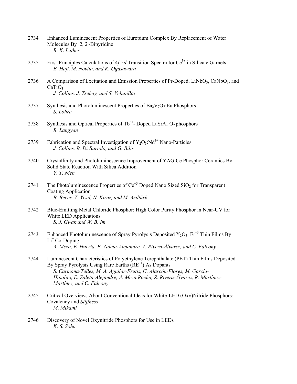- 2734 Enhanced Luminescent Properties of Europium Complex By Replacement of Water Molecules By 2, 2'-Bipyridine  *R. K. Lather*
- 2735 First-Principles Calculations of 4*f*-5*d* Transition Spectra for Ce<sup>3+</sup> in Silicate Garnets  *E. Haji, M. Novita, and K. Ogasawara*
- 2736 A Comparison of Excitation and Emission Properties of Pr-Doped. LiNbO<sub>3</sub>, CaNbO<sub>3</sub>, and  $CaTiO<sub>3</sub>$  *J. Collins, J. Tsehay, and S. Velupillai*
- 2737 Synthesis and Photoluminescent Properties of Ba<sub>2</sub>V<sub>2</sub>O<sub>7</sub>:Eu Phosphors  *S. Lohra*
- 2738 Synthesis and Optical Properties of  $Tb^{3+}$  Doped LaSrAl<sub>3</sub>O<sub>7</sub> phosphors  *R. Langyan*
- 2739 Fabrication and Spectral Investigation of  $Y_2O_3$ :Nd<sup>3+</sup> Nano-Particles  *J. Collins, B. Di Bartolo, and G. Bilir*
- 2740 Crystallinity and Photoluminescence Improvement of YAG:Ce Phosphor Ceramics By Solid State Reaction With Silica Addition  *Y. T. Nien*
- 2741 The Photoluminescence Properties of  $Ce^{+3}$  Doped Nano Sized SiO<sub>2</sub> for Transparent Coating Application  *B. Becer, Z. Yesil, N. Kiraz, and M. Asiltürk*
- 2742 Blue-Emitting Metal Chloride Phosphor: High Color Purity Phosphor in Near-UV for White LED Applications  *S. J. Gwak and W. B. Im*
- 2743 Enhanced Photoluminescence of Spray Pyrolysis Deposited  $Y_2O_3$ : Er<sup>+3</sup> Thin Films By Li<sup>+</sup> Co-Doping  *A. Meza, E. Huerta, E. Zaleta-Alejandre, Z. Rivera-Álvarez, and C. Falcony*
- 2744 Luminescent Characteristics of Polyethylene Terephthalate (PET) Thin Films Deposited By Spray Pyrolysis Using Rare Earths  $(RE<sup>3+</sup>)$  As Dopants  *S. Carmona-Tellez, M. A. Aguilar-Frutis, G. Alarcón-Flores, M. García- Hipolito, E. Zaleta-Alejandre, A. Meza.Rocha, Z. Rivera-Álvarez, R. Martínez- Martínez, and C. Falcony*
- 2745 Critical Overviews About Conventional Ideas for White-LED (Oxy)Nitride Phosphors: Covalency and *Stiffness M. Mikami*
- 2746 Discovery of Novel Oxynitride Phosphors for Use in LEDs  *K. S. Sohn*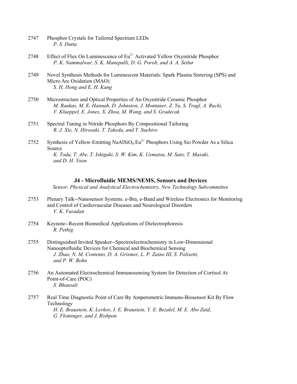- 2747 Phosphor Crystals for Tailored Spectrum LEDs  *P. S. Dutta*
- 2748 Effect of Flux On Luminescence of  $Eu^{2+}$  Activated Yellow Oxynitride Phosphor  *P. K. Nammalwar, S. K. Manepalli, D. G. Porob, and A. A. Setlur*
- 2749 Novel Synthesis Methods for Luminescent Materials: Spark Plasma Sintering (SPS) and Micro Arc Oxidation (MAO)  *S. H. Hong and E. H. Kang*
- 2750 Microstructure and Optical Properties of An Oxynitride Ceramic Phosphor  *M. Raukas, M. E. Hannah, D. Johnston, J. Montaner, Z. Yu, S. Tragl, A. Rucki, V. Klueppel, E. Jones, X. Zhou, M. Wang, and S. Gradecak*
- 2751 Spectral Tuning in Nitride Phosphors By Compositional Tailoring  *R. J. Xie, N. Hirosaki, T. Takeda, and T. Suehiro*
- 2752 Synthesis of Yellow-Emitting NaAlSiO<sub>4</sub>: $Eu^{2+}$  Phosphors Using Sio Powder As a Silica Source  *K. Toda, T. Abe, T. Ishigaki, S. W. Kim, K. Uematsu, M. Sato, T. Masaki, and D. H. Yoon*

#### **J4 - Microfluidic MEMS/NEMS, Sensors and Devices**

*Sensor, Physical and Analytical Electrochemistry, New Technology Subcommittee* 

- 2753 Plenary Talk--Nanosensor Systems. e-Bra, e-Band and Wireless Electronics for Monitoring and Control of Cardiovascular Diseases and Neurological Disorders  *V. K. Varadan*
- 2754 Keynote--Recent Biomedical Applications of Dielectrophoresis  *R. Pethig*
- 2755 Distinguished Invited Speaker--Spectroelectrochemistry in Low-Dimensional Nanooptofluidic Devices for Chemical and Biochemical Sensing  *J. Zhao, N. M. Contento, D. A. Grismer, L. P. Zaino III, S. Polisetti, and P. W. Bohn*
- 2756 An Automated Electrochemical Immunosensing System for Detection of Cortisol At Point-of-Care (POC)  *S. Bhansali*
- 2757 Real Time Diagnostic Point of Care By Amperometric Immuno-Biosensor Kit By Flow Technology  *H. E. Braustein, K. Levkov, I. E. Braustein, Y. E. Bezalel, M. E. Abo Zaid, G. Fleminger, and J. Rishpon*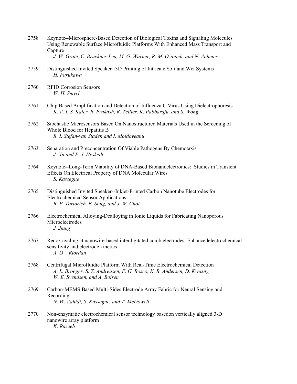2758 Keynote--Microsphere-Based Detection of Biological Toxins and Signaling Molecules Using Renewable Surface Microfluidic Platforms With Enhanced Mass Transport and Capture

 *J. W. Grate, C. Bruckner-Lea, M. G. Warner, R. M. Ozanich, and N. Anheier* 

- 2759 Distinguished Invited Speaker--3D Printing of Intricate Soft and Wet Systems  *H. Furukawa*
- 2760 RFID Corrosion Sensors  *W. H. Smyrl*
- 2761 Chip Based Amplification and Detection of Influenza C Virus Using Dielectrophoresis  *K. V. I. S. Kaler, R. Prakash, R. Tellier, K. Pabbaraju, and S. Wong*
- 2762 Stochastic Microsensors Based On Nanostructured Materials Used in the Screening of Whole Blood for Hepatitis B  *R. I. Stefan-van Staden and I. Moldoveanu*
- 2763 Separation and Preconcentration Of Viable Pathogens By Chemotaxis  *J. Xu and P. J. Hesketh*
- 2764 Keynote--Long-Term Viability of DNA-Based Bionanoelectronics: Studies in Transient Effects On Electrical Property of DNA Molecular Wires  *S. Kassegne*
- 2765 Distinguished Invited Speaker--Inkjet-Printed Carbon Nanotube Electrodes for Electrochemical Sensor Applications  *R. P. Tortorich, E. Song, and J. W. Choi*
- 2766 Electrochemical Alloying-Dealloying in Ionic Liquids for Fabricating Nanoporous Microelectrodes  *J. Jiang*
- 2767 Redox cycling at nanowire-based interdigitated comb electrodes: Enhancedelectrochemical sensitivity and electrode kinetics  *A. O Riordan*
- 2768 Centrifugal Microfluidic Platform With Real-Time Electrochemical Detection  *A. L. Brogger, S. Z. Andreasen, F. G. Bosco, K. B. Andersen, D. Kwasny, W. E. Svendsen, and A. Boisen*
- 2769 Carbon-MEMS Based Multi-Sides Electrode Array Fabric for Neural Sensing and Recording  *N. W. Vahidi, S. Kassegne, and T. McDowell*
- 2770 Non-enzymatic electrochemical sensor technology basedon vertically aligned 3-D nanowire array platform  *K. Razeeb*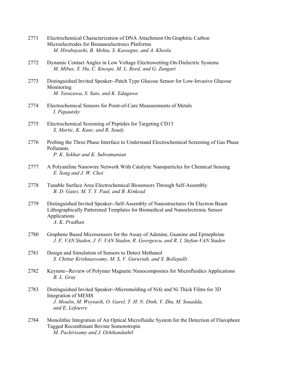- 2771 Electrochemical Characterization of DNA Attachment On Graphitic Carbon Microelectrodes for Bionanoelectroics Platforms  *M. Hirabayashi, B. Mehta, S. Kassegne, and A. Khosla*
- 2772 Dynamic Contact Angles in Low Voltage Electrowetting-On-Dielectric Systems  *M. Mibus, X. Hu, C. Knospe, M. L. Reed, and G. Zangari*
- 2773 Distinguished Invited Speaker--Patch Type Glucose Sensor for Low-Invasive Glucose Monitoring  *M. Yasuzawa, S. Sato, and K. Edagawa*
- 2774 Electrochemical Sensors for Point-of-Care Measurements of Metals  *I. Papautsky*
- 2775 Electrochemical Screening of Peptides for Targeting CD13  *S. Martic, K. Kaur, and R. Soudy*
- 2776 Probing the Three Phase Interface to Understand Electrochemical Screening of Gas Phase Pollutants  *P. K. Sekhar and K. Subramanian*
- 2777 A Polyaniline Nanowire Network With Catalytic Nanoparticles for Chemical Sensing  *E. Song and J. W. Choi*
- 2778 Tunable Surface Area Electrochemical Biosensors Through Self-Assembly  *B. D. Gates, M. T. Y. Paul, and B. Kinkead*
- 2779 Distinguished Invited Speaker--Self-Assembly of Nanostructures On Electron Beam Lithographically Patterened Templates for Biomedical and Nanoelectronic Sensor Applications  *A. K. Pradhan*
- 2780 Graphene Based Microsensors for the Assay of Adenine, Guanine and Epinephrine  *J. F. VAN Staden, J. F. VAN Staden, R. Georgescu, and R. I. Stefan-VAN Staden*
- 2781 Design and Simulation of Sensors to Detect Methanol  *S. Chittur Krishnaswamy, M. S, V. Guruviah, and S. Bollepalli*
- 2782 Keynote--Review of Polymer Magnetic Nanocomposites for Microfluidics Applications  *B. L. Gray*
- 2783 Distinguished Invited Speaker--Micromolding of Nife and Ni Thick Films for 3D Integration of MEMS  *J. Moulin, M. Woytasik, O. Garel, T. H. N. Dinh, Y. Zhu, M. Souadda, and E. Lefeuvre*
- 2784 Monolithic Integration of An Optical Microfluidic System for the Detection of Flurophore Tagged Recombinant Bovine Somototropin  *M. Packirisamy and J. Ozhikandathil*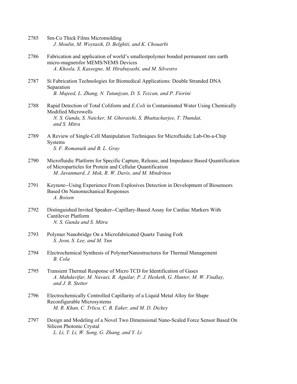| 2785 | Sm-Co Thick Films Micromolding                       |
|------|------------------------------------------------------|
|      | J. Moulin, M. Woytasik, D. Belghiti, and K. Chouarbi |

- 2786 Fabrication and application of world's smallestpolymer bonded permanent rare earth micro-magnetsfor MEMS/NEMS Devices  *A. Khosla, S. Kassegne, M. Hirabayashi, and M. Silvestro*
- 2787 Si Fabrication Technologies for Biomedical Applications: Double Stranded DNA Separation  *B. Majeed, L. Zhang, N. Tutunjyan, D. S. Tezcan, and P. Fiorini*
- 2788 Rapid Detection of Total Coliform and *E.Coli* in Contaminated Water Using Chemically Modified Microwells  *N. S. Gunda, S. Naicker, M. Ghoraishi, S. Bhattacharjee, T. Thundat, and S. Mitra*
- 2789 A Review of Single-Cell Manipulation Techniques for Microfluidic Lab-On-a-Chip Systems  *S. F. Romanuik and B. L. Gray*
- 2790 Microfluidic Platform for Specific Capture, Release, and Impedance Based Quantification of Microparticles for Protein and Cellular Quantification  *M. Javanmard, J. Mok, R. W. Davis, and M. Mindrinos*
- 2791 Keynote--Using Experience From Explosives Detection in Development of Biosensors Based On Nanomechanical Responses  *A. Boisen*
- 2792 Distinguished Invited Speaker--Capillary-Based Assay for Cardiac Markers With Cantilever Platform  *N. S. Gunda and S. Mitra*
- 2793 Polymer Nanobridge On a Microfabricated Quartz Tuning Fork  *S. Jeon, S. Lee, and M. Yun*
- 2794 Electrochemical Synthesis of PolymerNanostructures for Thermal Management  *B. Cola*
- 2795 Transient Thermal Response of Micro TCD for Identification of Gases  *A. Mahdavifar, M. Navaei, R. Aguilar, P. J. Hesketh, G. Hunter, M. W. Findlay, and J. R. Stetter*
- 2796 Electrochemically Controlled Capillarity of a Liquid Metal Alloy for Shape Reconfigurable Microsystems  *M. R. Khan, C. Trlica, C. B. Eaker, and M. D. Dickey*
- 2797 Design and Modeling of a Novel Two Dimensional Nano-Scaled Force Sensor Based On Silicon Photonic Crystal  *L. Li, T. Li, W. Song, G. Zhang, and Y. Li*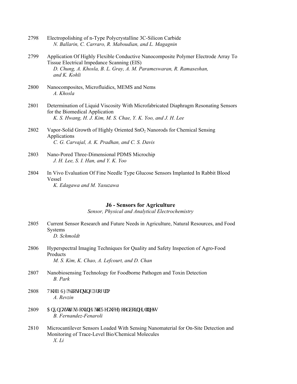| 2798 | Electropolishing of n-Type Polycrystalline 3C-Silicon Carbide<br>N. Ballarin, C. Carraro, R. Maboudian, and L. Magagnin                                                                                                 |
|------|-------------------------------------------------------------------------------------------------------------------------------------------------------------------------------------------------------------------------|
| 2799 | Application Of Highly Flexible Conductive Nanocomposite Polymer Electrode Array To<br>Tissue Electrical Impedance Scanning (EIS)<br>D. Chung, A. Khosla, B. L. Gray, A. M. Parameswaran, R. Ramaseshan,<br>and K. Kohli |
| 2800 | Nanocomposites, Microfluidics, MEMS and Nems<br>A. Khosla                                                                                                                                                               |
| 2801 | Determination of Liquid Viscosity With Microfabricated Diaphragm Resonating Sensors<br>for the Biomedical Application<br>K. S. Hwang, H. J. Kim, M. S. Chae, Y. K. Yoo, and J. H. Lee                                   |
| 2802 | Vapor-Solid Growth of Highly Oriented SnO <sub>2</sub> Nanorods for Chemical Sensing<br>Applications<br>C. G. Carvajal, A. K. Pradhan, and C. S. Davis                                                                  |
| 2803 | Nano-Pored Three-Dimensional PDMS Microchip                                                                                                                                                                             |

- *J. H. Lee, S. I. Han, and Y. K. Yoo*
- 2804 In Vivo Evaluation Of Fine Needle Type Glucose Sensors Implanted In Rabbit Blood Vessel  *K. Edagawa and M. Yasuzawa*

## **J6 - Sensors for Agriculture**

*Sensor, Physical and Analytical Electrochemistry* 

- 2805 Current Sensor Research and Future Needs in Agriculture, Natural Resources, and Food Systems  *D. Schmoldt*
- 2806 Hyperspectral Imaging Techniques for Quality and Safety Inspection of Agro-Food Products  *M. S. Kim, K. Chao, A. Lefcourt, and D. Chan*
- 2807 Nanobiosensing Technology for Foodborne Pathogen and Toxin Detection  *B. Park*
- 2808 Vj g'P UHDkqugpukpi 'Rtqi tco  *A. Revzin*
- 2809 Cp"Kpf w.nt { )u'Lqwtpg{"\q'Tgf weg"Hqqf dqtpg"Kirpguu  *B. Fernandez-Fenaroli*
- 2810 Microcantilever Sensors Loaded With Sensing Nanomaterial for On-Site Detection and Monitoring of Trace-Level Bio/Chemical Molecules  *X. Li*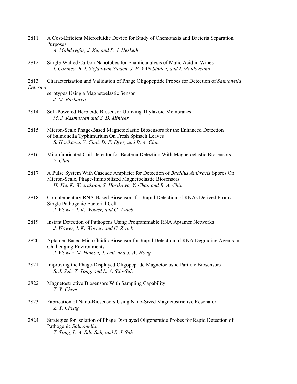- 2811 A Cost-Efficient Microfluidic Device for Study of Chemotaxis and Bacteria Separation Purposes  *A. Mahdavifar, J. Xu, and P. J. Hesketh*
- 2812 Single-Walled Carbon Nanotubes for Enantioanalysis of Malic Acid in Wines  *I. Comnea, R. I. Stefan-van Staden, J. F. VAN Staden, and I. Moldoveanu*
- 2813 Characterization and Validation of Phage Oligopeptide Probes for Detection of *Salmonella Enterica* 
	- serotypes Using a Magnetoelastic Sensor  *J. M. Barbaree*
- 2814 Self-Powered Herbicide Biosensor Utilizing Thylakoid Membranes  *M. J. Rasmussen and S. D. Minteer*
- 2815 Micron-Scale Phage-Based Magnetoelastic Biosensors for the Enhanced Detection of Salmonella Typhimurium On Fresh Spinach Leaves  *S. Horikawa, Y. Chai, D. F. Dyer, and B. A. Chin*
- 2816 Microfabricated Coil Detector for Bacteria Detection With Magnetoelastic Biosensors  *Y. Chai*
- 2817 A Pulse System With Cascade Amplifier for Detection of *Bacillus Anthracis* Spores On Micron-Scale, Phage-Immobilized Magnetoelastic Biosensors  *H. Xie, K. Weerakoon, S. Horikawa, Y. Chai, and B. A. Chin*
- 2818 Complementary RNA-Based Biosensors for Rapid Detection of RNAs Derived From a Single Pathogenic Bacterial Cell  *J. Wower, I. K. Wower, and C. Zwieb*
- 2819 Instant Detection of Pathogens Using Programmable RNA Aptamer Networks  *J. Wower, I. K. Wower, and C. Zwieb*
- 2820 Aptamer-Based Microfluidic Biosensor for Rapid Detection of RNA Degrading Agents in Challenging Environments  *J. Wower, M. Hamon, J. Dai, and J. W. Hong*
- 2821 Improving the Phage-Displayed Oligopeptide:Magnetoelastic Particle Biosensors  *S. J. Suh, Z. Tong, and L. A. Silo-Suh*
- 2822 Magnetostrictive Biosensors With Sampling Capability  *Z. Y. Cheng*
- 2823 Fabrication of Nano-Biosensors Using Nano-Sized Magnetostrictive Resonator  *Z. Y. Cheng*
- 2824 Strategies for Isolation of Phage Displayed Oligopeptide Probes for Rapid Detection of Pathogenic *Salmonellae Z. Tong, L. A. Silo-Suh, and S. J. Suh*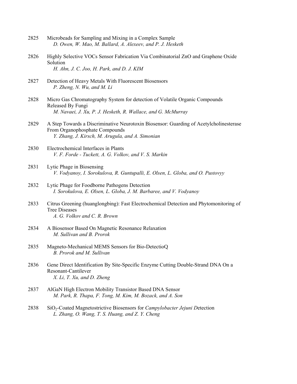- 2825 Microbeads for Sampling and Mixing in a Complex Sample  *D. Owen, W. Mao, M. Ballard, A. Alexeev, and P. J. Hesketh*
- 2826 Highly Selective VOCs Sensor Fabrication Via Combinatorial ZnO and Graphene Oxide Solution  *H. Ahn, J. C. Joo, H. Park, and D. J. KIM*
- 2827 Detection of Heavy Metals With Fluorescent Biosensors  *P. Zheng, N. Wu, and M. Li*
- 2828 Micro Gas Chromatography System for detection of Volatile Organic Compounds Released By Fungi  *M. Navaei, J. Xu, P. J. Hesketh, R. Wallace, and G. McMurray*
- 2829 A Step Towards a Discriminative Neurotoxin Biosensor: Guarding of Acetylcholinesterase From Organophosphate Compounds  *Y. Zhang, J. Kirsch, M. Arugula, and A. Simonian*
- 2830 Electrochemical Interfaces in Plants  *V. F. Forde - Tuckett, A. G. Volkov, and V. S. Markin*
- 2831 Lytic Phage in Biosensing  *V. Vodyanoy, I. Sorokulova, R. Guntupalli, E. Olsen, L. Globa, and O. Pustovyy*
- 2832 Lytic Phage for Foodborne Pathogens Detection  *I. Sorokulova, E. Olsen, L. Globa, J. M. Barbaree, and V. Vodyanoy*
- 2833 Citrus Greening (huanglongbing): Fast Electrochemical Detection and Phytomonitoring of Tree Diseases  *A. G. Volkov and C. R. Brown*
- 2834 A Biosensor Based On Magnetic Resonance Relaxation  *M. Sullivan and B. Prorok*
- 2835 Magneto-Mechanical MEMS Sensors for Bio-Detectiop  *B. Prorok and M. Sullivan*
- 2836 Gene Direct Identification By Site-Specific Enzyme Cutting Double-Strand DNA On a Resonant-Cantilever  *X. Li, T. Xu, and D. Zheng*
- 2837 AlGaN High Electron Mobility Transistor Based DNA Sensor  *M. Park, R. Thapa, F. Tong, M. Kim, M. Bozack, and A. Son*
- 2838 SiO2-Coated Magnetostrictive Biosensors for *Campylobacter Jejuni D*etection  *L. Zhang, O. Wang, T. S. Huang, and Z. Y. Cheng*